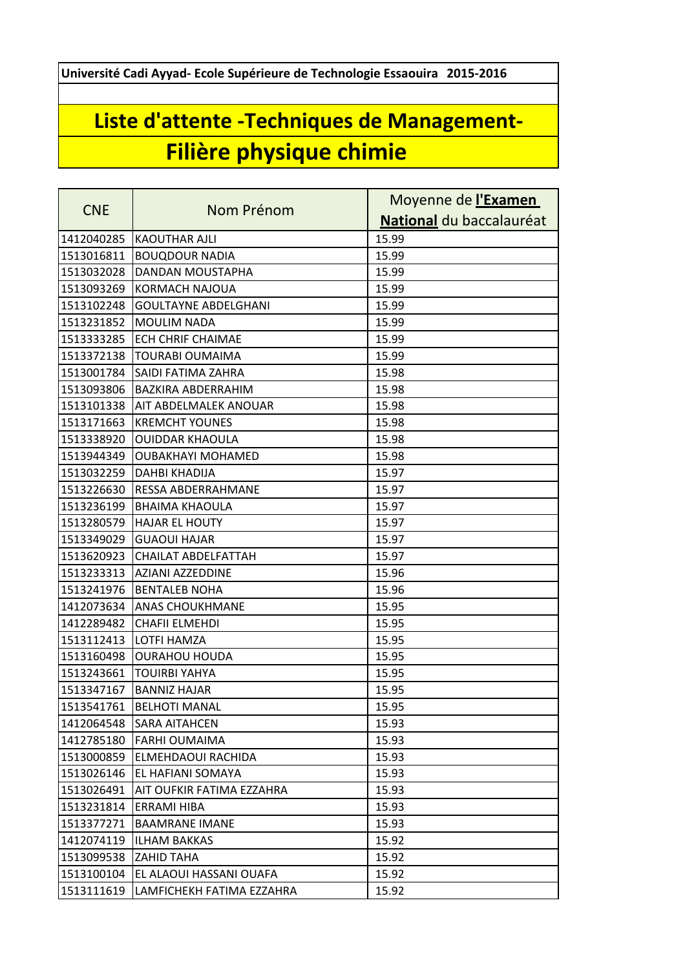**Université Cadi Ayyad- Ecole Supérieure de Technologie Essaouira 2015-2016**

## **Liste d'attente -Techniques de Management-Filière physique chimie**

| <b>CNE</b> | Nom Prénom                  | Moyenne de l'Examen      |
|------------|-----------------------------|--------------------------|
|            |                             | National du baccalauréat |
| 1412040285 | <b>KAOUTHAR AJLI</b>        | 15.99                    |
| 1513016811 | <b>BOUQDOUR NADIA</b>       | 15.99                    |
| 1513032028 | DANDAN MOUSTAPHA            | 15.99                    |
| 1513093269 | <b>KORMACH NAJOUA</b>       | 15.99                    |
| 1513102248 | <b>GOULTAYNE ABDELGHANI</b> | 15.99                    |
| 1513231852 | <b>MOULIM NADA</b>          | 15.99                    |
| 1513333285 | <b>ECH CHRIF CHAIMAE</b>    | 15.99                    |
| 1513372138 | <b>TOURABI OUMAIMA</b>      | 15.99                    |
| 1513001784 | SAIDI FATIMA ZAHRA          | 15.98                    |
| 1513093806 | BAZKIRA ABDERRAHIM          | 15.98                    |
| 1513101338 | AIT ABDELMALEK ANOUAR       | 15.98                    |
| 1513171663 | <b>KREMCHT YOUNES</b>       | 15.98                    |
| 1513338920 | <b>OUIDDAR KHAOULA</b>      | 15.98                    |
| 1513944349 | <b>OUBAKHAYI MOHAMED</b>    | 15.98                    |
| 1513032259 | DAHBI KHADIJA               | 15.97                    |
| 1513226630 | RESSA ABDERRAHMANE          | 15.97                    |
| 1513236199 | <b>BHAIMA KHAOULA</b>       | 15.97                    |
| 1513280579 | <b>HAJAR EL HOUTY</b>       | 15.97                    |
| 1513349029 | <b>GUAOUI HAJAR</b>         | 15.97                    |
| 1513620923 | CHAILAT ABDELFATTAH         | 15.97                    |
| 1513233313 | AZIANI AZZEDDINE            | 15.96                    |
| 1513241976 | <b>BENTALEB NOHA</b>        | 15.96                    |
| 1412073634 | <b>ANAS CHOUKHMANE</b>      | 15.95                    |
| 1412289482 | <b>CHAFII ELMEHDI</b>       | 15.95                    |
| 1513112413 | <b>LOTFI HAMZA</b>          | 15.95                    |
| 1513160498 | <b>OURAHOU HOUDA</b>        | 15.95                    |
| 1513243661 | <b>TOUIRBI YAHYA</b>        | 15.95                    |
| 1513347167 | <b>BANNIZ HAJAR</b>         | 15.95                    |
| 1513541761 | <b>BELHOTI MANAL</b>        | 15.95                    |
| 1412064548 | SARA AITAHCEN               | 15.93                    |
| 1412785180 | <b>FARHI OUMAIMA</b>        | 15.93                    |
| 1513000859 | ELMEHDAOUI RACHIDA          | 15.93                    |
| 1513026146 | EL HAFIANI SOMAYA           | 15.93                    |
| 1513026491 | AIT OUFKIR FATIMA EZZAHRA   | 15.93                    |
| 1513231814 | ERRAMI HIBA                 | 15.93                    |
| 1513377271 | <b>BAAMRANE IMANE</b>       | 15.93                    |
| 1412074119 | <b>ILHAM BAKKAS</b>         | 15.92                    |
| 1513099538 | ZAHID TAHA                  | 15.92                    |
| 1513100104 | EL ALAOUI HASSANI OUAFA     | 15.92                    |
| 1513111619 | LAMFICHEKH FATIMA EZZAHRA   | 15.92                    |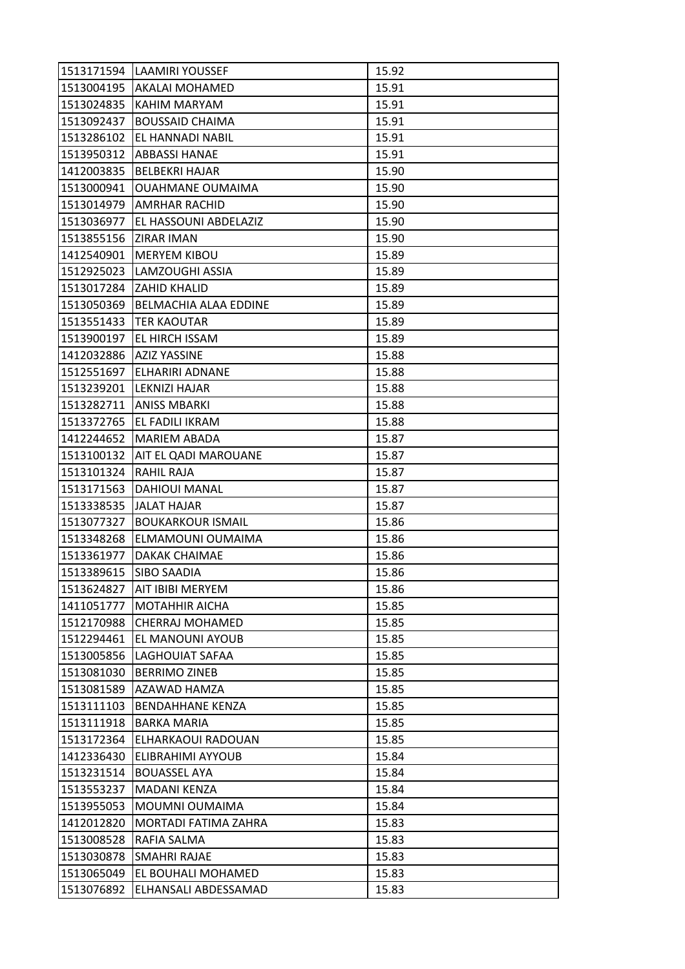| 1513171594            | <b>LAAMIRI YOUSSEF</b>      | 15.92 |
|-----------------------|-----------------------------|-------|
|                       | 1513004195   AKALAI MOHAMED | 15.91 |
| 1513024835            | KAHIM MARYAM                | 15.91 |
| 1513092437            | <b>BOUSSAID CHAIMA</b>      | 15.91 |
| 1513286102            | EL HANNADI NABIL            | 15.91 |
| 1513950312            | <b>ABBASSI HANAE</b>        | 15.91 |
| 1412003835            | <b>BELBEKRI HAJAR</b>       | 15.90 |
| 1513000941            | OUAHMANE OUMAIMA            | 15.90 |
| 1513014979            | <b>AMRHAR RACHID</b>        | 15.90 |
| 1513036977            | EL HASSOUNI ABDELAZIZ       | 15.90 |
| 1513855156 ZIRAR IMAN |                             | 15.90 |
| 1412540901            | <b>MERYEM KIBOU</b>         | 15.89 |
| 1512925023            | LAMZOUGHI ASSIA             | 15.89 |
| 1513017284            | <b>ZAHID KHALID</b>         | 15.89 |
| 1513050369            | BELMACHIA ALAA EDDINE       | 15.89 |
| 1513551433            | <b>TER KAOUTAR</b>          | 15.89 |
| 1513900197            | EL HIRCH ISSAM              | 15.89 |
| 1412032886            | <b>AZIZ YASSINE</b>         | 15.88 |
| 1512551697            | <b>ELHARIRI ADNANE</b>      | 15.88 |
| 1513239201            | LEKNIZI HAJAR               | 15.88 |
| 1513282711            | <b>ANISS MBARKI</b>         | 15.88 |
| 1513372765            | EL FADILI IKRAM             | 15.88 |
| 1412244652            | <b>MARIEM ABADA</b>         | 15.87 |
| 1513100132            | AIT EL QADI MAROUANE        | 15.87 |
| 1513101324            | RAHIL RAJA                  | 15.87 |
| 1513171563            | <b>DAHIOUI MANAL</b>        | 15.87 |
| 1513338535            | <b>JALAT HAJAR</b>          | 15.87 |
| 1513077327            | <b>BOUKARKOUR ISMAIL</b>    | 15.86 |
| 1513348268            | ELMAMOUNI OUMAIMA           | 15.86 |
| 1513361977            | DAKAK CHAIMAE               | 15.86 |
| 1513389615            | SIBO SAADIA                 | 15.86 |
| 1513624827            | AIT IBIBI MERYEM            | 15.86 |
| 1411051777            | <b>MOTAHHIR AICHA</b>       | 15.85 |
| 1512170988            | <b>CHERRAJ MOHAMED</b>      | 15.85 |
| 1512294461            | EL MANOUNI AYOUB            | 15.85 |
| 1513005856            | LAGHOUIAT SAFAA             | 15.85 |
| 1513081030            | <b>BERRIMO ZINEB</b>        | 15.85 |
| 1513081589            | AZAWAD HAMZA                | 15.85 |
| 1513111103            | <b>BENDAHHANE KENZA</b>     | 15.85 |
| 1513111918            | <b>BARKA MARIA</b>          | 15.85 |
| 1513172364            | ELHARKAOUI RADOUAN          | 15.85 |
| 1412336430            | ELIBRAHIMI AYYOUB           | 15.84 |
| 1513231514            | <b>BOUASSEL AYA</b>         | 15.84 |
| 1513553237            | MADANI KENZA                | 15.84 |
| 1513955053            | MOUMNI OUMAIMA              | 15.84 |
| 1412012820            | MORTADI FATIMA ZAHRA        | 15.83 |
| 1513008528            | RAFIA SALMA                 | 15.83 |
| 1513030878            | SMAHRI RAJAE                | 15.83 |
| 1513065049            | EL BOUHALI MOHAMED          | 15.83 |
| 1513076892            | ELHANSALI ABDESSAMAD        | 15.83 |
|                       |                             |       |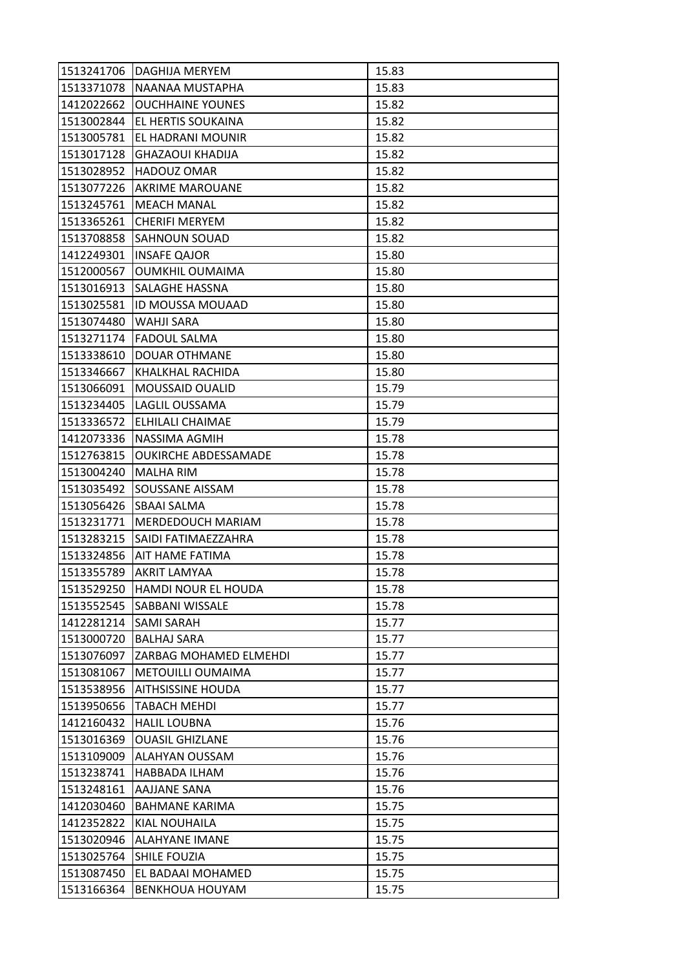| 1513241706 | DAGHIJA MERYEM              | 15.83 |
|------------|-----------------------------|-------|
| 1513371078 | NAANAA MUSTAPHA             | 15.83 |
| 1412022662 | <b>OUCHHAINE YOUNES</b>     | 15.82 |
| 1513002844 | EL HERTIS SOUKAINA          | 15.82 |
| 1513005781 | EL HADRANI MOUNIR           | 15.82 |
| 1513017128 | <b>GHAZAOUI KHADIJA</b>     | 15.82 |
| 1513028952 | HADOUZ OMAR                 | 15.82 |
| 1513077226 | <b>AKRIME MAROUANE</b>      | 15.82 |
| 1513245761 | <b>MEACH MANAL</b>          | 15.82 |
| 1513365261 | <b>CHERIFI MERYEM</b>       | 15.82 |
| 1513708858 | <b>SAHNOUN SOUAD</b>        | 15.82 |
| 1412249301 | <b>INSAFE QAJOR</b>         | 15.80 |
| 1512000567 | <b>OUMKHIL OUMAIMA</b>      | 15.80 |
| 1513016913 | SALAGHE HASSNA              | 15.80 |
| 1513025581 | ID MOUSSA MOUAAD            | 15.80 |
| 1513074480 | <b>WAHJI SARA</b>           | 15.80 |
| 1513271174 | <b>FADOUL SALMA</b>         | 15.80 |
| 1513338610 | DOUAR OTHMANE               | 15.80 |
| 1513346667 | KHALKHAL RACHIDA            | 15.80 |
| 1513066091 | <b>MOUSSAID OUALID</b>      | 15.79 |
| 1513234405 | LAGLIL OUSSAMA              | 15.79 |
| 1513336572 | ELHILALI CHAIMAE            | 15.79 |
| 1412073336 | NASSIMA AGMIH               | 15.78 |
| 1512763815 | <b>OUKIRCHE ABDESSAMADE</b> | 15.78 |
| 1513004240 | MALHA RIM                   | 15.78 |
| 1513035492 | SOUSSANE AISSAM             | 15.78 |
| 1513056426 | SBAAI SALMA                 | 15.78 |
| 1513231771 | MERDEDOUCH MARIAM           | 15.78 |
| 1513283215 | SAIDI FATIMAEZZAHRA         | 15.78 |
| 1513324856 | <b>AIT HAME FATIMA</b>      | 15.78 |
| 1513355789 | AKRIT LAMYAA                | 15.78 |
| 1513529250 | HAMDI NOUR EL HOUDA         | 15.78 |
| 1513552545 | SABBANI WISSALE             | 15.78 |
| 1412281214 | SAMI SARAH                  | 15.77 |
| 1513000720 | <b>BALHAJ SARA</b>          | 15.77 |
| 1513076097 | ZARBAG MOHAMED ELMEHDI      | 15.77 |
| 1513081067 | <b>METOUILLI OUMAIMA</b>    | 15.77 |
| 1513538956 | <b>AITHSISSINE HOUDA</b>    | 15.77 |
| 1513950656 | <b>TABACH MEHDI</b>         | 15.77 |
| 1412160432 | <b>HALIL LOUBNA</b>         | 15.76 |
| 1513016369 | <b>OUASIL GHIZLANE</b>      | 15.76 |
| 1513109009 | ALAHYAN OUSSAM              | 15.76 |
| 1513238741 | HABBADA ILHAM               | 15.76 |
| 1513248161 | AAJJANE SANA                | 15.76 |
| 1412030460 | <b>BAHMANE KARIMA</b>       | 15.75 |
| 1412352822 | KIAL NOUHAILA               | 15.75 |
| 1513020946 | <b>ALAHYANE IMANE</b>       | 15.75 |
| 1513025764 | SHILE FOUZIA                | 15.75 |
| 1513087450 | EL BADAAI MOHAMED           | 15.75 |
| 1513166364 | <b>BENKHOUA HOUYAM</b>      | 15.75 |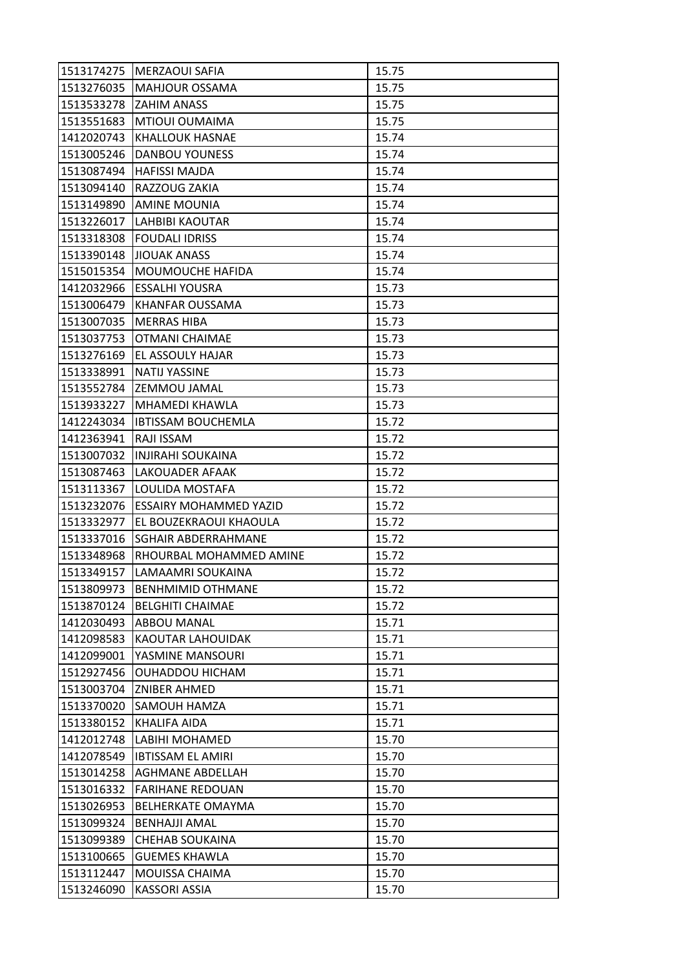| 1513174275 | MERZAOUI SAFIA                | 15.75 |
|------------|-------------------------------|-------|
| 1513276035 | <b>MAHJOUR OSSAMA</b>         | 15.75 |
| 1513533278 | ZAHIM ANASS                   | 15.75 |
| 1513551683 | MTIOUI OUMAIMA                | 15.75 |
| 1412020743 | <b>KHALLOUK HASNAE</b>        | 15.74 |
| 1513005246 | <b>DANBOU YOUNESS</b>         | 15.74 |
| 1513087494 | <b>HAFISSI MAJDA</b>          | 15.74 |
| 1513094140 | RAZZOUG ZAKIA                 | 15.74 |
| 1513149890 | <b>AMINE MOUNIA</b>           | 15.74 |
| 1513226017 | <b>LAHBIBI KAOUTAR</b>        | 15.74 |
| 1513318308 | <b>FOUDALI IDRISS</b>         | 15.74 |
| 1513390148 | <b>JIOUAK ANASS</b>           | 15.74 |
| 1515015354 | <b>MOUMOUCHE HAFIDA</b>       | 15.74 |
| 1412032966 | <b>ESSALHI YOUSRA</b>         | 15.73 |
| 1513006479 | KHANFAR OUSSAMA               | 15.73 |
| 1513007035 | <b>MERRAS HIBA</b>            | 15.73 |
| 1513037753 | OTMANI CHAIMAE                | 15.73 |
| 1513276169 | EL ASSOULY HAJAR              | 15.73 |
| 1513338991 | <b>NATIJ YASSINE</b>          | 15.73 |
| 1513552784 | ZEMMOU JAMAL                  | 15.73 |
| 1513933227 | MHAMEDI KHAWLA                | 15.73 |
| 1412243034 | <b>IBTISSAM BOUCHEMLA</b>     | 15.72 |
| 1412363941 | RAJI ISSAM                    | 15.72 |
| 1513007032 | INJIRAHI SOUKAINA             | 15.72 |
| 1513087463 | LAKOUADER AFAAK               | 15.72 |
| 1513113367 | LOULIDA MOSTAFA               | 15.72 |
| 1513232076 | <b>ESSAIRY MOHAMMED YAZID</b> | 15.72 |
| 1513332977 | EL BOUZEKRAOUI KHAOULA        | 15.72 |
| 1513337016 | SGHAIR ABDERRAHMANE           | 15.72 |
| 1513348968 | RHOURBAL MOHAMMED AMINE       | 15.72 |
| 1513349157 | LAMAAMRI SOUKAINA             | 15.72 |
| 1513809973 | <b>BENHMIMID OTHMANE</b>      | 15.72 |
| 1513870124 | <b>BELGHITI CHAIMAE</b>       | 15.72 |
| 1412030493 | <b>ABBOU MANAL</b>            | 15.71 |
| 1412098583 | KAOUTAR LAHOUIDAK             | 15.71 |
| 1412099001 | YASMINE MANSOURI              | 15.71 |
| 1512927456 | <b>OUHADDOU HICHAM</b>        | 15.71 |
| 1513003704 | ZNIBER AHMED                  | 15.71 |
| 1513370020 | SAMOUH HAMZA                  | 15.71 |
| 1513380152 | KHALIFA AIDA                  | 15.71 |
| 1412012748 | LABIHI MOHAMED                | 15.70 |
| 1412078549 | <b>IBTISSAM EL AMIRI</b>      | 15.70 |
| 1513014258 | AGHMANE ABDELLAH              | 15.70 |
| 1513016332 | <b>FARIHANE REDOUAN</b>       | 15.70 |
| 1513026953 | <b>BELHERKATE OMAYMA</b>      | 15.70 |
| 1513099324 | <b>BENHAJJI AMAL</b>          | 15.70 |
| 1513099389 | <b>CHEHAB SOUKAINA</b>        | 15.70 |
| 1513100665 | <b>GUEMES KHAWLA</b>          | 15.70 |
| 1513112447 | MOUISSA CHAIMA                | 15.70 |
| 1513246090 | KASSORI ASSIA                 | 15.70 |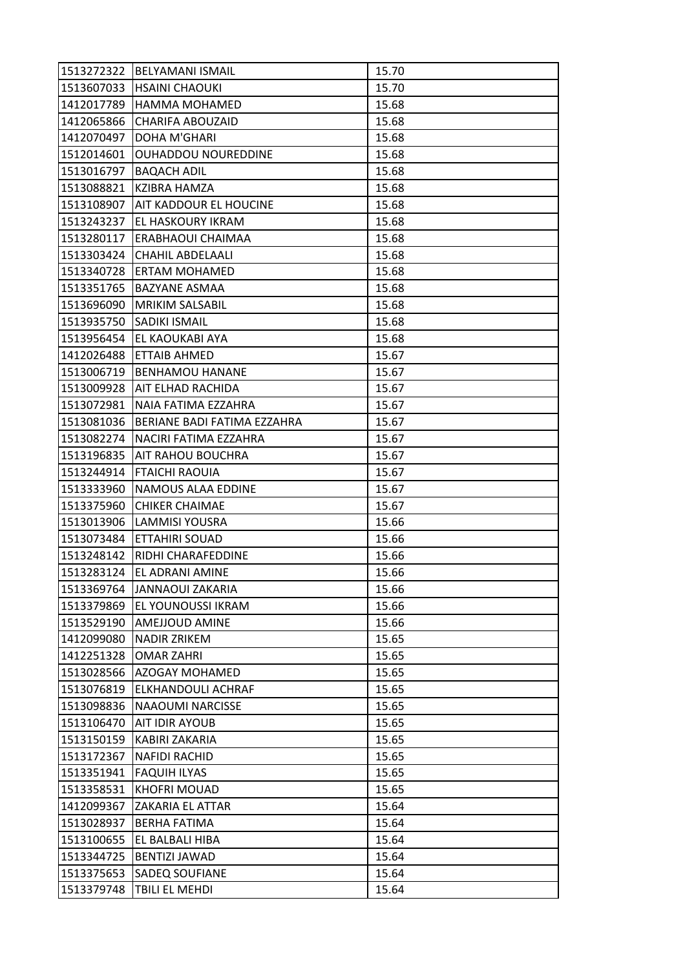| 1513272322 | <b>BELYAMANI ISMAIL</b>     | 15.70 |
|------------|-----------------------------|-------|
| 1513607033 | <b>HSAINI CHAOUKI</b>       | 15.70 |
| 1412017789 | <b>HAMMA MOHAMED</b>        | 15.68 |
| 1412065866 | <b>CHARIFA ABOUZAID</b>     | 15.68 |
| 1412070497 | DOHA M'GHARI                | 15.68 |
| 1512014601 | OUHADDOU NOUREDDINE         | 15.68 |
| 1513016797 | <b>BAQACH ADIL</b>          | 15.68 |
| 1513088821 | KZIBRA HAMZA                | 15.68 |
| 1513108907 | AIT KADDOUR EL HOUCINE      | 15.68 |
| 1513243237 | EL HASKOURY IKRAM           | 15.68 |
| 1513280117 | ERABHAOUI CHAIMAA           | 15.68 |
| 1513303424 | <b>CHAHIL ABDELAALI</b>     | 15.68 |
| 1513340728 | ERTAM MOHAMED               | 15.68 |
| 1513351765 | <b>BAZYANE ASMAA</b>        | 15.68 |
| 1513696090 | <b>MRIKIM SALSABIL</b>      | 15.68 |
| 1513935750 | <b>SADIKI ISMAIL</b>        | 15.68 |
| 1513956454 | EL KAOUKABI AYA             | 15.68 |
| 1412026488 | <b>ETTAIB AHMED</b>         | 15.67 |
| 1513006719 | <b>BENHAMOU HANANE</b>      | 15.67 |
| 1513009928 | AIT ELHAD RACHIDA           | 15.67 |
| 1513072981 | NAIA FATIMA EZZAHRA         | 15.67 |
| 1513081036 | BERIANE BADI FATIMA EZZAHRA | 15.67 |
| 1513082274 | NACIRI FATIMA EZZAHRA       | 15.67 |
| 1513196835 | AIT RAHOU BOUCHRA           | 15.67 |
| 1513244914 | <b>FTAICHI RAOUIA</b>       | 15.67 |
| 1513333960 | NAMOUS ALAA EDDINE          | 15.67 |
| 1513375960 | <b>CHIKER CHAIMAE</b>       | 15.67 |
| 1513013906 | <b>LAMMISI YOUSRA</b>       | 15.66 |
| 1513073484 | ETTAHIRI SOUAD              | 15.66 |
| 1513248142 | RIDHI CHARAFEDDINE          | 15.66 |
| 1513283124 | EL ADRANI AMINE             | 15.66 |
| 1513369764 | <b>JANNAOUI ZAKARIA</b>     | 15.66 |
| 1513379869 | EL YOUNOUSSI IKRAM          | 15.66 |
| 1513529190 | AMEJJOUD AMINE              | 15.66 |
| 1412099080 | <b>NADIR ZRIKEM</b>         | 15.65 |
| 1412251328 | <b>OMAR ZAHRI</b>           | 15.65 |
| 1513028566 | <b>AZOGAY MOHAMED</b>       | 15.65 |
| 1513076819 | ELKHANDOULI ACHRAF          | 15.65 |
| 1513098836 | <b>NAAOUMI NARCISSE</b>     | 15.65 |
| 1513106470 | <b>AIT IDIR AYOUB</b>       | 15.65 |
| 1513150159 | KABIRI ZAKARIA              | 15.65 |
| 1513172367 | <b>NAFIDI RACHID</b>        | 15.65 |
| 1513351941 | <b>FAQUIH ILYAS</b>         | 15.65 |
| 1513358531 | KHOFRI MOUAD                | 15.65 |
| 1412099367 | ZAKARIA EL ATTAR            | 15.64 |
| 1513028937 | BERHA FATIMA                | 15.64 |
| 1513100655 | EL BALBALI HIBA             | 15.64 |
| 1513344725 | <b>BENTIZI JAWAD</b>        | 15.64 |
| 1513375653 | <b>SADEQ SOUFIANE</b>       | 15.64 |
| 1513379748 | TBILI EL MEHDI              | 15.64 |
|            |                             |       |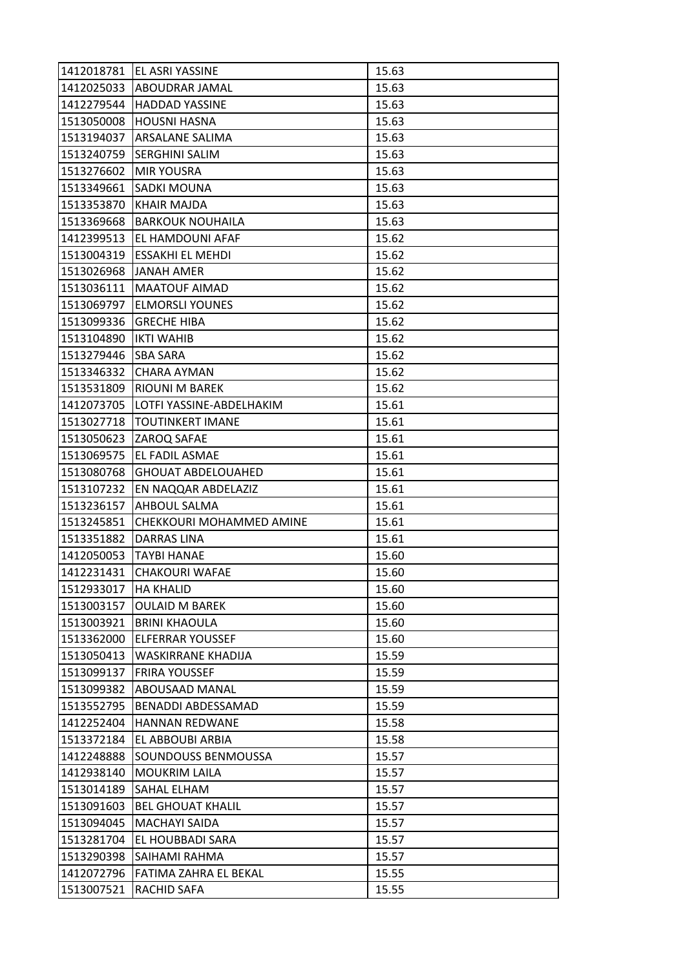|            | 1412018781 EL ASRI YASSINE | 15.63 |
|------------|----------------------------|-------|
| 1412025033 | <b>ABOUDRAR JAMAL</b>      | 15.63 |
| 1412279544 | <b>HADDAD YASSINE</b>      | 15.63 |
| 1513050008 | <b>HOUSNI HASNA</b>        | 15.63 |
| 1513194037 | ARSALANE SALIMA            | 15.63 |
| 1513240759 | <b>SERGHINI SALIM</b>      | 15.63 |
| 1513276602 | <b>MIR YOUSRA</b>          | 15.63 |
| 1513349661 | SADKI MOUNA                | 15.63 |
| 1513353870 | <b>KHAIR MAJDA</b>         | 15.63 |
| 1513369668 | <b>BARKOUK NOUHAILA</b>    | 15.63 |
| 1412399513 | EL HAMDOUNI AFAF           | 15.62 |
| 1513004319 | <b>ESSAKHI EL MEHDI</b>    | 15.62 |
| 1513026968 | <b>JANAH AMER</b>          | 15.62 |
| 1513036111 | <b>MAATOUF AIMAD</b>       | 15.62 |
| 1513069797 | <b>ELMORSLI YOUNES</b>     | 15.62 |
| 1513099336 | <b>GRECHE HIBA</b>         | 15.62 |
| 1513104890 | <b>IKTI WAHIB</b>          | 15.62 |
| 1513279446 | <b>SBA SARA</b>            | 15.62 |
| 1513346332 | <b>CHARA AYMAN</b>         | 15.62 |
| 1513531809 | RIOUNI M BAREK             | 15.62 |
| 1412073705 | LOTFI YASSINE-ABDELHAKIM   | 15.61 |
| 1513027718 | <b>TOUTINKERT IMANE</b>    | 15.61 |
| 1513050623 | ZAROQ SAFAE                | 15.61 |
| 1513069575 | EL FADIL ASMAE             | 15.61 |
| 1513080768 | <b>GHOUAT ABDELOUAHED</b>  | 15.61 |
| 1513107232 | EN NAQQAR ABDELAZIZ        | 15.61 |
|            |                            |       |
| 1513236157 | AHBOUL SALMA               | 15.61 |
| 1513245851 | CHEKKOURI MOHAMMED AMINE   | 15.61 |
| 1513351882 | <b>DARRAS LINA</b>         | 15.61 |
| 1412050053 | <b>TAYBI HANAE</b>         | 15.60 |
| 1412231431 | <b>CHAKOURI WAFAE</b>      | 15.60 |
| 1512933017 | <b>HA KHALID</b>           | 15.60 |
| 1513003157 | <b>OULAID M BAREK</b>      | 15.60 |
| 1513003921 | <b>BRINI KHAOULA</b>       | 15.60 |
| 1513362000 | <b>ELFERRAR YOUSSEF</b>    | 15.60 |
| 1513050413 | WASKIRRANE KHADIJA         | 15.59 |
| 1513099137 | <b>FRIRA YOUSSEF</b>       | 15.59 |
| 1513099382 | ABOUSAAD MANAL             | 15.59 |
| 1513552795 | BENADDI ABDESSAMAD         | 15.59 |
| 1412252404 | HANNAN REDWANE             | 15.58 |
| 1513372184 | EL ABBOUBI ARBIA           | 15.58 |
| 1412248888 | SOUNDOUSS BENMOUSSA        | 15.57 |
| 1412938140 | <b>MOUKRIM LAILA</b>       | 15.57 |
| 1513014189 | SAHAL ELHAM                | 15.57 |
| 1513091603 | <b>BEL GHOUAT KHALIL</b>   | 15.57 |
| 1513094045 | MACHAYI SAIDA              | 15.57 |
| 1513281704 | EL HOUBBADI SARA           | 15.57 |
| 1513290398 | SAIHAMI RAHMA              | 15.57 |
| 1412072796 | FATIMA ZAHRA EL BEKAL      | 15.55 |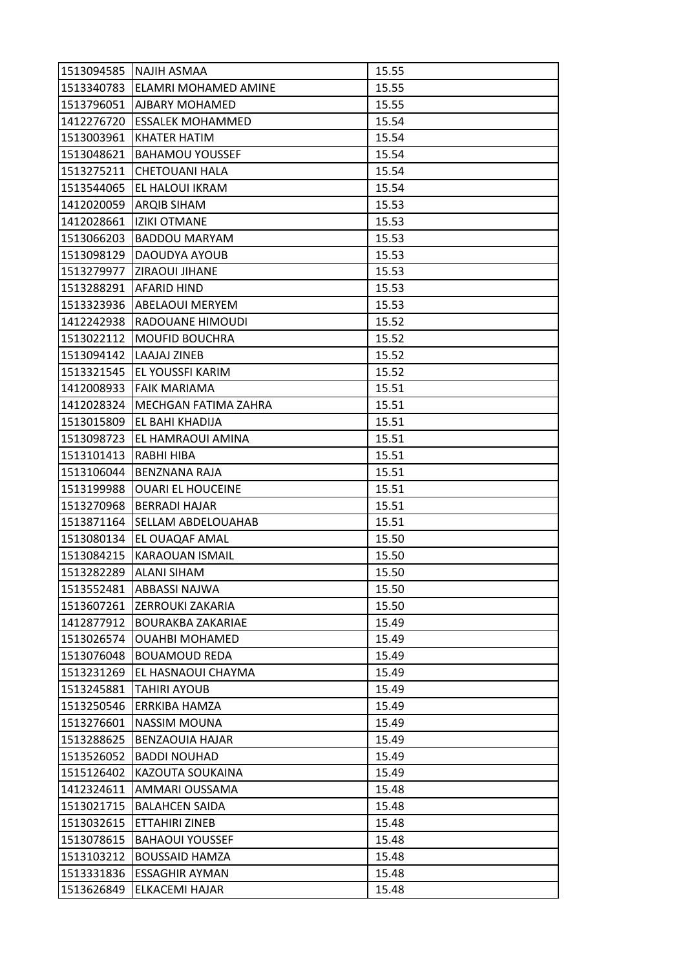| 1513094585 | NAJIH ASMAA              | 15.55 |
|------------|--------------------------|-------|
| 1513340783 | ELAMRI MOHAMED AMINE     | 15.55 |
| 1513796051 | AJBARY MOHAMED           | 15.55 |
| 1412276720 | <b>ESSALEK MOHAMMED</b>  | 15.54 |
| 1513003961 | <b>KHATER HATIM</b>      | 15.54 |
| 1513048621 | <b>BAHAMOU YOUSSEF</b>   | 15.54 |
| 1513275211 | <b>CHETOUANI HALA</b>    | 15.54 |
| 1513544065 | EL HALOUI IKRAM          | 15.54 |
| 1412020059 | <b>ARQIB SIHAM</b>       | 15.53 |
| 1412028661 | <b>IZIKI OTMANE</b>      | 15.53 |
| 1513066203 | <b>BADDOU MARYAM</b>     | 15.53 |
| 1513098129 | DAOUDYA AYOUB            | 15.53 |
| 1513279977 | ZIRAOUI JIHANE           | 15.53 |
| 1513288291 | <b>AFARID HIND</b>       | 15.53 |
| 1513323936 | ABELAOUI MERYEM          | 15.53 |
| 1412242938 | RADOUANE HIMOUDI         | 15.52 |
| 1513022112 | <b>MOUFID BOUCHRA</b>    | 15.52 |
| 1513094142 | LAAJAJ ZINEB             | 15.52 |
| 1513321545 | EL YOUSSFI KARIM         | 15.52 |
| 1412008933 | <b>FAIK MARIAMA</b>      | 15.51 |
| 1412028324 | MECHGAN FATIMA ZAHRA     | 15.51 |
| 1513015809 | EL BAHI KHADIJA          | 15.51 |
| 1513098723 | EL HAMRAOUI AMINA        | 15.51 |
| 1513101413 | RABHI HIBA               | 15.51 |
| 1513106044 | BENZNANA RAJA            | 15.51 |
| 1513199988 | <b>OUARI EL HOUCEINE</b> | 15.51 |
| 1513270968 | <b>BERRADI HAJAR</b>     | 15.51 |
| 1513871164 | SELLAM ABDELOUAHAB       | 15.51 |
| 1513080134 | EL OUAQAF AMAL           | 15.50 |
| 1513084215 | KARAOUAN ISMAIL          | 15.50 |
| 1513282289 | <b>ALANI SIHAM</b>       | 15.50 |
| 1513552481 | ABBASSI NAJWA            | 15.50 |
| 1513607261 | ZERROUKI ZAKARIA         | 15.50 |
| 1412877912 | <b>BOURAKBA ZAKARIAE</b> | 15.49 |
| 1513026574 | <b>OUAHBI MOHAMED</b>    | 15.49 |
| 1513076048 | <b>BOUAMOUD REDA</b>     | 15.49 |
| 1513231269 | EL HASNAOUI CHAYMA       | 15.49 |
| 1513245881 | <b>TAHIRI AYOUB</b>      | 15.49 |
| 1513250546 | ERRKIBA HAMZA            | 15.49 |
| 1513276601 | <b>NASSIM MOUNA</b>      | 15.49 |
| 1513288625 | <b>BENZAOUIA HAJAR</b>   | 15.49 |
| 1513526052 | <b>BADDI NOUHAD</b>      | 15.49 |
| 1515126402 | KAZOUTA SOUKAINA         | 15.49 |
| 1412324611 | AMMARI OUSSAMA           | 15.48 |
| 1513021715 | <b>BALAHCEN SAIDA</b>    | 15.48 |
| 1513032615 | ETTAHIRI ZINEB           | 15.48 |
| 1513078615 | <b>BAHAOUI YOUSSEF</b>   | 15.48 |
| 1513103212 | <b>BOUSSAID HAMZA</b>    | 15.48 |
| 1513331836 | <b>ESSAGHIR AYMAN</b>    | 15.48 |
| 1513626849 | ELKACEMI HAJAR           | 15.48 |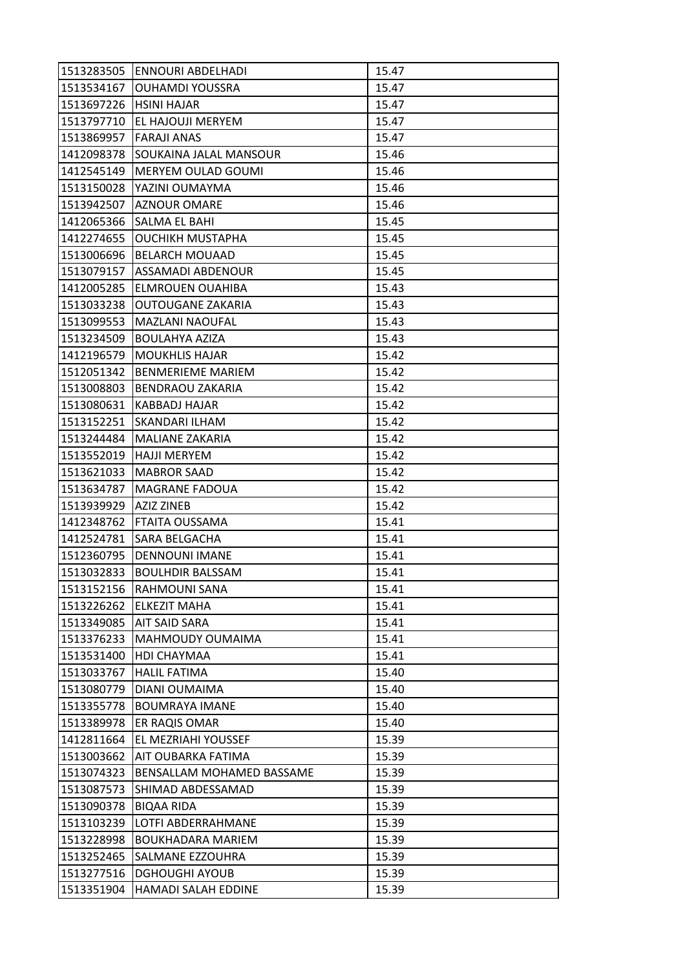| 1513283505 | ENNOURI ABDELHADI         | 15.47 |
|------------|---------------------------|-------|
| 1513534167 | <b>OUHAMDI YOUSSRA</b>    | 15.47 |
| 1513697226 | <b>HSINI HAJAR</b>        | 15.47 |
| 1513797710 | EL HAJOUJI MERYEM         | 15.47 |
| 1513869957 | <b>FARAJI ANAS</b>        | 15.47 |
| 1412098378 | SOUKAINA JALAL MANSOUR    | 15.46 |
| 1412545149 | MERYEM OULAD GOUMI        | 15.46 |
| 1513150028 | YAZINI OUMAYMA            | 15.46 |
| 1513942507 | <b>AZNOUR OMARE</b>       | 15.46 |
| 1412065366 | SALMA EL BAHI             | 15.45 |
| 1412274655 | <b>OUCHIKH MUSTAPHA</b>   | 15.45 |
| 1513006696 | <b>BELARCH MOUAAD</b>     | 15.45 |
| 1513079157 | ASSAMADI ABDENOUR         | 15.45 |
| 1412005285 | ELMROUEN OUAHIBA          | 15.43 |
| 1513033238 | OUTOUGANE ZAKARIA         | 15.43 |
| 1513099553 | MAZLANI NAOUFAL           | 15.43 |
| 1513234509 | <b>BOULAHYA AZIZA</b>     | 15.43 |
| 1412196579 | <b>MOUKHLIS HAJAR</b>     | 15.42 |
| 1512051342 | <b>BENMERIEME MARIEM</b>  | 15.42 |
| 1513008803 | BENDRAOU ZAKARIA          | 15.42 |
| 1513080631 | KABBADJ HAJAR             | 15.42 |
| 1513152251 | SKANDARI ILHAM            | 15.42 |
| 1513244484 | <b>MALIANE ZAKARIA</b>    | 15.42 |
| 1513552019 | <b>HAJJI MERYEM</b>       | 15.42 |
| 1513621033 | <b>MABROR SAAD</b>        | 15.42 |
| 1513634787 | <b>MAGRANE FADOUA</b>     | 15.42 |
| 1513939929 | AZIZ ZINEB                | 15.42 |
| 1412348762 | FTAITA OUSSAMA            | 15.41 |
| 1412524781 | SARA BELGACHA             | 15.41 |
| 1512360795 | DENNOUNI IMANE            | 15.41 |
| 1513032833 | <b>BOULHDIR BALSSAM</b>   | 15.41 |
| 1513152156 | RAHMOUNI SANA             | 15.41 |
| 1513226262 | <b>ELKEZIT MAHA</b>       | 15.41 |
| 1513349085 | AIT SAID SARA             | 15.41 |
| 1513376233 | MAHMOUDY OUMAIMA          | 15.41 |
| 1513531400 | HDI CHAYMAA               | 15.41 |
| 1513033767 | <b>HALIL FATIMA</b>       | 15.40 |
| 1513080779 | DIANI OUMAIMA             | 15.40 |
| 1513355778 | <b>BOUMRAYA IMANE</b>     | 15.40 |
| 1513389978 | ER RAQIS OMAR             | 15.40 |
| 1412811664 | EL MEZRIAHI YOUSSEF       | 15.39 |
| 1513003662 | AIT OUBARKA FATIMA        | 15.39 |
| 1513074323 | BENSALLAM MOHAMED BASSAME | 15.39 |
| 1513087573 | SHIMAD ABDESSAMAD         | 15.39 |
| 1513090378 | <b>BIQAA RIDA</b>         | 15.39 |
| 1513103239 | LOTFI ABDERRAHMANE        | 15.39 |
| 1513228998 | <b>BOUKHADARA MARIEM</b>  | 15.39 |
| 1513252465 | SALMANE EZZOUHRA          | 15.39 |
| 1513277516 | <b>DGHOUGHI AYOUB</b>     | 15.39 |
| 1513351904 | HAMADI SALAH EDDINE       | 15.39 |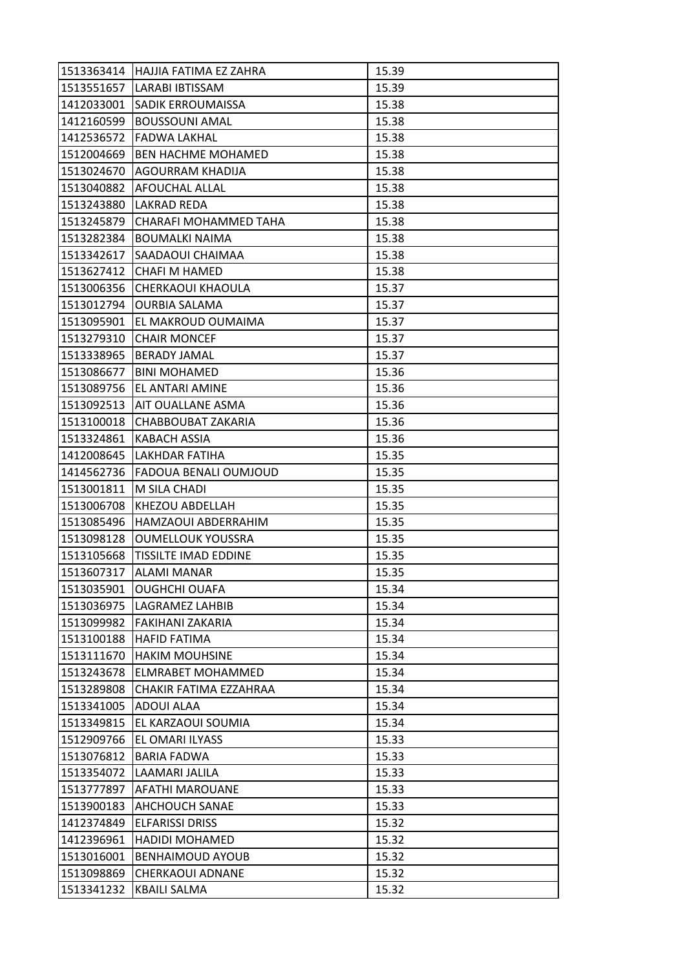| 1513363414 | HAJJIA FATIMA EZ ZAHRA      | 15.39 |
|------------|-----------------------------|-------|
| 1513551657 | LARABI IBTISSAM             | 15.39 |
| 1412033001 | SADIK ERROUMAISSA           | 15.38 |
| 1412160599 | <b>BOUSSOUNI AMAL</b>       | 15.38 |
| 1412536572 | <b>FADWA LAKHAL</b>         | 15.38 |
| 1512004669 | <b>BEN HACHME MOHAMED</b>   | 15.38 |
| 1513024670 | <b>AGOURRAM KHADIJA</b>     | 15.38 |
| 1513040882 | AFOUCHAL ALLAL              | 15.38 |
| 1513243880 | LAKRAD REDA                 | 15.38 |
| 1513245879 | CHARAFI MOHAMMED TAHA       | 15.38 |
| 1513282384 | <b>BOUMALKI NAIMA</b>       | 15.38 |
| 1513342617 | SAADAOUI CHAIMAA            | 15.38 |
| 1513627412 | <b>CHAFI M HAMED</b>        | 15.38 |
| 1513006356 | CHERKAOUI KHAOULA           | 15.37 |
| 1513012794 | <b>OURBIA SALAMA</b>        | 15.37 |
| 1513095901 | EL MAKROUD OUMAIMA          | 15.37 |
| 1513279310 | <b>CHAIR MONCEF</b>         | 15.37 |
| 1513338965 | <b>BERADY JAMAL</b>         | 15.37 |
| 1513086677 | <b>BINI MOHAMED</b>         | 15.36 |
| 1513089756 | EL ANTARI AMINE             | 15.36 |
| 1513092513 | <b>AIT OUALLANE ASMA</b>    | 15.36 |
| 1513100018 | CHABBOUBAT ZAKARIA          | 15.36 |
| 1513324861 | KABACH ASSIA                | 15.36 |
| 1412008645 | LAKHDAR FATIHA              | 15.35 |
| 1414562736 | FADOUA BENALI OUMJOUD       | 15.35 |
|            |                             |       |
| 1513001811 | M SILA CHADI                | 15.35 |
| 1513006708 | KHEZOU ABDELLAH             | 15.35 |
| 1513085496 | HAMZAOUI ABDERRAHIM         | 15.35 |
| 1513098128 | <b>OUMELLOUK YOUSSRA</b>    | 15.35 |
| 1513105668 | <b>TISSILTE IMAD EDDINE</b> | 15.35 |
| 1513607317 | <b>ALAMI MANAR</b>          | 15.35 |
| 1513035901 | <b>OUGHCHI OUAFA</b>        | 15.34 |
| 1513036975 | LAGRAMEZ LAHBIB             | 15.34 |
| 1513099982 | FAKIHANI ZAKARIA            | 15.34 |
| 1513100188 | <b>HAFID FATIMA</b>         | 15.34 |
| 1513111670 | <b>HAKIM MOUHSINE</b>       | 15.34 |
| 1513243678 | <b>ELMRABET MOHAMMED</b>    | 15.34 |
| 1513289808 | CHAKIR FATIMA EZZAHRAA      | 15.34 |
| 1513341005 | ADOUI ALAA                  | 15.34 |
| 1513349815 | EL KARZAOUI SOUMIA          | 15.34 |
| 1512909766 | EL OMARI ILYASS             | 15.33 |
| 1513076812 | <b>BARIA FADWA</b>          | 15.33 |
| 1513354072 | LAAMARI JALILA              | 15.33 |
| 1513777897 | AFATHI MAROUANE             | 15.33 |
| 1513900183 | <b>AHCHOUCH SANAE</b>       | 15.33 |
| 1412374849 | <b>ELFARISSI DRISS</b>      | 15.32 |
| 1412396961 | HADIDI MOHAMED              | 15.32 |
| 1513016001 | <b>BENHAIMOUD AYOUB</b>     | 15.32 |
| 1513098869 | CHERKAOUI ADNANE            | 15.32 |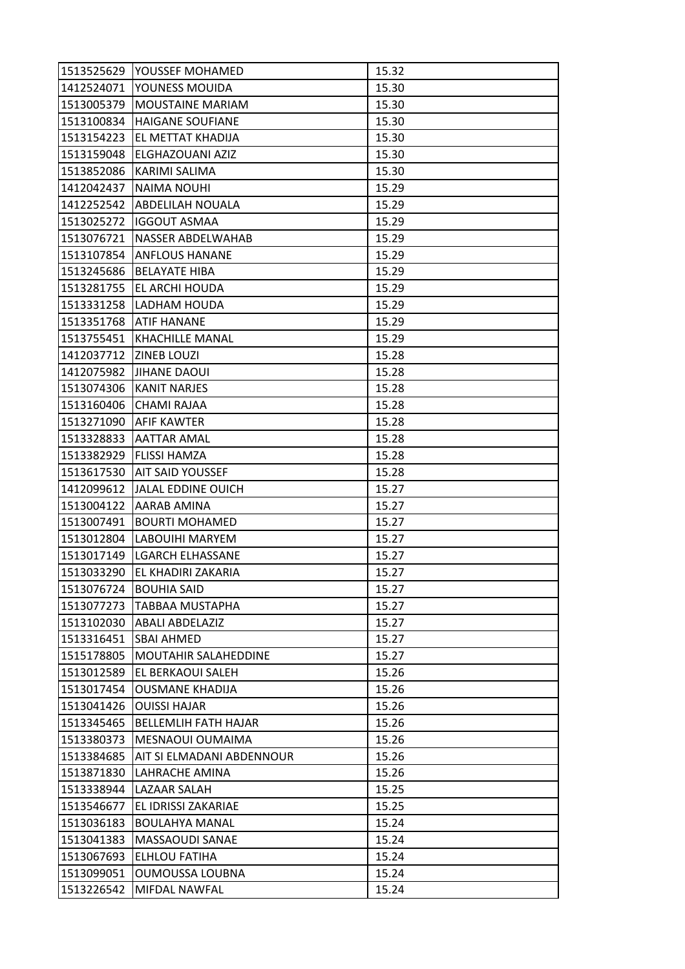| 1513525629 | YOUSSEF MOHAMED             | 15.32 |
|------------|-----------------------------|-------|
| 1412524071 | YOUNESS MOUIDA              | 15.30 |
| 1513005379 | <b>MOUSTAINE MARIAM</b>     | 15.30 |
| 1513100834 | <b>HAIGANE SOUFIANE</b>     | 15.30 |
| 1513154223 | EL METTAT KHADIJA           | 15.30 |
| 1513159048 | ELGHAZOUANI AZIZ            | 15.30 |
| 1513852086 | <b>KARIMI SALIMA</b>        | 15.30 |
| 1412042437 | <b>NAIMA NOUHI</b>          | 15.29 |
| 1412252542 | <b>ABDELILAH NOUALA</b>     | 15.29 |
| 1513025272 | <b>IGGOUT ASMAA</b>         | 15.29 |
| 1513076721 | NASSER ABDELWAHAB           | 15.29 |
| 1513107854 | <b>ANFLOUS HANANE</b>       | 15.29 |
| 1513245686 | <b>BELAYATE HIBA</b>        | 15.29 |
| 1513281755 | EL ARCHI HOUDA              | 15.29 |
| 1513331258 | LADHAM HOUDA                | 15.29 |
| 1513351768 | <b>ATIF HANANE</b>          | 15.29 |
| 1513755451 | <b>KHACHILLE MANAL</b>      | 15.29 |
| 1412037712 | <b>ZINEB LOUZI</b>          | 15.28 |
| 1412075982 | <b>JIHANE DAOUI</b>         | 15.28 |
| 1513074306 | <b>KANIT NARJES</b>         | 15.28 |
| 1513160406 | CHAMI RAJAA                 | 15.28 |
| 1513271090 | AFIF KAWTER                 | 15.28 |
| 1513328833 | <b>AATTAR AMAL</b>          | 15.28 |
| 1513382929 | <b>FLISSI HAMZA</b>         | 15.28 |
| 1513617530 | <b>AIT SAID YOUSSEF</b>     | 15.28 |
| 1412099612 | <b>JALAL EDDINE OUICH</b>   | 15.27 |
| 1513004122 | AARAB AMINA                 | 15.27 |
| 1513007491 | <b>BOURTI MOHAMED</b>       | 15.27 |
| 1513012804 | LABOUIHI MARYEM             | 15.27 |
| 1513017149 | <b>LGARCH ELHASSANE</b>     | 15.27 |
| 1513033290 | EL KHADIRI ZAKARIA          | 15.27 |
| 1513076724 | <b>BOUHIA SAID</b>          | 15.27 |
| 1513077273 | <b>TABBAA MUSTAPHA</b>      | 15.27 |
| 1513102030 | <b>ABALI ABDELAZIZ</b>      | 15.27 |
| 1513316451 | <b>SBAI AHMED</b>           | 15.27 |
| 1515178805 | <b>MOUTAHIR SALAHEDDINE</b> | 15.27 |
| 1513012589 | EL BERKAOUI SALEH           | 15.26 |
| 1513017454 | OUSMANE KHADIJA             | 15.26 |
| 1513041426 | <b>OUISSI HAJAR</b>         | 15.26 |
| 1513345465 | <b>BELLEMLIH FATH HAJAR</b> | 15.26 |
| 1513380373 | MESNAOUI OUMAIMA            | 15.26 |
| 1513384685 | AIT SI ELMADANI ABDENNOUR   | 15.26 |
| 1513871830 | LAHRACHE AMINA              | 15.26 |
| 1513338944 | LAZAAR SALAH                | 15.25 |
| 1513546677 | EL IDRISSI ZAKARIAE         | 15.25 |
| 1513036183 | <b>BOULAHYA MANAL</b>       | 15.24 |
| 1513041383 | MASSAOUDI SANAE             | 15.24 |
| 1513067693 | ELHLOU FATIHA               | 15.24 |
| 1513099051 | <b>OUMOUSSA LOUBNA</b>      | 15.24 |
| 1513226542 | MIFDAL NAWFAL               | 15.24 |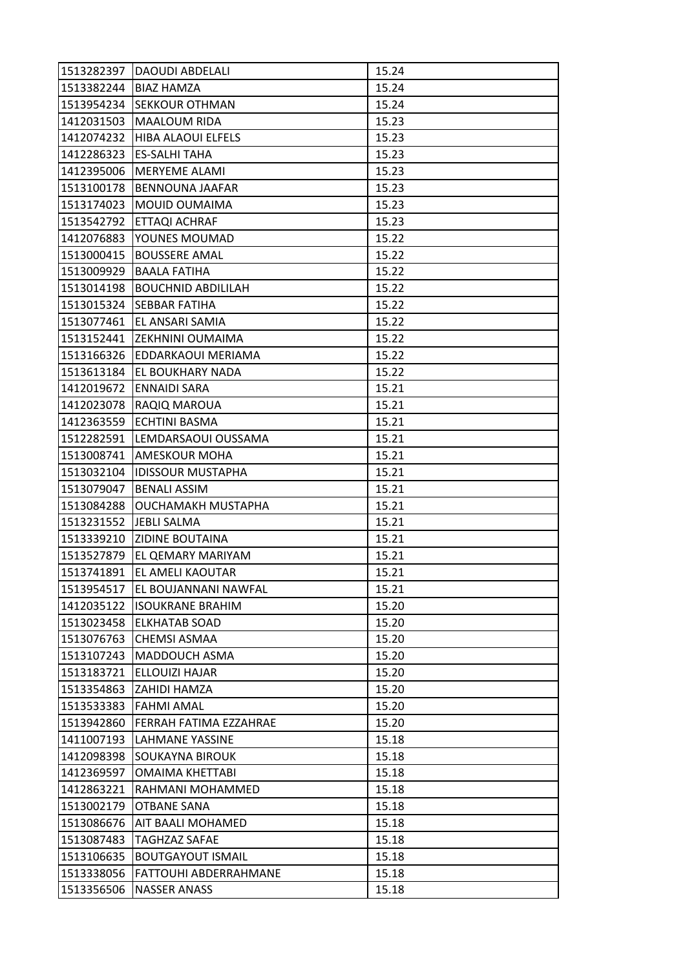| 1513282397 | <b>DAOUDI ABDELALI</b>    | 15.24 |
|------------|---------------------------|-------|
| 1513382244 | <b>BIAZ HAMZA</b>         | 15.24 |
| 1513954234 | <b>SEKKOUR OTHMAN</b>     | 15.24 |
| 1412031503 | <b>MAALOUM RIDA</b>       | 15.23 |
| 1412074232 | HIBA ALAOUI ELFELS        | 15.23 |
| 1412286323 | <b>ES-SALHI TAHA</b>      | 15.23 |
| 1412395006 | <b>MERYEME ALAMI</b>      | 15.23 |
| 1513100178 | <b>BENNOUNA JAAFAR</b>    | 15.23 |
| 1513174023 | MOUID OUMAIMA             | 15.23 |
| 1513542792 | <b>ETTAQI ACHRAF</b>      | 15.23 |
| 1412076883 | YOUNES MOUMAD             | 15.22 |
| 1513000415 | <b>BOUSSERE AMAL</b>      | 15.22 |
| 1513009929 | <b>BAALA FATIHA</b>       | 15.22 |
| 1513014198 | <b>BOUCHNID ABDILILAH</b> | 15.22 |
| 1513015324 | SEBBAR FATIHA             | 15.22 |
| 1513077461 | EL ANSARI SAMIA           | 15.22 |
| 1513152441 | <b>ZEKHNINI OUMAIMA</b>   | 15.22 |
| 1513166326 | EDDARKAOUI MERIAMA        | 15.22 |
| 1513613184 | EL BOUKHARY NADA          | 15.22 |
| 1412019672 | <b>ENNAIDI SARA</b>       | 15.21 |
| 1412023078 | RAQIQ MAROUA              | 15.21 |
| 1412363559 | ECHTINI BASMA             | 15.21 |
| 1512282591 | LEMDARSAOUI OUSSAMA       | 15.21 |
| 1513008741 | <b>AMESKOUR MOHA</b>      | 15.21 |
| 1513032104 | <b>IDISSOUR MUSTAPHA</b>  | 15.21 |
| 1513079047 | <b>BENALI ASSIM</b>       | 15.21 |
| 1513084288 | OUCHAMAKH MUSTAPHA        | 15.21 |
| 1513231552 | <b>JEBLI SALMA</b>        | 15.21 |
| 1513339210 | <b>ZIDINE BOUTAINA</b>    | 15.21 |
| 1513527879 | EL QEMARY MARIYAM         | 15.21 |
| 1513741891 | EL AMELI KAOUTAR          | 15.21 |
| 1513954517 | EL BOUJANNANI NAWFAL      | 15.21 |
| 1412035122 | <b>ISOUKRANE BRAHIM</b>   | 15.20 |
| 1513023458 | <b>ELKHATAB SOAD</b>      | 15.20 |
| 1513076763 | <b>CHEMSI ASMAA</b>       | 15.20 |
| 1513107243 | MADDOUCH ASMA             | 15.20 |
| 1513183721 | ELLOUIZI HAJAR            |       |
|            |                           | 15.20 |
| 1513354863 | ZAHIDI HAMZA              | 15.20 |
| 1513533383 | <b>FAHMI AMAL</b>         | 15.20 |
| 1513942860 | FERRAH FATIMA EZZAHRAE    | 15.20 |
| 1411007193 | LAHMANE YASSINE           | 15.18 |
| 1412098398 | SOUKAYNA BIROUK           | 15.18 |
| 1412369597 | OMAIMA KHETTABI           | 15.18 |
| 1412863221 | RAHMANI MOHAMMED          | 15.18 |
| 1513002179 | OTBANE SANA               | 15.18 |
| 1513086676 | AIT BAALI MOHAMED         | 15.18 |
| 1513087483 | <b>TAGHZAZ SAFAE</b>      | 15.18 |
| 1513106635 | <b>BOUTGAYOUT ISMAIL</b>  | 15.18 |
| 1513338056 | FATTOUHI ABDERRAHMANE     | 15.18 |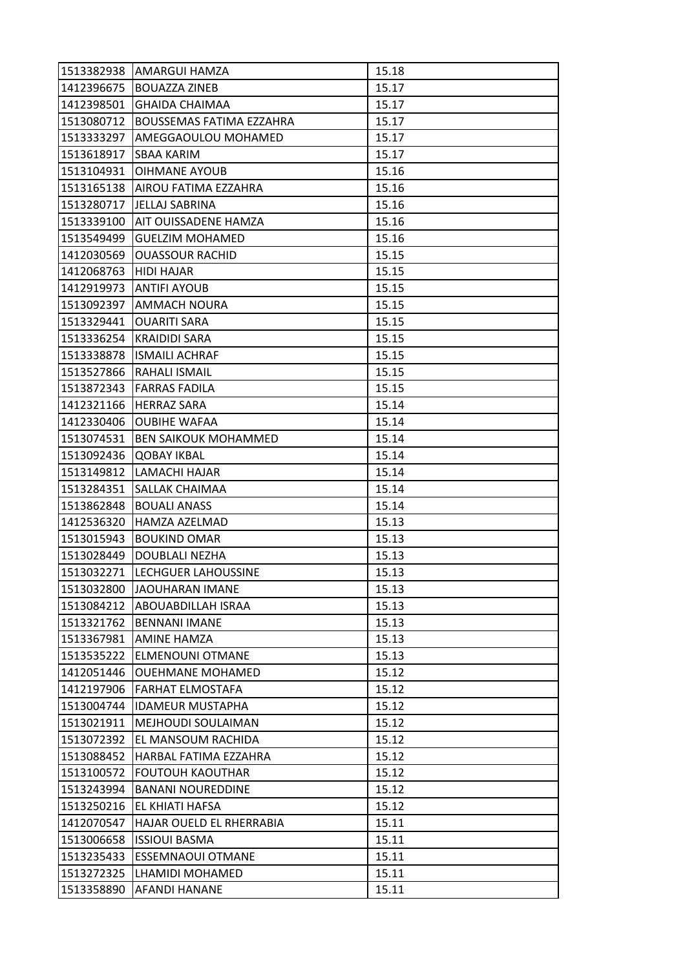| 1513382938 | AMARGUI HAMZA                   | 15.18 |
|------------|---------------------------------|-------|
| 1412396675 | <b>BOUAZZA ZINEB</b>            | 15.17 |
| 1412398501 | <b>GHAIDA CHAIMAA</b>           | 15.17 |
| 1513080712 | <b>BOUSSEMAS FATIMA EZZAHRA</b> | 15.17 |
| 1513333297 | AMEGGAOULOU MOHAMED             | 15.17 |
| 1513618917 | <b>SBAA KARIM</b>               | 15.17 |
| 1513104931 | OIHMANE AYOUB                   | 15.16 |
| 1513165138 | AIROU FATIMA EZZAHRA            | 15.16 |
| 1513280717 | <b>JELLAJ SABRINA</b>           | 15.16 |
| 1513339100 | AIT OUISSADENE HAMZA            | 15.16 |
| 1513549499 | <b>GUELZIM MOHAMED</b>          | 15.16 |
| 1412030569 | <b>OUASSOUR RACHID</b>          | 15.15 |
| 1412068763 | <b>HIDI HAJAR</b>               | 15.15 |
| 1412919973 | <b>ANTIFI AYOUB</b>             | 15.15 |
| 1513092397 | <b>AMMACH NOURA</b>             | 15.15 |
| 1513329441 | <b>OUARITI SARA</b>             | 15.15 |
| 1513336254 | <b>KRAIDIDI SARA</b>            | 15.15 |
| 1513338878 | <b>ISMAILI ACHRAF</b>           | 15.15 |
| 1513527866 | RAHALI ISMAIL                   | 15.15 |
| 1513872343 | <b>FARRAS FADILA</b>            | 15.15 |
| 1412321166 | <b>HERRAZ SARA</b>              | 15.14 |
| 1412330406 | <b>OUBIHE WAFAA</b>             | 15.14 |
| 1513074531 | <b>BEN SAIKOUK MOHAMMED</b>     | 15.14 |
| 1513092436 | <b>QOBAY IKBAL</b>              | 15.14 |
| 1513149812 | LAMACHI HAJAR                   | 15.14 |
| 1513284351 | SALLAK CHAIMAA                  | 15.14 |
| 1513862848 | <b>BOUALI ANASS</b>             | 15.14 |
| 1412536320 | HAMZA AZELMAD                   | 15.13 |
| 1513015943 | <b>BOUKIND OMAR</b>             | 15.13 |
| 1513028449 | <b>DOUBLALI NEZHA</b>           | 15.13 |
| 1513032271 | <b>LECHGUER LAHOUSSINE</b>      | 15.13 |
| 1513032800 | <b>JAOUHARAN IMANE</b>          | 15.13 |
| 1513084212 | ABOUABDILLAH ISRAA              | 15.13 |
| 1513321762 | <b>BENNANI IMANE</b>            | 15.13 |
| 1513367981 | <b>AMINE HAMZA</b>              | 15.13 |
| 1513535222 | <b>ELMENOUNI OTMANE</b>         | 15.13 |
| 1412051446 | <b>OUEHMANE MOHAMED</b>         | 15.12 |
| 1412197906 | <b>FARHAT ELMOSTAFA</b>         | 15.12 |
| 1513004744 | <b>IDAMEUR MUSTAPHA</b>         | 15.12 |
| 1513021911 | MEJHOUDI SOULAIMAN              | 15.12 |
| 1513072392 | EL MANSOUM RACHIDA              | 15.12 |
| 1513088452 | HARBAL FATIMA EZZAHRA           | 15.12 |
| 1513100572 | <b>FOUTOUH KAOUTHAR</b>         | 15.12 |
| 1513243994 | <b>BANANI NOUREDDINE</b>        | 15.12 |
| 1513250216 | EL KHIATI HAFSA                 | 15.12 |
| 1412070547 | HAJAR OUELD EL RHERRABIA        | 15.11 |
| 1513006658 | <b>ISSIOUI BASMA</b>            | 15.11 |
| 1513235433 | <b>ESSEMNAOUI OTMANE</b>        | 15.11 |
| 1513272325 | LHAMIDI MOHAMED                 | 15.11 |
| 1513358890 | AFANDI HANANE                   | 15.11 |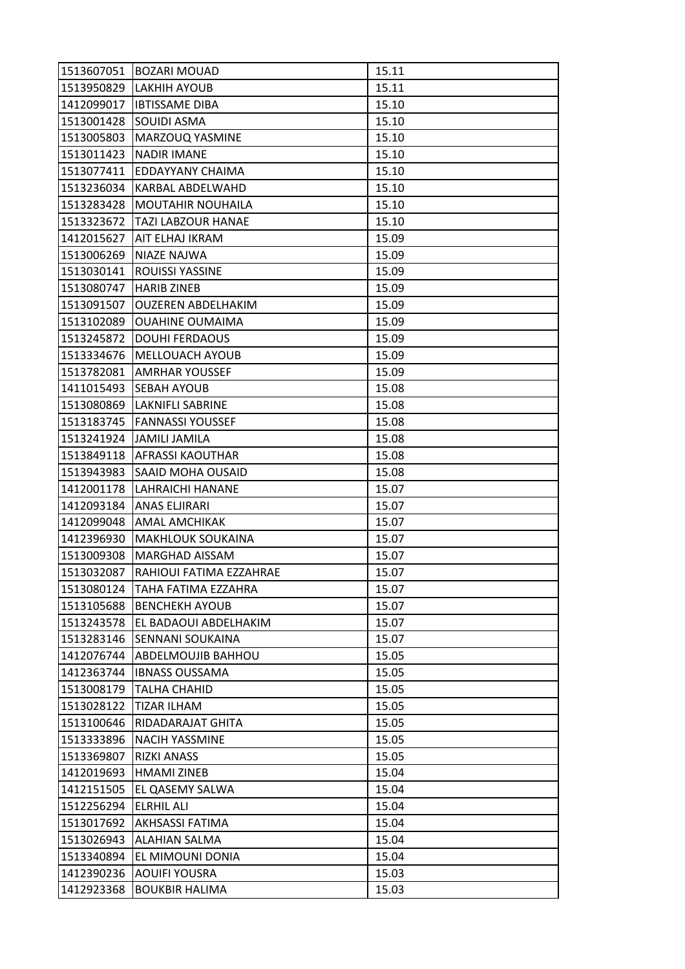| 1513607051 | <b>BOZARI MOUAD</b>       | 15.11 |
|------------|---------------------------|-------|
| 1513950829 | <b>LAKHIH AYOUB</b>       | 15.11 |
| 1412099017 | <b>IBTISSAME DIBA</b>     | 15.10 |
| 1513001428 | SOUIDI ASMA               | 15.10 |
| 1513005803 | MARZOUQ YASMINE           | 15.10 |
| 1513011423 | <b>NADIR IMANE</b>        | 15.10 |
| 1513077411 | EDDAYYANY CHAIMA          | 15.10 |
| 1513236034 | KARBAL ABDELWAHD          | 15.10 |
| 1513283428 | <b>MOUTAHIR NOUHAILA</b>  | 15.10 |
| 1513323672 | TAZI LABZOUR HANAE        | 15.10 |
| 1412015627 | AIT ELHAJ IKRAM           | 15.09 |
| 1513006269 | <b>NIAZE NAJWA</b>        | 15.09 |
| 1513030141 | ROUISSI YASSINE           | 15.09 |
| 1513080747 | <b>HARIB ZINEB</b>        | 15.09 |
| 1513091507 | <b>OUZEREN ABDELHAKIM</b> | 15.09 |
| 1513102089 | <b>OUAHINE OUMAIMA</b>    | 15.09 |
| 1513245872 | <b>DOUHI FERDAOUS</b>     | 15.09 |
| 1513334676 | MELLOUACH AYOUB           | 15.09 |
| 1513782081 | <b>AMRHAR YOUSSEF</b>     | 15.09 |
| 1411015493 | SEBAH AYOUB               | 15.08 |
| 1513080869 | <b>LAKNIFLI SABRINE</b>   | 15.08 |
| 1513183745 | <b>FANNASSI YOUSSEF</b>   | 15.08 |
| 1513241924 | <b>JAMILI JAMILA</b>      | 15.08 |
| 1513849118 | <b>AFRASSI KAOUTHAR</b>   | 15.08 |
| 1513943983 | SAAID MOHA OUSAID         | 15.08 |
| 1412001178 | LAHRAICHI HANANE          | 15.07 |
| 1412093184 | ANAS ELJIRARI             | 15.07 |
| 1412099048 | AMAL AMCHIKAK             | 15.07 |
| 1412396930 | <b>MAKHLOUK SOUKAINA</b>  | 15.07 |
| 1513009308 | <b>MARGHAD AISSAM</b>     | 15.07 |
| 1513032087 | RAHIOUI FATIMA EZZAHRAE   | 15.07 |
| 1513080124 | TAHA FATIMA EZZAHRA       | 15.07 |
| 1513105688 | <b>BENCHEKH AYOUB</b>     | 15.07 |
| 1513243578 | EL BADAOUI ABDELHAKIM     | 15.07 |
| 1513283146 | SENNANI SOUKAINA          | 15.07 |
| 1412076744 | ABDELMOUJIB BAHHOU        | 15.05 |
| 1412363744 | <b>IBNASS OUSSAMA</b>     | 15.05 |
| 1513008179 | TALHA CHAHID              | 15.05 |
| 1513028122 | TIZAR ILHAM               | 15.05 |
| 1513100646 | RIDADARAJAT GHITA         | 15.05 |
| 1513333896 | <b>NACIH YASSMINE</b>     | 15.05 |
| 1513369807 | <b>RIZKI ANASS</b>        | 15.05 |
| 1412019693 | <b>HMAMI ZINEB</b>        | 15.04 |
| 1412151505 | EL QASEMY SALWA           | 15.04 |
| 1512256294 | <b>ELRHIL ALI</b>         | 15.04 |
| 1513017692 | AKHSASSI FATIMA           | 15.04 |
| 1513026943 | <b>ALAHIAN SALMA</b>      | 15.04 |
| 1513340894 | EL MIMOUNI DONIA          | 15.04 |
| 1412390236 | <b>AOUIFI YOUSRA</b>      | 15.03 |
| 1412923368 | <b>BOUKBIR HALIMA</b>     | 15.03 |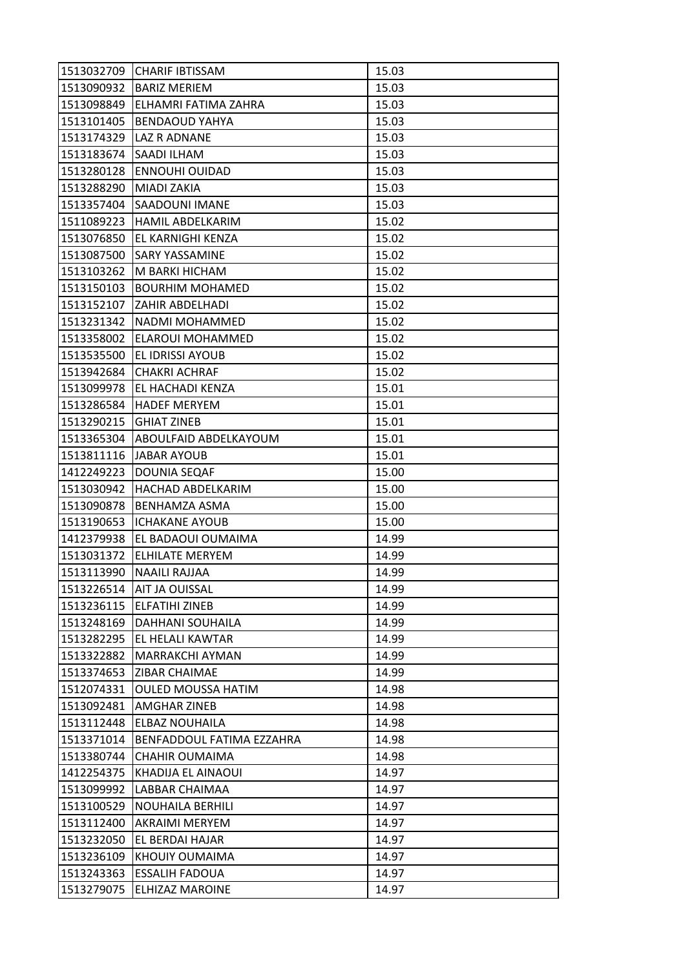| 1513032709 | <b>CHARIF IBTISSAM</b>    | 15.03 |
|------------|---------------------------|-------|
| 1513090932 | <b>BARIZ MERIEM</b>       | 15.03 |
| 1513098849 | ELHAMRI FATIMA ZAHRA      | 15.03 |
| 1513101405 | <b>BENDAOUD YAHYA</b>     | 15.03 |
| 1513174329 | LAZ R ADNANE              | 15.03 |
| 1513183674 | SAADI ILHAM               | 15.03 |
| 1513280128 | <b>ENNOUHI OUIDAD</b>     | 15.03 |
| 1513288290 | MIADI ZAKIA               | 15.03 |
| 1513357404 | SAADOUNI IMANE            | 15.03 |
| 1511089223 | <b>HAMIL ABDELKARIM</b>   | 15.02 |
| 1513076850 | EL KARNIGHI KENZA         | 15.02 |
| 1513087500 | SARY YASSAMINE            | 15.02 |
| 1513103262 | M BARKI HICHAM            | 15.02 |
| 1513150103 | <b>BOURHIM MOHAMED</b>    | 15.02 |
| 1513152107 | ZAHIR ABDELHADI           | 15.02 |
| 1513231342 | NADMI MOHAMMED            | 15.02 |
| 1513358002 | ELAROUI MOHAMMED          | 15.02 |
| 1513535500 | EL IDRISSI AYOUB          | 15.02 |
| 1513942684 | <b>CHAKRI ACHRAF</b>      | 15.02 |
| 1513099978 | EL HACHADI KENZA          | 15.01 |
| 1513286584 | <b>HADEF MERYEM</b>       | 15.01 |
| 1513290215 | <b>GHIAT ZINEB</b>        | 15.01 |
| 1513365304 | ABOULFAID ABDELKAYOUM     | 15.01 |
| 1513811116 | JABAR AYOUB               | 15.01 |
| 1412249223 | DOUNIA SEQAF              | 15.00 |
| 1513030942 | <b>HACHAD ABDELKARIM</b>  | 15.00 |
| 1513090878 | <b>BENHAMZA ASMA</b>      | 15.00 |
| 1513190653 | <b>ICHAKANE AYOUB</b>     | 15.00 |
| 1412379938 | EL BADAOUI OUMAIMA        | 14.99 |
| 1513031372 | <b>ELHILATE MERYEM</b>    | 14.99 |
| 1513113990 | NAAILI RAJJAA             | 14.99 |
| 1513226514 | AIT JA OUISSAL            | 14.99 |
| 1513236115 | <b>ELFATIHI ZINEB</b>     | 14.99 |
| 1513248169 | DAHHANI SOUHAILA          | 14.99 |
| 1513282295 | EL HELALI KAWTAR          | 14.99 |
| 1513322882 | <b>MARRAKCHI AYMAN</b>    | 14.99 |
| 1513374653 | ZIBAR CHAIMAE             | 14.99 |
| 1512074331 | <b>OULED MOUSSA HATIM</b> | 14.98 |
| 1513092481 | AMGHAR ZINEB              | 14.98 |
| 1513112448 | <b>ELBAZ NOUHAILA</b>     | 14.98 |
| 1513371014 | BENFADDOUL FATIMA EZZAHRA | 14.98 |
| 1513380744 | CHAHIR OUMAIMA            | 14.98 |
| 1412254375 | KHADIJA EL AINAOUI        | 14.97 |
| 1513099992 | LABBAR CHAIMAA            | 14.97 |
| 1513100529 | NOUHAILA BERHILI          | 14.97 |
| 1513112400 | <b>AKRAIMI MERYEM</b>     | 14.97 |
| 1513232050 | EL BERDAI HAJAR           | 14.97 |
| 1513236109 | KHOUIY OUMAIMA            | 14.97 |
| 1513243363 | <b>ESSALIH FADOUA</b>     | 14.97 |
| 1513279075 | <b>ELHIZAZ MAROINE</b>    | 14.97 |
|            |                           |       |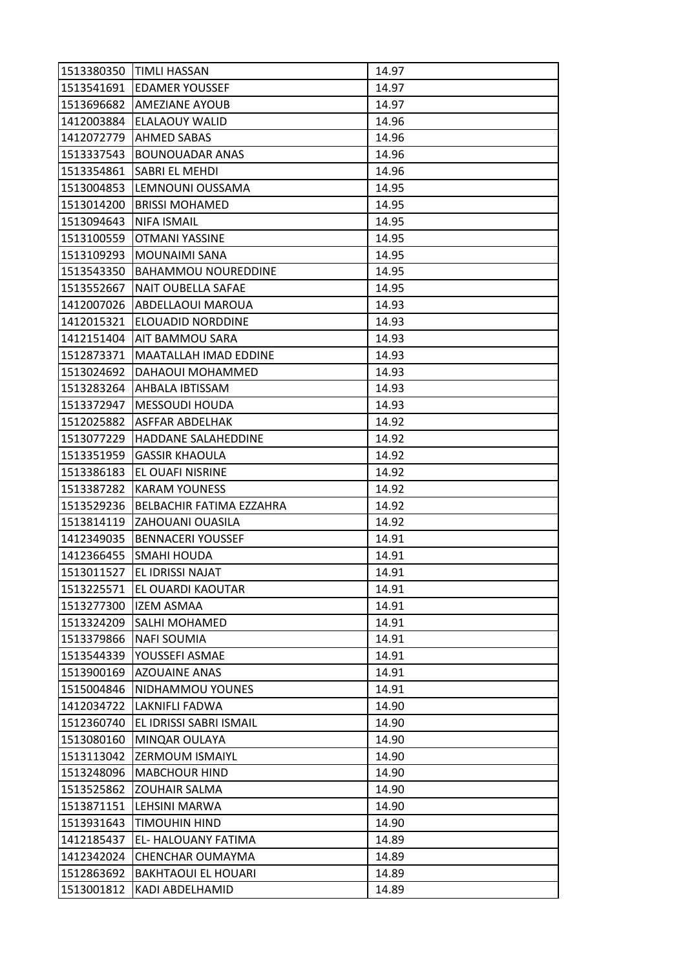|            | 1513380350 TIMLI HASSAN      | 14.97 |
|------------|------------------------------|-------|
| 1513541691 | <b>EDAMER YOUSSEF</b>        | 14.97 |
| 1513696682 | <b>AMEZIANE AYOUB</b>        | 14.97 |
| 1412003884 | <b>ELALAOUY WALID</b>        | 14.96 |
| 1412072779 | <b>AHMED SABAS</b>           | 14.96 |
| 1513337543 | <b>BOUNOUADAR ANAS</b>       | 14.96 |
| 1513354861 | SABRI EL MEHDI               | 14.96 |
| 1513004853 | LEMNOUNI OUSSAMA             | 14.95 |
| 1513014200 | <b>BRISSI MOHAMED</b>        | 14.95 |
| 1513094643 | <b>NIFA ISMAIL</b>           | 14.95 |
| 1513100559 | OTMANI YASSINE               | 14.95 |
| 1513109293 | <b>MOUNAIMI SANA</b>         | 14.95 |
| 1513543350 | <b>BAHAMMOU NOUREDDINE</b>   | 14.95 |
| 1513552667 | NAIT OUBELLA SAFAE           | 14.95 |
| 1412007026 | ABDELLAOUI MAROUA            | 14.93 |
| 1412015321 | ELOUADID NORDDINE            | 14.93 |
| 1412151404 | AIT BAMMOU SARA              | 14.93 |
| 1512873371 | <b>MAATALLAH IMAD EDDINE</b> | 14.93 |
| 1513024692 | DAHAOUI MOHAMMED             | 14.93 |
| 1513283264 | AHBALA IBTISSAM              | 14.93 |
| 1513372947 | <b>MESSOUDI HOUDA</b>        | 14.93 |
| 1512025882 | ASFFAR ABDELHAK              | 14.92 |
| 1513077229 | HADDANE SALAHEDDINE          | 14.92 |
| 1513351959 | <b>GASSIR KHAOULA</b>        | 14.92 |
| 1513386183 | EL OUAFI NISRINE             | 14.92 |
| 1513387282 | <b>KARAM YOUNESS</b>         | 14.92 |
| 1513529236 | BELBACHIR FATIMA EZZAHRA     | 14.92 |
| 1513814119 | ZAHOUANI OUASILA             | 14.92 |
| 1412349035 | <b>BENNACERI YOUSSEF</b>     | 14.91 |
| 1412366455 | SMAHI HOUDA                  | 14.91 |
| 1513011527 | EL IDRISSI NAJAT             | 14.91 |
| 1513225571 | EL OUARDI KAOUTAR            | 14.91 |
| 1513277300 | <b>IZEM ASMAA</b>            | 14.91 |
| 1513324209 | SALHI MOHAMED                | 14.91 |
| 1513379866 | <b>NAFI SOUMIA</b>           | 14.91 |
| 1513544339 | YOUSSEFI ASMAE               | 14.91 |
| 1513900169 | <b>AZOUAINE ANAS</b>         | 14.91 |
| 1515004846 | NIDHAMMOU YOUNES             | 14.91 |
| 1412034722 | LAKNIFLI FADWA               | 14.90 |
| 1512360740 | EL IDRISSI SABRI ISMAIL      | 14.90 |
| 1513080160 | MINQAR OULAYA                | 14.90 |
| 1513113042 | <b>ZERMOUM ISMAIYL</b>       | 14.90 |
| 1513248096 | <b>MABCHOUR HIND</b>         | 14.90 |
| 1513525862 | ZOUHAIR SALMA                | 14.90 |
| 1513871151 | LEHSINI MARWA                | 14.90 |
| 1513931643 | TIMOUHIN HIND                | 14.90 |
| 1412185437 | EL- HALOUANY FATIMA          | 14.89 |
| 1412342024 | CHENCHAR OUMAYMA             | 14.89 |
| 1512863692 | <b>BAKHTAOUI EL HOUARI</b>   | 14.89 |
| 1513001812 | KADI ABDELHAMID              | 14.89 |
|            |                              |       |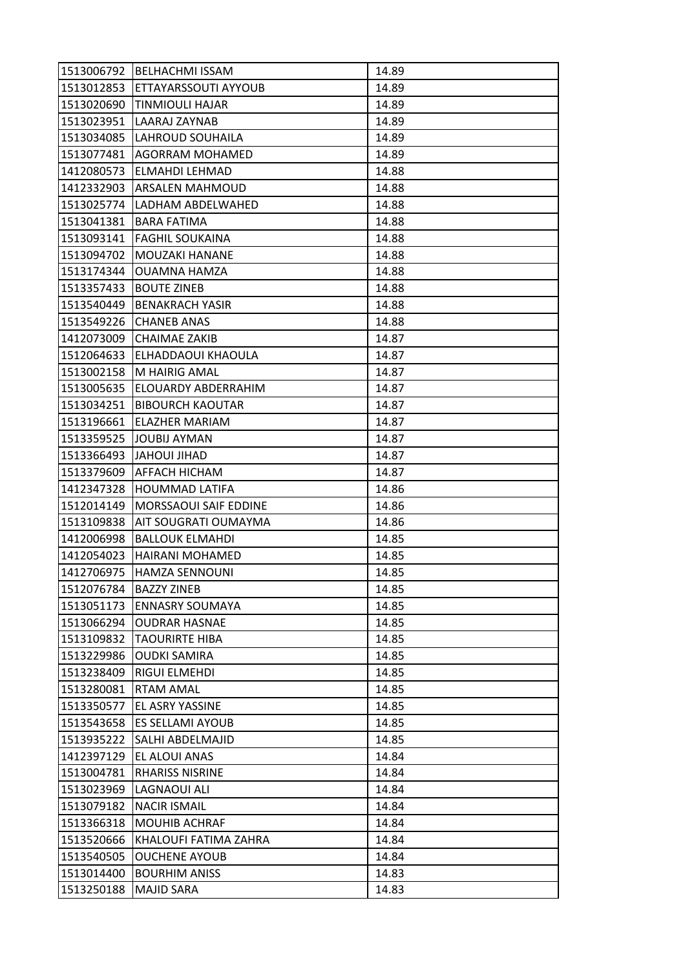| 1513006792 | <b>BELHACHMI ISSAM</b>  | 14.89 |
|------------|-------------------------|-------|
| 1513012853 | ETTAYARSSOUTI AYYOUB    | 14.89 |
| 1513020690 | <b>TINMIOULI HAJAR</b>  | 14.89 |
| 1513023951 | LAARAJ ZAYNAB           | 14.89 |
| 1513034085 | LAHROUD SOUHAILA        | 14.89 |
| 1513077481 | AGORRAM MOHAMED         | 14.89 |
| 1412080573 | ELMAHDI LEHMAD          | 14.88 |
| 1412332903 | ARSALEN MAHMOUD         | 14.88 |
| 1513025774 | LADHAM ABDELWAHED       | 14.88 |
| 1513041381 | <b>BARA FATIMA</b>      | 14.88 |
| 1513093141 | <b>FAGHIL SOUKAINA</b>  | 14.88 |
| 1513094702 | MOUZAKI HANANE          | 14.88 |
| 1513174344 | OUAMNA HAMZA            | 14.88 |
| 1513357433 | <b>BOUTE ZINEB</b>      | 14.88 |
| 1513540449 | <b>BENAKRACH YASIR</b>  | 14.88 |
| 1513549226 | <b>CHANEB ANAS</b>      | 14.88 |
| 1412073009 | <b>CHAIMAE ZAKIB</b>    | 14.87 |
| 1512064633 | ELHADDAOUI KHAOULA      | 14.87 |
| 1513002158 | M HAIRIG AMAL           | 14.87 |
| 1513005635 | ELOUARDY ABDERRAHIM     | 14.87 |
| 1513034251 | <b>BIBOURCH KAOUTAR</b> | 14.87 |
| 1513196661 | ELAZHER MARIAM          | 14.87 |
| 1513359525 | <b>JOUBIJ AYMAN</b>     | 14.87 |
| 1513366493 | <b>JAHOUI JIHAD</b>     | 14.87 |
| 1513379609 | AFFACH HICHAM           | 14.87 |
| 1412347328 | HOUMMAD LATIFA          | 14.86 |
| 1512014149 | MORSSAOUI SAIF EDDINE   | 14.86 |
| 1513109838 | AIT SOUGRATI OUMAYMA    | 14.86 |
| 1412006998 | <b>BALLOUK ELMAHDI</b>  | 14.85 |
| 1412054023 | HAIRANI MOHAMED         | 14.85 |
| 1412706975 | <b>HAMZA SENNOUNI</b>   | 14.85 |
| 1512076784 | <b>BAZZY ZINEB</b>      | 14.85 |
| 1513051173 | <b>ENNASRY SOUMAYA</b>  | 14.85 |
| 1513066294 | <b>OUDRAR HASNAE</b>    | 14.85 |
| 1513109832 | <b>TAOURIRTE HIBA</b>   | 14.85 |
| 1513229986 | <b>OUDKI SAMIRA</b>     | 14.85 |
| 1513238409 | RIGUI ELMEHDI           | 14.85 |
| 1513280081 | <b>RTAM AMAL</b>        | 14.85 |
| 1513350577 | EL ASRY YASSINE         | 14.85 |
| 1513543658 | <b>ES SELLAMI AYOUB</b> | 14.85 |
| 1513935222 | SALHI ABDELMAJID        | 14.85 |
| 1412397129 | EL ALOUI ANAS           | 14.84 |
| 1513004781 | <b>RHARISS NISRINE</b>  | 14.84 |
| 1513023969 | LAGNAOUI ALI            | 14.84 |
| 1513079182 | <b>NACIR ISMAIL</b>     | 14.84 |
| 1513366318 | <b>MOUHIB ACHRAF</b>    | 14.84 |
| 1513520666 | KHALOUFI FATIMA ZAHRA   | 14.84 |
| 1513540505 | <b>OUCHENE AYOUB</b>    | 14.84 |
| 1513014400 | <b>BOURHIM ANISS</b>    | 14.83 |
| 1513250188 | <b>MAJID SARA</b>       | 14.83 |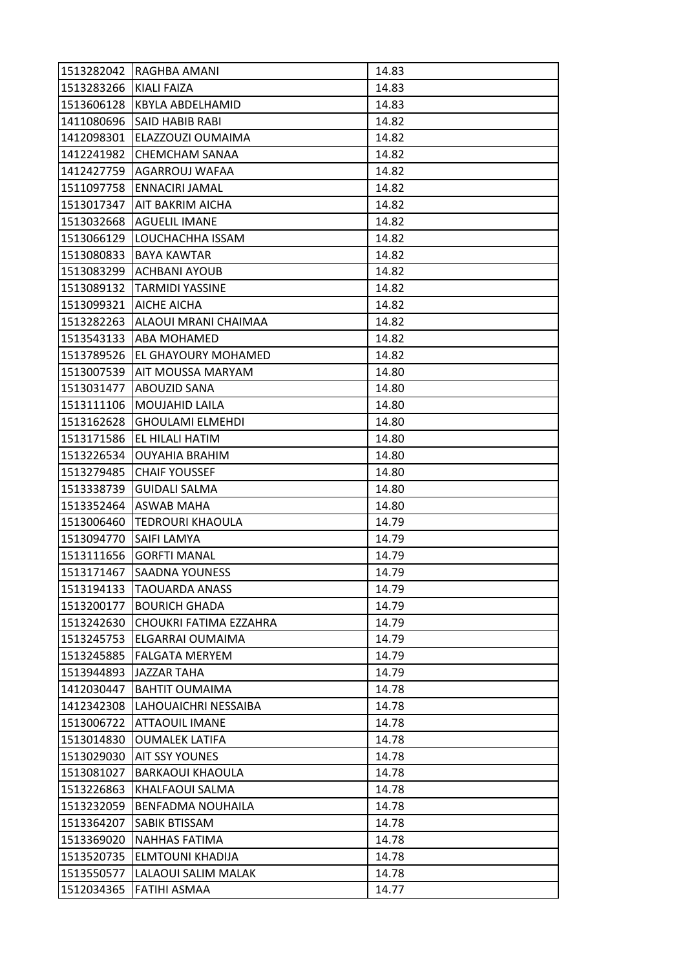| 1513282042 | RAGHBA AMANI             | 14.83 |
|------------|--------------------------|-------|
| 1513283266 | KIALI FAIZA              | 14.83 |
| 1513606128 | KBYLA ABDELHAMID         | 14.83 |
| 1411080696 | SAID HABIB RABI          | 14.82 |
| 1412098301 | ELAZZOUZI OUMAIMA        | 14.82 |
| 1412241982 | <b>CHEMCHAM SANAA</b>    | 14.82 |
| 1412427759 | AGARROUJ WAFAA           | 14.82 |
| 1511097758 | ENNACIRI JAMAL           | 14.82 |
| 1513017347 | AIT BAKRIM AICHA         | 14.82 |
| 1513032668 | <b>AGUELIL IMANE</b>     | 14.82 |
| 1513066129 | LOUCHACHHA ISSAM         | 14.82 |
| 1513080833 | BAYA KAWTAR              | 14.82 |
| 1513083299 | ACHBANI AYOUB            | 14.82 |
| 1513089132 | <b>TARMIDI YASSINE</b>   | 14.82 |
| 1513099321 | <b>AICHE AICHA</b>       | 14.82 |
| 1513282263 | ALAOUI MRANI CHAIMAA     | 14.82 |
| 1513543133 | ABA MOHAMED              | 14.82 |
| 1513789526 | EL GHAYOURY MOHAMED      | 14.82 |
| 1513007539 | AIT MOUSSA MARYAM        | 14.80 |
| 1513031477 | ABOUZID SANA             | 14.80 |
| 1513111106 | MOUJAHID LAILA           | 14.80 |
| 1513162628 | <b>GHOULAMI ELMEHDI</b>  | 14.80 |
| 1513171586 | EL HILALI HATIM          | 14.80 |
| 1513226534 | <b>OUYAHIA BRAHIM</b>    | 14.80 |
| 1513279485 | <b>CHAIF YOUSSEF</b>     | 14.80 |
| 1513338739 | <b>GUIDALI SALMA</b>     | 14.80 |
| 1513352464 | ASWAB MAHA               | 14.80 |
| 1513006460 | <b>TEDROURI KHAOULA</b>  | 14.79 |
| 1513094770 | SAIFI LAMYA              | 14.79 |
| 1513111656 | <b>GORFTI MANAL</b>      | 14.79 |
| 1513171467 | <b>SAADNA YOUNESS</b>    | 14.79 |
| 1513194133 | <b>TAOUARDA ANASS</b>    | 14.79 |
| 1513200177 | <b>BOURICH GHADA</b>     | 14.79 |
| 1513242630 | CHOUKRI FATIMA EZZAHRA   | 14.79 |
| 1513245753 | ELGARRAI OUMAIMA         | 14.79 |
| 1513245885 | <b>FALGATA MERYEM</b>    | 14.79 |
| 1513944893 | <b>JAZZAR TAHA</b>       | 14.79 |
| 1412030447 | <b>BAHTIT OUMAIMA</b>    | 14.78 |
| 1412342308 | LAHOUAICHRI NESSAIBA     | 14.78 |
| 1513006722 | <b>ATTAOUIL IMANE</b>    | 14.78 |
| 1513014830 | <b>OUMALEK LATIFA</b>    | 14.78 |
| 1513029030 | <b>AIT SSY YOUNES</b>    | 14.78 |
| 1513081027 | <b>BARKAOUI KHAOULA</b>  | 14.78 |
| 1513226863 | KHALFAOUI SALMA          | 14.78 |
| 1513232059 | <b>BENFADMA NOUHAILA</b> | 14.78 |
| 1513364207 | SABIK BTISSAM            | 14.78 |
| 1513369020 | <b>NAHHAS FATIMA</b>     | 14.78 |
| 1513520735 | ELMTOUNI KHADIJA         | 14.78 |
|            |                          |       |
| 1513550577 | LALAOUI SALIM MALAK      | 14.78 |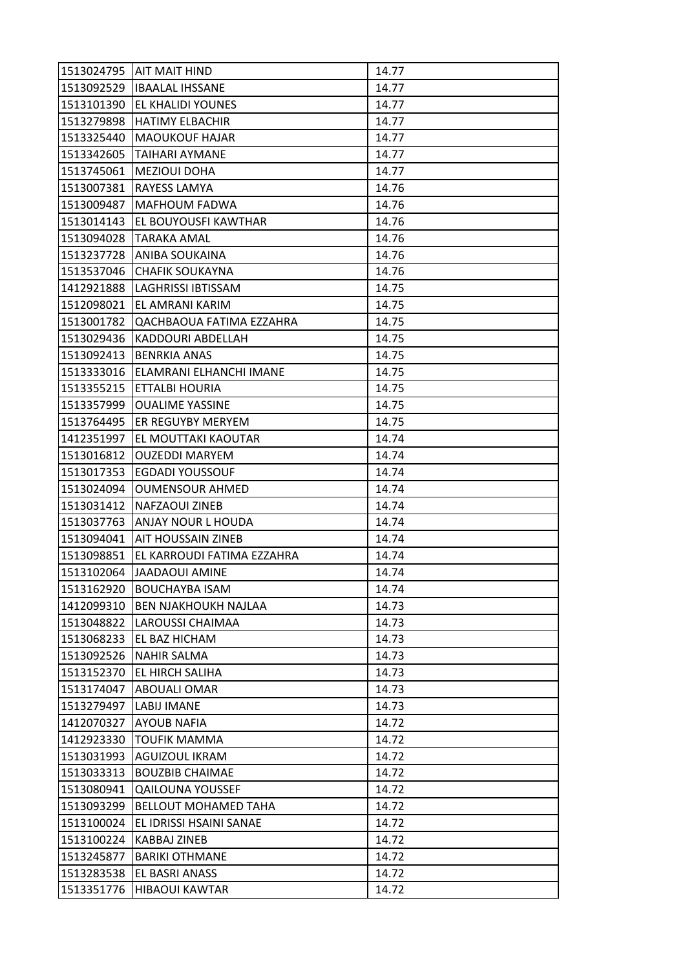|            | 1513024795   AIT MAIT HIND  | 14.77 |
|------------|-----------------------------|-------|
| 1513092529 | <b>IBAALAL IHSSANE</b>      | 14.77 |
| 1513101390 | EL KHALIDI YOUNES           | 14.77 |
| 1513279898 | <b>HATIMY ELBACHIR</b>      | 14.77 |
| 1513325440 | <b>MAOUKOUF HAJAR</b>       | 14.77 |
| 1513342605 | TAIHARI AYMANE              | 14.77 |
| 1513745061 | <b>MEZIOUI DOHA</b>         | 14.77 |
| 1513007381 | RAYESS LAMYA                | 14.76 |
| 1513009487 | <b>MAFHOUM FADWA</b>        | 14.76 |
| 1513014143 | EL BOUYOUSFI KAWTHAR        | 14.76 |
| 1513094028 | <b>TARAKA AMAL</b>          | 14.76 |
| 1513237728 | ANIBA SOUKAINA              | 14.76 |
| 1513537046 | <b>CHAFIK SOUKAYNA</b>      | 14.76 |
| 1412921888 | <b>LAGHRISSI IBTISSAM</b>   | 14.75 |
| 1512098021 | EL AMRANI KARIM             | 14.75 |
| 1513001782 | QACHBAOUA FATIMA EZZAHRA    | 14.75 |
| 1513029436 | KADDOURI ABDELLAH           | 14.75 |
| 1513092413 | <b>BENRKIA ANAS</b>         | 14.75 |
| 1513333016 | ELAMRANI ELHANCHI IMANE     | 14.75 |
| 1513355215 | ETTALBI HOURIA              | 14.75 |
| 1513357999 | <b>OUALIME YASSINE</b>      | 14.75 |
| 1513764495 | ER REGUYBY MERYEM           | 14.75 |
| 1412351997 | EL MOUTTAKI KAOUTAR         | 14.74 |
| 1513016812 | <b>OUZEDDI MARYEM</b>       | 14.74 |
| 1513017353 | <b>EGDADI YOUSSOUF</b>      | 14.74 |
| 1513024094 | <b>OUMENSOUR AHMED</b>      | 14.74 |
| 1513031412 | NAFZAOUI ZINEB              | 14.74 |
| 1513037763 | ANJAY NOUR L HOUDA          | 14.74 |
| 1513094041 | AIT HOUSSAIN ZINEB          | 14.74 |
| 1513098851 | EL KARROUDI FATIMA EZZAHRA  | 14.74 |
| 1513102064 | <b>JAADAOUI AMINE</b>       | 14.74 |
| 1513162920 | <b>BOUCHAYBA ISAM</b>       | 14.74 |
| 1412099310 | <b>BEN NJAKHOUKH NAJLAA</b> | 14.73 |
| 1513048822 | LAROUSSI CHAIMAA            | 14.73 |
| 1513068233 | EL BAZ HICHAM               | 14.73 |
| 1513092526 | NAHIR SALMA                 | 14.73 |
| 1513152370 | EL HIRCH SALIHA             | 14.73 |
| 1513174047 | <b>ABOUALI OMAR</b>         | 14.73 |
| 1513279497 | LABIJ IMANE                 | 14.73 |
| 1412070327 | <b>AYOUB NAFIA</b>          | 14.72 |
| 1412923330 | <b>TOUFIK MAMMA</b>         | 14.72 |
| 1513031993 | AGUIZOUL IKRAM              | 14.72 |
| 1513033313 | <b>BOUZBIB CHAIMAE</b>      | 14.72 |
| 1513080941 | <b>QAILOUNA YOUSSEF</b>     | 14.72 |
| 1513093299 | <b>BELLOUT MOHAMED TAHA</b> | 14.72 |
| 1513100024 | EL IDRISSI HSAINI SANAE     | 14.72 |
| 1513100224 | <b>KABBAJ ZINEB</b>         | 14.72 |
| 1513245877 | <b>BARIKI OTHMANE</b>       | 14.72 |
| 1513283538 | EL BASRI ANASS              | 14.72 |
| 1513351776 | <b>HIBAOUI KAWTAR</b>       | 14.72 |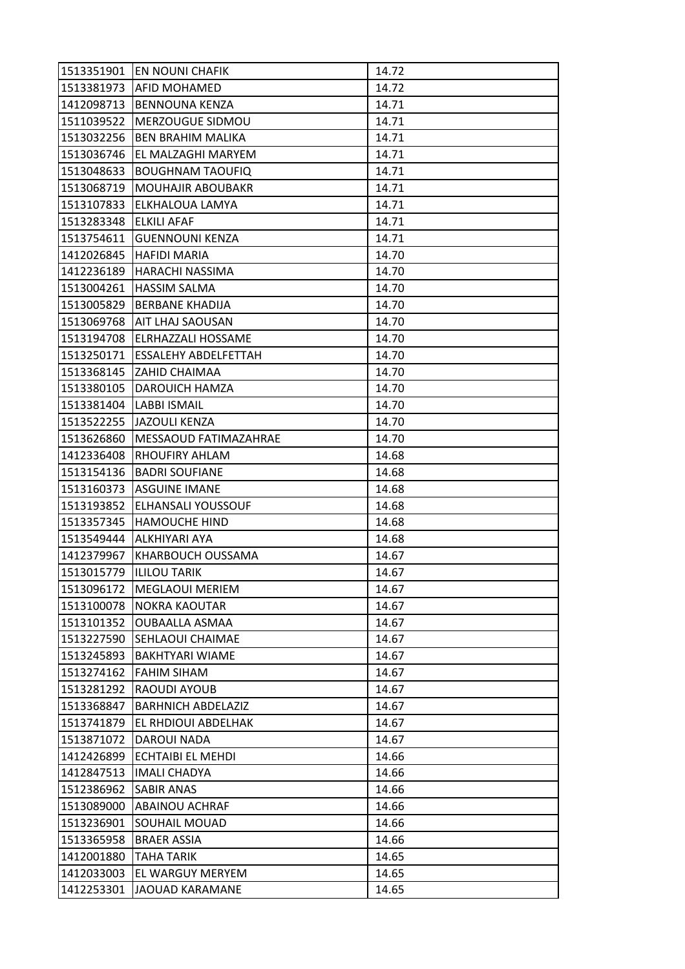|            | 1513351901 EN NOUNI CHAFIK  | 14.72 |
|------------|-----------------------------|-------|
| 1513381973 | <b>AFID MOHAMED</b>         | 14.72 |
| 1412098713 | <b>BENNOUNA KENZA</b>       | 14.71 |
| 1511039522 | MERZOUGUE SIDMOU            | 14.71 |
| 1513032256 | <b>BEN BRAHIM MALIKA</b>    | 14.71 |
| 1513036746 | EL MALZAGHI MARYEM          | 14.71 |
| 1513048633 | <b>BOUGHNAM TAOUFIQ</b>     | 14.71 |
| 1513068719 | MOUHAJIR ABOUBAKR           | 14.71 |
| 1513107833 | ELKHALOUA LAMYA             | 14.71 |
| 1513283348 | <b>ELKILI AFAF</b>          | 14.71 |
| 1513754611 | <b>GUENNOUNI KENZA</b>      | 14.71 |
| 1412026845 | <b>HAFIDI MARIA</b>         | 14.70 |
| 1412236189 | HARACHI NASSIMA             | 14.70 |
| 1513004261 | <b>HASSIM SALMA</b>         | 14.70 |
| 1513005829 | <b>BERBANE KHADIJA</b>      | 14.70 |
| 1513069768 | AIT LHAJ SAOUSAN            | 14.70 |
| 1513194708 | <b>ELRHAZZALI HOSSAME</b>   | 14.70 |
| 1513250171 | <b>ESSALEHY ABDELFETTAH</b> | 14.70 |
| 1513368145 | ZAHID CHAIMAA               | 14.70 |
| 1513380105 | DAROUICH HAMZA              | 14.70 |
| 1513381404 | <b>LABBI ISMAIL</b>         | 14.70 |
| 1513522255 | <b>JAZOULI KENZA</b>        | 14.70 |
| 1513626860 | MESSAOUD FATIMAZAHRAE       | 14.70 |
| 1412336408 | RHOUFIRY AHLAM              | 14.68 |
| 1513154136 | <b>BADRI SOUFIANE</b>       | 14.68 |
| 1513160373 | <b>ASGUINE IMANE</b>        | 14.68 |
| 1513193852 | ELHANSALI YOUSSOUF          | 14.68 |
| 1513357345 | <b>HAMOUCHE HIND</b>        | 14.68 |
| 1513549444 | <b>ALKHIYARI AYA</b>        | 14.68 |
| 1412379967 | KHARBOUCH OUSSAMA           | 14.67 |
| 1513015779 | <b>ILILOU TARIK</b>         | 14.67 |
| 1513096172 | <b>MEGLAOUI MERIEM</b>      | 14.67 |
| 1513100078 | <b>NOKRA KAOUTAR</b>        | 14.67 |
| 1513101352 | OUBAALLA ASMAA              | 14.67 |
| 1513227590 | SEHLAOUI CHAIMAE            | 14.67 |
| 1513245893 | <b>BAKHTYARI WIAME</b>      | 14.67 |
| 1513274162 | <b>FAHIM SIHAM</b>          | 14.67 |
| 1513281292 | RAOUDI AYOUB                | 14.67 |
| 1513368847 | <b>BARHNICH ABDELAZIZ</b>   | 14.67 |
| 1513741879 | EL RHDIOUI ABDELHAK         | 14.67 |
| 1513871072 | DAROUI NADA                 | 14.67 |
| 1412426899 | ECHTAIBI EL MEHDI           | 14.66 |
| 1412847513 | <b>IMALI CHADYA</b>         | 14.66 |
| 1512386962 | SABIR ANAS                  | 14.66 |
| 1513089000 | <b>ABAINOU ACHRAF</b>       | 14.66 |
| 1513236901 | SOUHAIL MOUAD               | 14.66 |
| 1513365958 | <b>BRAER ASSIA</b>          | 14.66 |
| 1412001880 | TAHA TARIK                  | 14.65 |
| 1412033003 | EL WARGUY MERYEM            | 14.65 |
| 1412253301 | JAOUAD KARAMANE             | 14.65 |
|            |                             |       |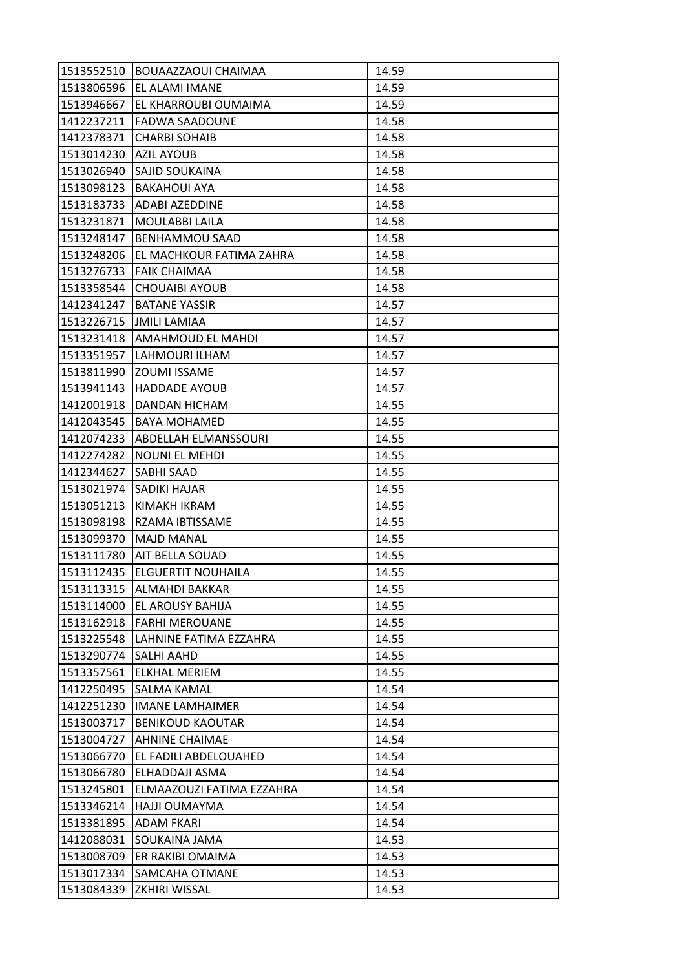| 1513552510 | BOUAAZZAOUI CHAIMAA         | 14.59 |
|------------|-----------------------------|-------|
| 1513806596 | EL ALAMI IMANE              | 14.59 |
| 1513946667 | EL KHARROUBI OUMAIMA        | 14.59 |
| 1412237211 | <b>FADWA SAADOUNE</b>       | 14.58 |
| 1412378371 | <b>CHARBI SOHAIB</b>        | 14.58 |
| 1513014230 | <b>AZIL AYOUB</b>           | 14.58 |
| 1513026940 | SAJID SOUKAINA              | 14.58 |
| 1513098123 | <b>BAKAHOUI AYA</b>         | 14.58 |
| 1513183733 | ADABI AZEDDINE              | 14.58 |
| 1513231871 | <b>MOULABBI LAILA</b>       | 14.58 |
| 1513248147 | <b>BENHAMMOU SAAD</b>       | 14.58 |
| 1513248206 | EL MACHKOUR FATIMA ZAHRA    | 14.58 |
| 1513276733 | <b>FAIK CHAIMAA</b>         | 14.58 |
| 1513358544 | <b>CHOUAIBI AYOUB</b>       | 14.58 |
| 1412341247 | <b>BATANE YASSIR</b>        | 14.57 |
|            | 1513226715   JMILI LAMIAA   | 14.57 |
| 1513231418 | AMAHMOUD EL MAHDI           | 14.57 |
| 1513351957 | LAHMOURI ILHAM              | 14.57 |
| 1513811990 | <b>ZOUMI ISSAME</b>         | 14.57 |
| 1513941143 | <b>HADDADE AYOUB</b>        | 14.57 |
| 1412001918 | DANDAN HICHAM               | 14.55 |
| 1412043545 | <b>BAYA MOHAMED</b>         | 14.55 |
| 1412074233 | <b>ABDELLAH ELMANSSOURI</b> | 14.55 |
| 1412274282 | <b>NOUNI EL MEHDI</b>       | 14.55 |
| 1412344627 | SABHI SAAD                  | 14.55 |
| 1513021974 | <b>SADIKI HAJAR</b>         | 14.55 |
| 1513051213 | KIMAKH IKRAM                | 14.55 |
| 1513098198 | RZAMA IBTISSAME             | 14.55 |
| 1513099370 | <b>MAJD MANAL</b>           | 14.55 |
| 1513111780 | <b>AIT BELLA SOUAD</b>      | 14.55 |
| 1513112435 | <b>ELGUERTIT NOUHAILA</b>   | 14.55 |
| 1513113315 | ALMAHDI BAKKAR              | 14.55 |
| 1513114000 | EL AROUSY BAHIJA            | 14.55 |
| 1513162918 | <b>FARHI MEROUANE</b>       | 14.55 |
| 1513225548 | LAHNINE FATIMA EZZAHRA      | 14.55 |
| 1513290774 | <b>SALHI AAHD</b>           | 14.55 |
| 1513357561 | <b>ELKHAL MERIEM</b>        | 14.55 |
| 1412250495 | SALMA KAMAL                 | 14.54 |
| 1412251230 | <b>IMANE LAMHAIMER</b>      | 14.54 |
| 1513003717 | <b>BENIKOUD KAOUTAR</b>     | 14.54 |
| 1513004727 | <b>AHNINE CHAIMAE</b>       | 14.54 |
| 1513066770 | EL FADILI ABDELOUAHED       | 14.54 |
| 1513066780 | ELHADDAJI ASMA              | 14.54 |
| 1513245801 | ELMAAZOUZI FATIMA EZZAHRA   | 14.54 |
| 1513346214 | HAJJI OUMAYMA               | 14.54 |
| 1513381895 | <b>ADAM FKARI</b>           | 14.54 |
| 1412088031 | SOUKAINA JAMA               | 14.53 |
| 1513008709 | ER RAKIBI OMAIMA            | 14.53 |
| 1513017334 | SAMCAHA OTMANE              | 14.53 |
| 1513084339 | ZKHIRI WISSAL               | 14.53 |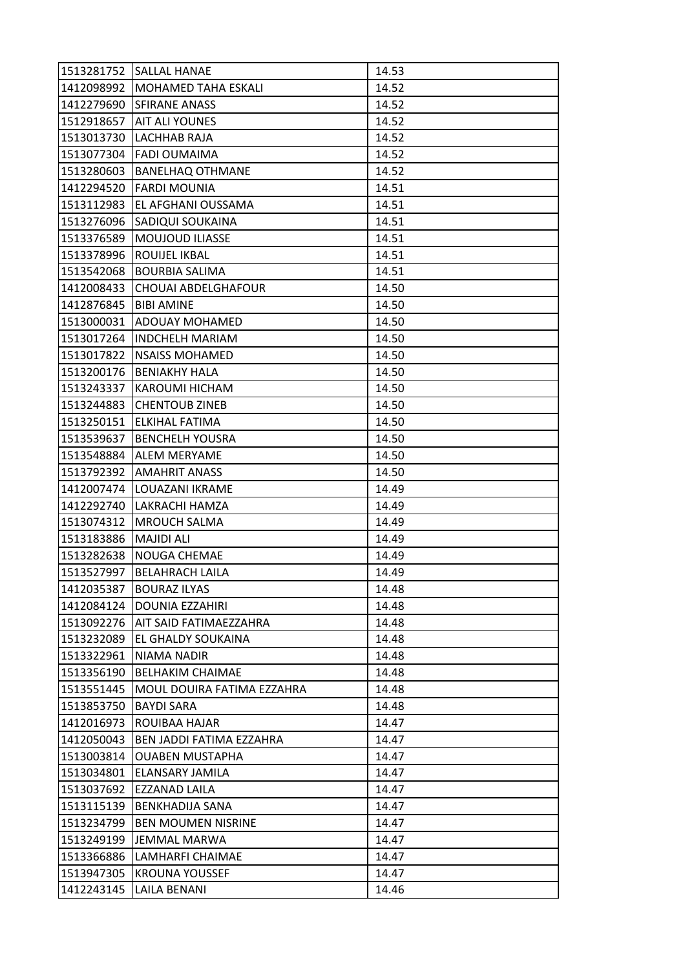| 1513281752 | <b>SALLAL HANAE</b>        | 14.53 |
|------------|----------------------------|-------|
| 1412098992 | MOHAMED TAHA ESKALI        | 14.52 |
| 1412279690 | SFIRANE ANASS              | 14.52 |
| 1512918657 | <b>AIT ALI YOUNES</b>      | 14.52 |
| 1513013730 | LACHHAB RAJA               | 14.52 |
| 1513077304 | <b>FADI OUMAIMA</b>        | 14.52 |
| 1513280603 | <b>BANELHAQ OTHMANE</b>    | 14.52 |
| 1412294520 | <b>FARDI MOUNIA</b>        | 14.51 |
| 1513112983 | EL AFGHANI OUSSAMA         | 14.51 |
| 1513276096 | SADIQUI SOUKAINA           | 14.51 |
| 1513376589 | MOUJOUD ILIASSE            | 14.51 |
| 1513378996 | <b>ROUIJEL IKBAL</b>       | 14.51 |
| 1513542068 | <b>BOURBIA SALIMA</b>      | 14.51 |
| 1412008433 | CHOUAI ABDELGHAFOUR        | 14.50 |
| 1412876845 | <b>BIBI AMINE</b>          | 14.50 |
| 1513000031 | ADOUAY MOHAMED             | 14.50 |
| 1513017264 | <b>INDCHELH MARIAM</b>     | 14.50 |
| 1513017822 | <b>NSAISS MOHAMED</b>      | 14.50 |
| 1513200176 | <b>BENIAKHY HALA</b>       | 14.50 |
| 1513243337 | KAROUMI HICHAM             | 14.50 |
| 1513244883 | <b>CHENTOUB ZINEB</b>      | 14.50 |
| 1513250151 | <b>ELKIHAL FATIMA</b>      | 14.50 |
| 1513539637 | <b>BENCHELH YOUSRA</b>     | 14.50 |
| 1513548884 | ALEM MERYAME               | 14.50 |
| 1513792392 | <b>AMAHRIT ANASS</b>       | 14.50 |
| 1412007474 | LOUAZANI IKRAME            | 14.49 |
| 1412292740 | LAKRACHI HAMZA             | 14.49 |
| 1513074312 | <b>MROUCH SALMA</b>        | 14.49 |
| 1513183886 | <b>MAJIDI ALI</b>          | 14.49 |
| 1513282638 | NOUGA CHEMAE               | 14.49 |
| 1513527997 | <b>BELAHRACH LAILA</b>     | 14.49 |
| 1412035387 | <b>BOURAZ ILYAS</b>        | 14.48 |
| 1412084124 | DOUNIA EZZAHIRI            | 14.48 |
| 1513092276 | AIT SAID FATIMAEZZAHRA     | 14.48 |
| 1513232089 | EL GHALDY SOUKAINA         | 14.48 |
| 1513322961 | NIAMA NADIR                | 14.48 |
| 1513356190 | <b>BELHAKIM CHAIMAE</b>    | 14.48 |
| 1513551445 | MOUL DOUIRA FATIMA EZZAHRA | 14.48 |
| 1513853750 | <b>BAYDI SARA</b>          | 14.48 |
| 1412016973 | ROUIBAA HAJAR              | 14.47 |
| 1412050043 | BEN JADDI FATIMA EZZAHRA   | 14.47 |
| 1513003814 | <b>OUABEN MUSTAPHA</b>     | 14.47 |
| 1513034801 | ELANSARY JAMILA            | 14.47 |
| 1513037692 | EZZANAD LAILA              | 14.47 |
| 1513115139 | <b>BENKHADIJA SANA</b>     | 14.47 |
| 1513234799 | <b>BEN MOUMEN NISRINE</b>  | 14.47 |
| 1513249199 | JEMMAL MARWA               | 14.47 |
| 1513366886 | LAMHARFI CHAIMAE           | 14.47 |
| 1513947305 | <b>KROUNA YOUSSEF</b>      | 14.47 |
| 1412243145 | <b>LAILA BENANI</b>        | 14.46 |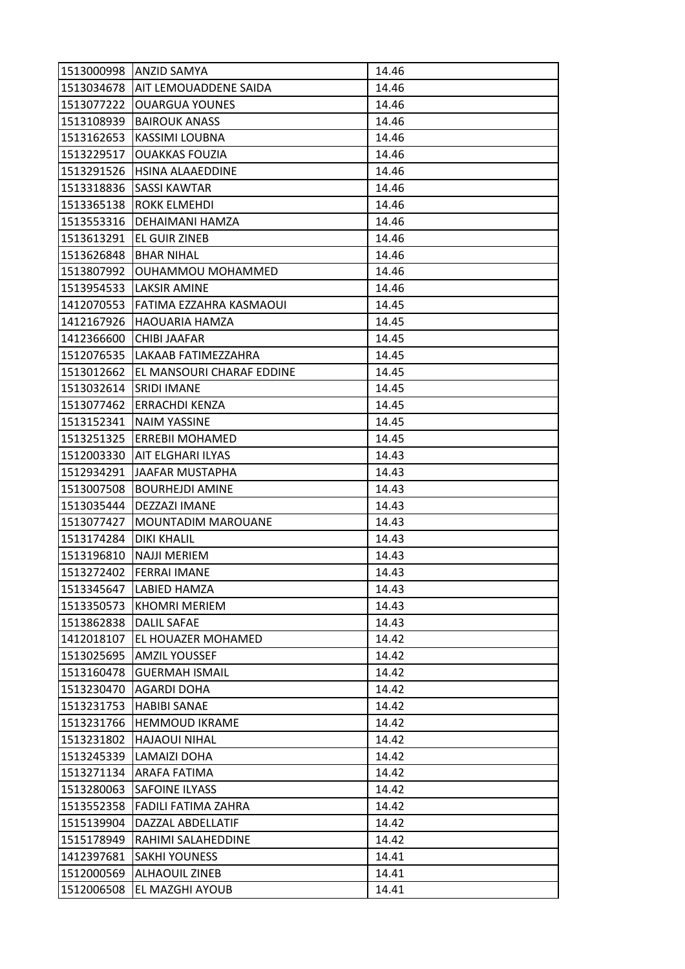| 1513000998 | <b>ANZID SAMYA</b>        | 14.46 |
|------------|---------------------------|-------|
| 1513034678 | AIT LEMOUADDENE SAIDA     | 14.46 |
| 1513077222 | <b>OUARGUA YOUNES</b>     | 14.46 |
| 1513108939 | <b>BAIROUK ANASS</b>      | 14.46 |
| 1513162653 | KASSIMI LOUBNA            | 14.46 |
| 1513229517 | <b>OUAKKAS FOUZIA</b>     | 14.46 |
| 1513291526 | HSINA ALAAEDDINE          | 14.46 |
| 1513318836 | SASSI KAWTAR              | 14.46 |
| 1513365138 | <b>ROKK ELMEHDI</b>       | 14.46 |
| 1513553316 | DEHAIMANI HAMZA           | 14.46 |
| 1513613291 | EL GUIR ZINEB             | 14.46 |
| 1513626848 | <b>BHAR NIHAL</b>         | 14.46 |
| 1513807992 | OUHAMMOU MOHAMMED         | 14.46 |
| 1513954533 | LAKSIR AMINE              | 14.46 |
| 1412070553 | FATIMA EZZAHRA KASMAOUI   | 14.45 |
| 1412167926 | HAOUARIA HAMZA            | 14.45 |
| 1412366600 | CHIBI JAAFAR              | 14.45 |
| 1512076535 | LAKAAB FATIMEZZAHRA       | 14.45 |
| 1513012662 | EL MANSOURI CHARAF EDDINE | 14.45 |
| 1513032614 | <b>SRIDI IMANE</b>        | 14.45 |
| 1513077462 | <b>ERRACHDI KENZA</b>     | 14.45 |
| 1513152341 | <b>NAIM YASSINE</b>       | 14.45 |
| 1513251325 | <b>ERREBII MOHAMED</b>    | 14.45 |
| 1512003330 | <b>AIT ELGHARI ILYAS</b>  | 14.43 |
| 1512934291 | JAAFAR MUSTAPHA           | 14.43 |
| 1513007508 | <b>BOURHEJDI AMINE</b>    | 14.43 |
| 1513035444 | DEZZAZI IMANE             | 14.43 |
| 1513077427 | MOUNTADIM MAROUANE        | 14.43 |
| 1513174284 | DIKI KHALIL               | 14.43 |
| 1513196810 | <b>NAJJI MERIEM</b>       | 14.43 |
| 1513272402 | <b>FERRAI IMANE</b>       | 14.43 |
| 1513345647 | LABIED HAMZA              | 14.43 |
| 1513350573 | <b>KHOMRI MERIEM</b>      | 14.43 |
| 1513862838 | <b>DALIL SAFAE</b>        | 14.43 |
| 1412018107 | EL HOUAZER MOHAMED        | 14.42 |
| 1513025695 | <b>AMZIL YOUSSEF</b>      | 14.42 |
| 1513160478 | <b>GUERMAH ISMAIL</b>     | 14.42 |
| 1513230470 | AGARDI DOHA               | 14.42 |
| 1513231753 | HABIBI SANAE              | 14.42 |
| 1513231766 | <b>HEMMOUD IKRAME</b>     | 14.42 |
| 1513231802 | <b>HAJAOUI NIHAL</b>      | 14.42 |
| 1513245339 | LAMAIZI DOHA              | 14.42 |
| 1513271134 | ARAFA FATIMA              | 14.42 |
| 1513280063 | <b>SAFOINE ILYASS</b>     | 14.42 |
| 1513552358 | FADILI FATIMA ZAHRA       | 14.42 |
| 1515139904 | DAZZAL ABDELLATIF         | 14.42 |
| 1515178949 | RAHIMI SALAHEDDINE        | 14.42 |
| 1412397681 | <b>SAKHI YOUNESS</b>      | 14.41 |
| 1512000569 | <b>ALHAOUIL ZINEB</b>     | 14.41 |
| 1512006508 | EL MAZGHI AYOUB           | 14.41 |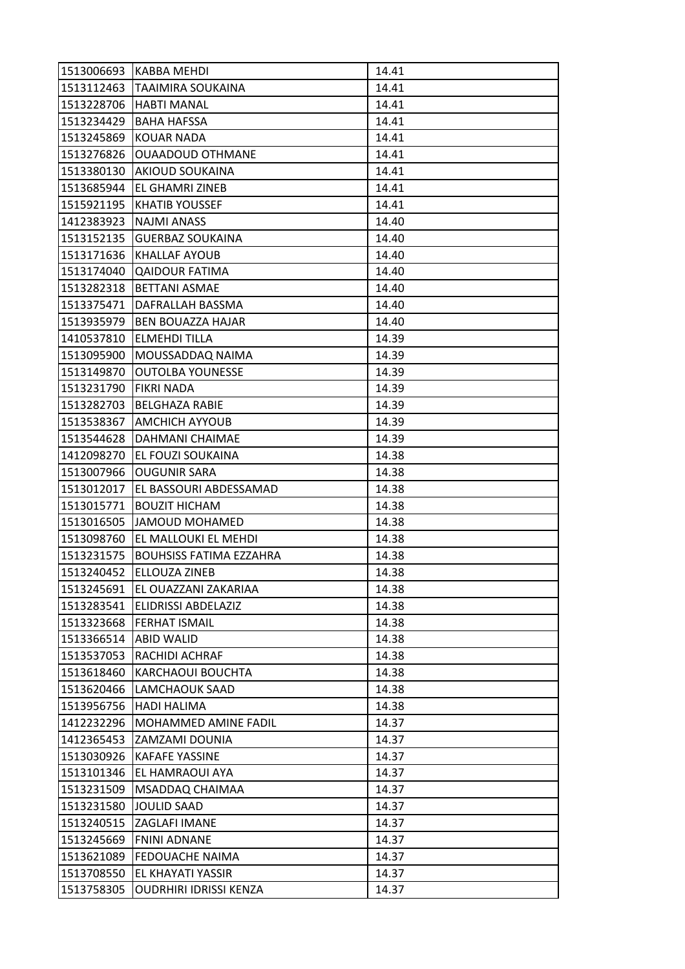|            | 1513006693   KABBA MEHDI        | 14.41 |
|------------|---------------------------------|-------|
| 1513112463 | <b>TAAIMIRA SOUKAINA</b>        | 14.41 |
| 1513228706 | <b>HABTI MANAL</b>              | 14.41 |
| 1513234429 | <b>BAHA HAFSSA</b>              | 14.41 |
| 1513245869 | <b>KOUAR NADA</b>               | 14.41 |
| 1513276826 | <b>OUAADOUD OTHMANE</b>         | 14.41 |
| 1513380130 | <b>AKIOUD SOUKAINA</b>          | 14.41 |
| 1513685944 | EL GHAMRI ZINEB                 | 14.41 |
| 1515921195 | <b>KHATIB YOUSSEF</b>           | 14.41 |
| 1412383923 | <b>NAJMI ANASS</b>              | 14.40 |
| 1513152135 | <b>GUERBAZ SOUKAINA</b>         | 14.40 |
| 1513171636 | <b>KHALLAF AYOUB</b>            | 14.40 |
| 1513174040 | <b>QAIDOUR FATIMA</b>           | 14.40 |
| 1513282318 | <b>BETTANI ASMAE</b>            | 14.40 |
| 1513375471 | DAFRALLAH BASSMA                | 14.40 |
| 1513935979 | <b>BEN BOUAZZA HAJAR</b>        | 14.40 |
| 1410537810 | <b>ELMEHDI TILLA</b>            | 14.39 |
| 1513095900 | MOUSSADDAQ NAIMA                | 14.39 |
| 1513149870 | <b>OUTOLBA YOUNESSE</b>         | 14.39 |
| 1513231790 | <b>FIKRI NADA</b>               | 14.39 |
| 1513282703 | <b>BELGHAZA RABIE</b>           | 14.39 |
| 1513538367 | <b>AMCHICH AYYOUB</b>           | 14.39 |
| 1513544628 | DAHMANI CHAIMAE                 | 14.39 |
| 1412098270 | EL FOUZI SOUKAINA               | 14.38 |
| 1513007966 | <b>OUGUNIR SARA</b>             | 14.38 |
| 1513012017 | EL BASSOURI ABDESSAMAD          | 14.38 |
| 1513015771 | <b>BOUZIT HICHAM</b>            | 14.38 |
| 1513016505 | JAMOUD MOHAMED                  | 14.38 |
| 1513098760 | EL MALLOUKI EL MEHDI            | 14.38 |
| 1513231575 | <b>BOUHSISS FATIMA EZZAHRA</b>  | 14.38 |
| 1513240452 | ELLOUZA ZINEB                   | 14.38 |
|            | 1513245691 EL OUAZZANI ZAKARIAA | 14.38 |
| 1513283541 | <b>ELIDRISSI ABDELAZIZ</b>      | 14.38 |
| 1513323668 | <b>FERHAT ISMAIL</b>            | 14.38 |
| 1513366514 | <b>ABID WALID</b>               | 14.38 |
| 1513537053 | <b>RACHIDI ACHRAF</b>           | 14.38 |
| 1513618460 | KARCHAOUI BOUCHTA               | 14.38 |
| 1513620466 | LAMCHAOUK SAAD                  | 14.38 |
| 1513956756 | <b>HADI HALIMA</b>              | 14.38 |
| 1412232296 | MOHAMMED AMINE FADIL            | 14.37 |
| 1412365453 | <b>ZAMZAMI DOUNIA</b>           | 14.37 |
| 1513030926 | <b>KAFAFE YASSINE</b>           | 14.37 |
| 1513101346 | EL HAMRAOUI AYA                 | 14.37 |
| 1513231509 | MSADDAQ CHAIMAA                 | 14.37 |
| 1513231580 | <b>JOULID SAAD</b>              | 14.37 |
| 1513240515 | <b>ZAGLAFI IMANE</b>            | 14.37 |
| 1513245669 | <b>FNINI ADNANE</b>             | 14.37 |
| 1513621089 | <b>FEDOUACHE NAIMA</b>          | 14.37 |
| 1513708550 | EL KHAYATI YASSIR               | 14.37 |
| 1513758305 | OUDRHIRI IDRISSI KENZA          | 14.37 |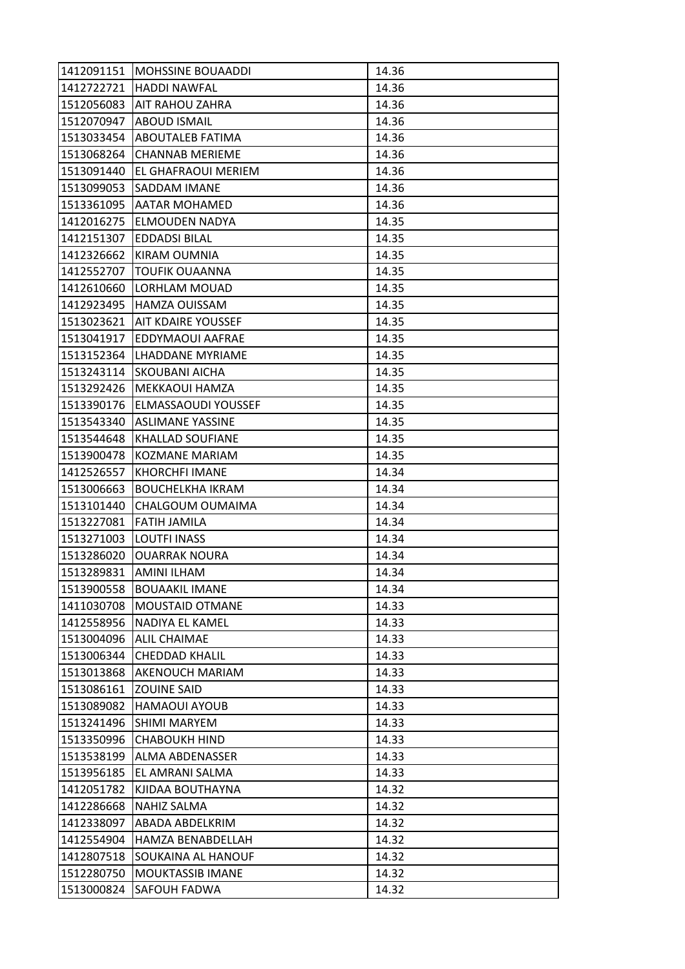| 1412091151 | <b>MOHSSINE BOUAADDI</b>   | 14.36 |
|------------|----------------------------|-------|
| 1412722721 | <b>HADDI NAWFAL</b>        | 14.36 |
| 1512056083 | AIT RAHOU ZAHRA            | 14.36 |
| 1512070947 | <b>ABOUD ISMAIL</b>        | 14.36 |
| 1513033454 | <b>ABOUTALEB FATIMA</b>    | 14.36 |
| 1513068264 | <b>CHANNAB MERIEME</b>     | 14.36 |
| 1513091440 | <b>EL GHAFRAOUI MERIEM</b> | 14.36 |
| 1513099053 | SADDAM IMANE               | 14.36 |
| 1513361095 | <b>AATAR MOHAMED</b>       | 14.36 |
| 1412016275 | ELMOUDEN NADYA             | 14.35 |
| 1412151307 | <b>EDDADSI BILAL</b>       | 14.35 |
| 1412326662 | KIRAM OUMNIA               | 14.35 |
| 1412552707 | TOUFIK OUAANNA             | 14.35 |
| 1412610660 | <b>LORHLAM MOUAD</b>       | 14.35 |
| 1412923495 | HAMZA OUISSAM              | 14.35 |
| 1513023621 | <b>AIT KDAIRE YOUSSEF</b>  | 14.35 |
| 1513041917 | EDDYMAOUI AAFRAE           | 14.35 |
| 1513152364 | LHADDANE MYRIAME           | 14.35 |
| 1513243114 | <b>SKOUBANI AICHA</b>      | 14.35 |
| 1513292426 | MEKKAOUI HAMZA             | 14.35 |
| 1513390176 | ELMASSAOUDI YOUSSEF        | 14.35 |
| 1513543340 | <b>ASLIMANE YASSINE</b>    | 14.35 |
| 1513544648 | KHALLAD SOUFIANE           | 14.35 |
| 1513900478 | <b>KOZMANE MARIAM</b>      | 14.35 |
| 1412526557 | <b>KHORCHFI IMANE</b>      | 14.34 |
| 1513006663 | <b>BOUCHELKHA IKRAM</b>    | 14.34 |
| 1513101440 | CHALGOUM OUMAIMA           | 14.34 |
| 1513227081 | <b>FATIH JAMILA</b>        | 14.34 |
| 1513271003 | <b>LOUTFI INASS</b>        | 14.34 |
| 1513286020 | <b>OUARRAK NOURA</b>       | 14.34 |
| 1513289831 | <b>AMINI ILHAM</b>         | 14.34 |
| 1513900558 | <b>BOUAAKIL IMANE</b>      | 14.34 |
| 1411030708 | <b>MOUSTAID OTMANE</b>     | 14.33 |
| 1412558956 | NADIYA EL KAMEL            | 14.33 |
| 1513004096 | <b>ALIL CHAIMAE</b>        | 14.33 |
| 1513006344 | <b>CHEDDAD KHALIL</b>      | 14.33 |
| 1513013868 | AKENOUCH MARIAM            | 14.33 |
| 1513086161 | ZOUINE SAID                | 14.33 |
| 1513089082 | <b>HAMAOUI AYOUB</b>       | 14.33 |
| 1513241496 | SHIMI MARYEM               | 14.33 |
| 1513350996 | <b>CHABOUKH HIND</b>       | 14.33 |
| 1513538199 | ALMA ABDENASSER            | 14.33 |
| 1513956185 | EL AMRANI SALMA            | 14.33 |
| 1412051782 | KJIDAA BOUTHAYNA           | 14.32 |
| 1412286668 | NAHIZ SALMA                | 14.32 |
| 1412338097 | ABADA ABDELKRIM            | 14.32 |
| 1412554904 | HAMZA BENABDELLAH          | 14.32 |
| 1412807518 | SOUKAINA AL HANOUF         | 14.32 |
| 1512280750 | MOUKTASSIB IMANE           | 14.32 |
| 1513000824 | SAFOUH FADWA               | 14.32 |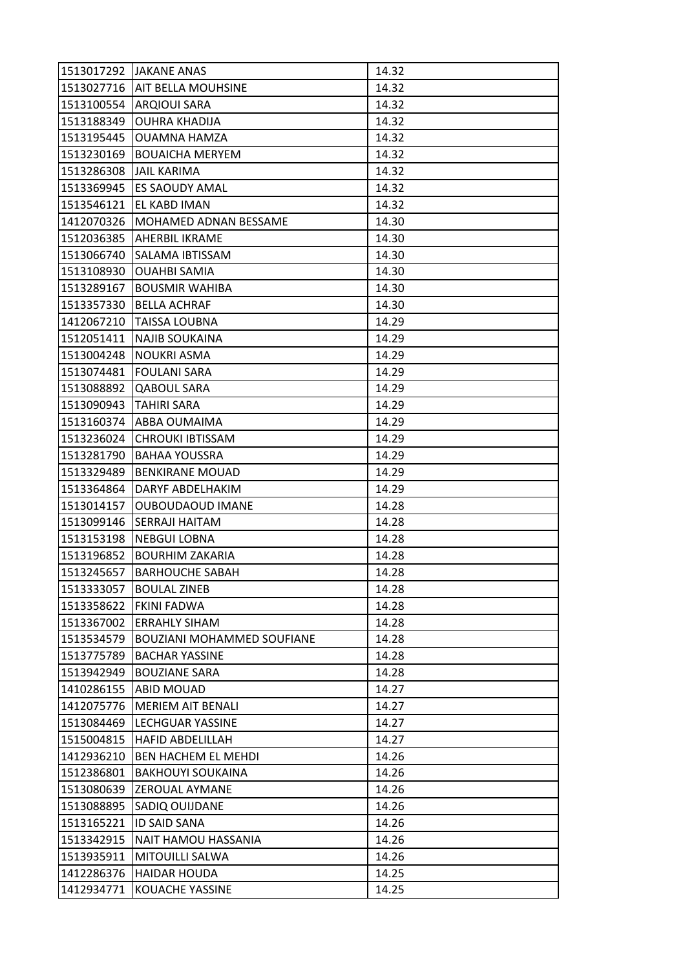| 1513017292 | <b>JAKANE ANAS</b>                | 14.32 |
|------------|-----------------------------------|-------|
| 1513027716 | AIT BELLA MOUHSINE                | 14.32 |
| 1513100554 | <b>ARQIOUI SARA</b>               | 14.32 |
| 1513188349 | <b>OUHRA KHADIJA</b>              | 14.32 |
| 1513195445 | <b>OUAMNA HAMZA</b>               | 14.32 |
| 1513230169 | <b>BOUAICHA MERYEM</b>            | 14.32 |
| 1513286308 | <b>JAIL KARIMA</b>                | 14.32 |
| 1513369945 | <b>ES SAOUDY AMAL</b>             | 14.32 |
| 1513546121 | EL KABD IMAN                      | 14.32 |
| 1412070326 | MOHAMED ADNAN BESSAME             | 14.30 |
| 1512036385 | AHERBIL IKRAME                    | 14.30 |
| 1513066740 | SALAMA IBTISSAM                   | 14.30 |
| 1513108930 | OUAHBI SAMIA                      | 14.30 |
| 1513289167 | <b>BOUSMIR WAHIBA</b>             | 14.30 |
| 1513357330 | <b>BELLA ACHRAF</b>               | 14.30 |
| 1412067210 | <b>TAISSA LOUBNA</b>              | 14.29 |
| 1512051411 | <b>NAJIB SOUKAINA</b>             | 14.29 |
| 1513004248 | <b>NOUKRI ASMA</b>                | 14.29 |
| 1513074481 | <b>FOULANI SARA</b>               | 14.29 |
| 1513088892 | QABOUL SARA                       | 14.29 |
| 1513090943 | <b>TAHIRI SARA</b>                | 14.29 |
| 1513160374 | ABBA OUMAIMA                      | 14.29 |
| 1513236024 | <b>CHROUKI IBTISSAM</b>           | 14.29 |
| 1513281790 | <b>BAHAA YOUSSRA</b>              | 14.29 |
| 1513329489 | <b>BENKIRANE MOUAD</b>            | 14.29 |
| 1513364864 | DARYF ABDELHAKIM                  | 14.29 |
| 1513014157 | <b>OUBOUDAOUD IMANE</b>           | 14.28 |
| 1513099146 | SERRAJI HAITAM                    | 14.28 |
| 1513153198 | <b>NEBGUI LOBNA</b>               | 14.28 |
| 1513196852 | <b>BOURHIM ZAKARIA</b>            | 14.28 |
| 1513245657 | <b>BARHOUCHE SABAH</b>            | 14.28 |
| 1513333057 | <b>BOULAL ZINEB</b>               | 14.28 |
| 1513358622 | <b>FKINI FADWA</b>                | 14.28 |
| 1513367002 | <b>ERRAHLY SIHAM</b>              | 14.28 |
| 1513534579 | <b>BOUZIANI MOHAMMED SOUFIANE</b> | 14.28 |
| 1513775789 | <b>BACHAR YASSINE</b>             | 14.28 |
| 1513942949 | <b>BOUZIANE SARA</b>              | 14.28 |
| 1410286155 | ABID MOUAD                        | 14.27 |
| 1412075776 | <b>MERIEM AIT BENALI</b>          | 14.27 |
| 1513084469 | <b>LECHGUAR YASSINE</b>           | 14.27 |
| 1515004815 | <b>HAFID ABDELILLAH</b>           | 14.27 |
| 1412936210 | BEN HACHEM EL MEHDI               | 14.26 |
| 1512386801 | <b>BAKHOUYI SOUKAINA</b>          | 14.26 |
| 1513080639 | ZEROUAL AYMANE                    | 14.26 |
| 1513088895 | SADIQ OUIJDANE                    | 14.26 |
| 1513165221 | ID SAID SANA                      | 14.26 |
| 1513342915 | NAIT HAMOU HASSANIA               | 14.26 |
| 1513935911 | MITOUILLI SALWA                   | 14.26 |
| 1412286376 | <b>HAIDAR HOUDA</b>               | 14.25 |
| 1412934771 | KOUACHE YASSINE                   | 14.25 |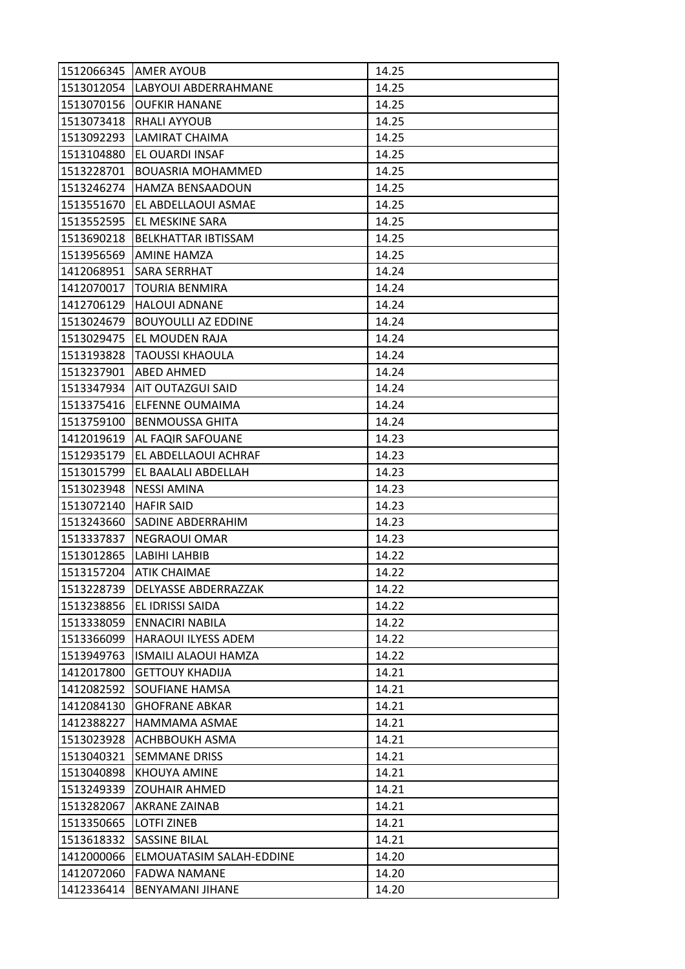| 1512066345               | <b>AMER AYOUB</b>           | 14.25 |
|--------------------------|-----------------------------|-------|
| 1513012054               | LABYOUI ABDERRAHMANE        | 14.25 |
| 1513070156               | <b>OUFKIR HANANE</b>        | 14.25 |
| 1513073418               | <b>RHALI AYYOUB</b>         | 14.25 |
| 1513092293               | LAMIRAT CHAIMA              | 14.25 |
| 1513104880               | EL OUARDI INSAF             | 14.25 |
| 1513228701               | <b>BOUASRIA MOHAMMED</b>    | 14.25 |
| 1513246274               | <b>HAMZA BENSAADOUN</b>     | 14.25 |
| 1513551670               | EL ABDELLAOUI ASMAE         | 14.25 |
| 1513552595               | EL MESKINE SARA             | 14.25 |
| 1513690218               | <b>BELKHATTAR IBTISSAM</b>  | 14.25 |
| 1513956569               | AMINE HAMZA                 | 14.25 |
| 1412068951               | SARA SERRHAT                | 14.24 |
| 1412070017               | <b>TOURIA BENMIRA</b>       | 14.24 |
| 1412706129               | <b>HALOUI ADNANE</b>        | 14.24 |
| 1513024679               | <b>BOUYOULLI AZ EDDINE</b>  | 14.24 |
| 1513029475               | EL MOUDEN RAJA              | 14.24 |
| 1513193828               | <b>TAOUSSI KHAOULA</b>      | 14.24 |
| 1513237901               | <b>ABED AHMED</b>           | 14.24 |
| 1513347934               | AIT OUTAZGUI SAID           | 14.24 |
| 1513375416               | ELFENNE OUMAIMA             | 14.24 |
| 1513759100               | <b>BENMOUSSA GHITA</b>      | 14.24 |
| 1412019619               | AL FAQIR SAFOUANE           | 14.23 |
| 1512935179               | EL ABDELLAOUI ACHRAF        | 14.23 |
| 1513015799               | EL BAALALI ABDELLAH         | 14.23 |
| 1513023948               | <b>NESSI AMINA</b>          | 14.23 |
| 1513072140               | <b>HAFIR SAID</b>           | 14.23 |
| 1513243660               | SADINE ABDERRAHIM           | 14.23 |
| 1513337837               | NEGRAOUI OMAR               | 14.23 |
|                          |                             |       |
| 1513012865               | LABIHI LAHBIB               | 14.22 |
| 1513157204               | <b>ATIK CHAIMAE</b>         | 14.22 |
| 1513228739               | DELYASSE ABDERRAZZAK        | 14.22 |
| 1513238856               | EL IDRISSI SAIDA            | 14.22 |
| 1513338059               | ENNACIRI NABILA             | 14.22 |
| 1513366099               | HARAOUI ILYESS ADEM         | 14.22 |
| 1513949763               | <b>ISMAILI ALAOUI HAMZA</b> | 14.22 |
| 1412017800               | <b>GETTOUY KHADIJA</b>      | 14.21 |
| 1412082592               | SOUFIANE HAMSA              | 14.21 |
| 1412084130               | <b>GHOFRANE ABKAR</b>       | 14.21 |
| 1412388227               | HAMMAMA ASMAE               | 14.21 |
| 1513023928               | ACHBBOUKH ASMA              | 14.21 |
| 1513040321               | <b>SEMMANE DRISS</b>        | 14.21 |
| 1513040898               | KHOUYA AMINE                | 14.21 |
| 1513249339               | <b>ZOUHAIR AHMED</b>        | 14.21 |
| 1513282067               | AKRANE ZAINAB               | 14.21 |
| 1513350665               | LOTFI ZINEB                 | 14.21 |
| 1513618332               | <b>SASSINE BILAL</b>        | 14.21 |
| 1412000066               | ELMOUATASIM SALAH-EDDINE    | 14.20 |
| 1412072060<br>1412336414 | <b>FADWA NAMANE</b>         | 14.20 |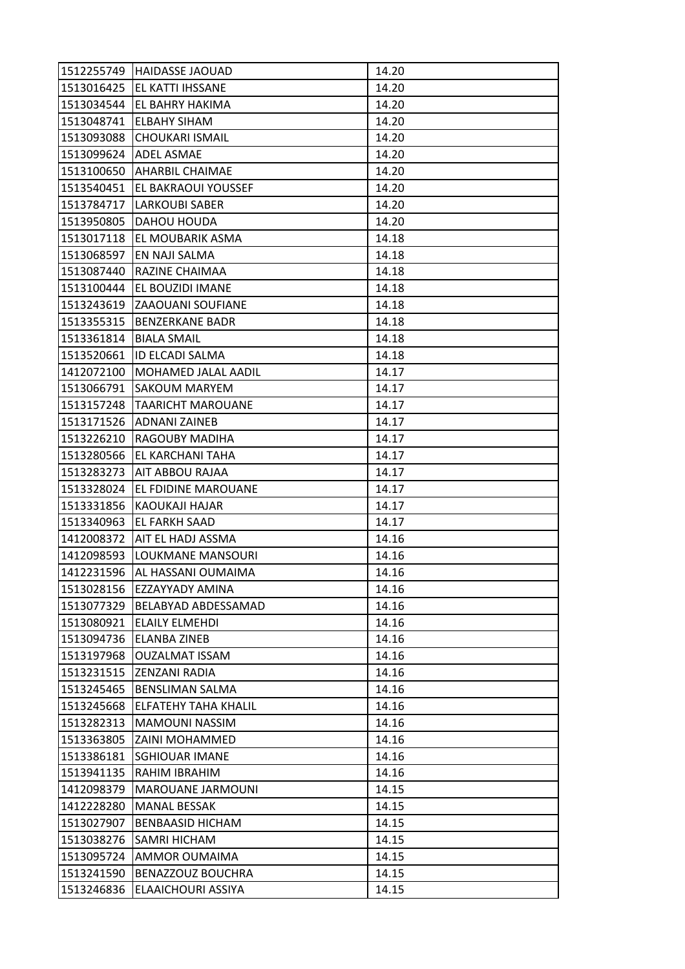|            | 1512255749 HAIDASSE JAOUAD    | 14.20 |
|------------|-------------------------------|-------|
|            | 1513016425   EL KATTI IHSSANE | 14.20 |
| 1513034544 | EL BAHRY HAKIMA               | 14.20 |
| 1513048741 | <b>ELBAHY SIHAM</b>           | 14.20 |
| 1513093088 | <b>CHOUKARI ISMAIL</b>        | 14.20 |
| 1513099624 | <b>ADEL ASMAE</b>             | 14.20 |
|            | 1513100650 AHARBIL CHAIMAE    | 14.20 |
| 1513540451 | <b>EL BAKRAOUI YOUSSEF</b>    | 14.20 |
| 1513784717 | <b>LARKOUBI SABER</b>         | 14.20 |
| 1513950805 | DAHOU HOUDA                   | 14.20 |
|            | 1513017118 EL MOUBARIK ASMA   | 14.18 |
| 1513068597 | <b>EN NAJI SALMA</b>          | 14.18 |
| 1513087440 | RAZINE CHAIMAA                | 14.18 |
| 1513100444 | <b>EL BOUZIDI IMANE</b>       | 14.18 |
| 1513243619 | <b>ZAAOUANI SOUFIANE</b>      | 14.18 |
| 1513355315 | <b>BENZERKANE BADR</b>        | 14.18 |
| 1513361814 | <b>BIALA SMAIL</b>            | 14.18 |
| 1513520661 | <b>ID ELCADI SALMA</b>        | 14.18 |
| 1412072100 | <b>MOHAMED JALAL AADIL</b>    | 14.17 |
| 1513066791 | <b>SAKOUM MARYEM</b>          | 14.17 |
| 1513157248 | <b>TAARICHT MAROUANE</b>      | 14.17 |
| 1513171526 | <b>ADNANI ZAINEB</b>          | 14.17 |
| 1513226210 | <b>RAGOUBY MADIHA</b>         | 14.17 |
| 1513280566 | <b>EL KARCHANI TAHA</b>       | 14.17 |
|            | 1513283273   AIT ABBOU RAJAA  | 14.17 |
| 1513328024 | <b>EL FDIDINE MAROUANE</b>    | 14.17 |
| 1513331856 | KAOUKAJI HAJAR                | 14.17 |
| 1513340963 | <b>EL FARKH SAAD</b>          | 14.17 |
| 1412008372 | AIT EL HADJ ASSMA             | 14.16 |
| 1412098593 | LOUKMANE MANSOURI             | 14.16 |
| 1412231596 | AL HASSANI OUMAIMA            | 14.16 |
| 1513028156 | <b>EZZAYYADY AMINA</b>        | 14.16 |
| 1513077329 | <b>BELABYAD ABDESSAMAD</b>    | 14.16 |
| 1513080921 | ELAILY ELMEHDI                | 14.16 |
| 1513094736 | <b>ELANBA ZINEB</b>           | 14.16 |
| 1513197968 | <b>OUZALMAT ISSAM</b>         | 14.16 |
| 1513231515 | <b>ZENZANI RADIA</b>          | 14.16 |
| 1513245465 | <b>BENSLIMAN SALMA</b>        | 14.16 |
| 1513245668 | ELFATEHY TAHA KHALIL          | 14.16 |
| 1513282313 | <b>MAMOUNI NASSIM</b>         | 14.16 |
| 1513363805 | ZAINI MOHAMMED                | 14.16 |
| 1513386181 | <b>SGHIOUAR IMANE</b>         | 14.16 |
| 1513941135 | RAHIM IBRAHIM                 | 14.16 |
| 1412098379 | <b>MAROUANE JARMOUNI</b>      | 14.15 |
| 1412228280 | <b>MANAL BESSAK</b>           | 14.15 |
| 1513027907 | <b>BENBAASID HICHAM</b>       | 14.15 |
| 1513038276 | <b>SAMRI HICHAM</b>           | 14.15 |
| 1513095724 | AMMOR OUMAIMA                 | 14.15 |
| 1513241590 | BENAZZOUZ BOUCHRA             | 14.15 |
| 1513246836 | ELAAICHOURI ASSIYA            | 14.15 |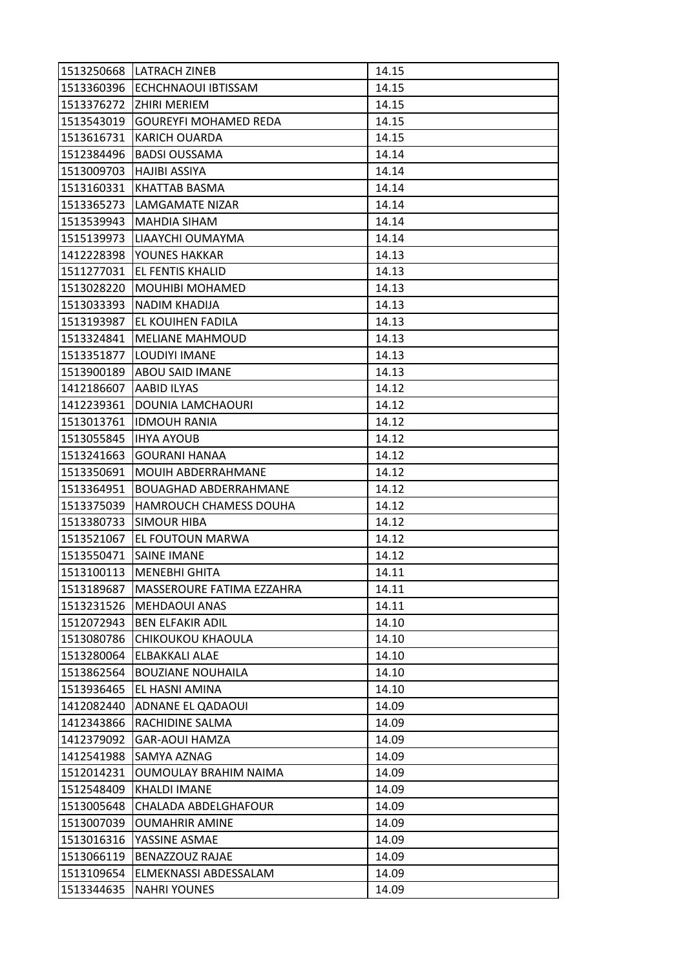| 1513250668 | <b>LATRACH ZINEB</b>          | 14.15 |
|------------|-------------------------------|-------|
| 1513360396 | ECHCHNAOUI IBTISSAM           | 14.15 |
| 1513376272 | ZHIRI MERIEM                  | 14.15 |
| 1513543019 | <b>GOUREYFI MOHAMED REDA</b>  | 14.15 |
| 1513616731 | <b>KARICH OUARDA</b>          | 14.15 |
| 1512384496 | <b>BADSI OUSSAMA</b>          | 14.14 |
| 1513009703 | <b>HAJIBI ASSIYA</b>          | 14.14 |
| 1513160331 | KHATTAB BASMA                 | 14.14 |
| 1513365273 | LAMGAMATE NIZAR               | 14.14 |
| 1513539943 | <b>MAHDIA SIHAM</b>           | 14.14 |
| 1515139973 | LIAAYCHI OUMAYMA              | 14.14 |
| 1412228398 | YOUNES HAKKAR                 | 14.13 |
| 1511277031 | EL FENTIS KHALID              | 14.13 |
| 1513028220 | <b>MOUHIBI MOHAMED</b>        | 14.13 |
| 1513033393 | <b>NADIM KHADIJA</b>          | 14.13 |
| 1513193987 | EL KOUIHEN FADILA             | 14.13 |
| 1513324841 | <b>MELIANE MAHMOUD</b>        | 14.13 |
| 1513351877 | LOUDIYI IMANE                 | 14.13 |
| 1513900189 | <b>ABOU SAID IMANE</b>        | 14.13 |
| 1412186607 | AABID ILYAS                   | 14.12 |
| 1412239361 | DOUNIA LAMCHAOURI             | 14.12 |
| 1513013761 | <b>IDMOUH RANIA</b>           | 14.12 |
| 1513055845 | <b>IHYA AYOUB</b>             | 14.12 |
| 1513241663 | <b>GOURANI HANAA</b>          | 14.12 |
| 1513350691 | <b>MOUIH ABDERRAHMANE</b>     | 14.12 |
| 1513364951 | <b>BOUAGHAD ABDERRAHMANE</b>  | 14.12 |
| 1513375039 | <b>HAMROUCH CHAMESS DOUHA</b> | 14.12 |
| 1513380733 | <b>SIMOUR HIBA</b>            | 14.12 |
| 1513521067 | EL FOUTOUN MARWA              | 14.12 |
| 1513550471 | <b>SAINE IMANE</b>            | 14.12 |
| 1513100113 | <b>MENEBHI GHITA</b>          | 14.11 |
| 1513189687 | MASSEROURE FATIMA EZZAHRA     | 14.11 |
| 1513231526 | MEHDAOUI ANAS                 | 14.11 |
| 1512072943 | <b>BEN ELFAKIR ADIL</b>       | 14.10 |
| 1513080786 | CHIKOUKOU KHAOULA             | 14.10 |
| 1513280064 | ELBAKKALI ALAE                | 14.10 |
| 1513862564 | <b>BOUZIANE NOUHAILA</b>      | 14.10 |
| 1513936465 | EL HASNI AMINA                | 14.10 |
| 1412082440 | ADNANE EL QADAOUI             | 14.09 |
| 1412343866 | RACHIDINE SALMA               | 14.09 |
| 1412379092 | <b>GAR-AOUI HAMZA</b>         | 14.09 |
| 1412541988 | SAMYA AZNAG                   | 14.09 |
| 1512014231 | OUMOULAY BRAHIM NAIMA         | 14.09 |
| 1512548409 | KHALDI IMANE                  | 14.09 |
| 1513005648 | CHALADA ABDELGHAFOUR          | 14.09 |
| 1513007039 | <b>OUMAHRIR AMINE</b>         | 14.09 |
| 1513016316 | YASSINE ASMAE                 | 14.09 |
| 1513066119 | BENAZZOUZ RAJAE               | 14.09 |
| 1513109654 | ELMEKNASSI ABDESSALAM         | 14.09 |
|            |                               |       |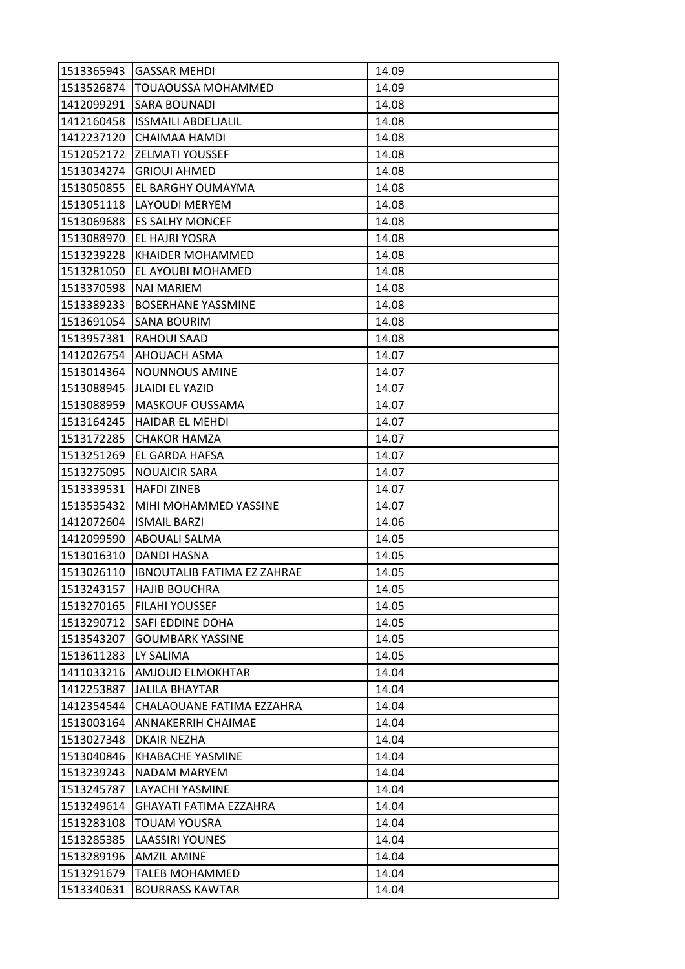| 1513365943 | <b>GASSAR MEHDI</b>                | 14.09 |
|------------|------------------------------------|-------|
| 1513526874 | TOUAOUSSA MOHAMMED                 | 14.09 |
| 1412099291 | SARA BOUNADI                       | 14.08 |
| 1412160458 | <b>ISSMAILI ABDELJALIL</b>         | 14.08 |
| 1412237120 | CHAIMAA HAMDI                      | 14.08 |
| 1512052172 | <b>ZELMATI YOUSSEF</b>             | 14.08 |
| 1513034274 | <b>GRIOUI AHMED</b>                | 14.08 |
| 1513050855 | EL BARGHY OUMAYMA                  | 14.08 |
| 1513051118 | LAYOUDI MERYEM                     | 14.08 |
| 1513069688 | <b>ES SALHY MONCEF</b>             | 14.08 |
| 1513088970 | EL HAJRI YOSRA                     | 14.08 |
| 1513239228 | <b>KHAIDER MOHAMMED</b>            | 14.08 |
| 1513281050 | EL AYOUBI MOHAMED                  | 14.08 |
| 1513370598 | <b>NAI MARIEM</b>                  | 14.08 |
| 1513389233 | <b>BOSERHANE YASSMINE</b>          | 14.08 |
| 1513691054 | SANA BOURIM                        | 14.08 |
| 1513957381 | RAHOUI SAAD                        | 14.08 |
| 1412026754 | AHOUACH ASMA                       | 14.07 |
| 1513014364 | <b>NOUNNOUS AMINE</b>              | 14.07 |
| 1513088945 | <b>JLAIDI EL YAZID</b>             | 14.07 |
| 1513088959 | MASKOUF OUSSAMA                    | 14.07 |
| 1513164245 | <b>HAIDAR EL MEHDI</b>             | 14.07 |
| 1513172285 | <b>CHAKOR HAMZA</b>                | 14.07 |
| 1513251269 | EL GARDA HAFSA                     | 14.07 |
| 1513275095 | <b>NOUAICIR SARA</b>               | 14.07 |
| 1513339531 | <b>HAFDI ZINEB</b>                 | 14.07 |
| 1513535432 | MIHI MOHAMMED YASSINE              | 14.07 |
| 1412072604 | <b>ISMAIL BARZI</b>                | 14.06 |
| 1412099590 | ABOUALI SALMA                      | 14.05 |
| 1513016310 | <b>DANDI HASNA</b>                 | 14.05 |
| 1513026110 | <b>IBNOUTALIB FATIMA EZ ZAHRAE</b> | 14.05 |
| 1513243157 | <b>HAJIB BOUCHRA</b>               | 14.05 |
| 1513270165 | <b>FILAHI YOUSSEF</b>              | 14.05 |
| 1513290712 | SAFI EDDINE DOHA                   | 14.05 |
| 1513543207 | <b>GOUMBARK YASSINE</b>            | 14.05 |
| 1513611283 | LY SALIMA                          | 14.05 |
| 1411033216 | AMJOUD ELMOKHTAR                   | 14.04 |
| 1412253887 | <b>JALILA BHAYTAR</b>              | 14.04 |
| 1412354544 | CHALAOUANE FATIMA EZZAHRA          |       |
| 1513003164 |                                    | 14.04 |
|            | ANNAKERRIH CHAIMAE                 | 14.04 |
| 1513027348 | DKAIR NEZHA                        | 14.04 |
| 1513040846 | KHABACHE YASMINE                   | 14.04 |
| 1513239243 | NADAM MARYEM                       | 14.04 |
| 1513245787 | LAYACHI YASMINE                    | 14.04 |
| 1513249614 | GHAYATI FATIMA EZZAHRA             | 14.04 |
| 1513283108 | TOUAM YOUSRA                       | 14.04 |
| 1513285385 | <b>LAASSIRI YOUNES</b>             | 14.04 |
| 1513289196 | <b>AMZIL AMINE</b>                 | 14.04 |
| 1513291679 | <b>TALEB MOHAMMED</b>              | 14.04 |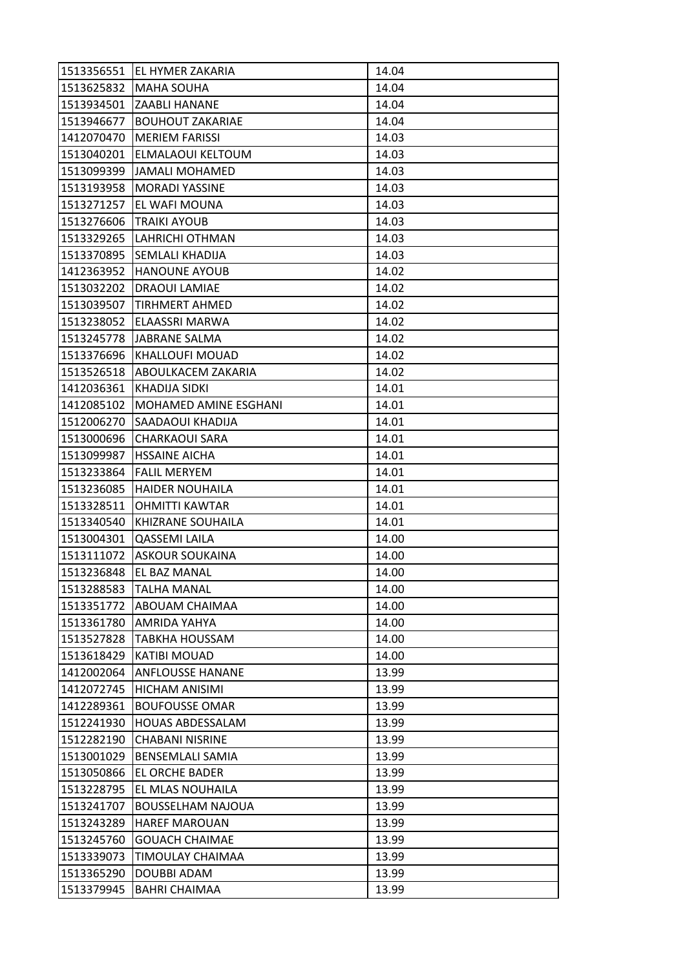| 1513356551 | EL HYMER ZAKARIA         | 14.04 |
|------------|--------------------------|-------|
| 1513625832 | <b>MAHA SOUHA</b>        | 14.04 |
| 1513934501 | <b>ZAABLI HANANE</b>     | 14.04 |
| 1513946677 | <b>BOUHOUT ZAKARIAE</b>  | 14.04 |
| 1412070470 | <b>MERIEM FARISSI</b>    | 14.03 |
| 1513040201 | ELMALAOUI KELTOUM        | 14.03 |
| 1513099399 | <b>JAMALI MOHAMED</b>    | 14.03 |
| 1513193958 | <b>MORADI YASSINE</b>    | 14.03 |
| 1513271257 | EL WAFI MOUNA            | 14.03 |
| 1513276606 | <b>TRAIKI AYOUB</b>      | 14.03 |
| 1513329265 | LAHRICHI OTHMAN          | 14.03 |
| 1513370895 | SEMLALI KHADIJA          | 14.03 |
| 1412363952 | <b>HANOUNE AYOUB</b>     | 14.02 |
| 1513032202 | <b>DRAOUI LAMIAE</b>     | 14.02 |
| 1513039507 | TIRHMERT AHMED           | 14.02 |
| 1513238052 | ELAASSRI MARWA           | 14.02 |
| 1513245778 | <b>JABRANE SALMA</b>     | 14.02 |
| 1513376696 | KHALLOUFI MOUAD          | 14.02 |
| 1513526518 | ABOULKACEM ZAKARIA       | 14.02 |
| 1412036361 | <b>KHADIJA SIDKI</b>     | 14.01 |
| 1412085102 | MOHAMED AMINE ESGHANI    | 14.01 |
| 1512006270 | SAADAOUI KHADIJA         | 14.01 |
| 1513000696 | <b>CHARKAOUI SARA</b>    | 14.01 |
| 1513099987 | <b>HSSAINE AICHA</b>     | 14.01 |
| 1513233864 | <b>FALIL MERYEM</b>      | 14.01 |
| 1513236085 | <b>HAIDER NOUHAILA</b>   | 14.01 |
| 1513328511 | <b>OHMITTI KAWTAR</b>    | 14.01 |
| 1513340540 | KHIZRANE SOUHAILA        | 14.01 |
| 1513004301 | QASSEMI LAILA            | 14.00 |
| 1513111072 | <b>ASKOUR SOUKAINA</b>   | 14.00 |
| 1513236848 | EL BAZ MANAL             | 14.00 |
| 1513288583 | <b>TALHA MANAL</b>       | 14.00 |
| 1513351772 | ABOUAM CHAIMAA           | 14.00 |
| 1513361780 | AMRIDA YAHYA             | 14.00 |
| 1513527828 | TABKHA HOUSSAM           | 14.00 |
| 1513618429 | <b>KATIBI MOUAD</b>      | 14.00 |
| 1412002064 | <b>ANFLOUSSE HANANE</b>  | 13.99 |
| 1412072745 | <b>HICHAM ANISIMI</b>    | 13.99 |
| 1412289361 | <b>BOUFOUSSE OMAR</b>    | 13.99 |
| 1512241930 | <b>HOUAS ABDESSALAM</b>  | 13.99 |
| 1512282190 | <b>CHABANI NISRINE</b>   | 13.99 |
| 1513001029 | <b>BENSEMLALI SAMIA</b>  | 13.99 |
| 1513050866 | EL ORCHE BADER           | 13.99 |
| 1513228795 | EL MLAS NOUHAILA         | 13.99 |
| 1513241707 | <b>BOUSSELHAM NAJOUA</b> | 13.99 |
| 1513243289 | <b>HAREF MAROUAN</b>     | 13.99 |
| 1513245760 | <b>GOUACH CHAIMAE</b>    | 13.99 |
| 1513339073 | TIMOULAY CHAIMAA         | 13.99 |
| 1513365290 | DOUBBI ADAM              | 13.99 |
| 1513379945 | BAHRI CHAIMAA            | 13.99 |
|            |                          |       |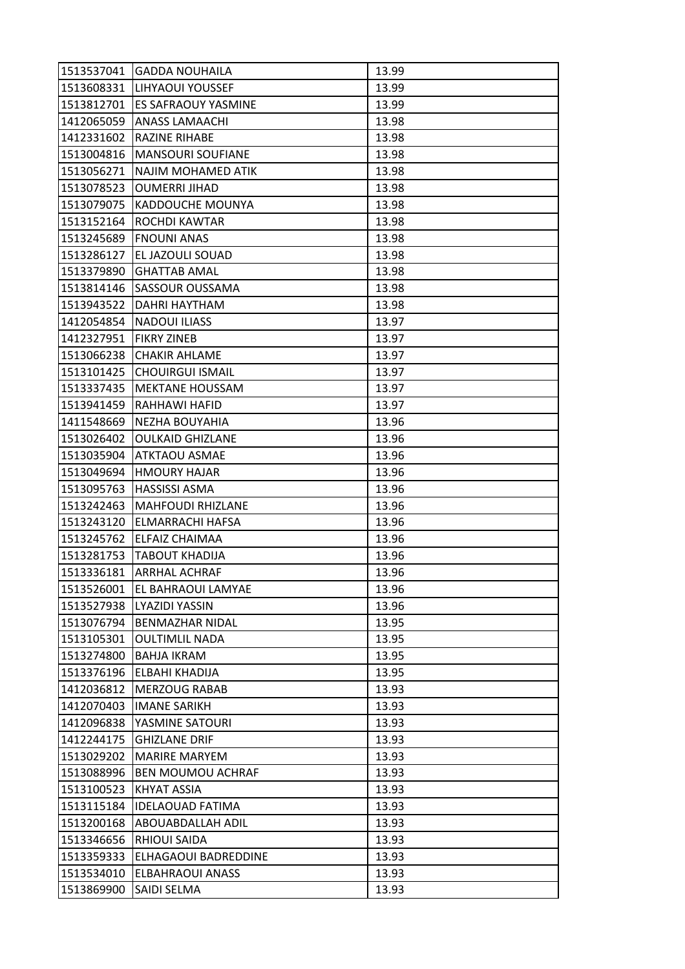| 1513537041 | <b>GADDA NOUHAILA</b>    | 13.99 |
|------------|--------------------------|-------|
| 1513608331 | LIHYAOUI YOUSSEF         | 13.99 |
| 1513812701 | ES SAFRAOUY YASMINE      | 13.99 |
| 1412065059 | <b>ANASS LAMAACHI</b>    | 13.98 |
| 1412331602 | RAZINE RIHABE            | 13.98 |
| 1513004816 | <b>MANSOURI SOUFIANE</b> | 13.98 |
| 1513056271 | NAJIM MOHAMED ATIK       | 13.98 |
| 1513078523 | <b>OUMERRI JIHAD</b>     | 13.98 |
| 1513079075 | <b>KADDOUCHE MOUNYA</b>  | 13.98 |
| 1513152164 | <b>ROCHDI KAWTAR</b>     | 13.98 |
| 1513245689 | <b>FNOUNI ANAS</b>       | 13.98 |
| 1513286127 | EL JAZOULI SOUAD         | 13.98 |
| 1513379890 | <b>GHATTAB AMAL</b>      | 13.98 |
| 1513814146 | SASSOUR OUSSAMA          | 13.98 |
| 1513943522 | DAHRI HAYTHAM            | 13.98 |
| 1412054854 | <b>NADOUI ILIASS</b>     | 13.97 |
| 1412327951 | <b>FIKRY ZINEB</b>       | 13.97 |
| 1513066238 | <b>CHAKIR AHLAME</b>     | 13.97 |
| 1513101425 | <b>CHOUIRGUI ISMAIL</b>  | 13.97 |
| 1513337435 | <b>MEKTANE HOUSSAM</b>   | 13.97 |
| 1513941459 | RAHHAWI HAFID            | 13.97 |
| 1411548669 | NEZHA BOUYAHIA           | 13.96 |
| 1513026402 | <b>OULKAID GHIZLANE</b>  | 13.96 |
| 1513035904 | <b>ATKTAOU ASMAE</b>     | 13.96 |
| 1513049694 | <b>HMOURY HAJAR</b>      | 13.96 |
| 1513095763 | <b>HASSISSI ASMA</b>     | 13.96 |
| 1513242463 | <b>MAHFOUDI RHIZLANE</b> | 13.96 |
| 1513243120 | ELMARRACHI HAFSA         | 13.96 |
| 1513245762 | ELFAIZ CHAIMAA           | 13.96 |
| 1513281753 | <b>TABOUT KHADIJA</b>    | 13.96 |
| 1513336181 | <b>ARRHAL ACHRAF</b>     | 13.96 |
| 1513526001 | EL BAHRAOUI LAMYAE       | 13.96 |
| 1513527938 | <b>LYAZIDI YASSIN</b>    | 13.96 |
| 1513076794 | <b>BENMAZHAR NIDAL</b>   | 13.95 |
| 1513105301 | <b>OULTIMLIL NADA</b>    | 13.95 |
| 1513274800 | BAHJA IKRAM              | 13.95 |
| 1513376196 | ELBAHI KHADIJA           | 13.95 |
| 1412036812 | <b>MERZOUG RABAB</b>     | 13.93 |
| 1412070403 | <b>IMANE SARIKH</b>      | 13.93 |
| 1412096838 | YASMINE SATOURI          | 13.93 |
| 1412244175 | <b>GHIZLANE DRIF</b>     | 13.93 |
| 1513029202 | <b>MARIRE MARYEM</b>     | 13.93 |
| 1513088996 | BEN MOUMOU ACHRAF        | 13.93 |
| 1513100523 | KHYAT ASSIA              | 13.93 |
| 1513115184 | <b>IDELAOUAD FATIMA</b>  | 13.93 |
| 1513200168 | ABOUABDALLAH ADIL        | 13.93 |
| 1513346656 | <b>RHIOUI SAIDA</b>      | 13.93 |
| 1513359333 | ELHAGAOUI BADREDDINE     | 13.93 |
| 1513534010 | ELBAHRAOUI ANASS         | 13.93 |
| 1513869900 | SAIDI SELMA              | 13.93 |
|            |                          |       |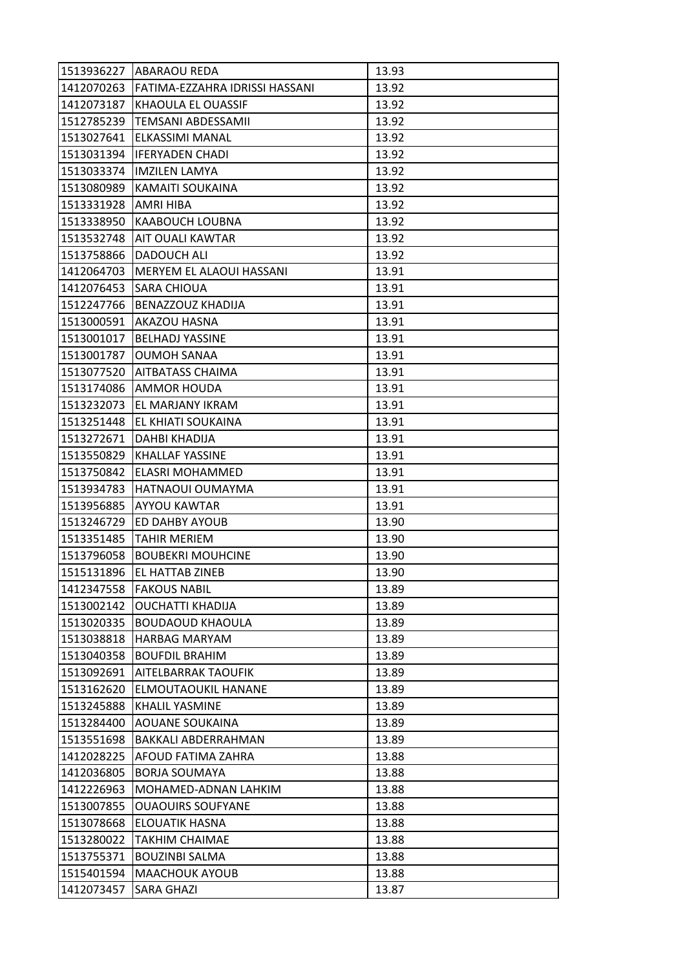| <b>ABARAOU REDA</b>            | 13.93                    |
|--------------------------------|--------------------------|
| FATIMA-EZZAHRA IDRISSI HASSANI | 13.92                    |
| KHAOULA EL OUASSIF             | 13.92                    |
| <b>TEMSANI ABDESSAMII</b>      | 13.92                    |
| ELKASSIMI MANAL                | 13.92                    |
| <b>IFERYADEN CHADI</b>         | 13.92                    |
| <b>IMZILEN LAMYA</b>           | 13.92                    |
| KAMAITI SOUKAINA               | 13.92                    |
| AMRI HIBA                      | 13.92                    |
| <b>KAABOUCH LOUBNA</b>         | 13.92                    |
| <b>AIT OUALI KAWTAR</b>        | 13.92                    |
| <b>DADOUCH ALI</b>             | 13.92                    |
| MERYEM EL ALAOUI HASSANI       | 13.91                    |
| <b>SARA CHIOUA</b>             | 13.91                    |
| BENAZZOUZ KHADIJA              | 13.91                    |
| AKAZOU HASNA                   | 13.91                    |
| <b>BELHADJ YASSINE</b>         | 13.91                    |
| <b>OUMOH SANAA</b>             | 13.91                    |
| <b>AITBATASS CHAIMA</b>        | 13.91                    |
| AMMOR HOUDA                    | 13.91                    |
| EL MARJANY IKRAM               | 13.91                    |
| EL KHIATI SOUKAINA             | 13.91                    |
| DAHBI KHADIJA                  | 13.91                    |
| KHALLAF YASSINE                | 13.91                    |
| ELASRI MOHAMMED                | 13.91                    |
| HATNAOUI OUMAYMA               | 13.91                    |
| AYYOU KAWTAR                   | 13.91                    |
| ED DAHBY AYOUB                 | 13.90                    |
| <b>TAHIR MERIEM</b>            | 13.90                    |
| <b>BOUBEKRI MOUHCINE</b>       | 13.90                    |
| EL HATTAB ZINEB                | 13.90                    |
| <b>FAKOUS NABIL</b>            | 13.89                    |
| <b>OUCHATTI KHADIJA</b>        | 13.89                    |
| <b>BOUDAOUD KHAOULA</b>        | 13.89                    |
| <b>HARBAG MARYAM</b>           | 13.89                    |
| <b>BOUFDIL BRAHIM</b>          | 13.89                    |
| AITELBARRAK TAOUFIK            | 13.89                    |
| ELMOUTAOUKIL HANANE            | 13.89                    |
| KHALIL YASMINE                 | 13.89                    |
| <b>AOUANE SOUKAINA</b>         | 13.89                    |
| BAKKALI ABDERRAHMAN            | 13.89                    |
| AFOUD FATIMA ZAHRA             | 13.88                    |
| <b>BORJA SOUMAYA</b>           | 13.88                    |
| MOHAMED-ADNAN LAHKIM           | 13.88                    |
|                                | 13.88                    |
|                                |                          |
| ELOUATIK HASNA                 | 13.88                    |
| <b>TAKHIM CHAIMAE</b>          | 13.88                    |
| <b>BOUZINBI SALMA</b>          | 13.88                    |
| <b>MAACHOUK AYOUB</b>          | 13.88                    |
|                                | <b>OUAOUIRS SOUFYANE</b> |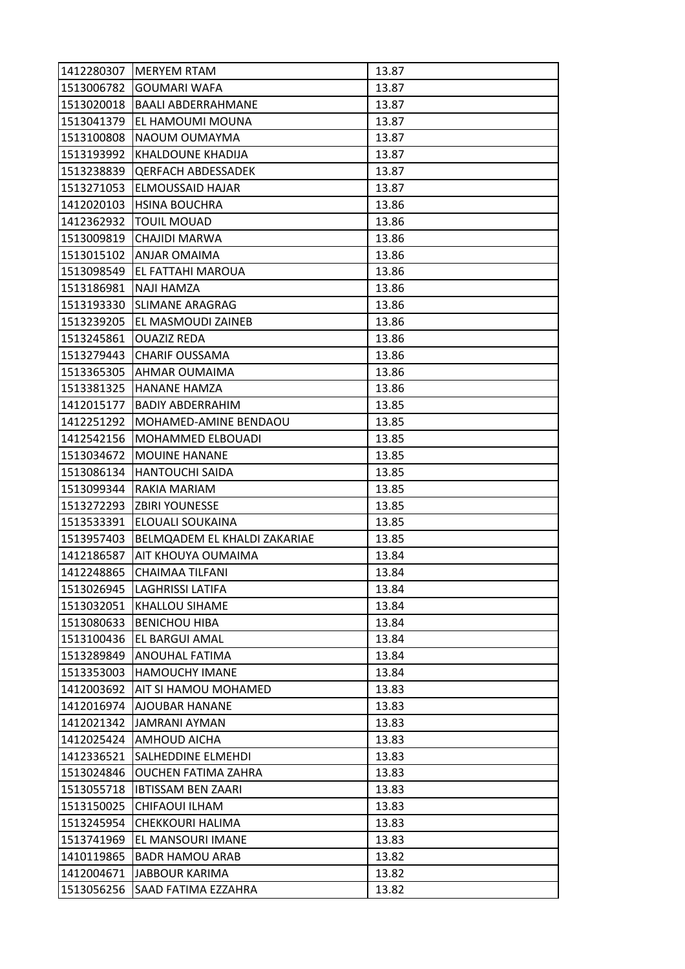| 1412280307 | <b>MERYEM RTAM</b>           | 13.87 |
|------------|------------------------------|-------|
| 1513006782 | <b>GOUMARI WAFA</b>          | 13.87 |
| 1513020018 | <b>BAALI ABDERRAHMANE</b>    | 13.87 |
| 1513041379 | EL HAMOUMI MOUNA             | 13.87 |
| 1513100808 | NAOUM OUMAYMA                | 13.87 |
| 1513193992 | KHALDOUNE KHADIJA            | 13.87 |
| 1513238839 | <b>QERFACH ABDESSADEK</b>    | 13.87 |
| 1513271053 | ELMOUSSAID HAJAR             | 13.87 |
| 1412020103 | <b>HSINA BOUCHRA</b>         | 13.86 |
| 1412362932 | <b>TOUIL MOUAD</b>           | 13.86 |
| 1513009819 | CHAJIDI MARWA                | 13.86 |
| 1513015102 | ANJAR OMAIMA                 | 13.86 |
| 1513098549 | EL FATTAHI MAROUA            | 13.86 |
| 1513186981 | <b>NAJI HAMZA</b>            | 13.86 |
| 1513193330 | <b>SLIMANE ARAGRAG</b>       | 13.86 |
| 1513239205 | EL MASMOUDI ZAINEB           | 13.86 |
| 1513245861 | <b>OUAZIZ REDA</b>           | 13.86 |
| 1513279443 | <b>CHARIF OUSSAMA</b>        | 13.86 |
| 1513365305 | AHMAR OUMAIMA                | 13.86 |
| 1513381325 | <b>HANANE HAMZA</b>          | 13.86 |
| 1412015177 | <b>BADIY ABDERRAHIM</b>      | 13.85 |
| 1412251292 | MOHAMED-AMINE BENDAOU        | 13.85 |
| 1412542156 | MOHAMMED ELBOUADI            | 13.85 |
| 1513034672 | <b>MOUINE HANANE</b>         | 13.85 |
| 1513086134 | <b>HANTOUCHI SAIDA</b>       | 13.85 |
|            |                              |       |
| 1513099344 | RAKIA MARIAM                 | 13.85 |
| 1513272293 | <b>ZBIRI YOUNESSE</b>        | 13.85 |
| 1513533391 | ELOUALI SOUKAINA             | 13.85 |
| 1513957403 | BELMQADEM EL KHALDI ZAKARIAE | 13.85 |
| 1412186587 | AIT KHOUYA OUMAIMA           | 13.84 |
| 1412248865 | <b>CHAIMAA TILFANI</b>       | 13.84 |
| 1513026945 | <b>LAGHRISSI LATIFA</b>      | 13.84 |
| 1513032051 | KHALLOU SIHAME               | 13.84 |
| 1513080633 | <b>BENICHOU HIBA</b>         | 13.84 |
| 1513100436 | EL BARGUI AMAL               | 13.84 |
| 1513289849 | ANOUHAL FATIMA               | 13.84 |
| 1513353003 | HAMOUCHY IMANE               | 13.84 |
| 1412003692 | AIT SI HAMOU MOHAMED         | 13.83 |
| 1412016974 | AJOUBAR HANANE               | 13.83 |
| 1412021342 | <b>JAMRANI AYMAN</b>         | 13.83 |
| 1412025424 | AMHOUD AICHA                 | 13.83 |
| 1412336521 | SALHEDDINE ELMEHDI           | 13.83 |
| 1513024846 | OUCHEN FATIMA ZAHRA          | 13.83 |
| 1513055718 | <b>IBTISSAM BEN ZAARI</b>    | 13.83 |
| 1513150025 | CHIFAOUI ILHAM               | 13.83 |
| 1513245954 | CHEKKOURI HALIMA             | 13.83 |
| 1513741969 | EL MANSOURI IMANE            | 13.83 |
| 1410119865 | <b>BADR HAMOU ARAB</b>       | 13.82 |
| 1412004671 | <b>JABBOUR KARIMA</b>        | 13.82 |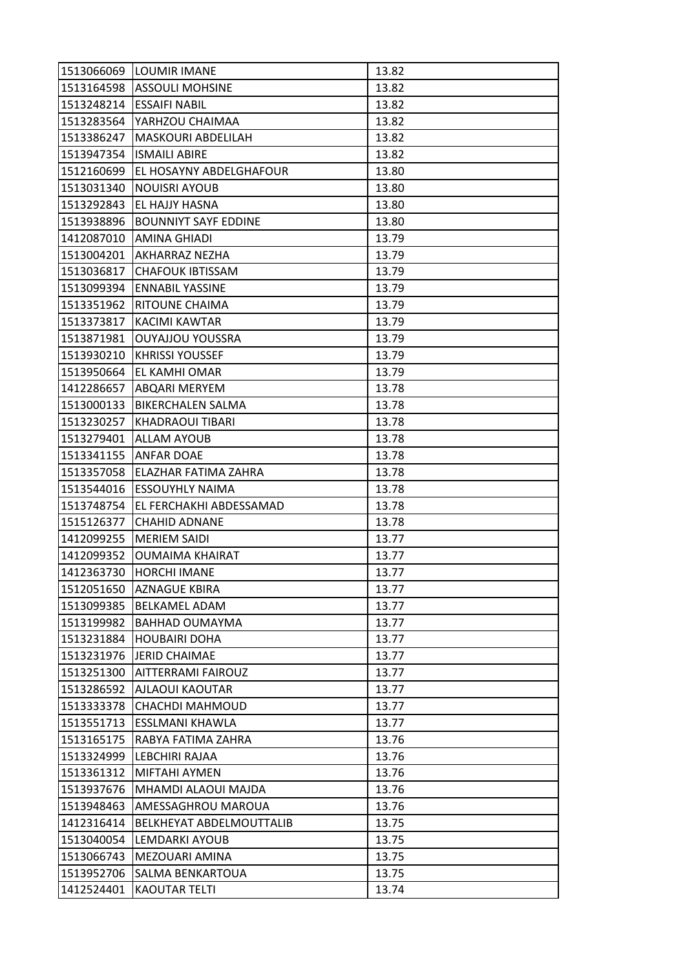|            | 1513066069  LOUMIR IMANE    | 13.82 |
|------------|-----------------------------|-------|
|            | 1513164598 ASSOULI MOHSINE  | 13.82 |
| 1513248214 | <b>ESSAIFI NABIL</b>        | 13.82 |
| 1513283564 | YARHZOU CHAIMAA             | 13.82 |
| 1513386247 | MASKOURI ABDELILAH          | 13.82 |
| 1513947354 | <b>ISMAILI ABIRE</b>        | 13.82 |
| 1512160699 | EL HOSAYNY ABDELGHAFOUR     | 13.80 |
| 1513031340 | <b>NOUISRI AYOUB</b>        | 13.80 |
| 1513292843 | EL HAJJY HASNA              | 13.80 |
| 1513938896 | <b>BOUNNIYT SAYF EDDINE</b> | 13.80 |
| 1412087010 | AMINA GHIADI                | 13.79 |
| 1513004201 | <b>AKHARRAZ NEZHA</b>       | 13.79 |
| 1513036817 | <b>CHAFOUK IBTISSAM</b>     | 13.79 |
| 1513099394 | <b>ENNABIL YASSINE</b>      | 13.79 |
| 1513351962 | RITOUNE CHAIMA              | 13.79 |
| 1513373817 | <b>KACIMI KAWTAR</b>        | 13.79 |
| 1513871981 | <b>OUYAJJOU YOUSSRA</b>     | 13.79 |
| 1513930210 | <b>KHRISSI YOUSSEF</b>      | 13.79 |
| 1513950664 | EL KAMHI OMAR               | 13.79 |
| 1412286657 | <b>ABQARI MERYEM</b>        | 13.78 |
| 1513000133 | <b>BIKERCHALEN SALMA</b>    | 13.78 |
| 1513230257 | KHADRAOUI TIBARI            | 13.78 |
| 1513279401 | <b>ALLAM AYOUB</b>          | 13.78 |
| 1513341155 | <b>ANFAR DOAE</b>           | 13.78 |
| 1513357058 | ELAZHAR FATIMA ZAHRA        | 13.78 |
| 1513544016 | <b>ESSOUYHLY NAIMA</b>      | 13.78 |
| 1513748754 | EL FERCHAKHI ABDESSAMAD     | 13.78 |
| 1515126377 | <b>CHAHID ADNANE</b>        | 13.78 |
| 1412099255 | <b>MERIEM SAIDI</b>         | 13.77 |
| 1412099352 | <b>OUMAIMA KHAIRAT</b>      | 13.77 |
| 1412363730 | <b>HORCHI IMANE</b>         | 13.77 |
| 1512051650 | <b>AZNAGUE KBIRA</b>        | 13.77 |
| 1513099385 | <b>BELKAMEL ADAM</b>        | 13.77 |
| 1513199982 | BAHHAD OUMAYMA              | 13.77 |
| 1513231884 | <b>HOUBAIRI DOHA</b>        | 13.77 |
| 1513231976 | <b>JERID CHAIMAE</b>        | 13.77 |
| 1513251300 | AITTERRAMI FAIROUZ          | 13.77 |
| 1513286592 | <b>AJLAOUI KAOUTAR</b>      | 13.77 |
| 1513333378 | CHACHDI MAHMOUD             | 13.77 |
| 1513551713 | <b>ESSLMANI KHAWLA</b>      | 13.77 |
| 1513165175 | RABYA FATIMA ZAHRA          | 13.76 |
| 1513324999 | LEBCHIRI RAJAA              | 13.76 |
| 1513361312 | MIFTAHI AYMEN               | 13.76 |
| 1513937676 | MHAMDI ALAOUI MAJDA         | 13.76 |
| 1513948463 | AMESSAGHROU MAROUA          | 13.76 |
| 1412316414 | BELKHEYAT ABDELMOUTTALIB    | 13.75 |
| 1513040054 | LEMDARKI AYOUB              | 13.75 |
| 1513066743 | MEZOUARI AMINA              | 13.75 |
| 1513952706 | SALMA BENKARTOUA            | 13.75 |
| 1412524401 | <b>KAOUTAR TELTI</b>        | 13.74 |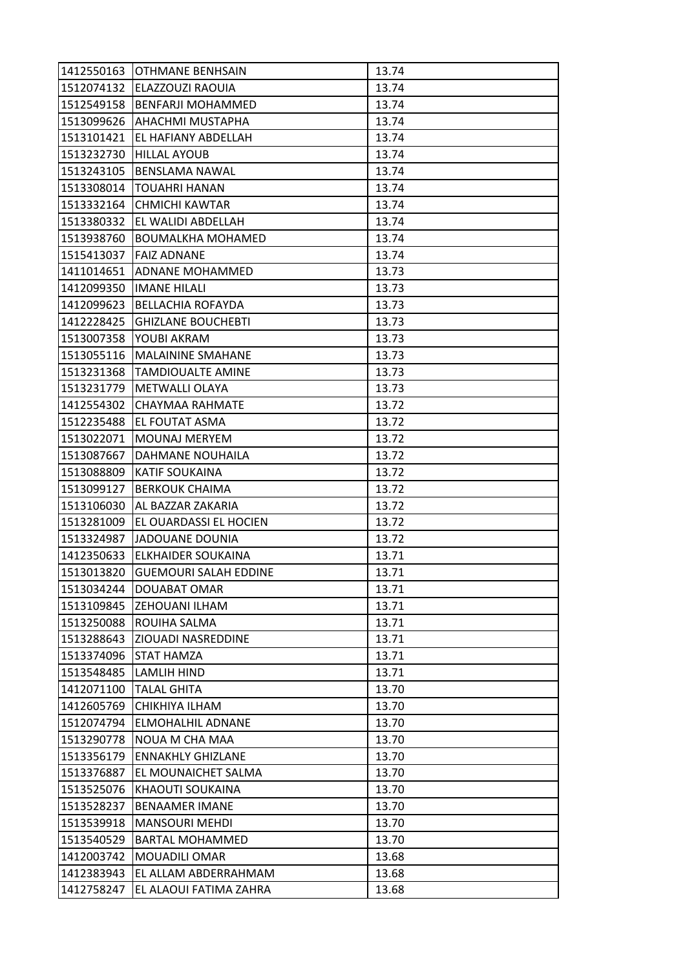| 1412550163 | <b>OTHMANE BENHSAIN</b>      | 13.74 |
|------------|------------------------------|-------|
| 1512074132 | ELAZZOUZI RAOUIA             | 13.74 |
| 1512549158 | <b>BENFARJI MOHAMMED</b>     | 13.74 |
| 1513099626 | AHACHMI MUSTAPHA             | 13.74 |
| 1513101421 | EL HAFIANY ABDELLAH          | 13.74 |
| 1513232730 | <b>HILLAL AYOUB</b>          | 13.74 |
| 1513243105 | BENSLAMA NAWAL               | 13.74 |
| 1513308014 | TOUAHRI HANAN                | 13.74 |
| 1513332164 | <b>CHMICHI KAWTAR</b>        | 13.74 |
| 1513380332 | EL WALIDI ABDELLAH           | 13.74 |
| 1513938760 | <b>BOUMALKHA MOHAMED</b>     | 13.74 |
| 1515413037 | <b>FAIZ ADNANE</b>           | 13.74 |
| 1411014651 | ADNANE MOHAMMED              | 13.73 |
| 1412099350 | <b>IMANE HILALI</b>          | 13.73 |
| 1412099623 | <b>BELLACHIA ROFAYDA</b>     | 13.73 |
| 1412228425 | <b>GHIZLANE BOUCHEBTI</b>    | 13.73 |
| 1513007358 | YOUBI AKRAM                  | 13.73 |
| 1513055116 | <b>MALAININE SMAHANE</b>     | 13.73 |
| 1513231368 | <b>TAMDIOUALTE AMINE</b>     | 13.73 |
| 1513231779 | <b>METWALLI OLAYA</b>        | 13.73 |
| 1412554302 | CHAYMAA RAHMATE              | 13.72 |
| 1512235488 | EL FOUTAT ASMA               | 13.72 |
| 1513022071 | <b>MOUNAJ MERYEM</b>         | 13.72 |
| 1513087667 | DAHMANE NOUHAILA             | 13.72 |
| 1513088809 | KATIF SOUKAINA               | 13.72 |
| 1513099127 | <b>BERKOUK CHAIMA</b>        | 13.72 |
| 1513106030 | AL BAZZAR ZAKARIA            | 13.72 |
| 1513281009 | EL OUARDASSI EL HOCIEN       | 13.72 |
| 1513324987 | <b>JADOUANE DOUNIA</b>       | 13.72 |
| 1412350633 | ELKHAIDER SOUKAINA           | 13.71 |
| 1513013820 | <b>GUEMOURI SALAH EDDINE</b> | 13.71 |
| 1513034244 | DOUABAT OMAR                 | 13.71 |
| 1513109845 | ZEHOUANI ILHAM               | 13.71 |
| 1513250088 | ROUIHA SALMA                 | 13.71 |
| 1513288643 | ZIOUADI NASREDDINE           | 13.71 |
| 1513374096 | STAT HAMZA                   | 13.71 |
| 1513548485 | LAMLIH HIND                  | 13.71 |
| 1412071100 | <b>TALAL GHITA</b>           | 13.70 |
| 1412605769 | CHIKHIYA ILHAM               | 13.70 |
| 1512074794 | ELMOHALHIL ADNANE            | 13.70 |
| 1513290778 | NOUA M CHA MAA               | 13.70 |
| 1513356179 | <b>ENNAKHLY GHIZLANE</b>     | 13.70 |
| 1513376887 | EL MOUNAICHET SALMA          | 13.70 |
| 1513525076 | KHAOUTI SOUKAINA             | 13.70 |
| 1513528237 | <b>BENAAMER IMANE</b>        | 13.70 |
| 1513539918 | <b>MANSOURI MEHDI</b>        | 13.70 |
| 1513540529 | <b>BARTAL MOHAMMED</b>       | 13.70 |
| 1412003742 | MOUADILI OMAR                | 13.68 |
| 1412383943 | EL ALLAM ABDERRAHMAM         | 13.68 |
| 1412758247 | EL ALAOUI FATIMA ZAHRA       | 13.68 |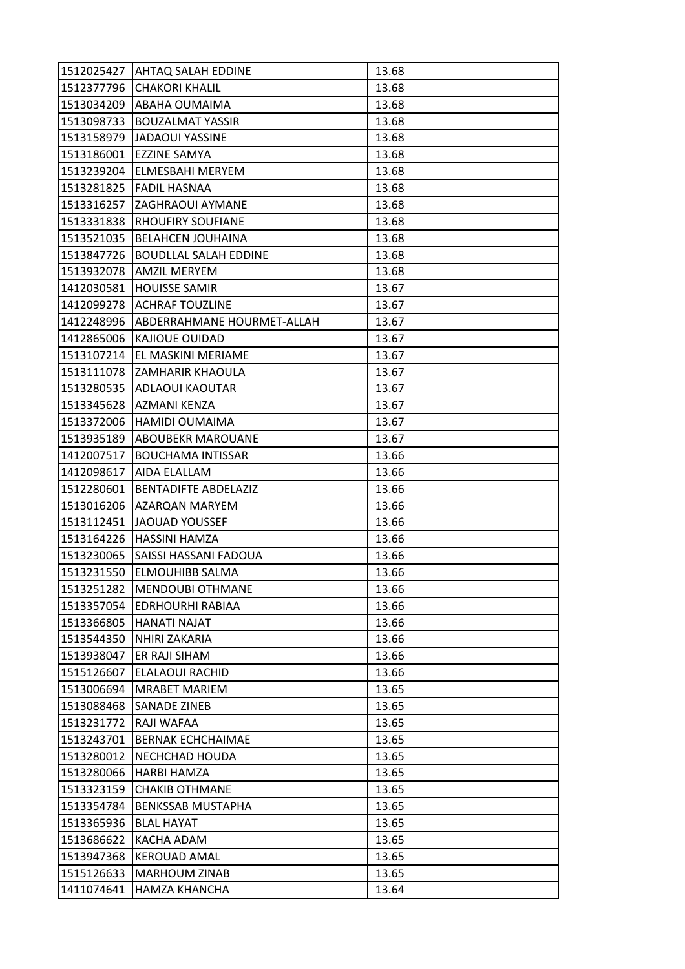| 1512025427 | <b>AHTAQ SALAH EDDINE</b>    | 13.68 |
|------------|------------------------------|-------|
| 1512377796 | <b>CHAKORI KHALIL</b>        | 13.68 |
| 1513034209 | ABAHA OUMAIMA                | 13.68 |
| 1513098733 | <b>BOUZALMAT YASSIR</b>      | 13.68 |
| 1513158979 | <b>JADAOUI YASSINE</b>       | 13.68 |
| 1513186001 | EZZINE SAMYA                 | 13.68 |
| 1513239204 | ELMESBAHI MERYEM             | 13.68 |
| 1513281825 | <b>FADIL HASNAA</b>          | 13.68 |
| 1513316257 | ZAGHRAOUI AYMANE             | 13.68 |
| 1513331838 | RHOUFIRY SOUFIANE            | 13.68 |
| 1513521035 | <b>BELAHCEN JOUHAINA</b>     | 13.68 |
| 1513847726 | <b>BOUDLLAL SALAH EDDINE</b> | 13.68 |
| 1513932078 | <b>AMZIL MERYEM</b>          | 13.68 |
| 1412030581 | <b>HOUISSE SAMIR</b>         | 13.67 |
| 1412099278 | <b>ACHRAF TOUZLINE</b>       | 13.67 |
| 1412248996 | ABDERRAHMANE HOURMET-ALLAH   | 13.67 |
| 1412865006 | KAJIOUE OUIDAD               | 13.67 |
| 1513107214 | EL MASKINI MERIAME           | 13.67 |
| 1513111078 | ZAMHARIR KHAOULA             | 13.67 |
| 1513280535 | ADLAOUI KAOUTAR              | 13.67 |
| 1513345628 | AZMANI KENZA                 | 13.67 |
| 1513372006 | HAMIDI OUMAIMA               | 13.67 |
| 1513935189 | ABOUBEKR MAROUANE            | 13.67 |
| 1412007517 | <b>BOUCHAMA INTISSAR</b>     | 13.66 |
| 1412098617 | AIDA ELALLAM                 | 13.66 |
| 1512280601 | <b>BENTADIFTE ABDELAZIZ</b>  | 13.66 |
| 1513016206 | AZARQAN MARYEM               | 13.66 |
| 1513112451 | <b>JAOUAD YOUSSEF</b>        | 13.66 |
| 1513164226 | HASSINI HAMZA                | 13.66 |
| 1513230065 | SAISSI HASSANI FADOUA        | 13.66 |
| 1513231550 | <b>ELMOUHIBB SALMA</b>       | 13.66 |
| 1513251282 | <b>MENDOUBI OTHMANE</b>      | 13.66 |
| 1513357054 | <b>EDRHOURHI RABIAA</b>      | 13.66 |
| 1513366805 | HANATI NAJAT                 | 13.66 |
| 1513544350 | NHIRI ZAKARIA                | 13.66 |
| 1513938047 | ER RAJI SIHAM                | 13.66 |
| 1515126607 | ELALAOUI RACHID              | 13.66 |
| 1513006694 | <b>MRABET MARIEM</b>         | 13.65 |
| 1513088468 | SANADE ZINEB                 | 13.65 |
| 1513231772 | RAJI WAFAA                   | 13.65 |
| 1513243701 | <b>BERNAK ECHCHAIMAE</b>     | 13.65 |
| 1513280012 | NECHCHAD HOUDA               | 13.65 |
| 1513280066 | HARBI HAMZA                  | 13.65 |
| 1513323159 | <b>CHAKIB OTHMANE</b>        | 13.65 |
| 1513354784 | <b>BENKSSAB MUSTAPHA</b>     | 13.65 |
| 1513365936 | <b>BLAL HAYAT</b>            | 13.65 |
| 1513686622 | KACHA ADAM                   | 13.65 |
| 1513947368 | <b>KEROUAD AMAL</b>          | 13.65 |
| 1515126633 | <b>MARHOUM ZINAB</b>         | 13.65 |
| 1411074641 | <b>HAMZA KHANCHA</b>         | 13.64 |
|            |                              |       |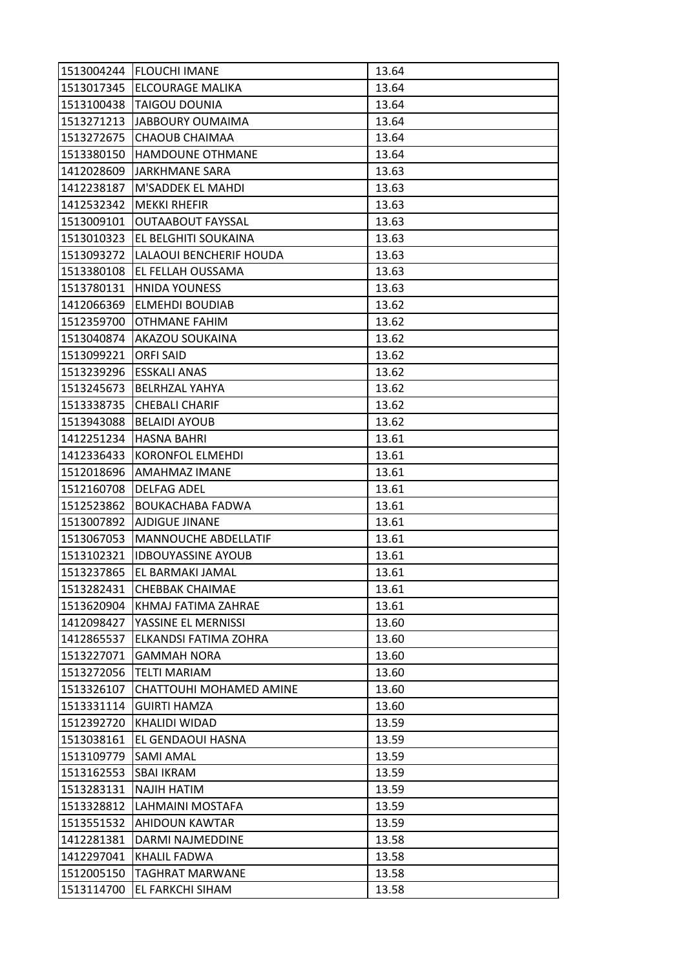| 1513004244 | <b>FLOUCHI IMANE</b>        | 13.64 |
|------------|-----------------------------|-------|
| 1513017345 | <b>ELCOURAGE MALIKA</b>     | 13.64 |
| 1513100438 | <b>TAIGOU DOUNIA</b>        | 13.64 |
| 1513271213 | <b>JABBOURY OUMAIMA</b>     | 13.64 |
| 1513272675 | CHAOUB CHAIMAA              | 13.64 |
| 1513380150 | HAMDOUNE OTHMANE            | 13.64 |
| 1412028609 | <b>JARKHMANE SARA</b>       | 13.63 |
| 1412238187 | M'SADDEK EL MAHDI           | 13.63 |
| 1412532342 | <b>MEKKI RHEFIR</b>         | 13.63 |
| 1513009101 | <b>OUTAABOUT FAYSSAL</b>    | 13.63 |
| 1513010323 | EL BELGHITI SOUKAINA        | 13.63 |
| 1513093272 | LALAOUI BENCHERIF HOUDA     | 13.63 |
| 1513380108 | EL FELLAH OUSSAMA           | 13.63 |
| 1513780131 | <b>HNIDA YOUNESS</b>        | 13.63 |
| 1412066369 | <b>ELMEHDI BOUDIAB</b>      | 13.62 |
| 1512359700 | <b>OTHMANE FAHIM</b>        | 13.62 |
| 1513040874 | AKAZOU SOUKAINA             | 13.62 |
| 1513099221 | <b>ORFI SAID</b>            | 13.62 |
| 1513239296 | <b>ESSKALI ANAS</b>         | 13.62 |
| 1513245673 | <b>BELRHZAL YAHYA</b>       | 13.62 |
| 1513338735 | <b>CHEBALI CHARIF</b>       | 13.62 |
| 1513943088 | <b>BELAIDI AYOUB</b>        | 13.62 |
| 1412251234 | <b>HASNA BAHRI</b>          | 13.61 |
| 1412336433 | KORONFOL ELMEHDI            | 13.61 |
| 1512018696 | AMAHMAZ IMANE               | 13.61 |
| 1512160708 | <b>DELFAG ADEL</b>          | 13.61 |
| 1512523862 | BOUKACHABA FADWA            | 13.61 |
| 1513007892 | <b>AJDIGUE JINANE</b>       | 13.61 |
| 1513067053 | <b>MANNOUCHE ABDELLATIF</b> | 13.61 |
| 1513102321 | <b>IDBOUYASSINE AYOUB</b>   | 13.61 |
| 1513237865 | EL BARMAKI JAMAL            | 13.61 |
| 1513282431 | <b>CHEBBAK CHAIMAE</b>      | 13.61 |
| 1513620904 | KHMAJ FATIMA ZAHRAE         | 13.61 |
| 1412098427 | YASSINE EL MERNISSI         | 13.60 |
| 1412865537 | ELKANDSI FATIMA ZOHRA       | 13.60 |
| 1513227071 | <b>GAMMAH NORA</b>          | 13.60 |
| 1513272056 | <b>TELTI MARIAM</b>         | 13.60 |
| 1513326107 | CHATTOUHI MOHAMED AMINE     | 13.60 |
| 1513331114 | <b>GUIRTI HAMZA</b>         | 13.60 |
| 1512392720 | <b>KHALIDI WIDAD</b>        | 13.59 |
| 1513038161 | EL GENDAOUI HASNA           | 13.59 |
| 1513109779 | <b>SAMI AMAL</b>            | 13.59 |
| 1513162553 | SBAI IKRAM                  | 13.59 |
| 1513283131 | <b>NAJIH HATIM</b>          | 13.59 |
| 1513328812 | LAHMAINI MOSTAFA            | 13.59 |
| 1513551532 | AHIDOUN KAWTAR              | 13.59 |
| 1412281381 | DARMI NAJMEDDINE            | 13.58 |
| 1412297041 | KHALIL FADWA                | 13.58 |
| 1512005150 | <b>TAGHRAT MARWANE</b>      | 13.58 |
| 1513114700 | EL FARKCHI SIHAM            | 13.58 |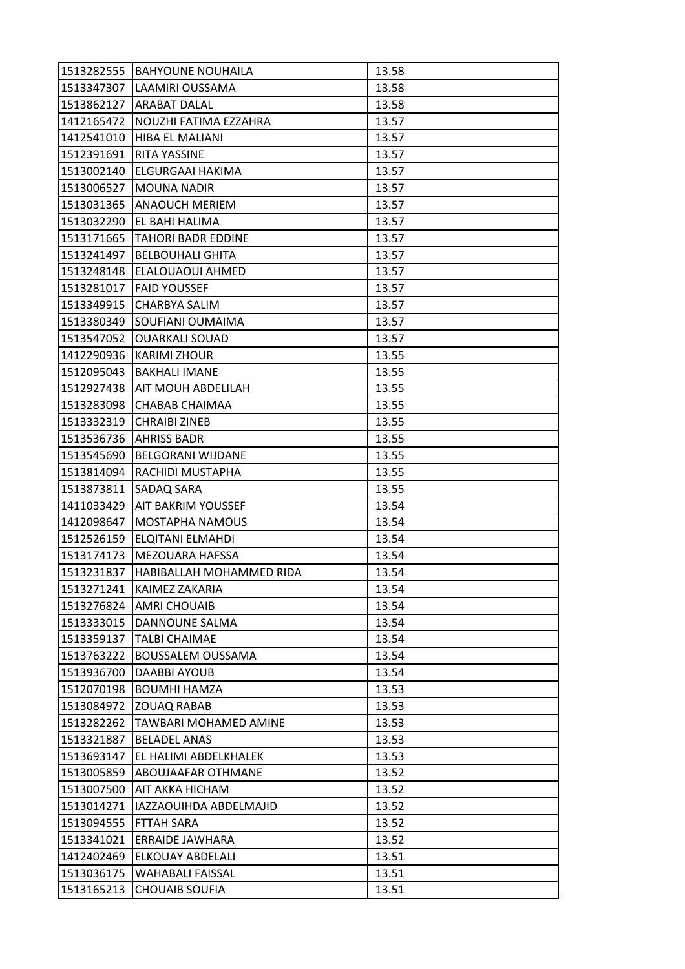| 1513282555 | <b>BAHYOUNE NOUHAILA</b>        | 13.58 |
|------------|---------------------------------|-------|
| 1513347307 | LAAMIRI OUSSAMA                 | 13.58 |
| 1513862127 | <b>ARABAT DALAL</b>             | 13.58 |
| 1412165472 | NOUZHI FATIMA EZZAHRA           | 13.57 |
| 1412541010 | <b>HIBA EL MALIANI</b>          | 13.57 |
| 1512391691 | <b>RITA YASSINE</b>             | 13.57 |
|            | 1513002140 ELGURGAAI HAKIMA     | 13.57 |
| 1513006527 | <b>MOUNA NADIR</b>              | 13.57 |
|            | 1513031365 ANAQUCH MERIEM       | 13.57 |
| 1513032290 | <b>EL BAHI HALIMA</b>           | 13.57 |
| 1513171665 | TAHORI BADR EDDINE              | 13.57 |
| 1513241497 | <b>BELBOUHALI GHITA</b>         | 13.57 |
| 1513248148 | ELALOUAOUI AHMED                | 13.57 |
|            | 1513281017   FAID YOUSSEF       | 13.57 |
| 1513349915 | <b>CHARBYA SALIM</b>            | 13.57 |
| 1513380349 | <b>SOUFIANI OUMAIMA</b>         | 13.57 |
| 1513547052 | <b>OUARKALI SOUAD</b>           | 13.57 |
| 1412290936 | <b>KARIMI ZHOUR</b>             | 13.55 |
| 1512095043 | <b>BAKHALI IMANE</b>            | 13.55 |
|            | 1512927438   AIT MOUH ABDELILAH | 13.55 |
| 1513283098 | <b>CHABAB CHAIMAA</b>           | 13.55 |
| 1513332319 | <b>CHRAIBI ZINEB</b>            | 13.55 |
| 1513536736 | <b>AHRISS BADR</b>              | 13.55 |
| 1513545690 | <b>BELGORANI WIJDANE</b>        | 13.55 |
| 1513814094 | RACHIDI MUSTAPHA                | 13.55 |
| 1513873811 | <b>SADAQ SARA</b>               | 13.55 |
| 1411033429 | <b>AIT BAKRIM YOUSSEF</b>       | 13.54 |
| 1412098647 | MOSTAPHA NAMOUS                 | 13.54 |
| 1512526159 | <b>ELQITANI ELMAHDI</b>         | 13.54 |
| 1513174173 | <b>MEZOUARA HAFSSA</b>          | 13.54 |
| 1513231837 | HABIBALLAH MOHAMMED RIDA        | 13.54 |
| 1513271241 | KAIMEZ ZAKARIA                  | 13.54 |
| 1513276824 | <b>AMRI CHOUAIB</b>             | 13.54 |
| 1513333015 | DANNOUNE SALMA                  | 13.54 |
| 1513359137 | <b>TALBI CHAIMAE</b>            | 13.54 |
| 1513763222 | <b>BOUSSALEM OUSSAMA</b>        | 13.54 |
| 1513936700 | DAABBI AYOUB                    | 13.54 |
| 1512070198 | <b>BOUMHI HAMZA</b>             | 13.53 |
| 1513084972 | <b>ZOUAQ RABAB</b>              | 13.53 |
| 1513282262 | <b>TAWBARI MOHAMED AMINE</b>    | 13.53 |
| 1513321887 | <b>BELADEL ANAS</b>             | 13.53 |
| 1513693147 | EL HALIMI ABDELKHALEK           | 13.53 |
| 1513005859 | ABOUJAAFAR OTHMANE              | 13.52 |
| 1513007500 | AIT AKKA HICHAM                 | 13.52 |
| 1513014271 | IAZZAOUIHDA ABDELMAJID          | 13.52 |
| 1513094555 | FTTAH SARA                      | 13.52 |
| 1513341021 | <b>ERRAIDE JAWHARA</b>          | 13.52 |
| 1412402469 | ELKOUAY ABDELALI                | 13.51 |
| 1513036175 | WAHABALI FAISSAL                | 13.51 |
| 1513165213 | <b>CHOUAIB SOUFIA</b>           | 13.51 |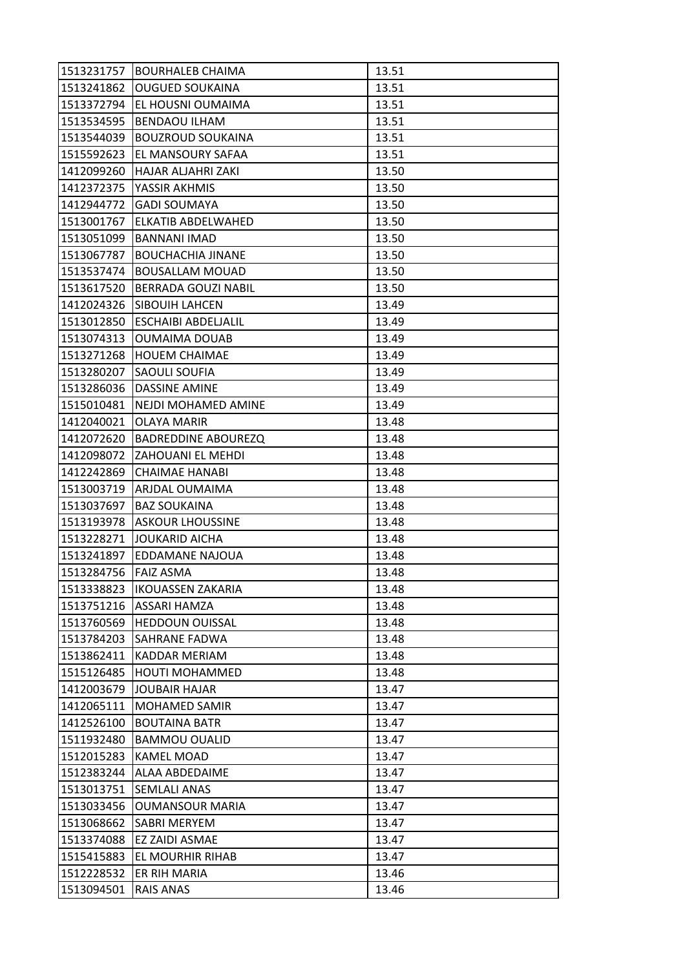| 1513231757 | <b>BOURHALEB CHAIMA</b>    | 13.51 |
|------------|----------------------------|-------|
| 1513241862 | <b>OUGUED SOUKAINA</b>     | 13.51 |
| 1513372794 | EL HOUSNI OUMAIMA          | 13.51 |
| 1513534595 | <b>BENDAOU ILHAM</b>       | 13.51 |
| 1513544039 | <b>BOUZROUD SOUKAINA</b>   | 13.51 |
| 1515592623 | EL MANSOURY SAFAA          | 13.51 |
| 1412099260 | HAJAR ALJAHRI ZAKI         | 13.50 |
| 1412372375 | YASSIR AKHMIS              | 13.50 |
| 1412944772 | <b>GADI SOUMAYA</b>        | 13.50 |
| 1513001767 | ELKATIB ABDELWAHED         | 13.50 |
| 1513051099 | <b>BANNANI IMAD</b>        | 13.50 |
| 1513067787 | <b>BOUCHACHIA JINANE</b>   | 13.50 |
| 1513537474 | <b>BOUSALLAM MOUAD</b>     | 13.50 |
| 1513617520 | <b>BERRADA GOUZI NABIL</b> | 13.50 |
| 1412024326 | SIBOUIH LAHCEN             | 13.49 |
| 1513012850 | <b>ESCHAIBI ABDELIALIL</b> | 13.49 |
| 1513074313 | <b>OUMAIMA DOUAB</b>       | 13.49 |
| 1513271268 | <b>HOUEM CHAIMAE</b>       | 13.49 |
| 1513280207 | SAOULI SOUFIA              | 13.49 |
| 1513286036 | <b>DASSINE AMINE</b>       | 13.49 |
| 1515010481 | NEJDI MOHAMED AMINE        | 13.49 |
| 1412040021 | OLAYA MARIR                | 13.48 |
| 1412072620 | <b>BADREDDINE ABOUREZQ</b> | 13.48 |
| 1412098072 | ZAHOUANI EL MEHDI          | 13.48 |
| 1412242869 | <b>CHAIMAE HANABI</b>      | 13.48 |
| 1513003719 | ARJDAL OUMAIMA             | 13.48 |
| 1513037697 | <b>BAZ SOUKAINA</b>        | 13.48 |
| 1513193978 | <b>ASKOUR LHOUSSINE</b>    | 13.48 |
| 1513228271 | <b>JOUKARID AICHA</b>      | 13.48 |
| 1513241897 | EDDAMANE NAJOUA            | 13.48 |
| 1513284756 | <b>FAIZ ASMA</b>           | 13.48 |
| 1513338823 | <b>IKOUASSEN ZAKARIA</b>   | 13.48 |
| 1513751216 | ASSARI HAMZA               | 13.48 |
| 1513760569 | <b>HEDDOUN OUISSAL</b>     | 13.48 |
| 1513784203 | SAHRANE FADWA              | 13.48 |
| 1513862411 | KADDAR MERIAM              | 13.48 |
| 1515126485 | <b>HOUTI MOHAMMED</b>      | 13.48 |
| 1412003679 | <b>JOUBAIR HAJAR</b>       | 13.47 |
| 1412065111 | <b>MOHAMED SAMIR</b>       | 13.47 |
| 1412526100 | <b>BOUTAINA BATR</b>       | 13.47 |
| 1511932480 | <b>BAMMOU OUALID</b>       | 13.47 |
| 1512015283 | KAMEL MOAD                 | 13.47 |
| 1512383244 | ALAA ABDEDAIME             | 13.47 |
| 1513013751 | <b>SEMLALI ANAS</b>        | 13.47 |
| 1513033456 | <b>OUMANSOUR MARIA</b>     | 13.47 |
| 1513068662 | SABRI MERYEM               | 13.47 |
| 1513374088 | EZ ZAIDI ASMAE             | 13.47 |
| 1515415883 | EL MOURHIR RIHAB           | 13.47 |
| 1512228532 | ER RIH MARIA               | 13.46 |
| 1513094501 | <b>RAIS ANAS</b>           | 13.46 |
|            |                            |       |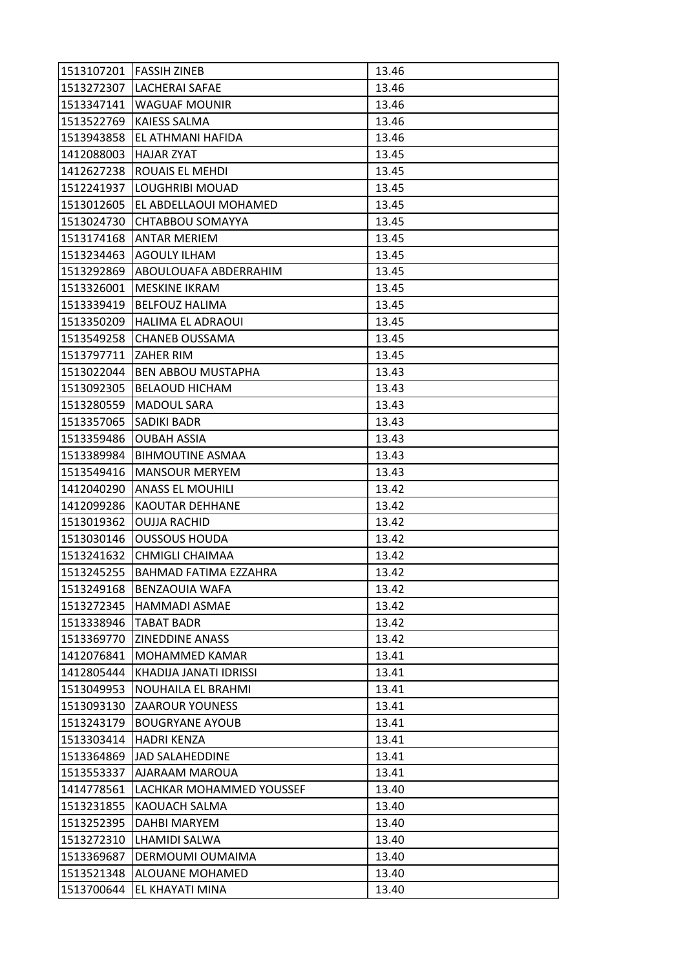|            | 1513107201 FASSIH ZINEB          | 13.46 |
|------------|----------------------------------|-------|
| 1513272307 | <b>LACHERAI SAFAE</b>            | 13.46 |
| 1513347141 | <b>WAGUAF MOUNIR</b>             | 13.46 |
| 1513522769 | <b>KAIESS SALMA</b>              | 13.46 |
| 1513943858 | EL ATHMANI HAFIDA                | 13.46 |
| 1412088003 | <b>HAJAR ZYAT</b>                | 13.45 |
| 1412627238 | ROUAIS EL MEHDI                  | 13.45 |
| 1512241937 | <b>LOUGHRIBI MOUAD</b>           | 13.45 |
|            | 1513012605 EL ABDELLAOUI MOHAMED | 13.45 |
| 1513024730 | CHTABBOU SOMAYYA                 | 13.45 |
|            | 1513174168  ANTAR MERIEM         | 13.45 |
| 1513234463 | <b>AGOULY ILHAM</b>              | 13.45 |
| 1513292869 | ABOULOUAFA ABDERRAHIM            | 13.45 |
| 1513326001 | <b>MESKINE IKRAM</b>             | 13.45 |
| 1513339419 | <b>BELFOUZ HALIMA</b>            | 13.45 |
|            | 1513350209 HALIMA EL ADRAOUI     | 13.45 |
| 1513549258 | <b>CHANEB OUSSAMA</b>            | 13.45 |
| 1513797711 | <b>ZAHER RIM</b>                 | 13.45 |
| 1513022044 | <b>BEN ABBOU MUSTAPHA</b>        | 13.43 |
| 1513092305 | <b>BELAOUD HICHAM</b>            | 13.43 |
| 1513280559 | <b>MADOUL SARA</b>               | 13.43 |
| 1513357065 | <b>SADIKI BADR</b>               | 13.43 |
| 1513359486 | <b>OUBAH ASSIA</b>               | 13.43 |
| 1513389984 | <b>BIHMOUTINE ASMAA</b>          | 13.43 |
| 1513549416 | <b>MANSOUR MERYEM</b>            | 13.43 |
| 1412040290 | <b>ANASS EL MOUHILI</b>          | 13.42 |
| 1412099286 | <b>KAOUTAR DEHHANE</b>           | 13.42 |
| 1513019362 | <b>OUJJA RACHID</b>              | 13.42 |
| 1513030146 | <b>OUSSOUS HOUDA</b>             | 13.42 |
| 1513241632 | <b>CHMIGLI CHAIMAA</b>           | 13.42 |
| 1513245255 | IBAHMAD FATIMA EZZAHRA           | 13.42 |
| 1513249168 | <b>BENZAOUIA WAFA</b>            | 13.42 |
| 1513272345 | <b>HAMMADI ASMAE</b>             | 13.42 |
| 1513338946 | TABAT BADR                       | 13.42 |
| 1513369770 | <b>ZINEDDINE ANASS</b>           | 13.42 |
| 1412076841 | <b>MOHAMMED KAMAR</b>            | 13.41 |
| 1412805444 | KHADIJA JANATI IDRISSI           | 13.41 |
| 1513049953 | NOUHAILA EL BRAHMI               | 13.41 |
| 1513093130 | <b>ZAAROUR YOUNESS</b>           | 13.41 |
| 1513243179 | <b>BOUGRYANE AYOUB</b>           | 13.41 |
| 1513303414 | <b>HADRI KENZA</b>               | 13.41 |
| 1513364869 | JAD SALAHEDDINE                  | 13.41 |
| 1513553337 | AJARAAM MAROUA                   | 13.41 |
| 1414778561 | LACHKAR MOHAMMED YOUSSEF         | 13.40 |
| 1513231855 | KAOUACH SALMA                    | 13.40 |
| 1513252395 | DAHBI MARYEM                     | 13.40 |
| 1513272310 | <b>LHAMIDI SALWA</b>             | 13.40 |
| 1513369687 | DERMOUMI OUMAIMA                 | 13.40 |
| 1513521348 | ALOUANE MOHAMED                  | 13.40 |
| 1513700644 | EL KHAYATI MINA                  | 13.40 |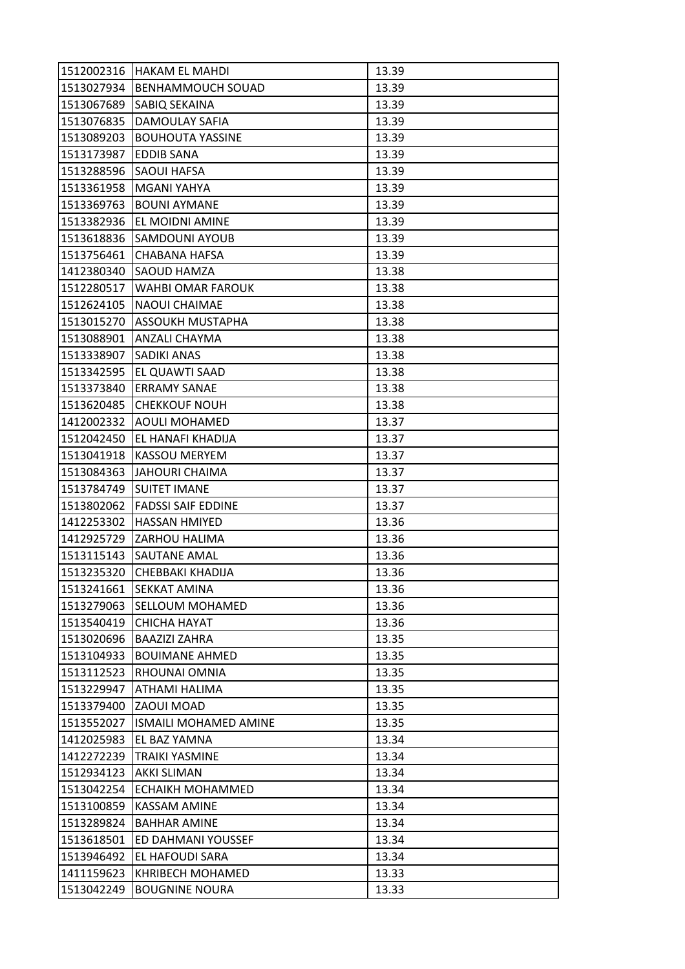| 1512002316 | <b>HAKAM EL MAHDI</b>     | 13.39 |
|------------|---------------------------|-------|
| 1513027934 | BENHAMMOUCH SOUAD         | 13.39 |
| 1513067689 | SABIQ SEKAINA             | 13.39 |
| 1513076835 | DAMOULAY SAFIA            | 13.39 |
| 1513089203 | <b>BOUHOUTA YASSINE</b>   | 13.39 |
| 1513173987 | EDDIB SANA                | 13.39 |
| 1513288596 | SAOUI HAFSA               | 13.39 |
| 1513361958 | <b>MGANI YAHYA</b>        | 13.39 |
| 1513369763 | <b>BOUNI AYMANE</b>       | 13.39 |
| 1513382936 | EL MOIDNI AMINE           | 13.39 |
| 1513618836 | <b>SAMDOUNI AYOUB</b>     | 13.39 |
| 1513756461 | CHABANA HAFSA             | 13.39 |
| 1412380340 | SAOUD HAMZA               | 13.38 |
| 1512280517 | WAHBI OMAR FAROUK         | 13.38 |
| 1512624105 | <b>NAOUI CHAIMAE</b>      | 13.38 |
| 1513015270 | <b>ASSOUKH MUSTAPHA</b>   | 13.38 |
| 1513088901 | <b>ANZALI CHAYMA</b>      | 13.38 |
| 1513338907 | SADIKI ANAS               | 13.38 |
| 1513342595 | EL QUAWTI SAAD            | 13.38 |
| 1513373840 | <b>ERRAMY SANAE</b>       | 13.38 |
| 1513620485 | <b>CHEKKOUF NOUH</b>      | 13.38 |
| 1412002332 | <b>AOULI MOHAMED</b>      | 13.37 |
| 1512042450 | EL HANAFI KHADIJA         | 13.37 |
| 1513041918 | <b>KASSOU MERYEM</b>      | 13.37 |
| 1513084363 | <b>JAHOURI CHAIMA</b>     | 13.37 |
| 1513784749 | <b>SUITET IMANE</b>       | 13.37 |
| 1513802062 | <b>FADSSI SAIF EDDINE</b> | 13.37 |
| 1412253302 | <b>HASSAN HMIYED</b>      | 13.36 |
| 1412925729 | ZARHOU HALIMA             | 13.36 |
| 1513115143 | SAUTANE AMAL              | 13.36 |
| 1513235320 | CHEBBAKI KHADIJA          | 13.36 |
| 1513241661 | <b>SEKKAT AMINA</b>       | 13.36 |
| 1513279063 | SELLOUM MOHAMED           | 13.36 |
| 1513540419 | CHICHA HAYAT              | 13.36 |
| 1513020696 | <b>BAAZIZI ZAHRA</b>      | 13.35 |
| 1513104933 | <b>BOUIMANE AHMED</b>     | 13.35 |
| 1513112523 | RHOUNAI OMNIA             | 13.35 |
| 1513229947 | ATHAMI HALIMA             | 13.35 |
| 1513379400 | ZAOUI MOAD                | 13.35 |
| 1513552027 | ISMAILI MOHAMED AMINE     | 13.35 |
| 1412025983 | EL BAZ YAMNA              | 13.34 |
| 1412272239 | <b>TRAIKI YASMINE</b>     | 13.34 |
| 1512934123 | <b>AKKI SLIMAN</b>        | 13.34 |
| 1513042254 | ECHAIKH MOHAMMED          | 13.34 |
| 1513100859 | <b>KASSAM AMINE</b>       | 13.34 |
| 1513289824 | <b>BAHHAR AMINE</b>       | 13.34 |
| 1513618501 | ED DAHMANI YOUSSEF        | 13.34 |
| 1513946492 | EL HAFOUDI SARA           | 13.34 |
| 1411159623 | KHRIBECH MOHAMED          | 13.33 |
| 1513042249 | <b>BOUGNINE NOURA</b>     | 13.33 |
|            |                           |       |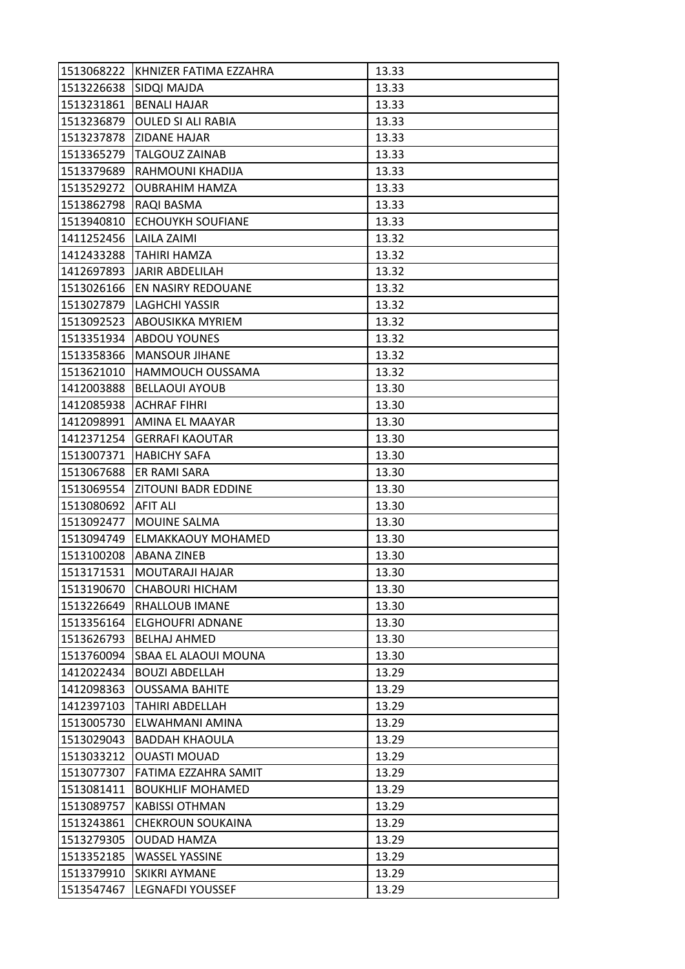| 1513068222 | KHNIZER FATIMA EZZAHRA     | 13.33 |
|------------|----------------------------|-------|
| 1513226638 | SIDQI MAJDA                | 13.33 |
| 1513231861 | <b>BENALI HAJAR</b>        | 13.33 |
| 1513236879 | <b>OULED SI ALI RABIA</b>  | 13.33 |
| 1513237878 | ZIDANE HAJAR               | 13.33 |
| 1513365279 | <b>TALGOUZ ZAINAB</b>      | 13.33 |
| 1513379689 | RAHMOUNI KHADIJA           | 13.33 |
| 1513529272 | <b>OUBRAHIM HAMZA</b>      | 13.33 |
| 1513862798 | RAQI BASMA                 | 13.33 |
| 1513940810 | <b>ECHOUYKH SOUFIANE</b>   | 13.33 |
| 1411252456 | <b>LAILA ZAIMI</b>         | 13.32 |
| 1412433288 | <b>TAHIRI HAMZA</b>        | 13.32 |
| 1412697893 | <b>JARIR ABDELILAH</b>     | 13.32 |
| 1513026166 | EN NASIRY REDOUANE         | 13.32 |
| 1513027879 | <b>LAGHCHI YASSIR</b>      | 13.32 |
| 1513092523 | <b>ABOUSIKKA MYRIEM</b>    | 13.32 |
| 1513351934 | <b>ABDOU YOUNES</b>        | 13.32 |
| 1513358366 | <b>MANSOUR JIHANE</b>      | 13.32 |
| 1513621010 | <b>HAMMOUCH OUSSAMA</b>    | 13.32 |
| 1412003888 | <b>BELLAOUI AYOUB</b>      | 13.30 |
| 1412085938 | <b>ACHRAF FIHRI</b>        | 13.30 |
| 1412098991 | AMINA EL MAAYAR            | 13.30 |
| 1412371254 | <b>GERRAFI KAOUTAR</b>     | 13.30 |
| 1513007371 | <b>HABICHY SAFA</b>        | 13.30 |
| 1513067688 | ER RAMI SARA               | 13.30 |
|            |                            |       |
| 1513069554 | <b>ZITOUNI BADR EDDINE</b> | 13.30 |
| 1513080692 | <b>AFIT ALI</b>            | 13.30 |
| 1513092477 | MOUINE SALMA               | 13.30 |
| 1513094749 | ELMAKKAOUY MOHAMED         | 13.30 |
| 1513100208 | <b>ABANA ZINEB</b>         | 13.30 |
| 1513171531 | MOUTARAJI HAJAR            | 13.30 |
| 1513190670 | <b>CHABOURI HICHAM</b>     | 13.30 |
| 1513226649 | RHALLOUB IMANE             | 13.30 |
| 1513356164 | ELGHOUFRI ADNANE           | 13.30 |
| 1513626793 | <b>BELHAJ AHMED</b>        | 13.30 |
| 1513760094 | SBAA EL ALAOUI MOUNA       | 13.30 |
| 1412022434 | <b>BOUZI ABDELLAH</b>      | 13.29 |
| 1412098363 | <b>OUSSAMA BAHITE</b>      | 13.29 |
| 1412397103 | TAHIRI ABDELLAH            | 13.29 |
| 1513005730 | ELWAHMANI AMINA            | 13.29 |
| 1513029043 | <b>BADDAH KHAOULA</b>      | 13.29 |
| 1513033212 | <b>OUASTI MOUAD</b>        | 13.29 |
| 1513077307 | FATIMA EZZAHRA SAMIT       | 13.29 |
| 1513081411 | <b>BOUKHLIF MOHAMED</b>    | 13.29 |
| 1513089757 | <b>KABISSI OTHMAN</b>      | 13.29 |
| 1513243861 | <b>CHEKROUN SOUKAINA</b>   | 13.29 |
| 1513279305 | <b>OUDAD HAMZA</b>         | 13.29 |
| 1513352185 | <b>WASSEL YASSINE</b>      | 13.29 |
| 1513379910 | <b>SKIKRI AYMANE</b>       | 13.29 |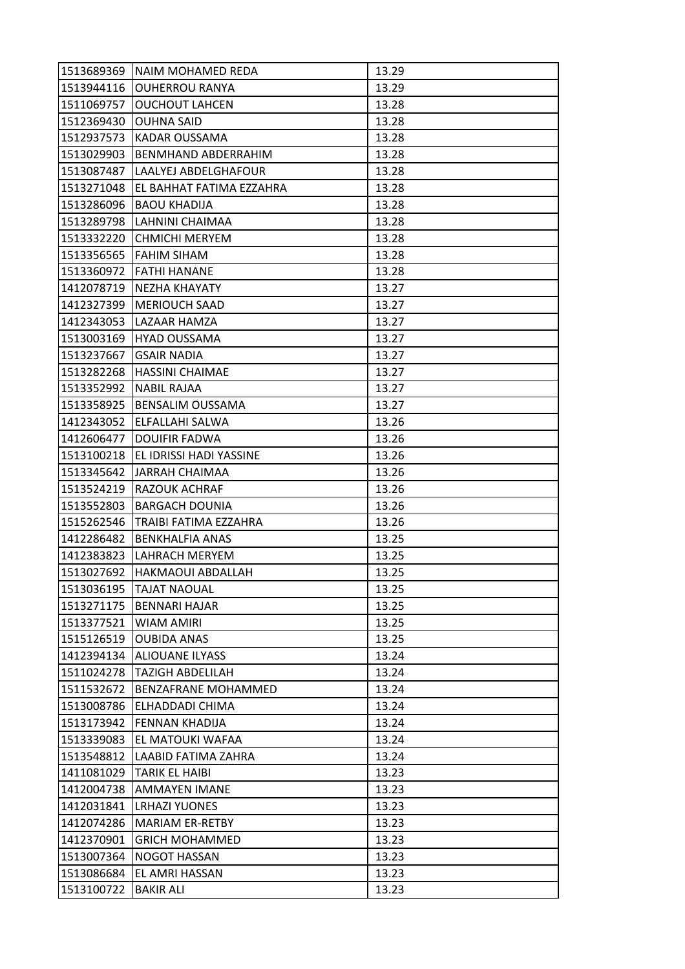| 1513689369 | NAIM MOHAMED REDA        | 13.29 |
|------------|--------------------------|-------|
| 1513944116 | <b>OUHERROU RANYA</b>    | 13.29 |
| 1511069757 | <b>OUCHOUT LAHCEN</b>    | 13.28 |
| 1512369430 | <b>OUHNA SAID</b>        | 13.28 |
| 1512937573 | KADAR OUSSAMA            | 13.28 |
| 1513029903 | BENMHAND ABDERRAHIM      | 13.28 |
| 1513087487 | LAALYEJ ABDELGHAFOUR     | 13.28 |
| 1513271048 | EL BAHHAT FATIMA EZZAHRA | 13.28 |
| 1513286096 | <b>BAOU KHADIJA</b>      | 13.28 |
| 1513289798 | LAHNINI CHAIMAA          | 13.28 |
| 1513332220 | <b>CHMICHI MERYEM</b>    | 13.28 |
| 1513356565 | <b>FAHIM SIHAM</b>       | 13.28 |
| 1513360972 | <b>FATHI HANANE</b>      | 13.28 |
| 1412078719 | NEZHA KHAYATY            | 13.27 |
| 1412327399 | <b>MERIOUCH SAAD</b>     | 13.27 |
| 1412343053 | LAZAAR HAMZA             | 13.27 |
| 1513003169 | <b>HYAD OUSSAMA</b>      | 13.27 |
| 1513237667 | <b>GSAIR NADIA</b>       | 13.27 |
| 1513282268 | <b>HASSINI CHAIMAE</b>   | 13.27 |
| 1513352992 | <b>NABIL RAJAA</b>       | 13.27 |
| 1513358925 | BENSALIM OUSSAMA         | 13.27 |
| 1412343052 | ELFALLAHI SALWA          | 13.26 |
| 1412606477 | <b>DOUIFIR FADWA</b>     | 13.26 |
| 1513100218 | EL IDRISSI HADI YASSINE  | 13.26 |
| 1513345642 | <b>JARRAH CHAIMAA</b>    | 13.26 |
| 1513524219 | RAZOUK ACHRAF            | 13.26 |
| 1513552803 | <b>BARGACH DOUNIA</b>    | 13.26 |
| 1515262546 | TRAIBI FATIMA EZZAHRA    | 13.26 |
| 1412286482 | <b>BENKHALFIA ANAS</b>   | 13.25 |
| 1412383823 | LAHRACH MERYEM           | 13.25 |
| 1513027692 | <b>HAKMAOUI ABDALLAH</b> | 13.25 |
| 1513036195 | <b>TAJAT NAOUAL</b>      | 13.25 |
| 1513271175 | <b>BENNARI HAJAR</b>     | 13.25 |
| 1513377521 | WIAM AMIRI               | 13.25 |
| 1515126519 | <b>OUBIDA ANAS</b>       | 13.25 |
| 1412394134 | <b>ALIOUANE ILYASS</b>   | 13.24 |
| 1511024278 | <b>TAZIGH ABDELILAH</b>  | 13.24 |
| 1511532672 | BENZAFRANE MOHAMMED      | 13.24 |
| 1513008786 | ELHADDADI CHIMA          | 13.24 |
| 1513173942 | FENNAN KHADIJA           | 13.24 |
| 1513339083 | EL MATOUKI WAFAA         | 13.24 |
| 1513548812 | LAABID FATIMA ZAHRA      | 13.24 |
| 1411081029 | TARIK EL HAIBI           | 13.23 |
| 1412004738 | <b>AMMAYEN IMANE</b>     | 13.23 |
| 1412031841 | <b>LRHAZI YUONES</b>     | 13.23 |
| 1412074286 | <b>MARIAM ER-RETBY</b>   | 13.23 |
| 1412370901 | <b>GRICH MOHAMMED</b>    | 13.23 |
| 1513007364 | <b>NOGOT HASSAN</b>      | 13.23 |
| 1513086684 | EL AMRI HASSAN           | 13.23 |
| 1513100722 | <b>BAKIR ALI</b>         | 13.23 |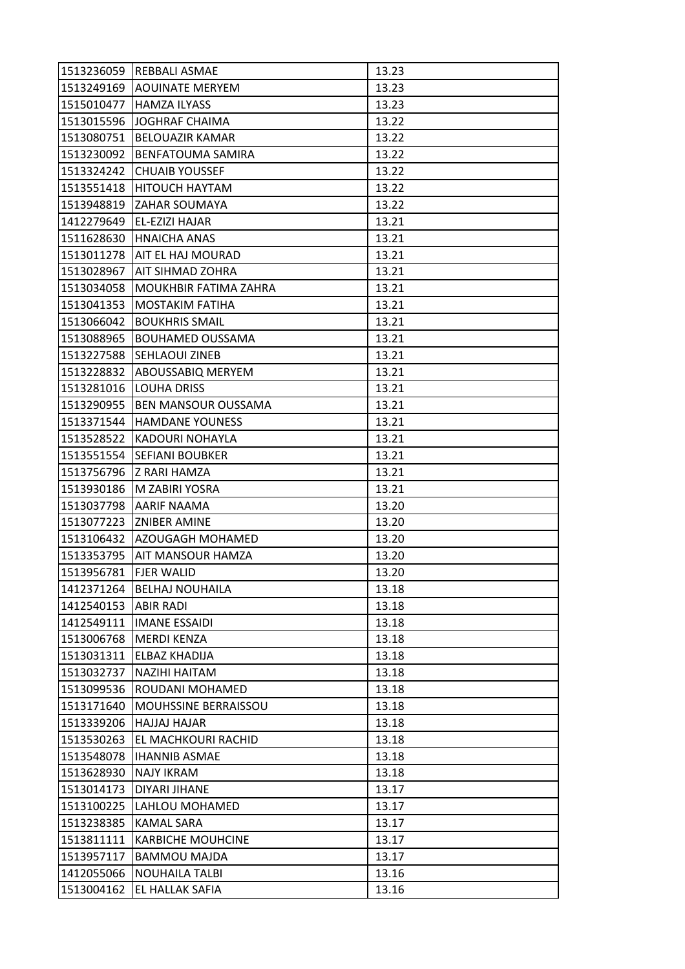|                          | 1513236059 REBBALI ASMAE       | 13.23 |
|--------------------------|--------------------------------|-------|
| 1513249169               | <b>AOUINATE MERYEM</b>         | 13.23 |
| 1515010477               | <b>HAMZA ILYASS</b>            | 13.23 |
| 1513015596               | <b>JOGHRAF CHAIMA</b>          | 13.22 |
| 1513080751               | <b>BELOUAZIR KAMAR</b>         | 13.22 |
| 1513230092               | <b>BENFATOUMA SAMIRA</b>       | 13.22 |
| 1513324242               | <b>CHUAIB YOUSSEF</b>          | 13.22 |
| 1513551418               | HITOUCH HAYTAM                 | 13.22 |
| 1513948819               | <b>ZAHAR SOUMAYA</b>           | 13.22 |
| 1412279649               | EL-EZIZI HAJAR                 | 13.21 |
| 1511628630               | <b>HNAICHA ANAS</b>            | 13.21 |
| 1513011278               | AIT EL HAJ MOURAD              | 13.21 |
| 1513028967               | AIT SIHMAD ZOHRA               | 13.21 |
| 1513034058               | <b>MOUKHBIR FATIMA ZAHRA</b>   | 13.21 |
| 1513041353               | <b>MOSTAKIM FATIHA</b>         | 13.21 |
| 1513066042               | <b>BOUKHRIS SMAIL</b>          | 13.21 |
| 1513088965               | <b>BOUHAMED OUSSAMA</b>        | 13.21 |
| 1513227588               | <b>SEHLAOUI ZINEB</b>          | 13.21 |
| 1513228832               | <b>ABOUSSABIQ MERYEM</b>       | 13.21 |
| 1513281016               | LOUHA DRISS                    | 13.21 |
|                          | 1513290955 BEN MANSOUR OUSSAMA | 13.21 |
| 1513371544               | <b>HAMDANE YOUNESS</b>         | 13.21 |
| 1513528522               | <b>KADOURI NOHAYLA</b>         | 13.21 |
| 1513551554               | <b>SEFIANI BOUBKER</b>         | 13.21 |
|                          | 1513756796  Z RARI HAMZA       | 13.21 |
| 1513930186               | M ZABIRI YOSRA                 | 13.21 |
| 1513037798               | <b>AARIF NAAMA</b>             | 13.20 |
| 1513077223               | <b>ZNIBER AMINE</b>            | 13.20 |
| 1513106432               | AZOUGAGH MOHAMED               | 13.20 |
| 1513353795               | <b>AIT MANSOUR HAMZA</b>       | 13.20 |
| 1513956781               | <b>FJER WALID</b>              | 13.20 |
| 1412371264               | <b>BELHAJ NOUHAILA</b>         | 13.18 |
| 1412540153               | <b>ABIR RADI</b>               | 13.18 |
| 1412549111               | <b>IMANE ESSAIDI</b>           | 13.18 |
| 1513006768               | <b>MERDI KENZA</b>             | 13.18 |
| 1513031311               | ELBAZ KHADIJA                  |       |
| 1513032737               |                                | 13.18 |
|                          | NAZIHI HAITAM                  | 13.18 |
| 1513099536               | ROUDANI MOHAMED                | 13.18 |
| 1513171640               | <b>MOUHSSINE BERRAISSOU</b>    | 13.18 |
| 1513339206               | <b>HAJJAJ HAJAR</b>            | 13.18 |
| 1513530263               | <b>EL MACHKOURI RACHID</b>     | 13.18 |
| 1513548078               | <b>IHANNIB ASMAE</b>           | 13.18 |
| 1513628930               | <b>NAJY IKRAM</b>              | 13.18 |
| 1513014173               | DIYARI JIHANE                  | 13.17 |
| 1513100225               | LAHLOU MOHAMED                 | 13.17 |
| 1513238385               | KAMAL SARA                     | 13.17 |
| 1513811111               | <b>KARBICHE MOUHCINE</b>       | 13.17 |
| 1513957117               | <b>BAMMOU MAJDA</b>            | 13.17 |
| 1412055066<br>1513004162 | <b>NOUHAILA TALBI</b>          | 13.16 |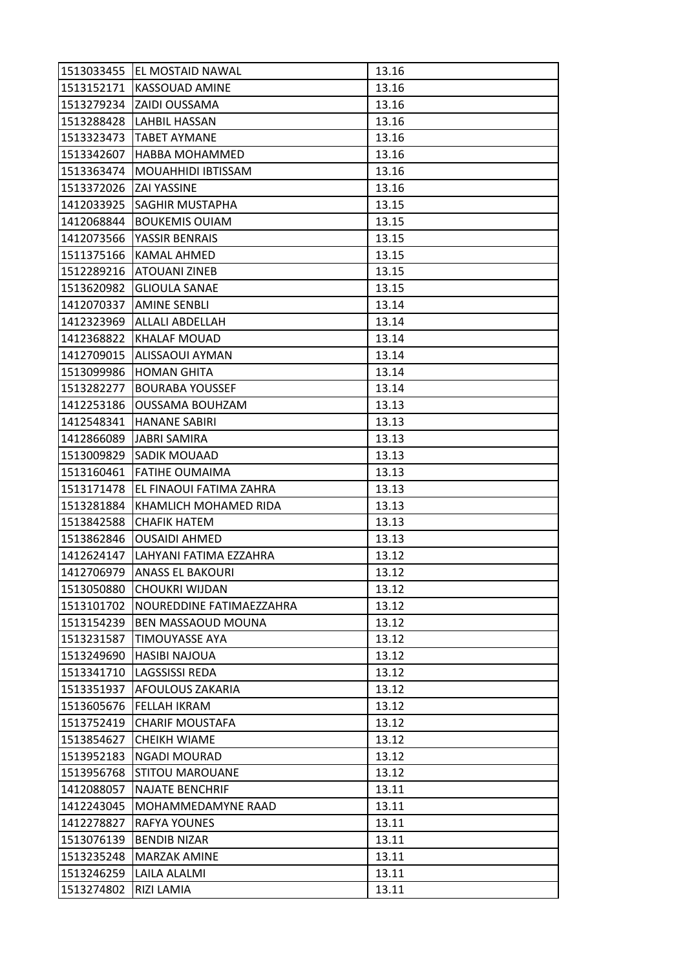| 1513033455 | EL MOSTAID NAWAL         | 13.16 |
|------------|--------------------------|-------|
| 1513152171 | <b>KASSOUAD AMINE</b>    | 13.16 |
| 1513279234 | ZAIDI OUSSAMA            | 13.16 |
| 1513288428 | <b>LAHBIL HASSAN</b>     | 13.16 |
| 1513323473 | <b>TABET AYMANE</b>      | 13.16 |
| 1513342607 | <b>HABBA MOHAMMED</b>    | 13.16 |
| 1513363474 | MOUAHHIDI IBTISSAM       | 13.16 |
| 1513372026 | <b>ZAI YASSINE</b>       | 13.16 |
| 1412033925 | SAGHIR MUSTAPHA          | 13.15 |
| 1412068844 | <b>BOUKEMIS OUIAM</b>    | 13.15 |
| 1412073566 | YASSIR BENRAIS           | 13.15 |
| 1511375166 | KAMAL AHMED              | 13.15 |
| 1512289216 | <b>ATOUANI ZINEB</b>     | 13.15 |
| 1513620982 | <b>GLIOULA SANAE</b>     | 13.15 |
| 1412070337 | <b>AMINE SENBLI</b>      | 13.14 |
| 1412323969 | ALLALI ABDELLAH          | 13.14 |
| 1412368822 | <b>KHALAF MOUAD</b>      | 13.14 |
| 1412709015 | ALISSAOUI AYMAN          | 13.14 |
| 1513099986 | <b>HOMAN GHITA</b>       | 13.14 |
| 1513282277 | <b>BOURABA YOUSSEF</b>   | 13.14 |
| 1412253186 | <b>OUSSAMA BOUHZAM</b>   | 13.13 |
| 1412548341 | <b>HANANE SABIRI</b>     | 13.13 |
| 1412866089 | <b>JABRI SAMIRA</b>      | 13.13 |
| 1513009829 | <b>SADIK MOUAAD</b>      | 13.13 |
| 1513160461 | <b>FATIHE OUMAIMA</b>    | 13.13 |
| 1513171478 | EL FINAOUI FATIMA ZAHRA  | 13.13 |
| 1513281884 | KHAMLICH MOHAMED RIDA    | 13.13 |
| 1513842588 | <b>CHAFIK HATEM</b>      | 13.13 |
| 1513862846 | <b>OUSAIDI AHMED</b>     | 13.13 |
| 1412624147 | LAHYANI FATIMA EZZAHRA   | 13.12 |
| 1412706979 | <b>ANASS EL BAKOURI</b>  | 13.12 |
| 1513050880 | <b>CHOUKRI WIJDAN</b>    | 13.12 |
| 1513101702 | NOUREDDINE FATIMAEZZAHRA | 13.12 |
| 1513154239 | BEN MASSAOUD MOUNA       | 13.12 |
| 1513231587 | <b>TIMOUYASSE AYA</b>    | 13.12 |
| 1513249690 | <b>HASIBI NAJOUA</b>     | 13.12 |
| 1513341710 | LAGSSISSI REDA           | 13.12 |
| 1513351937 | AFOULOUS ZAKARIA         | 13.12 |
| 1513605676 | FELLAH IKRAM             | 13.12 |
| 1513752419 | <b>CHARIF MOUSTAFA</b>   | 13.12 |
| 1513854627 | <b>CHEIKH WIAME</b>      | 13.12 |
| 1513952183 | NGADI MOURAD             | 13.12 |
| 1513956768 | <b>STITOU MAROUANE</b>   | 13.12 |
| 1412088057 | <b>NAJATE BENCHRIF</b>   | 13.11 |
| 1412243045 | MOHAMMEDAMYNE RAAD       | 13.11 |
| 1412278827 |                          | 13.11 |
|            | RAFYA YOUNES             |       |
| 1513076139 | <b>BENDIB NIZAR</b>      | 13.11 |
| 1513235248 | <b>MARZAK AMINE</b>      | 13.11 |
| 1513246259 | LAILA ALALMI             | 13.11 |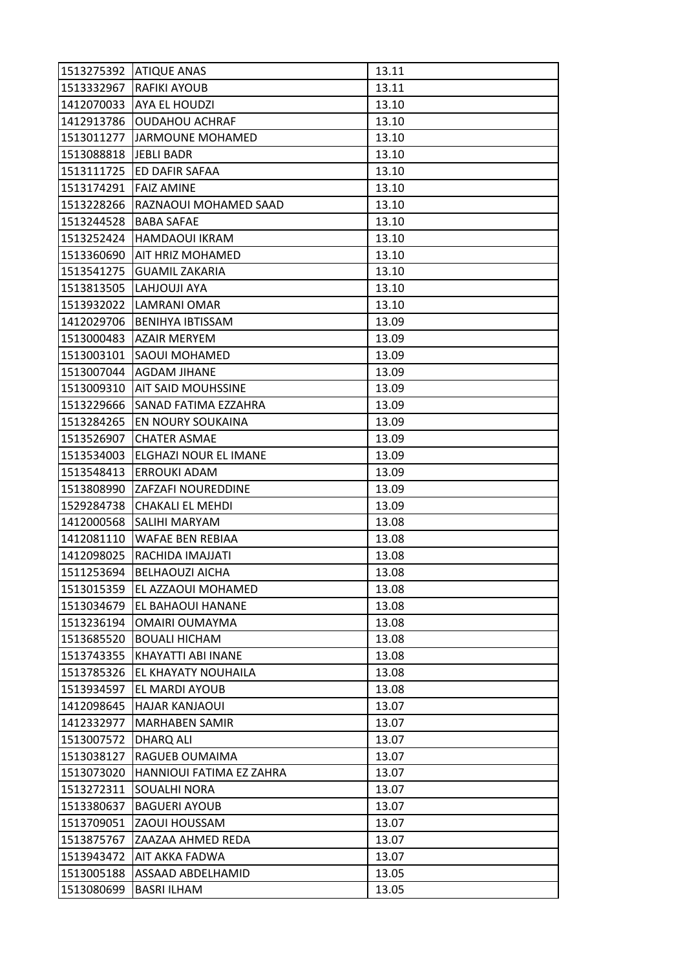| 1513275392 | <b>ATIQUE ANAS</b>       | 13.11 |
|------------|--------------------------|-------|
| 1513332967 | RAFIKI AYOUB             | 13.11 |
| 1412070033 | AYA EL HOUDZI            | 13.10 |
| 1412913786 | <b>OUDAHOU ACHRAF</b>    | 13.10 |
| 1513011277 | <b>JARMOUNE MOHAMED</b>  | 13.10 |
| 1513088818 | <b>JEBLI BADR</b>        | 13.10 |
| 1513111725 | ED DAFIR SAFAA           | 13.10 |
| 1513174291 | <b>FAIZ AMINE</b>        | 13.10 |
| 1513228266 | RAZNAOUI MOHAMED SAAD    | 13.10 |
| 1513244528 | <b>BABA SAFAE</b>        | 13.10 |
| 1513252424 | HAMDAOUI IKRAM           | 13.10 |
| 1513360690 | AIT HRIZ MOHAMED         | 13.10 |
| 1513541275 | <b>GUAMIL ZAKARIA</b>    | 13.10 |
| 1513813505 | LAHJOUJI AYA             | 13.10 |
| 1513932022 | LAMRANI OMAR             | 13.10 |
| 1412029706 | <b>BENIHYA IBTISSAM</b>  | 13.09 |
| 1513000483 | <b>AZAIR MERYEM</b>      | 13.09 |
| 1513003101 | SAOUI MOHAMED            | 13.09 |
| 1513007044 | <b>AGDAM JIHANE</b>      | 13.09 |
| 1513009310 | AIT SAID MOUHSSINE       | 13.09 |
| 1513229666 | SANAD FATIMA EZZAHRA     | 13.09 |
| 1513284265 | EN NOURY SOUKAINA        | 13.09 |
| 1513526907 | <b>CHATER ASMAE</b>      | 13.09 |
| 1513534003 | ELGHAZI NOUR EL IMANE    | 13.09 |
| 1513548413 | <b>ERROUKI ADAM</b>      | 13.09 |
| 1513808990 | ZAFZAFI NOUREDDINE       | 13.09 |
| 1529284738 | CHAKALI EL MEHDI         | 13.09 |
| 1412000568 | SALIHI MARYAM            | 13.08 |
| 1412081110 | WAFAE BEN REBIAA         | 13.08 |
| 1412098025 | RACHIDA IMAJJATI         | 13.08 |
| 1511253694 | <b>BELHAOUZI AICHA</b>   | 13.08 |
| 1513015359 | EL AZZAOUI MOHAMED       | 13.08 |
| 1513034679 | EL BAHAOUI HANANE        | 13.08 |
| 1513236194 | OMAIRI OUMAYMA           | 13.08 |
| 1513685520 | <b>BOUALI HICHAM</b>     | 13.08 |
| 1513743355 | KHAYATTI ABI INANE       | 13.08 |
| 1513785326 | EL KHAYATY NOUHAILA      | 13.08 |
| 1513934597 | EL MARDI AYOUB           | 13.08 |
| 1412098645 | <b>HAJAR KANJAOUI</b>    | 13.07 |
| 1412332977 | <b>MARHABEN SAMIR</b>    | 13.07 |
| 1513007572 | DHARQ ALI                | 13.07 |
| 1513038127 | RAGUEB OUMAIMA           | 13.07 |
| 1513073020 | HANNIOUI FATIMA EZ ZAHRA | 13.07 |
| 1513272311 | SOUALHI NORA             | 13.07 |
| 1513380637 | <b>BAGUERI AYOUB</b>     | 13.07 |
| 1513709051 | ZAOUI HOUSSAM            | 13.07 |
| 1513875767 | ZAAZAA AHMED REDA        | 13.07 |
| 1513943472 | AIT AKKA FADWA           | 13.07 |
| 1513005188 | ASSAAD ABDELHAMID        | 13.05 |
| 1513080699 | <b>BASRI ILHAM</b>       | 13.05 |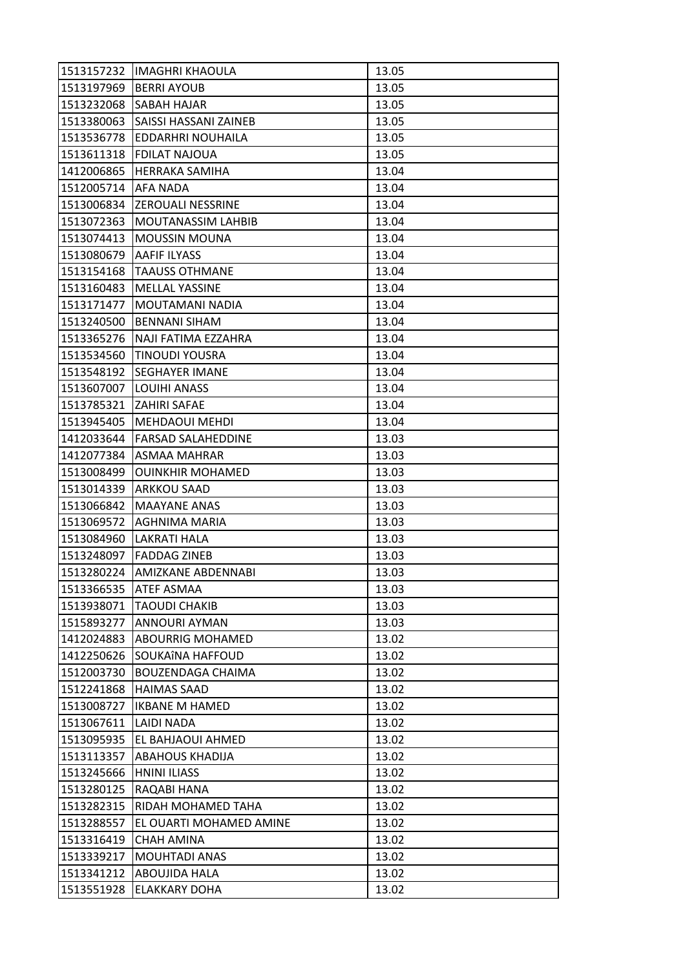| 1513157232 | <b>IMAGHRI KHAOULA</b>    | 13.05 |
|------------|---------------------------|-------|
| 1513197969 | <b>BERRI AYOUB</b>        | 13.05 |
| 1513232068 | SABAH HAJAR               | 13.05 |
| 1513380063 | SAISSI HASSANI ZAINEB     | 13.05 |
| 1513536778 | EDDARHRI NOUHAILA         | 13.05 |
| 1513611318 | <b>FDILAT NAJOUA</b>      | 13.05 |
| 1412006865 | <b>HERRAKA SAMIHA</b>     | 13.04 |
| 1512005714 | AFA NADA                  | 13.04 |
| 1513006834 | <b>ZEROUALI NESSRINE</b>  | 13.04 |
| 1513072363 | <b>MOUTANASSIM LAHBIB</b> | 13.04 |
| 1513074413 | <b>MOUSSIN MOUNA</b>      | 13.04 |
| 1513080679 | <b>AAFIF ILYASS</b>       | 13.04 |
| 1513154168 | TAAUSS OTHMANE            | 13.04 |
| 1513160483 | <b>MELLAL YASSINE</b>     | 13.04 |
| 1513171477 | MOUTAMANI NADIA           | 13.04 |
| 1513240500 | <b>BENNANI SIHAM</b>      | 13.04 |
| 1513365276 | NAJI FATIMA EZZAHRA       | 13.04 |
| 1513534560 | <b>TINOUDI YOUSRA</b>     | 13.04 |
| 1513548192 | <b>SEGHAYER IMANE</b>     | 13.04 |
| 1513607007 | LOUIHI ANASS              | 13.04 |
| 1513785321 | <b>ZAHIRI SAFAE</b>       | 13.04 |
| 1513945405 | <b>MEHDAOUI MEHDI</b>     | 13.04 |
| 1412033644 | <b>FARSAD SALAHEDDINE</b> | 13.03 |
| 1412077384 | ASMAA MAHRAR              | 13.03 |
| 1513008499 | <b>OUINKHIR MOHAMED</b>   | 13.03 |
| 1513014339 | <b>ARKKOU SAAD</b>        | 13.03 |
| 1513066842 | <b>MAAYANE ANAS</b>       | 13.03 |
| 1513069572 | AGHNIMA MARIA             | 13.03 |
| 1513084960 | <b>LAKRATI HALA</b>       | 13.03 |
| 1513248097 | <b>FADDAG ZINEB</b>       | 13.03 |
| 1513280224 | AMIZKANE ABDENNABI        | 13.03 |
| 1513366535 | <b>ATEF ASMAA</b>         | 13.03 |
| 1513938071 | <b>TAOUDI CHAKIB</b>      | 13.03 |
| 1515893277 | ANNOURI AYMAN             | 13.03 |
| 1412024883 | ABOURRIG MOHAMED          | 13.02 |
| 1412250626 | SOUKAÎNA HAFFOUD          | 13.02 |
| 1512003730 | BOUZENDAGA CHAIMA         | 13.02 |
| 1512241868 | <b>HAIMAS SAAD</b>        | 13.02 |
| 1513008727 | <b>IKBANE M HAMED</b>     | 13.02 |
| 1513067611 | LAIDI NADA                | 13.02 |
| 1513095935 | EL BAHJAOUI AHMED         | 13.02 |
| 1513113357 | ABAHOUS KHADIJA           | 13.02 |
| 1513245666 | <b>HNINI ILIASS</b>       | 13.02 |
| 1513280125 | RAQABI HANA               | 13.02 |
| 1513282315 | RIDAH MOHAMED TAHA        | 13.02 |
| 1513288557 | EL OUARTI MOHAMED AMINE   | 13.02 |
| 1513316419 | <b>CHAH AMINA</b>         | 13.02 |
| 1513339217 | <b>MOUHTADI ANAS</b>      | 13.02 |
| 1513341212 | ABOUJIDA HALA             | 13.02 |
| 1513551928 | ELAKKARY DOHA             | 13.02 |
|            |                           |       |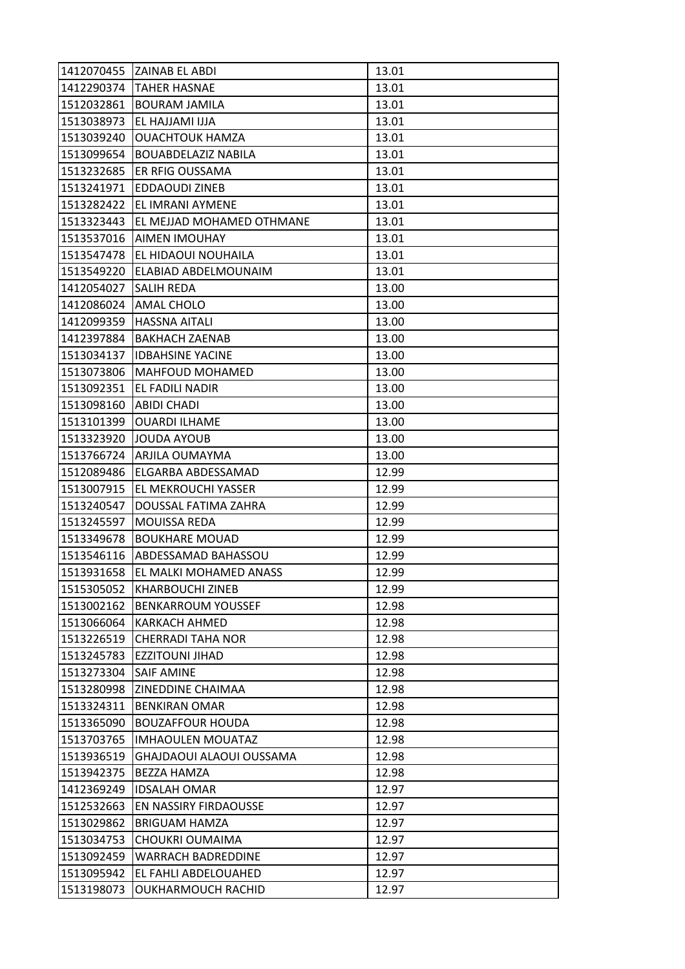|                        | 1412070455 ZAINAB EL ABDI     | 13.01 |
|------------------------|-------------------------------|-------|
| 1412290374             | <b>TAHER HASNAE</b>           | 13.01 |
| 1512032861             | <b>BOURAM JAMILA</b>          | 13.01 |
| 1513038973             | EL HAJJAMI IJJA               | 13.01 |
| 1513039240             | <b>OUACHTOUK HAMZA</b>        | 13.01 |
| 1513099654             | <b>BOUABDELAZIZ NABILA</b>    | 13.01 |
| 1513232685             | <b>ER RFIG OUSSAMA</b>        | 13.01 |
| 1513241971             | <b>EDDAOUDI ZINEB</b>         | 13.01 |
|                        | 1513282422 EL IMRANI AYMENE   | 13.01 |
| 1513323443             | EL MEJJAD MOHAMED OTHMANE     | 13.01 |
|                        | 1513537016   AIMEN IMOUHAY    | 13.01 |
| 1513547478             | EL HIDAOUI NOUHAILA           | 13.01 |
| 1513549220             | ELABIAD ABDELMOUNAIM          | 13.01 |
| 1412054027             | <b>SALIH REDA</b>             | 13.00 |
| 1412086024             | AMAL CHOLO                    | 13.00 |
| 1412099359             | <b>HASSNA AITALI</b>          | 13.00 |
| 1412397884             | <b>BAKHACH ZAENAB</b>         | 13.00 |
| 1513034137             | <b>IDBAHSINE YACINE</b>       | 13.00 |
| 1513073806             | <b>MAHFOUD MOHAMED</b>        | 13.00 |
| 1513092351             | EL FADILI NADIR               | 13.00 |
| 1513098160 ABIDI CHADI |                               | 13.00 |
| 1513101399             | <b>OUARDI ILHAME</b>          | 13.00 |
| 1513323920             | <b>JOUDA AYOUB</b>            | 13.00 |
| 1513766724             | ARJILA OUMAYMA                | 13.00 |
| 1512089486             | ELGARBA ABDESSAMAD            | 12.99 |
| 1513007915             | <b>EL MEKROUCHI YASSER</b>    | 12.99 |
| 1513240547             | DOUSSAL FATIMA ZAHRA          | 12.99 |
| 1513245597             | <b>MOUISSA REDA</b>           | 12.99 |
| 1513349678             | <b>BOUKHARE MOUAD</b>         | 12.99 |
| 1513546116             | <b>ABDESSAMAD BAHASSOU</b>    | 12.99 |
| 1513931658             | <b>EL MALKI MOHAMED ANASS</b> | 12.99 |
| 1515305052             | <b>KHARBOUCHI ZINEB</b>       | 12.99 |
| 1513002162             | <b>BENKARROUM YOUSSEF</b>     | 12.98 |
| 1513066064             | <b>KARKACH AHMED</b>          | 12.98 |
| 1513226519             | <b>CHERRADI TAHA NOR</b>      | 12.98 |
| 1513245783             | <b>EZZITOUNI JIHAD</b>        | 12.98 |
| 1513273304             | <b>SAIF AMINE</b>             | 12.98 |
| 1513280998             | <b>ZINEDDINE CHAIMAA</b>      | 12.98 |
| 1513324311             | <b>BENKIRAN OMAR</b>          | 12.98 |
| 1513365090             | <b>BOUZAFFOUR HOUDA</b>       | 12.98 |
| 1513703765             | <b>IMHAOULEN MOUATAZ</b>      | 12.98 |
| 1513936519             | GHAJDAOUI ALAOUI OUSSAMA      | 12.98 |
| 1513942375             | <b>BEZZA HAMZA</b>            | 12.98 |
| 1412369249             | <b>IDSALAH OMAR</b>           | 12.97 |
| 1512532663             | <b>EN NASSIRY FIRDAOUSSE</b>  | 12.97 |
| 1513029862             | <b>BRIGUAM HAMZA</b>          | 12.97 |
| 1513034753             | CHOUKRI OUMAIMA               | 12.97 |
| 1513092459             | <b>WARRACH BADREDDINE</b>     | 12.97 |
| 1513095942             | EL FAHLI ABDELOUAHED          | 12.97 |
| 1513198073             | OUKHARMOUCH RACHID            | 12.97 |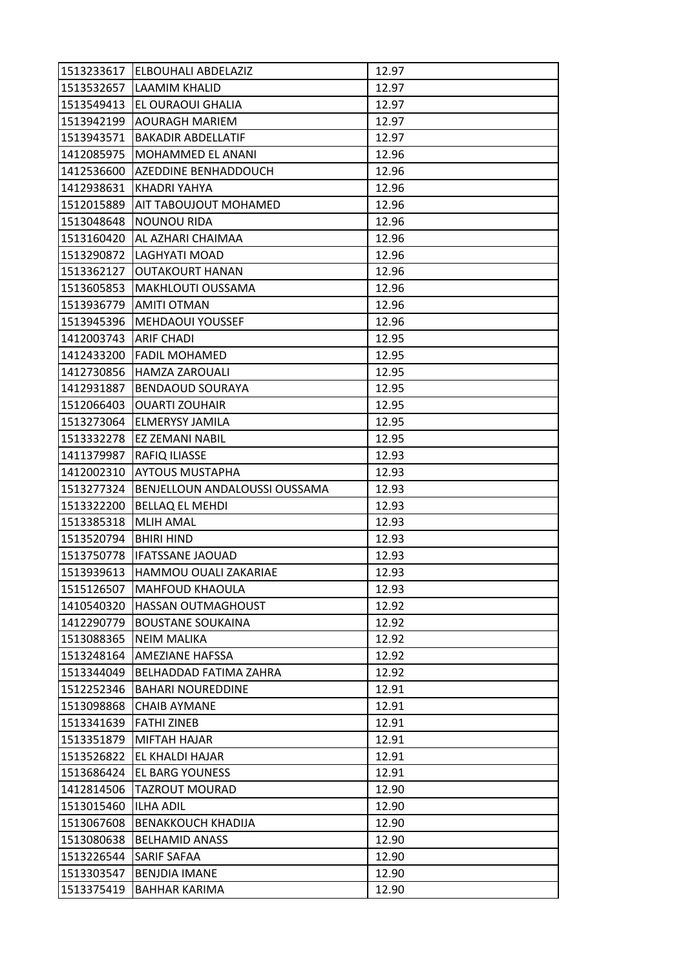| 1513233617 | ELBOUHALI ABDELAZIZ           | 12.97 |
|------------|-------------------------------|-------|
| 1513532657 | LAAMIM KHALID                 | 12.97 |
| 1513549413 | EL OURAOUI GHALIA             | 12.97 |
| 1513942199 | <b>AOURAGH MARIEM</b>         | 12.97 |
| 1513943571 | <b>BAKADIR ABDELLATIF</b>     | 12.97 |
| 1412085975 | MOHAMMED EL ANANI             | 12.96 |
| 1412536600 | AZEDDINE BENHADDOUCH          | 12.96 |
| 1412938631 | KHADRI YAHYA                  | 12.96 |
| 1512015889 | AIT TABOUJOUT MOHAMED         | 12.96 |
| 1513048648 | <b>NOUNOU RIDA</b>            | 12.96 |
| 1513160420 | AL AZHARI CHAIMAA             | 12.96 |
| 1513290872 | LAGHYATI MOAD                 | 12.96 |
| 1513362127 | <b>OUTAKOURT HANAN</b>        | 12.96 |
| 1513605853 | MAKHLOUTI OUSSAMA             | 12.96 |
| 1513936779 | <b>AMITI OTMAN</b>            | 12.96 |
| 1513945396 | <b>MEHDAOUI YOUSSEF</b>       | 12.96 |
| 1412003743 | <b>ARIF CHADI</b>             | 12.95 |
| 1412433200 | <b>FADIL MOHAMED</b>          | 12.95 |
| 1412730856 | <b>HAMZA ZAROUALI</b>         | 12.95 |
| 1412931887 | <b>BENDAOUD SOURAYA</b>       | 12.95 |
| 1512066403 | <b>OUARTI ZOUHAIR</b>         | 12.95 |
| 1513273064 | ELMERYSY JAMILA               | 12.95 |
| 1513332278 | EZ ZEMANI NABIL               | 12.95 |
| 1411379987 | RAFIQ ILIASSE                 | 12.93 |
| 1412002310 | <b>AYTOUS MUSTAPHA</b>        | 12.93 |
|            |                               |       |
| 1513277324 | BENJELLOUN ANDALOUSSI OUSSAMA | 12.93 |
| 1513322200 | <b>BELLAQ EL MEHDI</b>        | 12.93 |
| 1513385318 | <b>MLIH AMAL</b>              | 12.93 |
| 1513520794 | <b>BHIRI HIND</b>             | 12.93 |
| 1513750778 | <b>IFATSSANE JAOUAD</b>       | 12.93 |
| 1513939613 | HAMMOU OUALI ZAKARIAE         | 12.93 |
| 1515126507 | <b>MAHFOUD KHAOULA</b>        | 12.93 |
| 1410540320 | HASSAN OUTMAGHOUST            | 12.92 |
| 1412290779 | <b>BOUSTANE SOUKAINA</b>      | 12.92 |
| 1513088365 | <b>NEIM MALIKA</b>            | 12.92 |
| 1513248164 | AMEZIANE HAFSSA               | 12.92 |
| 1513344049 | <b>BELHADDAD FATIMA ZAHRA</b> | 12.92 |
| 1512252346 | <b>BAHARI NOUREDDINE</b>      | 12.91 |
| 1513098868 | <b>CHAIB AYMANE</b>           | 12.91 |
| 1513341639 | <b>FATHI ZINEB</b>            | 12.91 |
| 1513351879 | MIFTAH HAJAR                  | 12.91 |
| 1513526822 | EL KHALDI HAJAR               | 12.91 |
| 1513686424 | EL BARG YOUNESS               | 12.91 |
| 1412814506 | <b>TAZROUT MOURAD</b>         | 12.90 |
| 1513015460 | <b>ILHA ADIL</b>              | 12.90 |
| 1513067608 | <b>BENAKKOUCH KHADIJA</b>     | 12.90 |
| 1513080638 | <b>BELHAMID ANASS</b>         | 12.90 |
| 1513226544 | SARIF SAFAA                   | 12.90 |
| 1513303547 | <b>BENJDIA IMANE</b>          | 12.90 |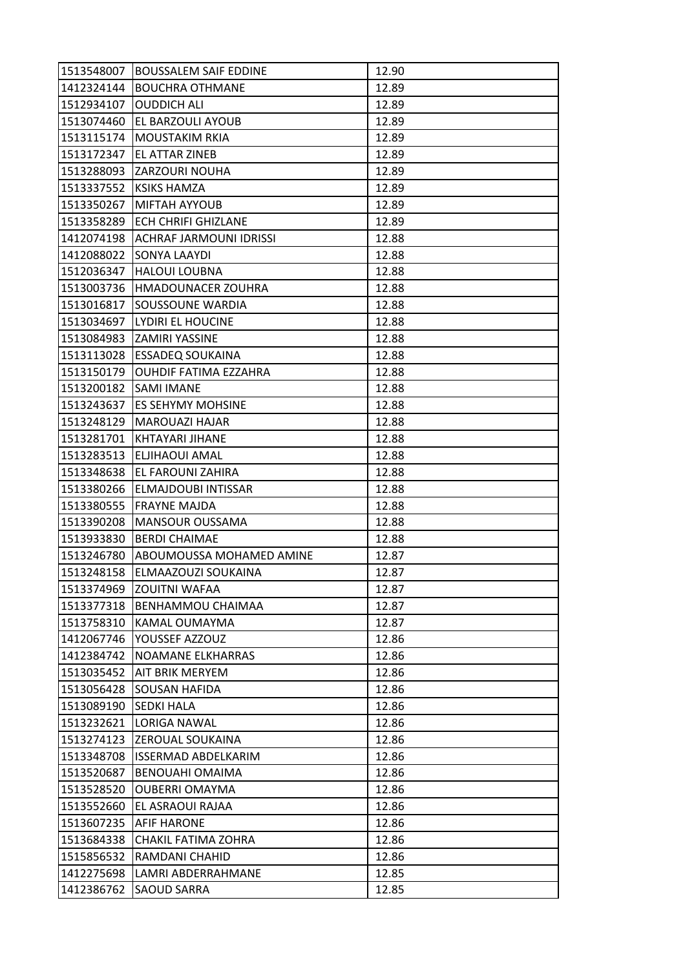| 1513548007 | <b>BOUSSALEM SAIF EDDINE</b>   | 12.90 |
|------------|--------------------------------|-------|
| 1412324144 | <b>BOUCHRA OTHMANE</b>         | 12.89 |
| 1512934107 | <b>OUDDICH ALI</b>             | 12.89 |
| 1513074460 | EL BARZOULI AYOUB              | 12.89 |
| 1513115174 | <b>MOUSTAKIM RKIA</b>          | 12.89 |
| 1513172347 | EL ATTAR ZINEB                 | 12.89 |
| 1513288093 | <b>ZARZOURI NOUHA</b>          | 12.89 |
| 1513337552 | <b>KSIKS HAMZA</b>             | 12.89 |
| 1513350267 | MIFTAH AYYOUB                  | 12.89 |
| 1513358289 | ECH CHRIFI GHIZLANE            | 12.89 |
| 1412074198 | <b>ACHRAF JARMOUNI IDRISSI</b> | 12.88 |
| 1412088022 | SONYA LAAYDI                   | 12.88 |
| 1512036347 | <b>HALOUI LOUBNA</b>           | 12.88 |
| 1513003736 | HMADOUNACER ZOUHRA             | 12.88 |
| 1513016817 | SOUSSOUNE WARDIA               | 12.88 |
| 1513034697 | LYDIRI EL HOUCINE              | 12.88 |
| 1513084983 | <b>ZAMIRI YASSINE</b>          | 12.88 |
| 1513113028 | <b>ESSADEQ SOUKAINA</b>        | 12.88 |
| 1513150179 | <b>OUHDIF FATIMA EZZAHRA</b>   | 12.88 |
| 1513200182 | <b>SAMI IMANE</b>              | 12.88 |
| 1513243637 | ES SEHYMY MOHSINE              | 12.88 |
| 1513248129 | <b>MAROUAZI HAJAR</b>          | 12.88 |
| 1513281701 | KHTAYARI JIHANE                | 12.88 |
| 1513283513 | ELJIHAOUI AMAL                 | 12.88 |
| 1513348638 | EL FAROUNI ZAHIRA              | 12.88 |
| 1513380266 | ELMAJDOUBI INTISSAR            | 12.88 |
| 1513380555 | <b>FRAYNE MAJDA</b>            | 12.88 |
| 1513390208 | <b>MANSOUR OUSSAMA</b>         | 12.88 |
| 1513933830 | <b>BERDI CHAIMAE</b>           | 12.88 |
| 1513246780 | ABOUMOUSSA MOHAMED AMINE       | 12.87 |
| 1513248158 | ELMAAZOUZI SOUKAINA            | 12.87 |
| 1513374969 | <b>ZOUITNI WAFAA</b>           | 12.87 |
| 1513377318 | BENHAMMOU CHAIMAA              | 12.87 |
| 1513758310 | KAMAL OUMAYMA                  | 12.87 |
| 1412067746 | YOUSSEF AZZOUZ                 | 12.86 |
| 1412384742 | NOAMANE ELKHARRAS              | 12.86 |
| 1513035452 | AIT BRIK MERYEM                | 12.86 |
| 1513056428 | SOUSAN HAFIDA                  | 12.86 |
| 1513089190 | <b>SEDKI HALA</b>              | 12.86 |
| 1513232621 | <b>LORIGA NAWAL</b>            | 12.86 |
| 1513274123 | ZEROUAL SOUKAINA               | 12.86 |
| 1513348708 | <b>ISSERMAD ABDELKARIM</b>     | 12.86 |
| 1513520687 | BENOUAHI OMAIMA                | 12.86 |
| 1513528520 | <b>OUBERRI OMAYMA</b>          | 12.86 |
| 1513552660 | EL ASRAOUI RAJAA               | 12.86 |
| 1513607235 | AFIF HARONE                    | 12.86 |
| 1513684338 | CHAKIL FATIMA ZOHRA            | 12.86 |
| 1515856532 | RAMDANI CHAHID                 | 12.86 |
| 1412275698 | LAMRI ABDERRAHMANE             | 12.85 |
| 1412386762 | SAOUD SARRA                    | 12.85 |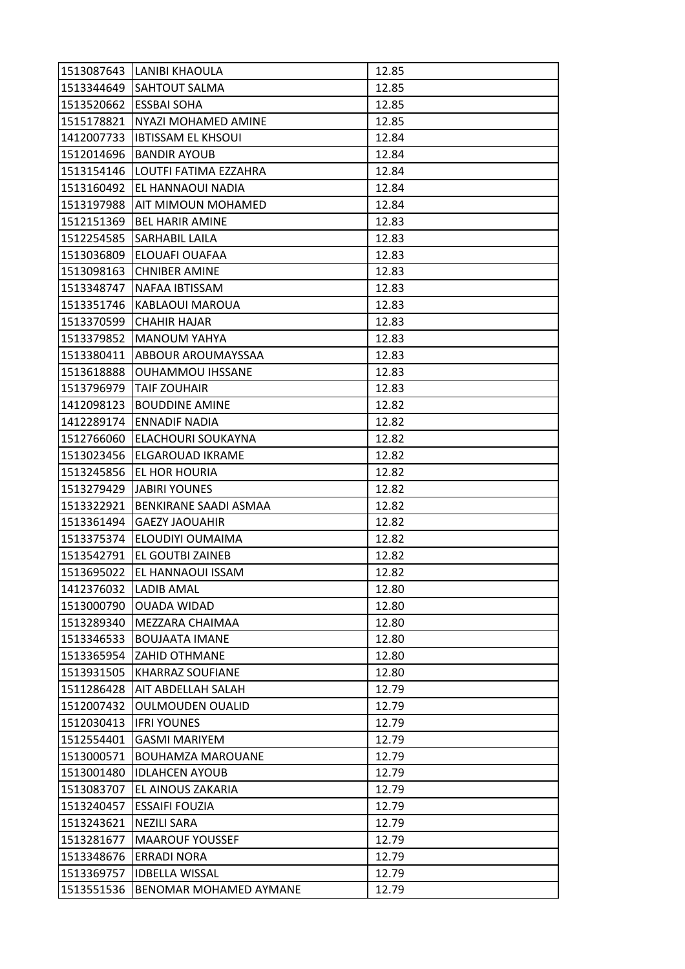|            | 1513087643 LANIBI KHAOULA | 12.85 |
|------------|---------------------------|-------|
| 1513344649 | <b>SAHTOUT SALMA</b>      | 12.85 |
| 1513520662 | <b>ESSBAI SOHA</b>        | 12.85 |
| 1515178821 | NYAZI MOHAMED AMINE       | 12.85 |
| 1412007733 | <b>IBTISSAM EL KHSOUI</b> | 12.84 |
| 1512014696 | <b>BANDIR AYOUB</b>       | 12.84 |
| 1513154146 | LOUTFI FATIMA EZZAHRA     | 12.84 |
| 1513160492 | EL HANNAOUI NADIA         | 12.84 |
| 1513197988 | AIT MIMOUN MOHAMED        | 12.84 |
| 1512151369 | <b>BEL HARIR AMINE</b>    | 12.83 |
| 1512254585 | SARHABIL LAILA            | 12.83 |
| 1513036809 | ELOUAFI OUAFAA            | 12.83 |
| 1513098163 | <b>CHNIBER AMINE</b>      | 12.83 |
| 1513348747 | NAFAA IBTISSAM            | 12.83 |
| 1513351746 | KABLAOUI MAROUA           | 12.83 |
| 1513370599 | <b>CHAHIR HAJAR</b>       | 12.83 |
| 1513379852 | <b>MANOUM YAHYA</b>       | 12.83 |
| 1513380411 | ABBOUR AROUMAYSSAA        | 12.83 |
| 1513618888 | <b>OUHAMMOU IHSSANE</b>   | 12.83 |
| 1513796979 | TAIF ZOUHAIR              | 12.83 |
| 1412098123 | <b>BOUDDINE AMINE</b>     | 12.82 |
| 1412289174 | <b>ENNADIF NADIA</b>      | 12.82 |
| 1512766060 | ELACHOURI SOUKAYNA        | 12.82 |
| 1513023456 | ELGAROUAD IKRAME          | 12.82 |
| 1513245856 | EL HOR HOURIA             | 12.82 |
| 1513279429 | <b>JABIRI YOUNES</b>      | 12.82 |
| 1513322921 | BENKIRANE SAADI ASMAA     | 12.82 |
| 1513361494 | <b>GAEZY JAOUAHIR</b>     | 12.82 |
| 1513375374 | ELOUDIYI OUMAIMA          | 12.82 |
| 1513542791 | EL GOUTBI ZAINEB          | 12.82 |
| 1513695022 | <b>EL HANNAOUI ISSAM</b>  | 12.82 |
| 1412376032 | <b>LADIB AMAL</b>         | 12.80 |
| 1513000790 | <b>OUADA WIDAD</b>        | 12.80 |
| 1513289340 | MEZZARA CHAIMAA           | 12.80 |
| 1513346533 | <b>BOUJAATA IMANE</b>     | 12.80 |
| 1513365954 | <b>ZAHID OTHMANE</b>      | 12.80 |
| 1513931505 | <b>KHARRAZ SOUFIANE</b>   | 12.80 |
| 1511286428 | AIT ABDELLAH SALAH        | 12.79 |
| 1512007432 | <b>OULMOUDEN OUALID</b>   | 12.79 |
| 1512030413 | <b>IFRI YOUNES</b>        | 12.79 |
| 1512554401 | <b>GASMI MARIYEM</b>      | 12.79 |
| 1513000571 | <b>BOUHAMZA MAROUANE</b>  | 12.79 |
| 1513001480 | <b>IDLAHCEN AYOUB</b>     | 12.79 |
| 1513083707 | EL AINOUS ZAKARIA         | 12.79 |
| 1513240457 | <b>ESSAIFI FOUZIA</b>     | 12.79 |
| 1513243621 | <b>NEZILI SARA</b>        | 12.79 |
| 1513281677 | <b>MAAROUF YOUSSEF</b>    | 12.79 |
| 1513348676 | <b>ERRADI NORA</b>        | 12.79 |
| 1513369757 | <b>IDBELLA WISSAL</b>     | 12.79 |
| 1513551536 | BENOMAR MOHAMED AYMANE    | 12.79 |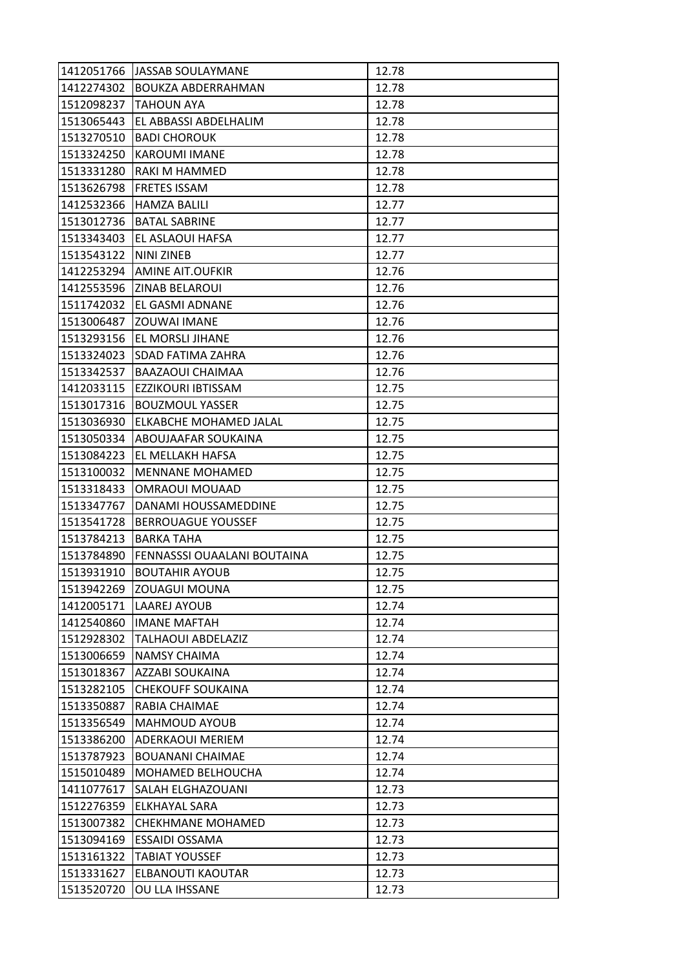| 1412051766 | <b>JASSAB SOULAYMANE</b>    | 12.78 |
|------------|-----------------------------|-------|
| 1412274302 | <b>BOUKZA ABDERRAHMAN</b>   | 12.78 |
| 1512098237 | TAHOUN AYA                  | 12.78 |
| 1513065443 | EL ABBASSI ABDELHALIM       | 12.78 |
| 1513270510 | <b>BADI CHOROUK</b>         | 12.78 |
| 1513324250 | <b>KAROUMI IMANE</b>        | 12.78 |
| 1513331280 | <b>RAKI M HAMMED</b>        | 12.78 |
| 1513626798 | <b>FRETES ISSAM</b>         | 12.78 |
| 1412532366 | <b>HAMZA BALILI</b>         | 12.77 |
| 1513012736 | <b>BATAL SABRINE</b>        | 12.77 |
| 1513343403 | EL ASLAOUI HAFSA            | 12.77 |
| 1513543122 | NINI ZINEB                  | 12.77 |
| 1412253294 | <b>AMINE AIT.OUFKIR</b>     | 12.76 |
| 1412553596 | <b>ZINAB BELAROUI</b>       | 12.76 |
| 1511742032 | EL GASMI ADNANE             | 12.76 |
| 1513006487 | <b>ZOUWAI IMANE</b>         | 12.76 |
| 1513293156 | <b>EL MORSLI JIHANE</b>     | 12.76 |
| 1513324023 | SDAD FATIMA ZAHRA           | 12.76 |
| 1513342537 | <b>BAAZAOUI CHAIMAA</b>     | 12.76 |
| 1412033115 | EZZIKOURI IBTISSAM          | 12.75 |
| 1513017316 | <b>BOUZMOUL YASSER</b>      | 12.75 |
| 1513036930 | ELKABCHE MOHAMED JALAL      | 12.75 |
| 1513050334 | ABOUJAAFAR SOUKAINA         | 12.75 |
| 1513084223 | EL MELLAKH HAFSA            | 12.75 |
| 1513100032 | <b>MENNANE MOHAMED</b>      | 12.75 |
| 1513318433 | <b>OMRAOUI MOUAAD</b>       | 12.75 |
| 1513347767 | DANAMI HOUSSAMEDDINE        | 12.75 |
| 1513541728 | <b>BERROUAGUE YOUSSEF</b>   | 12.75 |
| 1513784213 | <b>BARKA TAHA</b>           | 12.75 |
| 1513784890 | FENNASSSI OUAALANI BOUTAINA | 12.75 |
| 1513931910 | <b>BOUTAHIR AYOUB</b>       | 12.75 |
| 1513942269 | <b>ZOUAGUI MOUNA</b>        | 12.75 |
| 1412005171 | <b>LAAREJ AYOUB</b>         | 12.74 |
| 1412540860 | <b>IMANE MAFTAH</b>         | 12.74 |
| 1512928302 | <b>TALHAOUI ABDELAZIZ</b>   | 12.74 |
| 1513006659 | <b>NAMSY CHAIMA</b>         | 12.74 |
| 1513018367 |                             |       |
|            | AZZABI SOUKAINA             | 12.74 |
| 1513282105 | <b>CHEKOUFF SOUKAINA</b>    | 12.74 |
| 1513350887 | RABIA CHAIMAE               | 12.74 |
| 1513356549 | <b>MAHMOUD AYOUB</b>        | 12.74 |
| 1513386200 | ADERKAOUI MERIEM            | 12.74 |
| 1513787923 | <b>BOUANANI CHAIMAE</b>     | 12.74 |
| 1515010489 | MOHAMED BELHOUCHA           | 12.74 |
| 1411077617 | SALAH ELGHAZOUANI           | 12.73 |
| 1512276359 | ELKHAYAL SARA               | 12.73 |
| 1513007382 | <b>CHEKHMANE MOHAMED</b>    | 12.73 |
| 1513094169 | <b>ESSAIDI OSSAMA</b>       | 12.73 |
| 1513161322 | <b>TABIAT YOUSSEF</b>       | 12.73 |
| 1513331627 | ELBANOUTI KAOUTAR           | 12.73 |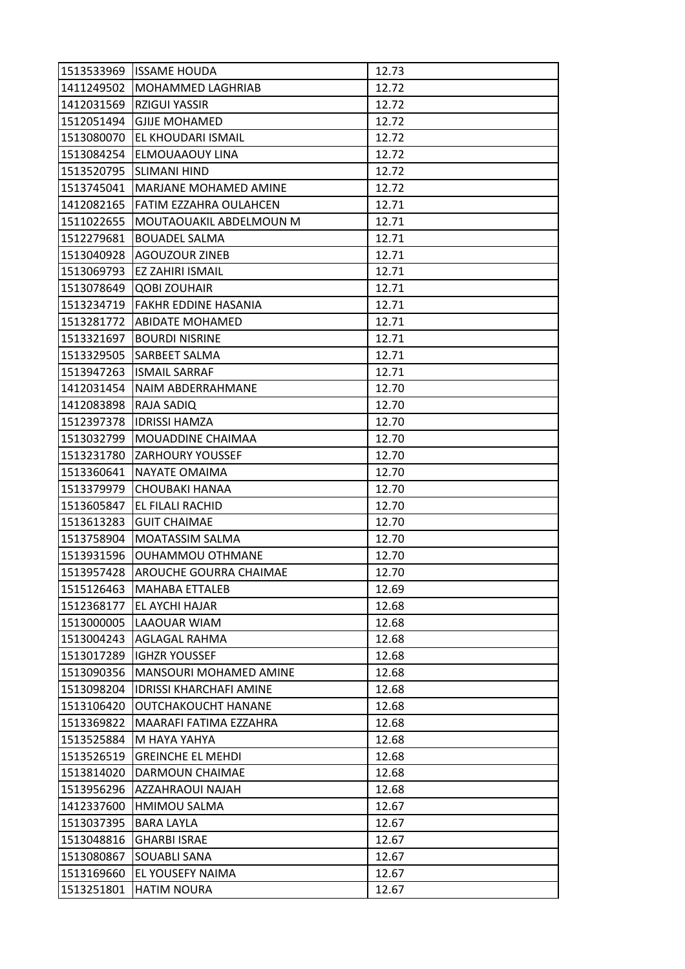| 1513533969 | lissame houda                                   |                |
|------------|-------------------------------------------------|----------------|
| 1411249502 | MOHAMMED LAGHRIAB                               | 12.73<br>12.72 |
| 1412031569 | <b>RZIGUI YASSIR</b>                            | 12.72          |
| 1512051494 | <b>GJIJE MOHAMED</b>                            | 12.72          |
| 1513080070 | EL KHOUDARI ISMAIL                              | 12.72          |
| 1513084254 | ELMOUAAOUY LINA                                 | 12.72          |
| 1513520795 |                                                 | 12.72          |
| 1513745041 | SLIMANI HIND<br><b>MARJANE MOHAMED AMINE</b>    |                |
| 1412082165 | FATIM EZZAHRA OULAHCEN                          | 12.72<br>12.71 |
| 1511022655 |                                                 | 12.71          |
| 1512279681 | MOUTAOUAKIL ABDELMOUN M<br><b>BOUADEL SALMA</b> | 12.71          |
| 1513040928 | <b>AGOUZOUR ZINEB</b>                           | 12.71          |
| 1513069793 | <b>EZ ZAHIRI ISMAIL</b>                         | 12.71          |
| 1513078649 | <b>QOBI ZOUHAIR</b>                             | 12.71          |
| 1513234719 | <b>FAKHR EDDINE HASANIA</b>                     | 12.71          |
| 1513281772 | <b>ABIDATE MOHAMED</b>                          | 12.71          |
|            |                                                 |                |
| 1513321697 | <b>BOURDI NISRINE</b>                           | 12.71          |
| 1513329505 | SARBEET SALMA                                   | 12.71          |
| 1513947263 | <b>ISMAIL SARRAF</b>                            | 12.71          |
| 1412031454 | NAIM ABDERRAHMANE                               | 12.70          |
| 1412083898 | RAJA SADIQ                                      | 12.70          |
| 1512397378 | <b>IDRISSI HAMZA</b>                            | 12.70          |
| 1513032799 | MOUADDINE CHAIMAA                               | 12.70          |
| 1513231780 | <b>ZARHOURY YOUSSEF</b>                         | 12.70          |
| 1513360641 | NAYATE OMAIMA                                   | 12.70          |
| 1513379979 | CHOUBAKI HANAA                                  | 12.70          |
| 1513605847 | EL FILALI RACHID                                | 12.70          |
| 1513613283 | <b>GUIT CHAIMAE</b>                             | 12.70          |
| 1513758904 | MOATASSIM SALMA                                 | 12.70          |
| 1513931596 | OUHAMMOU OTHMANE                                | 12.70          |
| 1513957428 | AROUCHE GOURRA CHAIMAE                          | 12.70          |
| 1515126463 | <b>MAHABA ETTALEB</b>                           | 12.69          |
| 1512368177 | EL AYCHI HAJAR                                  | 12.68          |
| 1513000005 | LAAOUAR WIAM                                    | 12.68          |
| 1513004243 | <b>AGLAGAL RAHMA</b>                            | 12.68          |
| 1513017289 | <b>IGHZR YOUSSEF</b>                            | 12.68          |
| 1513090356 | MANSOURI MOHAMED AMINE                          | 12.68          |
| 1513098204 | <b>IDRISSI KHARCHAFI AMINE</b>                  | 12.68          |
| 1513106420 | <b>OUTCHAKOUCHT HANANE</b>                      | 12.68          |
| 1513369822 | MAARAFI FATIMA EZZAHRA                          | 12.68          |
| 1513525884 | M HAYA YAHYA                                    | 12.68          |
| 1513526519 | <b>GREINCHE EL MEHDI</b>                        | 12.68          |
| 1513814020 | DARMOUN CHAIMAE                                 | 12.68          |
| 1513956296 | AZZAHRAOUI NAJAH                                | 12.68          |
| 1412337600 | HMIMOU SALMA                                    | 12.67          |
| 1513037395 | BARA LAYLA                                      | 12.67          |
| 1513048816 | <b>GHARBI ISRAE</b>                             | 12.67          |
| 1513080867 | SOUABLI SANA                                    | 12.67          |
| 1513169660 | EL YOUSEFY NAIMA                                | 12.67          |
| 1513251801 | <b>HATIM NOURA</b>                              | 12.67          |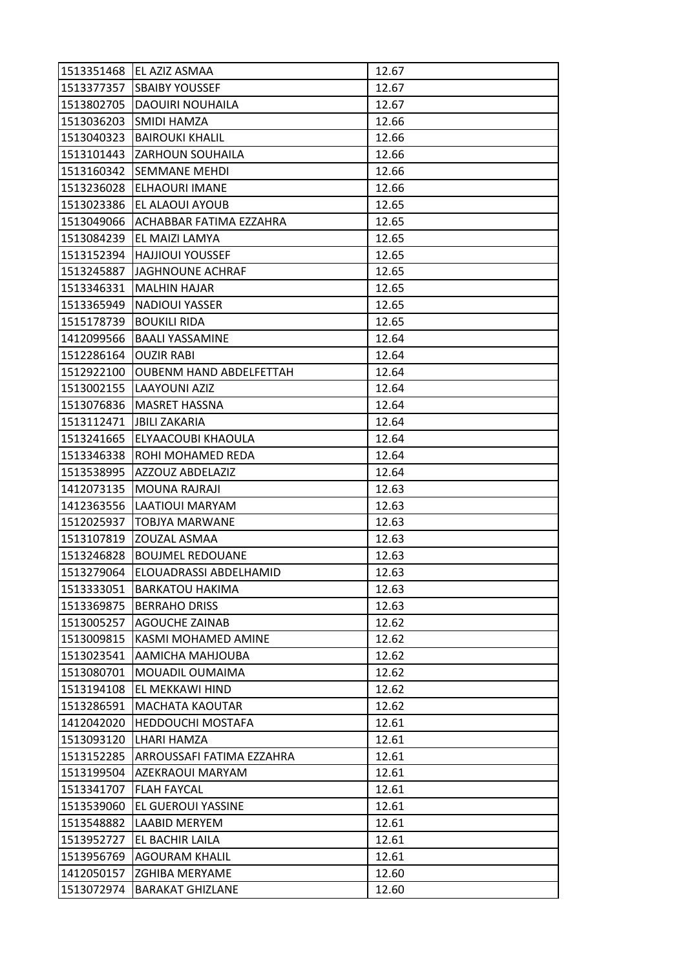| 1513351468 | EL AZIZ ASMAA                  | 12.67 |
|------------|--------------------------------|-------|
| 1513377357 | <b>SBAIBY YOUSSEF</b>          | 12.67 |
| 1513802705 | <b>DAOUIRI NOUHAILA</b>        | 12.67 |
| 1513036203 | SMIDI HAMZA                    | 12.66 |
| 1513040323 | <b>BAIROUKI KHALIL</b>         | 12.66 |
| 1513101443 | ZARHOUN SOUHAILA               | 12.66 |
| 1513160342 | <b>SEMMANE MEHDI</b>           | 12.66 |
| 1513236028 | ELHAOURI IMANE                 | 12.66 |
| 1513023386 | EL ALAOUI AYOUB                | 12.65 |
| 1513049066 | ACHABBAR FATIMA EZZAHRA        | 12.65 |
| 1513084239 | EL MAIZI LAMYA                 | 12.65 |
| 1513152394 | <b>HAJJIOUI YOUSSEF</b>        | 12.65 |
| 1513245887 | <b>JAGHNOUNE ACHRAF</b>        | 12.65 |
| 1513346331 | <b>MALHIN HAJAR</b>            | 12.65 |
| 1513365949 | <b>NADIOUI YASSER</b>          | 12.65 |
| 1515178739 | <b>BOUKILI RIDA</b>            | 12.65 |
| 1412099566 | <b>BAALI YASSAMINE</b>         | 12.64 |
| 1512286164 | <b>OUZIR RABI</b>              | 12.64 |
| 1512922100 | <b>OUBENM HAND ABDELFETTAH</b> | 12.64 |
| 1513002155 | LAAYOUNI AZIZ                  | 12.64 |
| 1513076836 | <b>MASRET HASSNA</b>           | 12.64 |
| 1513112471 | JBILI ZAKARIA                  | 12.64 |
| 1513241665 | ELYAACOUBI KHAOULA             | 12.64 |
| 1513346338 | ROHI MOHAMED REDA              | 12.64 |
| 1513538995 | AZZOUZ ABDELAZIZ               | 12.64 |
| 1412073135 | <b>MOUNA RAJRAJI</b>           | 12.63 |
| 1412363556 | LAATIOUI MARYAM                | 12.63 |
| 1512025937 | <b>TOBJYA MARWANE</b>          | 12.63 |
| 1513107819 | ZOUZAL ASMAA                   | 12.63 |
| 1513246828 | <b>BOUJMEL REDOUANE</b>        | 12.63 |
| 1513279064 | ELOUADRASSI ABDELHAMID         | 12.63 |
| 1513333051 | <b>BARKATOU HAKIMA</b>         | 12.63 |
| 1513369875 | <b>BERRAHO DRISS</b>           | 12.63 |
| 1513005257 | <b>AGOUCHE ZAINAB</b>          | 12.62 |
| 1513009815 | KASMI MOHAMED AMINE            | 12.62 |
| 1513023541 | AAMICHA MAHJOUBA               | 12.62 |
| 1513080701 | MOUADIL OUMAIMA                | 12.62 |
| 1513194108 | EL MEKKAWI HIND                | 12.62 |
| 1513286591 | <b>MACHATA KAOUTAR</b>         | 12.62 |
| 1412042020 | HEDDOUCHI MOSTAFA              | 12.61 |
| 1513093120 | LHARI HAMZA                    | 12.61 |
| 1513152285 | ARROUSSAFI FATIMA EZZAHRA      | 12.61 |
| 1513199504 | AZEKRAOUI MARYAM               | 12.61 |
| 1513341707 | <b>FLAH FAYCAL</b>             | 12.61 |
| 1513539060 | EL GUEROUI YASSINE             | 12.61 |
| 1513548882 | LAABID MERYEM                  | 12.61 |
| 1513952727 | EL BACHIR LAILA                | 12.61 |
| 1513956769 | <b>AGOURAM KHALIL</b>          | 12.61 |
| 1412050157 | <b>ZGHIBA MERYAME</b>          | 12.60 |
| 1513072974 | <b>BARAKAT GHIZLANE</b>        | 12.60 |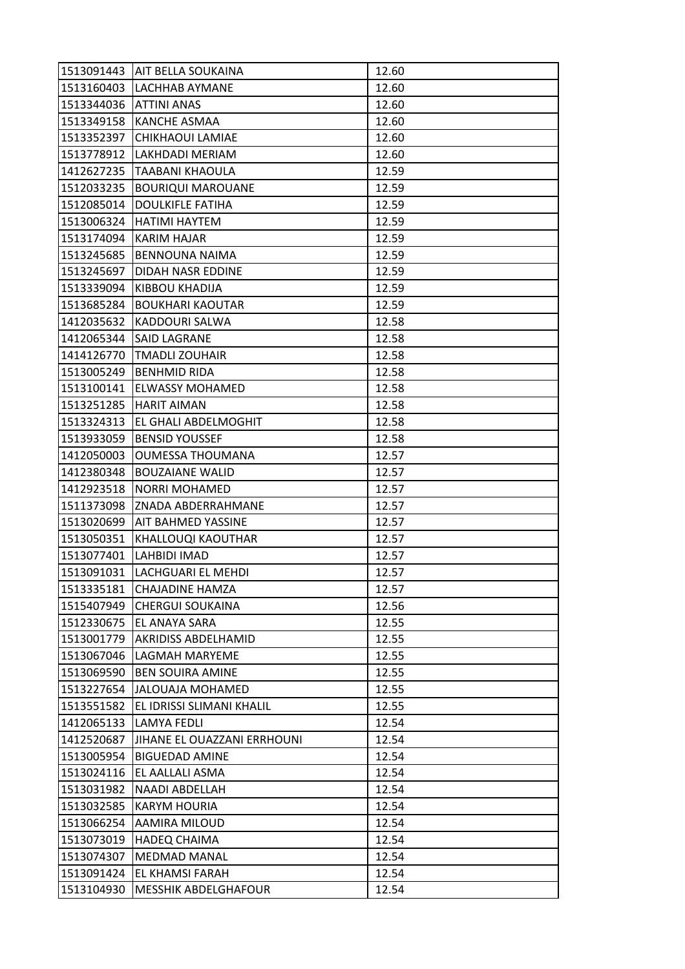|            | 1513091443   AIT BELLA SOUKAINA | 12.60 |
|------------|---------------------------------|-------|
| 1513160403 | <b>LACHHAB AYMANE</b>           | 12.60 |
| 1513344036 | <b>ATTINI ANAS</b>              | 12.60 |
| 1513349158 | <b>KANCHE ASMAA</b>             | 12.60 |
| 1513352397 | <b>CHIKHAOUI LAMIAE</b>         | 12.60 |
|            | 1513778912  LAKHDADI MERIAM     | 12.60 |
| 1412627235 | TAABANI KHAOULA                 | 12.59 |
| 1512033235 | <b>BOURIQUI MAROUANE</b>        | 12.59 |
| 1512085014 | <b>DOULKIFLE FATIHA</b>         | 12.59 |
| 1513006324 | HATIMI HAYTEM                   | 12.59 |
| 1513174094 | <b>KARIM HAJAR</b>              | 12.59 |
| 1513245685 | <b>BENNOUNA NAIMA</b>           | 12.59 |
| 1513245697 | DIDAH NASR EDDINE               | 12.59 |
| 1513339094 | <b>KIBBOU KHADIJA</b>           | 12.59 |
| 1513685284 | <b>BOUKHARI KAOUTAR</b>         | 12.59 |
| 1412035632 | <b>KADDOURI SALWA</b>           | 12.58 |
| 1412065344 | <b>SAID LAGRANE</b>             | 12.58 |
| 1414126770 | <b>TMADLI ZOUHAIR</b>           | 12.58 |
| 1513005249 | <b>BENHMID RIDA</b>             | 12.58 |
| 1513100141 | <b>ELWASSY MOHAMED</b>          | 12.58 |
|            | 1513251285   HARIT AIMAN        | 12.58 |
| 1513324313 | EL GHALI ABDELMOGHIT            | 12.58 |
| 1513933059 | <b>BENSID YOUSSEF</b>           | 12.58 |
| 1412050003 | <b>OUMESSA THOUMANA</b>         | 12.57 |
| 1412380348 | <b>BOUZAIANE WALID</b>          | 12.57 |
| 1412923518 | <b>NORRI MOHAMED</b>            | 12.57 |
| 1511373098 | IZNADA ABDERRAHMANE             | 12.57 |
| 1513020699 | <b>AIT BAHMED YASSINE</b>       | 12.57 |
| 1513050351 | KHALLOUQI KAOUTHAR              | 12.57 |
| 1513077401 | LAHBIDI IMAD                    | 12.57 |
|            | 1513091031   LACHGUARI EL MEHDI | 12.57 |
| 1513335181 | <b>CHAJADINE HAMZA</b>          | 12.57 |
| 1515407949 | <b>CHERGUI SOUKAINA</b>         | 12.56 |
| 1512330675 | EL ANAYA SARA                   | 12.55 |
| 1513001779 | <b>AKRIDISS ABDELHAMID</b>      | 12.55 |
| 1513067046 | LAGMAH MARYEME                  | 12.55 |
| 1513069590 | <b>BEN SOUIRA AMINE</b>         | 12.55 |
| 1513227654 | <b>JALOUAJA MOHAMED</b>         | 12.55 |
| 1513551582 | EL IDRISSI SLIMANI KHALIL       | 12.55 |
| 1412065133 | <b>LAMYA FEDLI</b>              | 12.54 |
| 1412520687 | JIHANE EL OUAZZANI ERRHOUNI     | 12.54 |
| 1513005954 | <b>BIGUEDAD AMINE</b>           | 12.54 |
| 1513024116 | EL AALLALI ASMA                 | 12.54 |
| 1513031982 | NAADI ABDELLAH                  | 12.54 |
| 1513032585 | <b>KARYM HOURIA</b>             | 12.54 |
| 1513066254 | AAMIRA MILOUD                   | 12.54 |
| 1513073019 | <b>HADEQ CHAIMA</b>             | 12.54 |
| 1513074307 | <b>MEDMAD MANAL</b>             | 12.54 |
| 1513091424 | EL KHAMSI FARAH                 | 12.54 |
| 1513104930 | <b>MESSHIK ABDELGHAFOUR</b>     | 12.54 |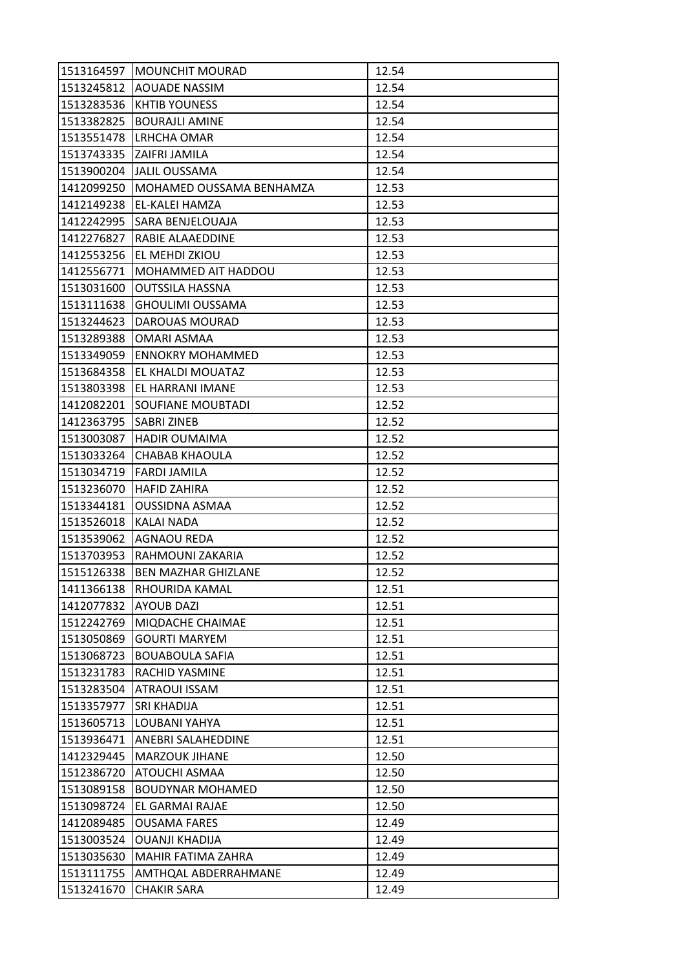| 1513164597 | <b>MOUNCHIT MOURAD</b>     | 12.54 |
|------------|----------------------------|-------|
| 1513245812 | <b>AOUADE NASSIM</b>       | 12.54 |
| 1513283536 | <b>KHTIB YOUNESS</b>       | 12.54 |
| 1513382825 | <b>BOURAJLI AMINE</b>      | 12.54 |
| 1513551478 | LRHCHA OMAR                | 12.54 |
| 1513743335 | ZAIFRI JAMILA              | 12.54 |
| 1513900204 | <b>JALIL OUSSAMA</b>       | 12.54 |
| 1412099250 | MOHAMED OUSSAMA BENHAMZA   | 12.53 |
| 1412149238 | EL-KALEI HAMZA             | 12.53 |
| 1412242995 | SARA BENJELOUAJA           | 12.53 |
| 1412276827 | RABIE ALAAEDDINE           | 12.53 |
| 1412553256 | EL MEHDI ZKIOU             | 12.53 |
| 1412556771 | MOHAMMED AIT HADDOU        | 12.53 |
| 1513031600 | <b>OUTSSILA HASSNA</b>     | 12.53 |
| 1513111638 | <b>GHOULIMI OUSSAMA</b>    | 12.53 |
| 1513244623 | DAROUAS MOURAD             | 12.53 |
| 1513289388 | OMARI ASMAA                | 12.53 |
| 1513349059 | <b>ENNOKRY MOHAMMED</b>    | 12.53 |
| 1513684358 | EL KHALDI MOUATAZ          | 12.53 |
| 1513803398 | EL HARRANI IMANE           | 12.53 |
| 1412082201 | <b>SOUFIANE MOUBTADI</b>   | 12.52 |
| 1412363795 | SABRI ZINEB                | 12.52 |
| 1513003087 | <b>HADIR OUMAIMA</b>       | 12.52 |
| 1513033264 | CHABAB KHAOULA             | 12.52 |
| 1513034719 | FARDI JAMILA               | 12.52 |
| 1513236070 | <b>HAFID ZAHIRA</b>        | 12.52 |
| 1513344181 | <b>OUSSIDNA ASMAA</b>      | 12.52 |
| 1513526018 | <b>KALAI NADA</b>          | 12.52 |
| 1513539062 | <b>AGNAOU REDA</b>         | 12.52 |
| 1513703953 | RAHMOUNI ZAKARIA           | 12.52 |
| 1515126338 | <b>BEN MAZHAR GHIZLANE</b> | 12.52 |
| 1411366138 | RHOURIDA KAMAL             | 12.51 |
| 1412077832 | <b>AYOUB DAZI</b>          | 12.51 |
| 1512242769 | MIQDACHE CHAIMAE           | 12.51 |
| 1513050869 | <b>GOURTI MARYEM</b>       | 12.51 |
| 1513068723 | <b>BOUABOULA SAFIA</b>     | 12.51 |
| 1513231783 | RACHID YASMINE             | 12.51 |
| 1513283504 | <b>ATRAOUI ISSAM</b>       | 12.51 |
| 1513357977 | SRI KHADIJA                | 12.51 |
| 1513605713 | LOUBANI YAHYA              | 12.51 |
| 1513936471 | ANEBRI SALAHEDDINE         | 12.51 |
| 1412329445 | <b>MARZOUK JIHANE</b>      | 12.50 |
| 1512386720 | ATOUCHI ASMAA              | 12.50 |
| 1513089158 | <b>BOUDYNAR MOHAMED</b>    | 12.50 |
| 1513098724 | EL GARMAI RAJAE            | 12.50 |
| 1412089485 | <b>OUSAMA FARES</b>        | 12.49 |
| 1513003524 | <b>OUANJI KHADIJA</b>      | 12.49 |
| 1513035630 | MAHIR FATIMA ZAHRA         | 12.49 |
| 1513111755 | AMTHQAL ABDERRAHMANE       | 12.49 |
| 1513241670 | <b>CHAKIR SARA</b>         | 12.49 |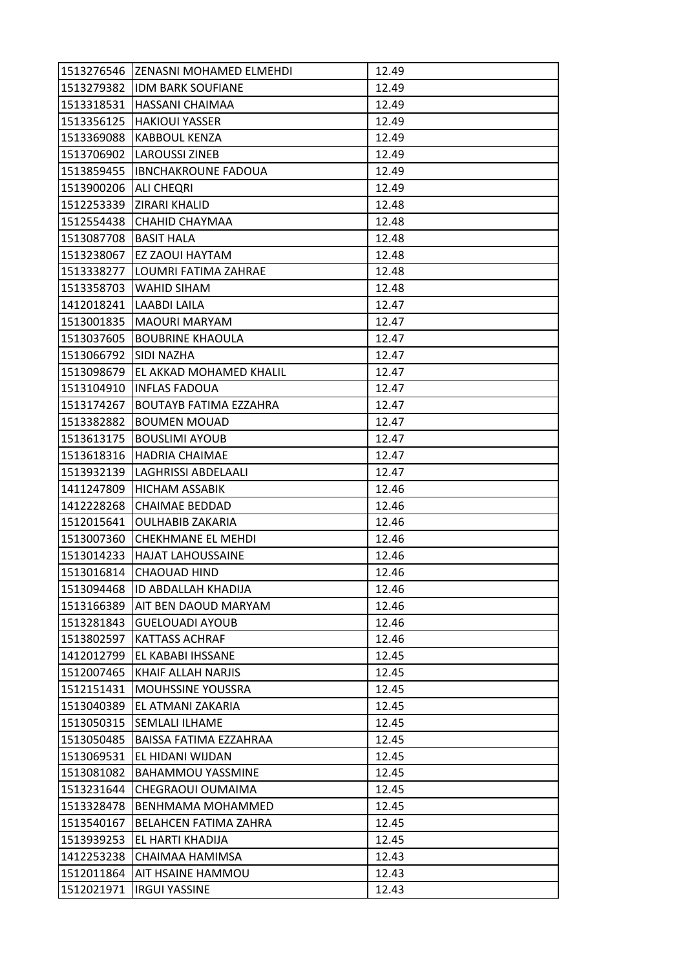|                       | 1513276546 ZENASNI MOHAMED ELMEHDI | 12.49 |
|-----------------------|------------------------------------|-------|
|                       | 1513279382 IDM BARK SOUFIANE       | 12.49 |
| 1513318531            | <b>HASSANI CHAIMAA</b>             | 12.49 |
| 1513356125            | <b>HAKIOUI YASSER</b>              | 12.49 |
| 1513369088            | <b>KABBOUL KENZA</b>               | 12.49 |
|                       | 1513706902 LAROUSSI ZINEB          | 12.49 |
|                       | 1513859455  IBNCHAKROUNE FADOUA    | 12.49 |
| 1513900206            | <b>ALI CHEQRI</b>                  | 12.49 |
| 1512253339            | <b>ZIRARI KHALID</b>               | 12.48 |
| 1512554438            | <b>CHAHID CHAYMAA</b>              | 12.48 |
| 1513087708 BASIT HALA |                                    | 12.48 |
| 1513238067            | <b>EZ ZAOUI HAYTAM</b>             | 12.48 |
| 1513338277            | LOUMRI FATIMA ZAHRAE               | 12.48 |
| 1513358703            | <b>WAHID SIHAM</b>                 | 12.48 |
| 1412018241            | <b>LAABDI LAILA</b>                | 12.47 |
|                       | 1513001835   MAOURI MARYAM         | 12.47 |
| 1513037605            | <b>BOUBRINE KHAOULA</b>            | 12.47 |
| 1513066792            | <b>SIDI NAZHA</b>                  | 12.47 |
| 1513098679            | EL AKKAD MOHAMED KHALIL            | 12.47 |
| 1513104910            | <b>INFLAS FADOUA</b>               | 12.47 |
| 1513174267            | <b>BOUTAYB FATIMA EZZAHRA</b>      | 12.47 |
| 1513382882            | <b>BOUMEN MOUAD</b>                | 12.47 |
| 1513613175            | <b>BOUSLIMI AYOUB</b>              | 12.47 |
| 1513618316            | HADRIA CHAIMAE                     | 12.47 |
| 1513932139            | LAGHRISSI ABDELAALI                | 12.47 |
| 1411247809            | HICHAM ASSABIK                     | 12.46 |
| 1412228268            | <b>CHAIMAE BEDDAD</b>              | 12.46 |
| 1512015641            | <b>OULHABIB ZAKARIA</b>            | 12.46 |
| 1513007360            | <b>CHEKHMANE EL MEHDI</b>          | 12.46 |
| 1513014233            | <b>HAJAT LAHOUSSAINE</b>           | 12.46 |
| 1513016814            | CHAOUAD HIND                       | 12.46 |
| 1513094468            | <b>ID ABDALLAH KHADIJA</b>         | 12.46 |
| 1513166389            | AIT BEN DAOUD MARYAM               | 12.46 |
| 1513281843            | <b>GUELOUADI AYOUB</b>             | 12.46 |
| 1513802597            | <b>KATTASS ACHRAF</b>              | 12.46 |
| 1412012799            | EL KABABI IHSSANE                  | 12.45 |
| 1512007465            | KHAIF ALLAH NARJIS                 | 12.45 |
| 1512151431            | <b>MOUHSSINE YOUSSRA</b>           | 12.45 |
| 1513040389            | EL ATMANI ZAKARIA                  | 12.45 |
| 1513050315            | <b>SEMLALI ILHAME</b>              | 12.45 |
| 1513050485            | <b>BAISSA FATIMA EZZAHRAA</b>      | 12.45 |
| 1513069531            | EL HIDANI WIJDAN                   | 12.45 |
| 1513081082            | <b>BAHAMMOU YASSMINE</b>           | 12.45 |
| 1513231644            | CHEGRAOUI OUMAIMA                  | 12.45 |
| 1513328478            | <b>BENHMAMA MOHAMMED</b>           | 12.45 |
| 1513540167            | BELAHCEN FATIMA ZAHRA              | 12.45 |
| 1513939253            | EL HARTI KHADIJA                   | 12.45 |
| 1412253238            | CHAIMAA HAMIMSA                    | 12.43 |
| 1512011864            | AIT HSAINE HAMMOU                  | 12.43 |
| 1512021971            | <b>IRGUI YASSINE</b>               | 12.43 |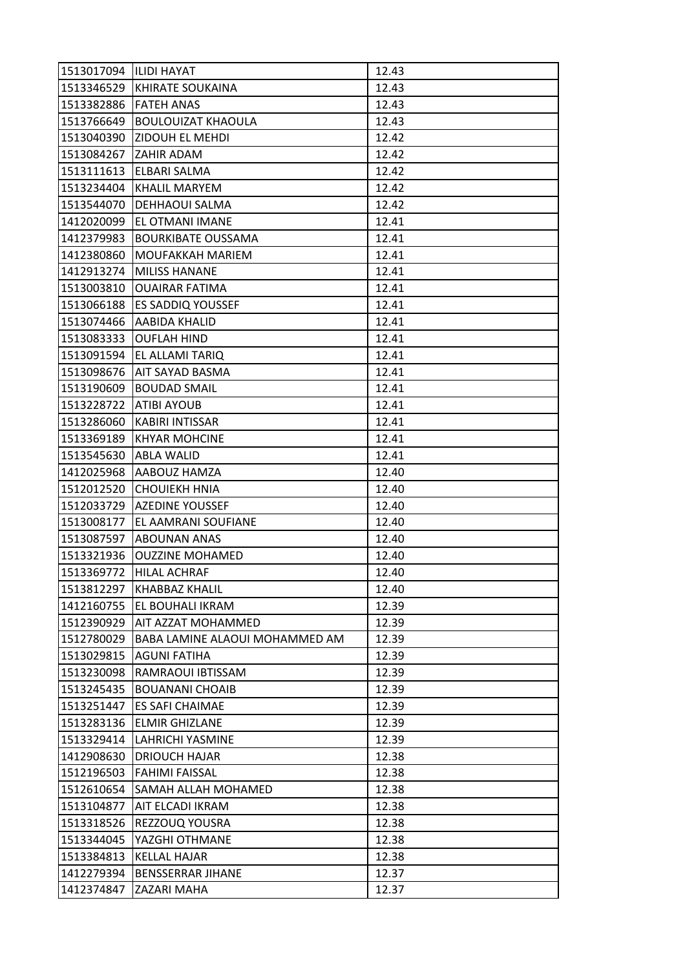| 1513017094  ILIDI HAYAT |                                | 12.43 |
|-------------------------|--------------------------------|-------|
| 1513346529              | KHIRATE SOUKAINA               | 12.43 |
| 1513382886              | <b>FATEH ANAS</b>              | 12.43 |
| 1513766649              | <b>BOULOUIZAT KHAOULA</b>      | 12.43 |
| 1513040390              | ZIDOUH EL MEHDI                | 12.42 |
| 1513084267              | <b>ZAHIR ADAM</b>              | 12.42 |
| 1513111613              | ELBARI SALMA                   | 12.42 |
| 1513234404              | KHALIL MARYEM                  | 12.42 |
| 1513544070              | DEHHAOUI SALMA                 | 12.42 |
| 1412020099              | EL OTMANI IMANE                | 12.41 |
| 1412379983              | <b>BOURKIBATE OUSSAMA</b>      | 12.41 |
| 1412380860              | MOUFAKKAH MARIEM               | 12.41 |
| 1412913274              | <b>MILISS HANANE</b>           | 12.41 |
| 1513003810              | <b>OUAIRAR FATIMA</b>          | 12.41 |
| 1513066188              | <b>ES SADDIQ YOUSSEF</b>       | 12.41 |
| 1513074466              | <b>AABIDA KHALID</b>           | 12.41 |
| 1513083333              | <b>OUFLAH HIND</b>             | 12.41 |
| 1513091594              | EL ALLAMI TARIQ                | 12.41 |
| 1513098676              | AIT SAYAD BASMA                | 12.41 |
| 1513190609              | <b>BOUDAD SMAIL</b>            | 12.41 |
| 1513228722              | <b>ATIBI AYOUB</b>             | 12.41 |
| 1513286060              | <b>KABIRI INTISSAR</b>         | 12.41 |
| 1513369189              | <b>KHYAR MOHCINE</b>           | 12.41 |
| 1513545630              | <b>ABLA WALID</b>              | 12.41 |
| 1412025968              | AABOUZ HAMZA                   | 12.40 |
| 1512012520              | <b>CHOUIEKH HNIA</b>           | 12.40 |
| 1512033729              | <b>AZEDINE YOUSSEF</b>         | 12.40 |
| 1513008177              | EL AAMRANI SOUFIANE            | 12.40 |
| 1513087597              | ABOUNAN ANAS                   | 12.40 |
| 1513321936              | <b>OUZZINE MOHAMED</b>         | 12.40 |
| 1513369772              | <b>HILAL ACHRAF</b>            | 12.40 |
| 1513812297              | <b>KHABBAZ KHALIL</b>          | 12.40 |
| 1412160755              | EL BOUHALI IKRAM               | 12.39 |
| 1512390929              | AIT AZZAT MOHAMMED             | 12.39 |
| 1512780029              | BABA LAMINE ALAOUI MOHAMMED AM | 12.39 |
| 1513029815              | AGUNI FATIHA                   | 12.39 |
| 1513230098              | RAMRAOUI IBTISSAM              | 12.39 |
| 1513245435              | <b>BOUANANI CHOAIB</b>         | 12.39 |
| 1513251447              | <b>ES SAFI CHAIMAE</b>         | 12.39 |
| 1513283136              | <b>ELMIR GHIZLANE</b>          | 12.39 |
| 1513329414              | LAHRICHI YASMINE               | 12.39 |
| 1412908630              | <b>DRIOUCH HAJAR</b>           | 12.38 |
| 1512196503              | <b>FAHIMI FAISSAL</b>          | 12.38 |
| 1512610654              | SAMAH ALLAH MOHAMED            | 12.38 |
| 1513104877              | AIT ELCADI IKRAM               | 12.38 |
| 1513318526              | REZZOUQ YOUSRA                 | 12.38 |
| 1513344045              | YAZGHI OTHMANE                 | 12.38 |
| 1513384813              | KELLAL HAJAR                   | 12.38 |
| 1412279394              | <b>BENSSERRAR JIHANE</b>       | 12.37 |
| 1412374847              | ZAZARI MAHA                    | 12.37 |
|                         |                                |       |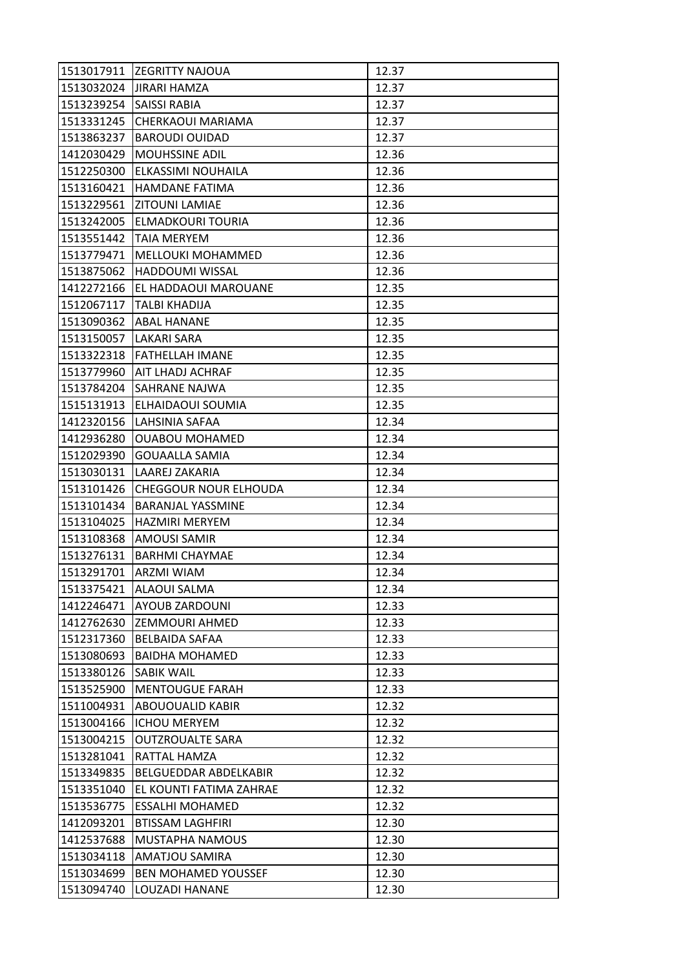| 1513017911 | <b>ZEGRITTY NAJOUA</b>       | 12.37 |
|------------|------------------------------|-------|
| 1513032024 | <b>JIRARI HAMZA</b>          | 12.37 |
| 1513239254 | SAISSI RABIA                 | 12.37 |
| 1513331245 | CHERKAOUI MARIAMA            | 12.37 |
| 1513863237 | <b>BAROUDI OUIDAD</b>        | 12.37 |
| 1412030429 | MOUHSSINE ADIL               | 12.36 |
| 1512250300 | ELKASSIMI NOUHAILA           | 12.36 |
| 1513160421 | <b>HAMDANE FATIMA</b>        | 12.36 |
| 1513229561 | <b>ZITOUNI LAMIAE</b>        | 12.36 |
| 1513242005 | ELMADKOURI TOURIA            | 12.36 |
| 1513551442 | <b>TAIA MERYEM</b>           | 12.36 |
| 1513779471 | MELLOUKI MOHAMMED            | 12.36 |
| 1513875062 | <b>HADDOUMI WISSAL</b>       | 12.36 |
| 1412272166 | EL HADDAOUI MAROUANE         | 12.35 |
| 1512067117 | TALBI KHADIJA                | 12.35 |
| 1513090362 | <b>ABAL HANANE</b>           | 12.35 |
| 1513150057 | LAKARI SARA                  | 12.35 |
| 1513322318 | FATHELLAH IMANE              | 12.35 |
| 1513779960 | AIT LHADJ ACHRAF             | 12.35 |
| 1513784204 | SAHRANE NAJWA                | 12.35 |
| 1515131913 | ELHAIDAOUI SOUMIA            | 12.35 |
| 1412320156 | LAHSINIA SAFAA               | 12.34 |
| 1412936280 | <b>OUABOU MOHAMED</b>        | 12.34 |
| 1512029390 | <b>GOUAALLA SAMIA</b>        | 12.34 |
| 1513030131 | LAAREJ ZAKARIA               | 12.34 |
| 1513101426 | <b>CHEGGOUR NOUR ELHOUDA</b> | 12.34 |
| 1513101434 | <b>BARANJAL YASSMINE</b>     | 12.34 |
| 1513104025 | <b>HAZMIRI MERYEM</b>        | 12.34 |
| 1513108368 | <b>AMOUSI SAMIR</b>          | 12.34 |
| 1513276131 | <b>BARHMI CHAYMAE</b>        | 12.34 |
| 1513291701 | <b>ARZMI WIAM</b>            | 12.34 |
| 1513375421 | <b>ALAOUI SALMA</b>          | 12.34 |
| 1412246471 | AYOUB ZARDOUNI               | 12.33 |
| 1412762630 | ZEMMOURI AHMED               | 12.33 |
| 1512317360 | <b>BELBAIDA SAFAA</b>        | 12.33 |
| 1513080693 | <b>BAIDHA MOHAMED</b>        | 12.33 |
| 1513380126 | <b>SABIK WAIL</b>            | 12.33 |
| 1513525900 | <b>MENTOUGUE FARAH</b>       | 12.33 |
| 1511004931 | ABOUOUALID KABIR             | 12.32 |
| 1513004166 | <b>ICHOU MERYEM</b>          | 12.32 |
| 1513004215 | <b>OUTZROUALTE SARA</b>      | 12.32 |
| 1513281041 | RATTAL HAMZA                 | 12.32 |
| 1513349835 | BELGUEDDAR ABDELKABIR        | 12.32 |
| 1513351040 | EL KOUNTI FATIMA ZAHRAE      | 12.32 |
| 1513536775 | <b>ESSALHI MOHAMED</b>       | 12.32 |
| 1412093201 | <b>BTISSAM LAGHFIRI</b>      | 12.30 |
| 1412537688 | MUSTAPHA NAMOUS              | 12.30 |
| 1513034118 | AMATJOU SAMIRA               | 12.30 |
| 1513034699 | <b>BEN MOHAMED YOUSSEF</b>   | 12.30 |
| 1513094740 | LOUZADI HANANE               | 12.30 |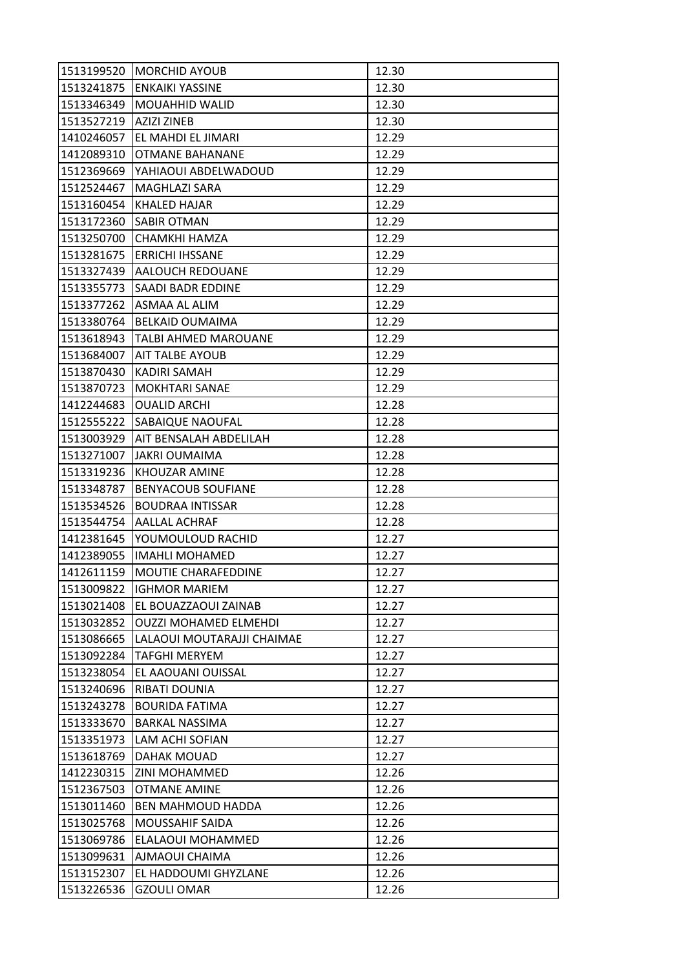| 1513199520 | <b>MORCHID AYOUB</b>         | 12.30 |
|------------|------------------------------|-------|
| 1513241875 | <b>ENKAIKI YASSINE</b>       | 12.30 |
| 1513346349 | <b>MOUAHHID WALID</b>        | 12.30 |
| 1513527219 | <b>AZIZI ZINEB</b>           | 12.30 |
| 1410246057 | EL MAHDI EL JIMARI           | 12.29 |
| 1412089310 | <b>OTMANE BAHANANE</b>       | 12.29 |
| 1512369669 | YAHIAOUI ABDELWADOUD         | 12.29 |
| 1512524467 | MAGHLAZI SARA                | 12.29 |
| 1513160454 | KHALED HAJAR                 | 12.29 |
| 1513172360 | <b>SABIR OTMAN</b>           | 12.29 |
| 1513250700 | CHAMKHI HAMZA                | 12.29 |
| 1513281675 | <b>ERRICHI IHSSANE</b>       | 12.29 |
| 1513327439 | AALOUCH REDOUANE             | 12.29 |
| 1513355773 | SAADI BADR EDDINE            | 12.29 |
| 1513377262 | ASMAA AL ALIM                | 12.29 |
| 1513380764 | <b>BELKAID OUMAIMA</b>       | 12.29 |
| 1513618943 | TALBI AHMED MAROUANE         | 12.29 |
| 1513684007 | <b>AIT TALBE AYOUB</b>       | 12.29 |
| 1513870430 | <b>KADIRI SAMAH</b>          | 12.29 |
| 1513870723 | <b>MOKHTARI SANAE</b>        | 12.29 |
| 1412244683 | <b>OUALID ARCHI</b>          | 12.28 |
| 1512555222 | SABAIQUE NAOUFAL             | 12.28 |
| 1513003929 | AIT BENSALAH ABDELILAH       | 12.28 |
| 1513271007 | <b>JAKRI OUMAIMA</b>         | 12.28 |
| 1513319236 | KHOUZAR AMINE                | 12.28 |
| 1513348787 | <b>BENYACOUB SOUFIANE</b>    | 12.28 |
| 1513534526 | <b>BOUDRAA INTISSAR</b>      | 12.28 |
| 1513544754 | <b>AALLAL ACHRAF</b>         | 12.28 |
| 1412381645 | YOUMOULOUD RACHID            | 12.27 |
| 1412389055 | <b>IMAHLI MOHAMED</b>        | 12.27 |
| 1412611159 | MOUTIE CHARAFEDDINE          | 12.27 |
| 1513009822 | <b>IGHMOR MARIEM</b>         | 12.27 |
| 1513021408 | EL BOUAZZAOUI ZAINAB         | 12.27 |
| 1513032852 | <b>OUZZI MOHAMED ELMEHDI</b> | 12.27 |
| 1513086665 | LALAOUI MOUTARAJJI CHAIMAE   | 12.27 |
| 1513092284 | <b>TAFGHI MERYEM</b>         | 12.27 |
| 1513238054 | EL AAOUANI OUISSAL           | 12.27 |
| 1513240696 | RIBATI DOUNIA                | 12.27 |
| 1513243278 | <b>BOURIDA FATIMA</b>        | 12.27 |
| 1513333670 | <b>BARKAL NASSIMA</b>        | 12.27 |
| 1513351973 | LAM ACHI SOFIAN              | 12.27 |
| 1513618769 | DAHAK MOUAD                  | 12.27 |
| 1412230315 | <b>ZINI MOHAMMED</b>         | 12.26 |
| 1512367503 | <b>OTMANE AMINE</b>          | 12.26 |
| 1513011460 | <b>BEN MAHMOUD HADDA</b>     | 12.26 |
| 1513025768 | <b>MOUSSAHIF SAIDA</b>       | 12.26 |
| 1513069786 | ELALAOUI MOHAMMED            | 12.26 |
| 1513099631 | AJMAOUI CHAIMA               | 12.26 |
| 1513152307 | EL HADDOUMI GHYZLANE         | 12.26 |
| 1513226536 | <b>GZOULI OMAR</b>           | 12.26 |
|            |                              |       |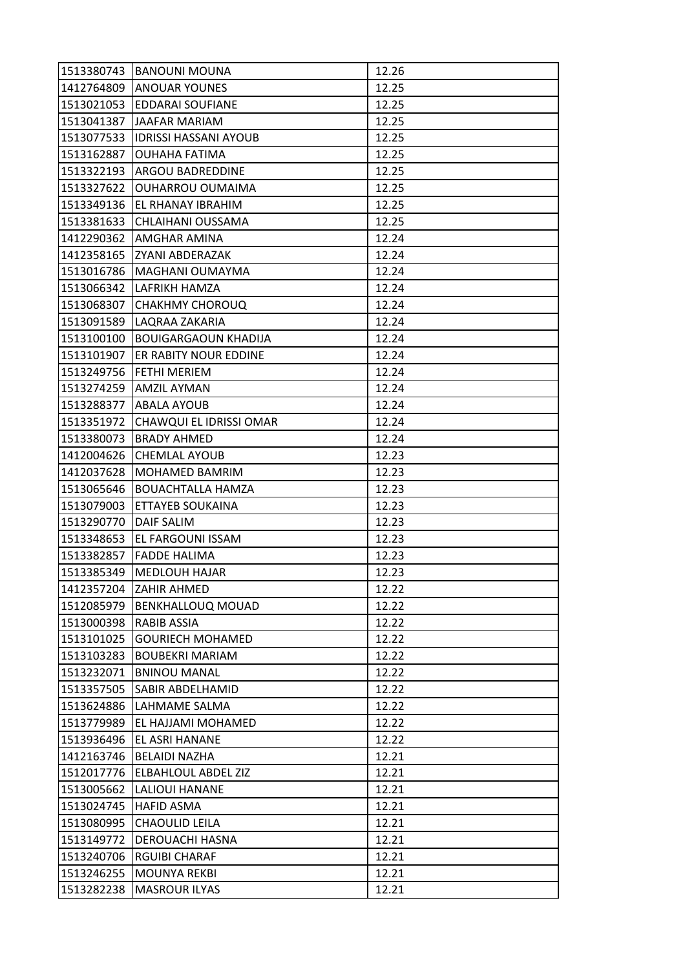| 1513380743 | <b>BANOUNI MOUNA</b>         | 12.26 |
|------------|------------------------------|-------|
| 1412764809 | <b>ANOUAR YOUNES</b>         | 12.25 |
| 1513021053 | EDDARAI SOUFIANE             | 12.25 |
| 1513041387 | <b>JAAFAR MARIAM</b>         | 12.25 |
| 1513077533 | <b>IDRISSI HASSANI AYOUB</b> | 12.25 |
| 1513162887 | OUHAHA FATIMA                | 12.25 |
| 1513322193 | <b>ARGOU BADREDDINE</b>      | 12.25 |
| 1513327622 | <b>OUHARROU OUMAIMA</b>      | 12.25 |
| 1513349136 | EL RHANAY IBRAHIM            | 12.25 |
| 1513381633 | CHLAIHANI OUSSAMA            | 12.25 |
| 1412290362 | <b>AMGHAR AMINA</b>          | 12.24 |
| 1412358165 | ZYANI ABDERAZAK              | 12.24 |
| 1513016786 | MAGHANI OUMAYMA              | 12.24 |
| 1513066342 | LAFRIKH HAMZA                | 12.24 |
| 1513068307 | <b>CHAKHMY CHOROUQ</b>       | 12.24 |
| 1513091589 | LAQRAA ZAKARIA               | 12.24 |
| 1513100100 | <b>BOUIGARGAOUN KHADIJA</b>  | 12.24 |
| 1513101907 | ER RABITY NOUR EDDINE        | 12.24 |
| 1513249756 | <b>FETHI MERIEM</b>          | 12.24 |
| 1513274259 | AMZIL AYMAN                  | 12.24 |
| 1513288377 | ABALA AYOUB                  | 12.24 |
| 1513351972 | CHAWQUI EL IDRISSI OMAR      | 12.24 |
| 1513380073 | <b>BRADY AHMED</b>           | 12.24 |
| 1412004626 | <b>CHEMLAL AYOUB</b>         | 12.23 |
| 1412037628 | <b>MOHAMED BAMRIM</b>        | 12.23 |
| 1513065646 | <b>BOUACHTALLA HAMZA</b>     | 12.23 |
| 1513079003 | ETTAYEB SOUKAINA             | 12.23 |
| 1513290770 | <b>DAIF SALIM</b>            | 12.23 |
| 1513348653 | EL FARGOUNI ISSAM            | 12.23 |
| 1513382857 | <b>FADDE HALIMA</b>          | 12.23 |
| 1513385349 | <b>MEDLOUH HAJAR</b>         | 12.23 |
| 1412357204 | ZAHIR AHMED                  | 12.22 |
| 1512085979 | <b>BENKHALLOUQ MOUAD</b>     | 12.22 |
| 1513000398 | RABIB ASSIA                  | 12.22 |
| 1513101025 | <b>GOURIECH MOHAMED</b>      | 12.22 |
| 1513103283 | <b>BOUBEKRI MARIAM</b>       | 12.22 |
| 1513232071 | <b>BNINOU MANAL</b>          | 12.22 |
| 1513357505 | SABIR ABDELHAMID             | 12.22 |
| 1513624886 | LAHMAME SALMA                | 12.22 |
| 1513779989 | EL HAJJAMI MOHAMED           | 12.22 |
| 1513936496 | EL ASRI HANANE               | 12.22 |
| 1412163746 | <b>BELAIDI NAZHA</b>         | 12.21 |
| 1512017776 | <b>ELBAHLOUL ABDEL ZIZ</b>   | 12.21 |
| 1513005662 | LALIOUI HANANE               | 12.21 |
| 1513024745 | <b>HAFID ASMA</b>            | 12.21 |
| 1513080995 | CHAOULID LEILA               | 12.21 |
| 1513149772 | DEROUACHI HASNA              | 12.21 |
| 1513240706 | <b>RGUIBI CHARAF</b>         | 12.21 |
| 1513246255 | <b>MOUNYA REKBI</b>          | 12.21 |
| 1513282238 | <b>MASROUR ILYAS</b>         | 12.21 |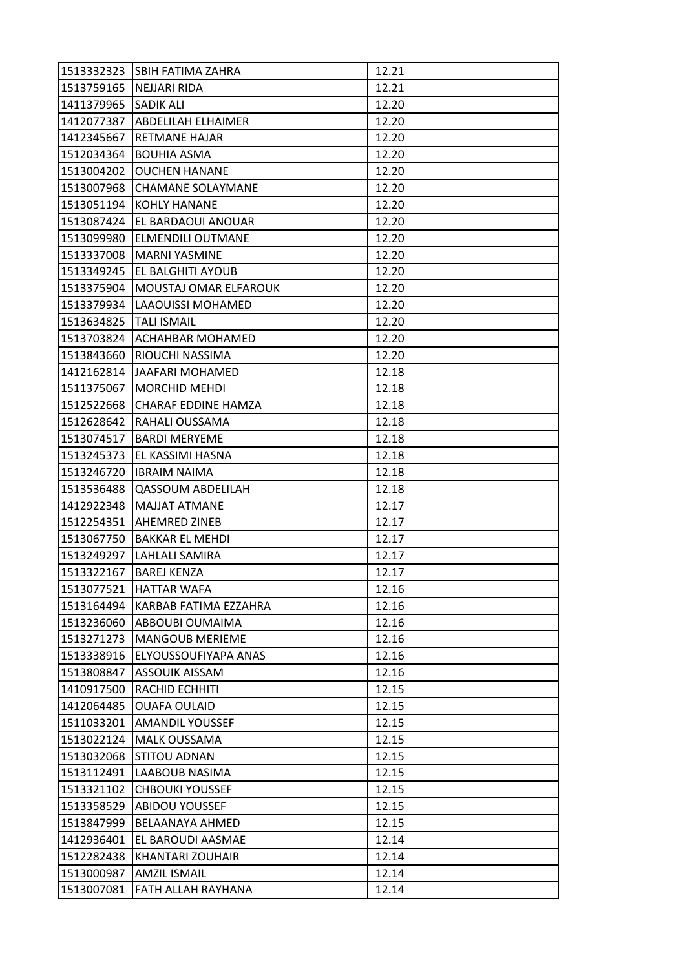| 1513332323 | ISBIH FATIMA ZAHRA         | 12.21 |
|------------|----------------------------|-------|
| 1513759165 | <b>NEJJARI RIDA</b>        | 12.21 |
| 1411379965 | <b>SADIK ALI</b>           | 12.20 |
| 1412077387 | ABDELILAH ELHAIMER         | 12.20 |
| 1412345667 | RETMANE HAJAR              | 12.20 |
| 1512034364 | <b>BOUHIA ASMA</b>         | 12.20 |
| 1513004202 | <b>OUCHEN HANANE</b>       | 12.20 |
| 1513007968 | <b>CHAMANE SOLAYMANE</b>   | 12.20 |
| 1513051194 | <b>KOHLY HANANE</b>        | 12.20 |
| 1513087424 | EL BARDAOUI ANOUAR         | 12.20 |
| 1513099980 | ELMENDILI OUTMANE          | 12.20 |
| 1513337008 | <b>MARNI YASMINE</b>       | 12.20 |
| 1513349245 | EL BALGHITI AYOUB          | 12.20 |
| 1513375904 | MOUSTAJ OMAR ELFAROUK      | 12.20 |
| 1513379934 | LAAOUISSI MOHAMED          | 12.20 |
| 1513634825 | <b>TALI ISMAIL</b>         | 12.20 |
| 1513703824 | ACHAHBAR MOHAMED           | 12.20 |
| 1513843660 | RIOUCHI NASSIMA            | 12.20 |
| 1412162814 | JAAFARI MOHAMED            | 12.18 |
| 1511375067 | <b>MORCHID MEHDI</b>       | 12.18 |
| 1512522668 | <b>CHARAF EDDINE HAMZA</b> | 12.18 |
| 1512628642 | RAHALI OUSSAMA             | 12.18 |
| 1513074517 | <b>BARDI MERYEME</b>       | 12.18 |
| 1513245373 | EL KASSIMI HASNA           | 12.18 |
| 1513246720 | <b>IBRAIM NAIMA</b>        | 12.18 |
| 1513536488 | <b>QASSOUM ABDELILAH</b>   | 12.18 |
| 1412922348 | <b>MAJJAT ATMANE</b>       | 12.17 |
| 1512254351 | <b>AHEMRED ZINEB</b>       | 12.17 |
| 1513067750 | <b>BAKKAR EL MEHDI</b>     | 12.17 |
| 1513249297 | LAHLALI SAMIRA             | 12.17 |
| 1513322167 | <b>BAREJ KENZA</b>         | 12.17 |
| 1513077521 | <b>HATTAR WAFA</b>         | 12.16 |
| 1513164494 | KARBAB FATIMA EZZAHRA      | 12.16 |
| 1513236060 | ABBOUBI OUMAIMA            | 12.16 |
| 1513271273 | <b>MANGOUB MERIEME</b>     | 12.16 |
| 1513338916 | ELYOUSSOUFIYAPA ANAS       | 12.16 |
| 1513808847 | <b>ASSOUIK AISSAM</b>      | 12.16 |
| 1410917500 | RACHID ECHHITI             | 12.15 |
| 1412064485 | <b>OUAFA OULAID</b>        | 12.15 |
| 1511033201 | <b>AMANDIL YOUSSEF</b>     | 12.15 |
| 1513022124 | <b>MALK OUSSAMA</b>        | 12.15 |
| 1513032068 | <b>STITOU ADNAN</b>        | 12.15 |
| 1513112491 | LAABOUB NASIMA             | 12.15 |
| 1513321102 | <b>CHBOUKI YOUSSEF</b>     | 12.15 |
| 1513358529 | <b>ABIDOU YOUSSEF</b>      | 12.15 |
| 1513847999 | BELAANAYA AHMED            | 12.15 |
| 1412936401 | EL BAROUDI AASMAE          | 12.14 |
| 1512282438 | KHANTARI ZOUHAIR           | 12.14 |
| 1513000987 | <b>AMZIL ISMAIL</b>        | 12.14 |
| 1513007081 | FATH ALLAH RAYHANA         | 12.14 |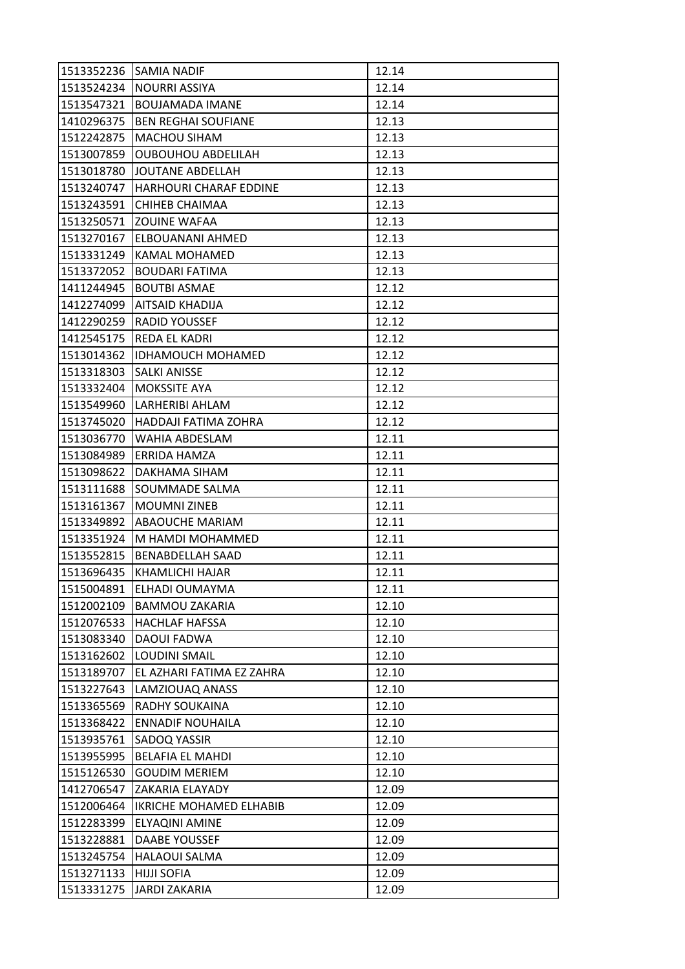| 1513352236 | SAMIA NADIF                   | 12.14 |
|------------|-------------------------------|-------|
| 1513524234 | <b>NOURRI ASSIYA</b>          | 12.14 |
| 1513547321 | <b>BOUJAMADA IMANE</b>        | 12.14 |
| 1410296375 | <b>BEN REGHAI SOUFIANE</b>    | 12.13 |
| 1512242875 | MACHOU SIHAM                  | 12.13 |
| 1513007859 | <b>OUBOUHOU ABDELILAH</b>     | 12.13 |
| 1513018780 | JOUTANE ABDELLAH              | 12.13 |
| 1513240747 | <b>HARHOURI CHARAF EDDINE</b> | 12.13 |
| 1513243591 | CHIHEB CHAIMAA                | 12.13 |
| 1513250571 | <b>ZOUINE WAFAA</b>           | 12.13 |
| 1513270167 | ELBOUANANI AHMED              | 12.13 |
| 1513331249 | KAMAL MOHAMED                 | 12.13 |
| 1513372052 | <b>BOUDARI FATIMA</b>         | 12.13 |
| 1411244945 | <b>BOUTBI ASMAE</b>           | 12.12 |
| 1412274099 | AITSAID KHADIJA               | 12.12 |
| 1412290259 | <b>RADID YOUSSEF</b>          | 12.12 |
| 1412545175 | REDA EL KADRI                 | 12.12 |
| 1513014362 | <b>IDHAMOUCH MOHAMED</b>      | 12.12 |
| 1513318303 | <b>SALKI ANISSE</b>           | 12.12 |
| 1513332404 | MOKSSITE AYA                  | 12.12 |
| 1513549960 | LARHERIBI AHLAM               | 12.12 |
| 1513745020 | HADDAJI FATIMA ZOHRA          | 12.12 |
| 1513036770 | WAHIA ABDESLAM                | 12.11 |
| 1513084989 | ERRIDA HAMZA                  | 12.11 |
| 1513098622 | DAKHAMA SIHAM                 | 12.11 |
| 1513111688 | SOUMMADE SALMA                | 12.11 |
| 1513161367 | <b>MOUMNIZINEB</b>            | 12.11 |
| 1513349892 | ABAOUCHE MARIAM               | 12.11 |
| 1513351924 | M HAMDI MOHAMMED              | 12.11 |
| 1513552815 | <b>BENABDELLAH SAAD</b>       | 12.11 |
| 1513696435 | KHAMLICHI HAJAR               | 12.11 |
| 1515004891 | ELHADI OUMAYMA                | 12.11 |
| 1512002109 | <b>BAMMOU ZAKARIA</b>         | 12.10 |
| 1512076533 | <b>HACHLAF HAFSSA</b>         | 12.10 |
| 1513083340 | <b>DAOUI FADWA</b>            | 12.10 |
| 1513162602 | LOUDINI SMAIL                 | 12.10 |
| 1513189707 | EL AZHARI FATIMA EZ ZAHRA     | 12.10 |
| 1513227643 | LAMZIOUAQ ANASS               | 12.10 |
| 1513365569 | RADHY SOUKAINA                | 12.10 |
| 1513368422 | <b>ENNADIF NOUHAILA</b>       | 12.10 |
| 1513935761 | SADOQ YASSIR                  | 12.10 |
| 1513955995 | <b>BELAFIA EL MAHDI</b>       | 12.10 |
| 1515126530 | <b>GOUDIM MERIEM</b>          | 12.10 |
| 1412706547 | ZAKARIA ELAYADY               | 12.09 |
| 1512006464 | IKRICHE MOHAMED ELHABIB       | 12.09 |
| 1512283399 | ELYAQINI AMINE                | 12.09 |
| 1513228881 | DAABE YOUSSEF                 | 12.09 |
| 1513245754 | <b>HALAOUI SALMA</b>          | 12.09 |
| 1513271133 | <b>HIJJI SOFIA</b>            | 12.09 |
| 1513331275 | <b>JARDI ZAKARIA</b>          | 12.09 |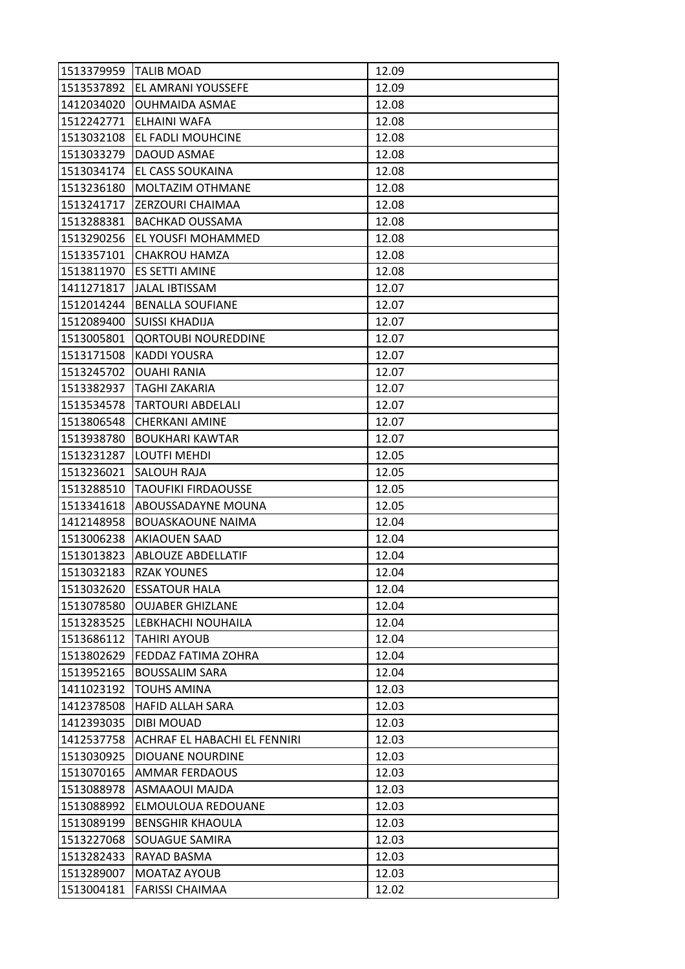|            | 1513379959 TALIB MOAD        | 12.09 |
|------------|------------------------------|-------|
| 1513537892 | EL AMRANI YOUSSEFE           | 12.09 |
| 1412034020 | <b>OUHMAIDA ASMAE</b>        | 12.08 |
| 1512242771 | ELHAINI WAFA                 | 12.08 |
| 1513032108 | EL FADLI MOUHCINE            | 12.08 |
| 1513033279 | DAOUD ASMAE                  | 12.08 |
| 1513034174 | EL CASS SOUKAINA             | 12.08 |
| 1513236180 | MOLTAZIM OTHMANE             | 12.08 |
| 1513241717 | ZERZOURI CHAIMAA             | 12.08 |
| 1513288381 | <b>BACHKAD OUSSAMA</b>       | 12.08 |
| 1513290256 | EL YOUSFI MOHAMMED           | 12.08 |
| 1513357101 | <b>CHAKROU HAMZA</b>         | 12.08 |
| 1513811970 | ES SETTI AMINE               | 12.08 |
| 1411271817 | <b>JALAL IBTISSAM</b>        | 12.07 |
| 1512014244 | <b>BENALLA SOUFIANE</b>      | 12.07 |
| 1512089400 | <b>SUISSI KHADIJA</b>        | 12.07 |
| 1513005801 | <b>QORTOUBI NOUREDDINE</b>   | 12.07 |
| 1513171508 | <b>KADDI YOUSRA</b>          | 12.07 |
| 1513245702 | <b>OUAHI RANIA</b>           | 12.07 |
| 1513382937 | TAGHI ZAKARIA                | 12.07 |
| 1513534578 | <b>TARTOURI ABDELALI</b>     | 12.07 |
| 1513806548 | <b>CHERKANI AMINE</b>        | 12.07 |
| 1513938780 | <b>BOUKHARI KAWTAR</b>       | 12.07 |
| 1513231287 | LOUTFI MEHDI                 | 12.05 |
| 1513236021 | SALOUH RAJA                  | 12.05 |
| 1513288510 | <b>TAOUFIKI FIRDAOUSSE</b>   | 12.05 |
| 1513341618 | ABOUSSADAYNE MOUNA           | 12.05 |
| 1412148958 | <b>BOUASKAOUNE NAIMA</b>     | 12.04 |
| 1513006238 | <b>AKIAOUEN SAAD</b>         | 12.04 |
| 1513013823 | <b>ABLOUZE ABDELLATIF</b>    | 12.04 |
| 1513032183 | <b>RZAK YOUNES</b>           | 12.04 |
| 1513032620 | <b>ESSATOUR HALA</b>         | 12.04 |
| 1513078580 | <b>OUJABER GHIZLANE</b>      | 12.04 |
| 1513283525 | LEBKHACHI NOUHAILA           | 12.04 |
| 1513686112 | <b>TAHIRI AYOUB</b>          | 12.04 |
| 1513802629 | FEDDAZ FATIMA ZOHRA          | 12.04 |
| 1513952165 | <b>BOUSSALIM SARA</b>        | 12.04 |
| 1411023192 | <b>TOUHS AMINA</b>           | 12.03 |
| 1412378508 | <b>HAFID ALLAH SARA</b>      | 12.03 |
| 1412393035 | <b>DIBI MOUAD</b>            | 12.03 |
| 1412537758 | ACHRAF EL HABACHI EL FENNIRI | 12.03 |
| 1513030925 | DIOUANE NOURDINE             | 12.03 |
| 1513070165 | AMMAR FERDAOUS               | 12.03 |
| 1513088978 | ASMAAOUI MAJDA               | 12.03 |
| 1513088992 | ELMOULOUA REDOUANE           | 12.03 |
| 1513089199 | <b>BENSGHIR KHAOULA</b>      | 12.03 |
| 1513227068 | SOUAGUE SAMIRA               | 12.03 |
| 1513282433 | RAYAD BASMA                  | 12.03 |
| 1513289007 | MOATAZ AYOUB                 | 12.03 |
| 1513004181 | <b>FARISSI CHAIMAA</b>       | 12.02 |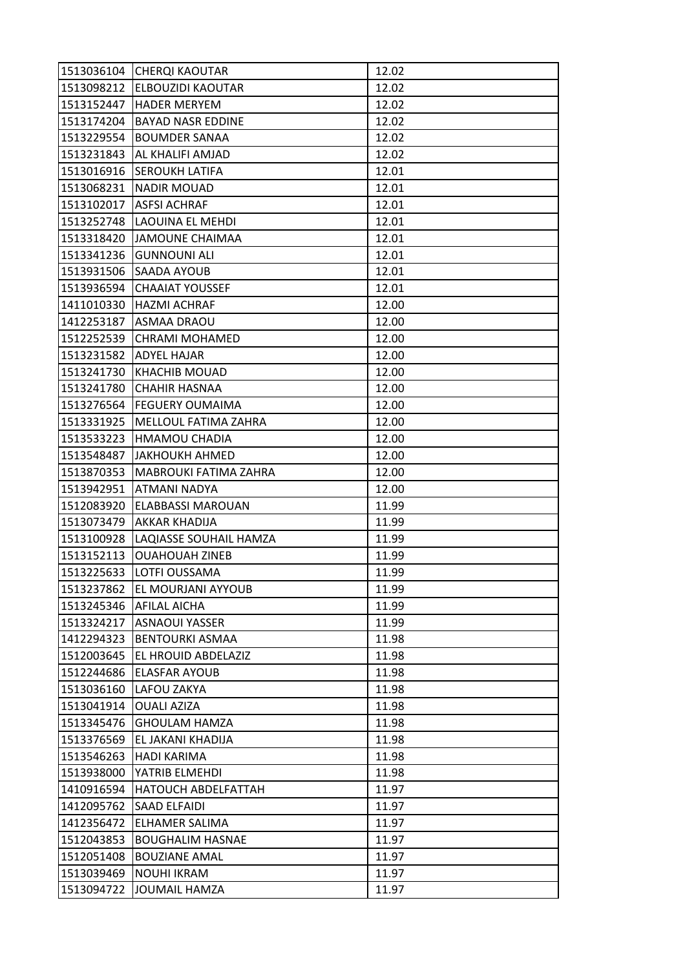| 1513036104 | <b>CHERQI KAOUTAR</b>    | 12.02 |
|------------|--------------------------|-------|
| 1513098212 | ELBOUZIDI KAOUTAR        | 12.02 |
| 1513152447 | <b>HADER MERYEM</b>      | 12.02 |
| 1513174204 | <b>BAYAD NASR EDDINE</b> | 12.02 |
| 1513229554 | <b>BOUMDER SANAA</b>     | 12.02 |
| 1513231843 | AL KHALIFI AMJAD         | 12.02 |
| 1513016916 | <b>SEROUKH LATIFA</b>    | 12.01 |
| 1513068231 | <b>NADIR MOUAD</b>       | 12.01 |
| 1513102017 | <b>ASFSI ACHRAF</b>      | 12.01 |
| 1513252748 | LAOUINA EL MEHDI         | 12.01 |
| 1513318420 | <b>JAMOUNE CHAIMAA</b>   | 12.01 |
| 1513341236 | <b>GUNNOUNI ALI</b>      | 12.01 |
| 1513931506 | SAADA AYOUB              | 12.01 |
| 1513936594 | <b>CHAAIAT YOUSSEF</b>   | 12.01 |
| 1411010330 | <b>HAZMI ACHRAF</b>      | 12.00 |
| 1412253187 | ASMAA DRAOU              | 12.00 |
| 1512252539 | <b>CHRAMI MOHAMED</b>    | 12.00 |
| 1513231582 | <b>ADYEL HAJAR</b>       | 12.00 |
| 1513241730 | <b>KHACHIB MOUAD</b>     | 12.00 |
| 1513241780 | <b>CHAHIR HASNAA</b>     | 12.00 |
| 1513276564 | FEGUERY OUMAIMA          | 12.00 |
| 1513331925 | MELLOUL FATIMA ZAHRA     | 12.00 |
| 1513533223 | <b>HMAMOU CHADIA</b>     | 12.00 |
| 1513548487 | <b>JAKHOUKH AHMED</b>    | 12.00 |
| 1513870353 | MABROUKI FATIMA ZAHRA    | 12.00 |
|            |                          |       |
| 1513942951 | ATMANI NADYA             | 12.00 |
| 1512083920 | <b>ELABBASSI MAROUAN</b> | 11.99 |
| 1513073479 | AKKAR KHADIJA            | 11.99 |
| 1513100928 | LAQIASSE SOUHAIL HAMZA   | 11.99 |
| 1513152113 | <b>OUAHOUAH ZINEB</b>    | 11.99 |
| 1513225633 | LOTFI OUSSAMA            | 11.99 |
| 1513237862 | EL MOURJANI AYYOUB       | 11.99 |
| 1513245346 | <b>AFILAL AICHA</b>      | 11.99 |
| 1513324217 | ASNAOUI YASSER           | 11.99 |
| 1412294323 | <b>BENTOURKI ASMAA</b>   | 11.98 |
| 1512003645 | EL HROUID ABDELAZIZ      | 11.98 |
| 1512244686 | <b>ELASFAR AYOUB</b>     | 11.98 |
| 1513036160 | LAFOU ZAKYA              | 11.98 |
| 1513041914 | <b>OUALI AZIZA</b>       | 11.98 |
| 1513345476 | <b>GHOULAM HAMZA</b>     | 11.98 |
| 1513376569 | EL JAKANI KHADIJA        | 11.98 |
| 1513546263 | <b>HADI KARIMA</b>       | 11.98 |
| 1513938000 | YATRIB ELMEHDI           | 11.98 |
| 1410916594 | HATOUCH ABDELFATTAH      | 11.97 |
| 1412095762 | <b>SAAD ELFAIDI</b>      | 11.97 |
| 1412356472 | ELHAMER SALIMA           | 11.97 |
| 1512043853 | <b>BOUGHALIM HASNAE</b>  | 11.97 |
| 1512051408 | <b>BOUZIANE AMAL</b>     | 11.97 |
| 1513039469 | <b>NOUHI IKRAM</b>       | 11.97 |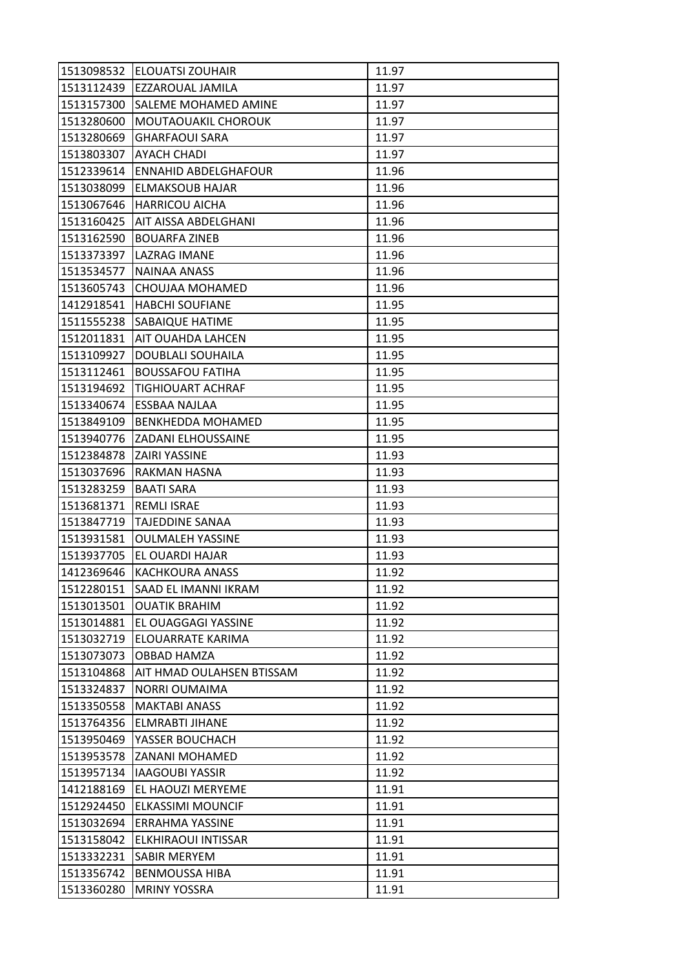| 1513098532 | <b>ELOUATSI ZOUHAIR</b>     | 11.97 |
|------------|-----------------------------|-------|
| 1513112439 | EZZAROUAL JAMILA            | 11.97 |
| 1513157300 | SALEME MOHAMED AMINE        | 11.97 |
| 1513280600 | MOUTAOUAKIL CHOROUK         | 11.97 |
| 1513280669 | <b>GHARFAOUI SARA</b>       | 11.97 |
| 1513803307 | AYACH CHADI                 | 11.97 |
| 1512339614 | <b>ENNAHID ABDELGHAFOUR</b> | 11.96 |
| 1513038099 | <b>ELMAKSOUB HAJAR</b>      | 11.96 |
| 1513067646 | <b>HARRICOU AICHA</b>       | 11.96 |
| 1513160425 | AIT AISSA ABDELGHANI        | 11.96 |
| 1513162590 | <b>BOUARFA ZINEB</b>        | 11.96 |
| 1513373397 | LAZRAG IMANE                | 11.96 |
| 1513534577 | NAINAA ANASS                | 11.96 |
| 1513605743 | CHOUJAA MOHAMED             | 11.96 |
| 1412918541 | <b>HABCHI SOUFIANE</b>      | 11.95 |
| 1511555238 | <b>SABAIQUE HATIME</b>      | 11.95 |
| 1512011831 | AIT OUAHDA LAHCEN           | 11.95 |
| 1513109927 | DOUBLALI SOUHAILA           | 11.95 |
| 1513112461 | <b>BOUSSAFOU FATIHA</b>     | 11.95 |
| 1513194692 | TIGHIOUART ACHRAF           | 11.95 |
| 1513340674 | ESSBAA NAJLAA               | 11.95 |
| 1513849109 | <b>BENKHEDDA MOHAMED</b>    | 11.95 |
| 1513940776 | <b>ZADANI ELHOUSSAINE</b>   | 11.95 |
| 1512384878 | ZAIRI YASSINE               | 11.93 |
| 1513037696 | RAKMAN HASNA                | 11.93 |
| 1513283259 | <b>BAATI SARA</b>           | 11.93 |
| 1513681371 | <b>REMLI ISRAE</b>          | 11.93 |
| 1513847719 | <b>TAJEDDINE SANAA</b>      | 11.93 |
| 1513931581 | <b>OULMALEH YASSINE</b>     | 11.93 |
| 1513937705 | EL OUARDI HAJAR             | 11.93 |
| 1412369646 | KACHKOURA ANASS             | 11.92 |
| 1512280151 | SAAD EL IMANNI IKRAM        | 11.92 |
| 1513013501 | <b>OUATIK BRAHIM</b>        | 11.92 |
| 1513014881 | EL OUAGGAGI YASSINE         | 11.92 |
| 1513032719 | ELOUARRATE KARIMA           | 11.92 |
| 1513073073 | OBBAD HAMZA                 | 11.92 |
| 1513104868 | AIT HMAD OULAHSEN BTISSAM   | 11.92 |
| 1513324837 | <b>NORRI OUMAIMA</b>        | 11.92 |
| 1513350558 | <b>MAKTABI ANASS</b>        | 11.92 |
| 1513764356 | ELMRABTI JIHANE             | 11.92 |
| 1513950469 | YASSER BOUCHACH             | 11.92 |
| 1513953578 | ZANANI MOHAMED              | 11.92 |
| 1513957134 | <b>IAAGOUBI YASSIR</b>      | 11.92 |
| 1412188169 | EL HAOUZI MERYEME           | 11.91 |
| 1512924450 | <b>ELKASSIMI MOUNCIF</b>    | 11.91 |
| 1513032694 | ERRAHMA YASSINE             | 11.91 |
| 1513158042 | ELKHIRAOUI INTISSAR         | 11.91 |
| 1513332231 | SABIR MERYEM                | 11.91 |
| 1513356742 | <b>BENMOUSSA HIBA</b>       | 11.91 |
| 1513360280 | <b>MRINY YOSSRA</b>         | 11.91 |
|            |                             |       |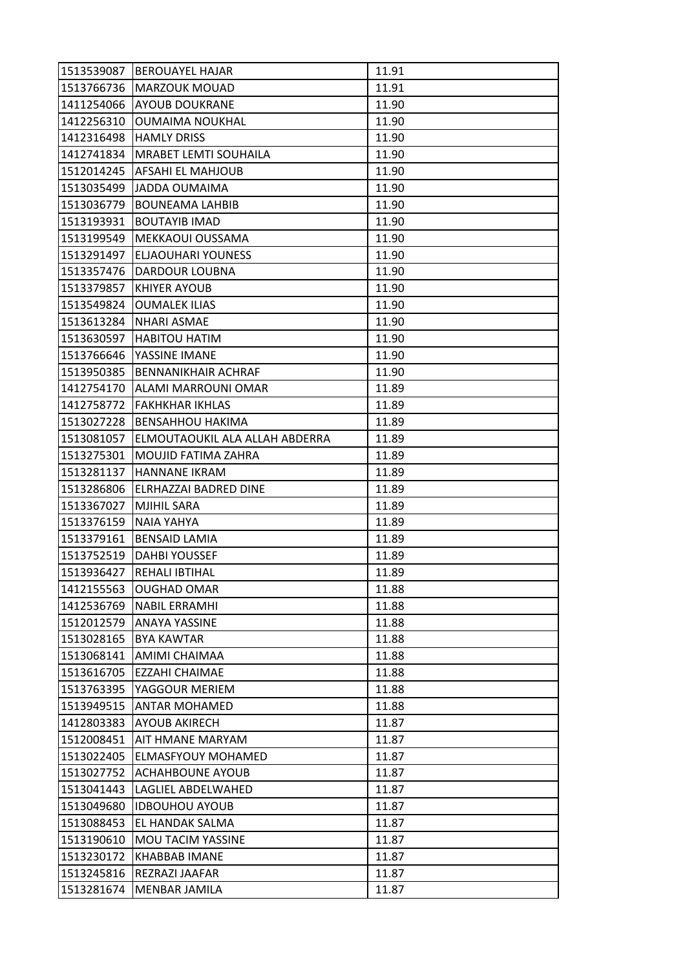| 1513539087 | <b>BEROUAYEL HAJAR</b>         | 11.91 |
|------------|--------------------------------|-------|
| 1513766736 | <b>MARZOUK MOUAD</b>           | 11.91 |
| 1411254066 | <b>AYOUB DOUKRANE</b>          | 11.90 |
| 1412256310 | <b>OUMAIMA NOUKHAL</b>         | 11.90 |
| 1412316498 | <b>HAMLY DRISS</b>             | 11.90 |
| 1412741834 | MRABET LEMTI SOUHAILA          | 11.90 |
| 1512014245 | <b>AFSAHI EL MAHJOUB</b>       | 11.90 |
| 1513035499 | JADDA OUMAIMA                  | 11.90 |
| 1513036779 | <b>BOUNEAMA LAHBIB</b>         | 11.90 |
| 1513193931 | <b>BOUTAYIB IMAD</b>           | 11.90 |
| 1513199549 | MEKKAOUI OUSSAMA               | 11.90 |
| 1513291497 | <b>ELJAOUHARI YOUNESS</b>      | 11.90 |
| 1513357476 | DARDOUR LOUBNA                 | 11.90 |
| 1513379857 | <b>KHIYER AYOUB</b>            | 11.90 |
| 1513549824 | <b>OUMALEK ILIAS</b>           | 11.90 |
| 1513613284 | <b>NHARI ASMAE</b>             | 11.90 |
| 1513630597 | <b>HABITOU HATIM</b>           | 11.90 |
| 1513766646 | YASSINE IMANE                  | 11.90 |
| 1513950385 | BENNANIKHAIR ACHRAF            | 11.90 |
| 1412754170 | ALAMI MARROUNI OMAR            | 11.89 |
| 1412758772 | <b>FAKHKHAR IKHLAS</b>         | 11.89 |
| 1513027228 | <b>BENSAHHOU HAKIMA</b>        | 11.89 |
| 1513081057 | ELMOUTAOUKIL ALA ALLAH ABDERRA | 11.89 |
| 1513275301 | MOUJID FATIMA ZAHRA            | 11.89 |
| 1513281137 | <b>HANNANE IKRAM</b>           | 11.89 |
| 1513286806 | ELRHAZZAI BADRED DINE          | 11.89 |
| 1513367027 | <b>MJIHIL SARA</b>             | 11.89 |
| 1513376159 | <b>NAIA YAHYA</b>              | 11.89 |
| 1513379161 | <b>BENSAID LAMIA</b>           | 11.89 |
| 1513752519 | <b>DAHBI YOUSSEF</b>           | 11.89 |
| 1513936427 | <b>REHALI IBTIHAL</b>          | 11.89 |
| 1412155563 | <b>OUGHAD OMAR</b>             | 11.88 |
| 1412536769 | <b>NABIL ERRAMHI</b>           | 11.88 |
| 1512012579 | <b>ANAYA YASSINE</b>           | 11.88 |
| 1513028165 | <b>BYA KAWTAR</b>              | 11.88 |
| 1513068141 | AMIMI CHAIMAA                  | 11.88 |
| 1513616705 | EZZAHI CHAIMAE                 | 11.88 |
| 1513763395 | YAGGOUR MERIEM                 | 11.88 |
| 1513949515 | <b>ANTAR MOHAMED</b>           | 11.88 |
| 1412803383 | <b>AYOUB AKIRECH</b>           | 11.87 |
| 1512008451 | AIT HMANE MARYAM               | 11.87 |
| 1513022405 | ELMASFYOUY MOHAMED             | 11.87 |
| 1513027752 | <b>ACHAHBOUNE AYOUB</b>        | 11.87 |
| 1513041443 | LAGLIEL ABDELWAHED             | 11.87 |
| 1513049680 | <b>IDBOUHOU AYOUB</b>          | 11.87 |
| 1513088453 | EL HANDAK SALMA                | 11.87 |
| 1513190610 | MOU TACIM YASSINE              | 11.87 |
| 1513230172 | <b>KHABBAB IMANE</b>           | 11.87 |
| 1513245816 | REZRAZI JAAFAR                 | 11.87 |
| 1513281674 | MENBAR JAMILA                  | 11.87 |
|            |                                |       |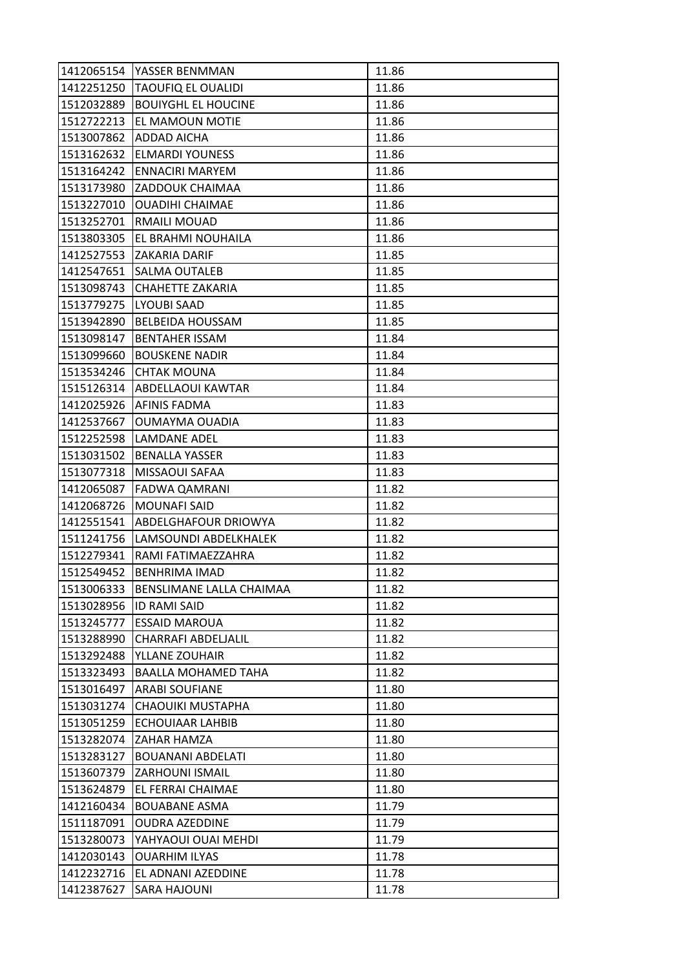| 1412065154 | YASSER BENMMAN             | 11.86 |
|------------|----------------------------|-------|
| 1412251250 | <b>TAOUFIQ EL OUALIDI</b>  | 11.86 |
| 1512032889 | <b>BOUIYGHL EL HOUCINE</b> | 11.86 |
| 1512722213 | EL MAMOUN MOTIE            | 11.86 |
| 1513007862 | ADDAD AICHA                | 11.86 |
| 1513162632 | <b>ELMARDI YOUNESS</b>     | 11.86 |
| 1513164242 | <b>ENNACIRI MARYEM</b>     | 11.86 |
| 1513173980 | <b>ZADDOUK CHAIMAA</b>     | 11.86 |
| 1513227010 | <b>OUADIHI CHAIMAE</b>     | 11.86 |
| 1513252701 | RMAILI MOUAD               | 11.86 |
| 1513803305 | EL BRAHMI NOUHAILA         | 11.86 |
| 1412527553 | <b>ZAKARIA DARIF</b>       | 11.85 |
| 1412547651 | SALMA OUTALEB              | 11.85 |
| 1513098743 | <b>CHAHETTE ZAKARIA</b>    | 11.85 |
| 1513779275 | <b>LYOUBI SAAD</b>         | 11.85 |
| 1513942890 | <b>BELBEIDA HOUSSAM</b>    | 11.85 |
| 1513098147 | <b>BENTAHER ISSAM</b>      | 11.84 |
| 1513099660 | <b>BOUSKENE NADIR</b>      | 11.84 |
| 1513534246 | <b>CHTAK MOUNA</b>         | 11.84 |
| 1515126314 | ABDELLAOUI KAWTAR          | 11.84 |
| 1412025926 | <b>AFINIS FADMA</b>        | 11.83 |
| 1412537667 | OUMAYMA OUADIA             | 11.83 |
| 1512252598 | <b>LAMDANE ADEL</b>        | 11.83 |
| 1513031502 | <b>BENALLA YASSER</b>      | 11.83 |
| 1513077318 | MISSAOUI SAFAA             | 11.83 |
| 1412065087 | FADWA QAMRANI              | 11.82 |
| 1412068726 | <b>MOUNAFI SAID</b>        | 11.82 |
| 1412551541 | ABDELGHAFOUR DRIOWYA       | 11.82 |
| 1511241756 | LAMSOUNDI ABDELKHALEK      | 11.82 |
| 1512279341 | RAMI FATIMAEZZAHRA         | 11.82 |
| 1512549452 | <b>BENHRIMA IMAD</b>       | 11.82 |
| 1513006333 | BENSLIMANE LALLA CHAIMAA   | 11.82 |
| 1513028956 | <b>ID RAMI SAID</b>        | 11.82 |
| 1513245777 | <b>ESSAID MAROUA</b>       | 11.82 |
| 1513288990 | <b>CHARRAFI ABDELJALIL</b> | 11.82 |
| 1513292488 | YLLANE ZOUHAIR             | 11.82 |
| 1513323493 | <b>BAALLA MOHAMED TAHA</b> | 11.82 |
| 1513016497 | <b>ARABI SOUFIANE</b>      | 11.80 |
| 1513031274 | CHAOUIKI MUSTAPHA          | 11.80 |
| 1513051259 | <b>ECHOUIAAR LAHBIB</b>    | 11.80 |
| 1513282074 | ZAHAR HAMZA                | 11.80 |
| 1513283127 | <b>BOUANANI ABDELATI</b>   | 11.80 |
| 1513607379 | <b>ZARHOUNI ISMAIL</b>     | 11.80 |
| 1513624879 |                            |       |
|            | EL FERRAI CHAIMAE          | 11.80 |
| 1412160434 | <b>BOUABANE ASMA</b>       | 11.79 |
| 1511187091 | <b>OUDRA AZEDDINE</b>      | 11.79 |
| 1513280073 | YAHYAOUI OUAI MEHDI        | 11.79 |
| 1412030143 | <b>OUARHIM ILYAS</b>       | 11.78 |
| 1412232716 | EL ADNANI AZEDDINE         | 11.78 |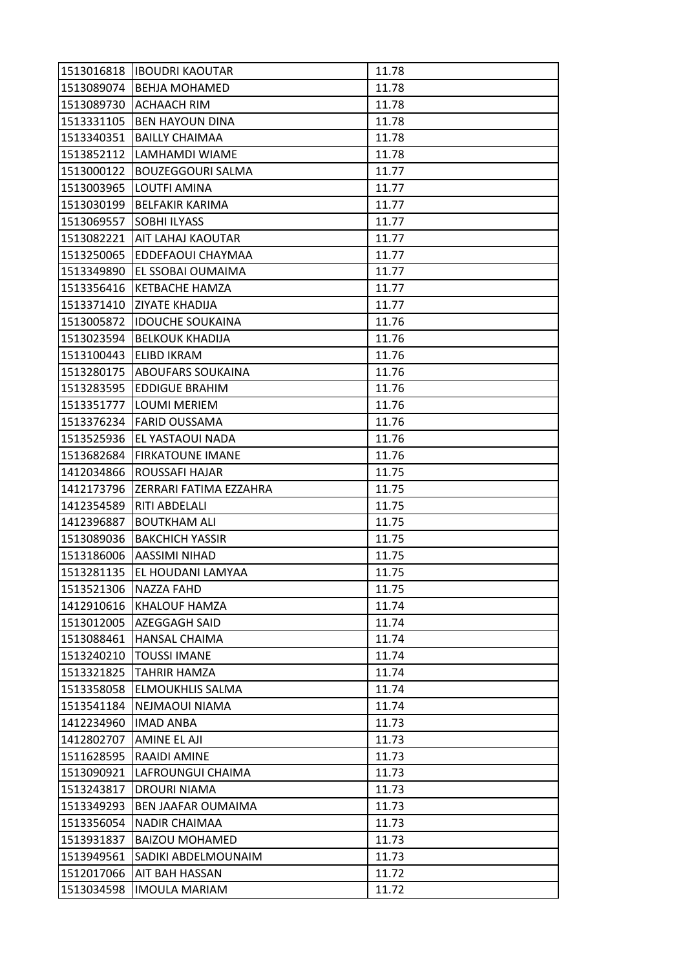| 1513016818 | <b>IBOUDRI KAOUTAR</b>        | 11.78 |
|------------|-------------------------------|-------|
|            | 1513089074   BEHJA MOHAMED    | 11.78 |
| 1513089730 | <b>ACHAACH RIM</b>            | 11.78 |
| 1513331105 | <b>BEN HAYOUN DINA</b>        | 11.78 |
| 1513340351 | <b>BAILLY CHAIMAA</b>         | 11.78 |
| 1513852112 | LAMHAMDI WIAME                | 11.78 |
| 1513000122 | <b>BOUZEGGOURI SALMA</b>      | 11.77 |
| 1513003965 | LOUTFI AMINA                  | 11.77 |
| 1513030199 | <b>BELFAKIR KARIMA</b>        | 11.77 |
| 1513069557 | <b>SOBHI ILYASS</b>           | 11.77 |
|            | 1513082221 AIT LAHAJ KAOUTAR  | 11.77 |
| 1513250065 | <b>EDDEFAOUI CHAYMAA</b>      | 11.77 |
| 1513349890 | EL SSOBAI OUMAIMA             | 11.77 |
| 1513356416 | <b>KETBACHE HAMZA</b>         | 11.77 |
| 1513371410 | <b>ZIYATE KHADIJA</b>         | 11.77 |
|            | 1513005872  IDOUCHE SOUKAINA  | 11.76 |
| 1513023594 | <b>BELKOUK KHADIJA</b>        | 11.76 |
| 1513100443 | <b>ELIBD IKRAM</b>            | 11.76 |
| 1513280175 | <b>ABOUFARS SOUKAINA</b>      | 11.76 |
| 1513283595 | <b>EDDIGUE BRAHIM</b>         | 11.76 |
| 1513351777 | <b>LOUMI MERIEM</b>           | 11.76 |
| 1513376234 | <b>FARID OUSSAMA</b>          | 11.76 |
| 1513525936 | EL YASTAOUI NADA              | 11.76 |
| 1513682684 | <b>FIRKATOUNE IMANE</b>       | 11.76 |
| 1412034866 | ROUSSAFI HAJAR                | 11.75 |
| 1412173796 | <b>ZERRARI FATIMA EZZAHRA</b> | 11.75 |
| 1412354589 | <b>RITI ABDELALI</b>          | 11.75 |
| 1412396887 | <b>BOUTKHAM ALI</b>           | 11.75 |
| 1513089036 | <b>BAKCHICH YASSIR</b>        | 11.75 |
| 1513186006 | <b>AASSIMI NIHAD</b>          | 11.75 |
| 1513281135 | EL HOUDANI LAMYAA             | 11.75 |
| 1513521306 | <b>NAZZA FAHD</b>             | 11.75 |
| 1412910616 | <b>KHALOUF HAMZA</b>          | 11.74 |
| 1513012005 | <b>AZEGGAGH SAID</b>          | 11.74 |
| 1513088461 | <b>HANSAL CHAIMA</b>          | 11.74 |
| 1513240210 | <b>TOUSSI IMANE</b>           | 11.74 |
| 1513321825 | <b>TAHRIR HAMZA</b>           | 11.74 |
| 1513358058 | <b>ELMOUKHLIS SALMA</b>       | 11.74 |
| 1513541184 | NEJMAOUI NIAMA                | 11.74 |
| 1412234960 | <b>IMAD ANBA</b>              | 11.73 |
| 1412802707 | <b>AMINE EL AJI</b>           | 11.73 |
| 1511628595 | RAAIDI AMINE                  | 11.73 |
| 1513090921 | LAFROUNGUI CHAIMA             | 11.73 |
| 1513243817 | DROURI NIAMA                  | 11.73 |
| 1513349293 | BEN JAAFAR OUMAIMA            | 11.73 |
| 1513356054 | <b>NADIR CHAIMAA</b>          | 11.73 |
| 1513931837 | <b>BAIZOU MOHAMED</b>         | 11.73 |
| 1513949561 | SADIKI ABDELMOUNAIM           | 11.73 |
| 1512017066 | AIT BAH HASSAN                | 11.72 |
| 1513034598 | <b>IMOULA MARIAM</b>          | 11.72 |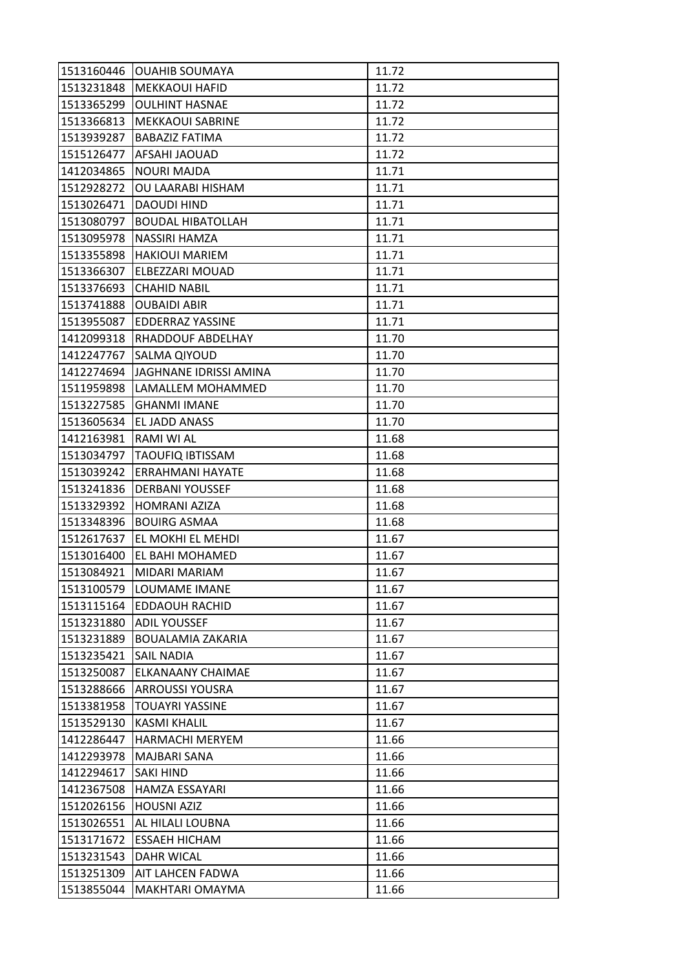| 1513160446 | <b>OUAHIB SOUMAYA</b>    | 11.72 |
|------------|--------------------------|-------|
| 1513231848 | <b>MEKKAOUI HAFID</b>    | 11.72 |
| 1513365299 | <b>OULHINT HASNAE</b>    | 11.72 |
| 1513366813 | <b>MEKKAOUI SABRINE</b>  | 11.72 |
| 1513939287 | <b>BABAZIZ FATIMA</b>    | 11.72 |
| 1515126477 | AFSAHI JAOUAD            | 11.72 |
| 1412034865 | <b>NOURI MAJDA</b>       | 11.71 |
| 1512928272 | OU LAARABI HISHAM        | 11.71 |
| 1513026471 | DAOUDI HIND              | 11.71 |
| 1513080797 | <b>BOUDAL HIBATOLLAH</b> | 11.71 |
| 1513095978 | NASSIRI HAMZA            | 11.71 |
| 1513355898 | <b>HAKIOUI MARIEM</b>    | 11.71 |
| 1513366307 | ELBEZZARI MOUAD          | 11.71 |
| 1513376693 | <b>CHAHID NABIL</b>      | 11.71 |
| 1513741888 | <b>OUBAIDI ABIR</b>      | 11.71 |
| 1513955087 | EDDERRAZ YASSINE         | 11.71 |
| 1412099318 | RHADDOUF ABDELHAY        | 11.70 |
| 1412247767 | SALMA QIYOUD             | 11.70 |
| 1412274694 | JAGHNANE IDRISSI AMINA   | 11.70 |
| 1511959898 | LAMALLEM MOHAMMED        | 11.70 |
| 1513227585 | <b>GHANMI IMANE</b>      | 11.70 |
| 1513605634 | EL JADD ANASS            | 11.70 |
| 1412163981 | RAMI WI AL               | 11.68 |
| 1513034797 | <b>TAOUFIQ IBTISSAM</b>  | 11.68 |
| 1513039242 | ERRAHMANI HAYATE         | 11.68 |
| 1513241836 | <b>DERBANI YOUSSEF</b>   | 11.68 |
| 1513329392 | <b>HOMRANI AZIZA</b>     | 11.68 |
| 1513348396 | <b>BOUIRG ASMAA</b>      | 11.68 |
| 1512617637 | EL MOKHI EL MEHDI        | 11.67 |
| 1513016400 | EL BAHI MOHAMED          | 11.67 |
| 1513084921 | MIDARI MARIAM            | 11.67 |
| 1513100579 | LOUMAME IMANE            | 11.67 |
| 1513115164 | <b>EDDAOUH RACHID</b>    | 11.67 |
| 1513231880 | <b>ADIL YOUSSEF</b>      | 11.67 |
| 1513231889 | <b>BOUALAMIA ZAKARIA</b> | 11.67 |
| 1513235421 | <b>SAIL NADIA</b>        | 11.67 |
| 1513250087 | ELKANAANY CHAIMAE        | 11.67 |
| 1513288666 | ARROUSSI YOUSRA          | 11.67 |
| 1513381958 | TOUAYRI YASSINE          | 11.67 |
| 1513529130 | <b>KASMI KHALIL</b>      | 11.67 |
| 1412286447 | <b>HARMACHI MERYEM</b>   | 11.66 |
| 1412293978 | <b>MAJBARI SANA</b>      | 11.66 |
| 1412294617 | SAKI HIND                | 11.66 |
| 1412367508 | HAMZA ESSAYARI           | 11.66 |
| 1512026156 | <b>HOUSNI AZIZ</b>       | 11.66 |
| 1513026551 | AL HILALI LOUBNA         | 11.66 |
| 1513171672 | <b>ESSAEH HICHAM</b>     | 11.66 |
| 1513231543 | <b>DAHR WICAL</b>        | 11.66 |
| 1513251309 | AIT LAHCEN FADWA         | 11.66 |
| 1513855044 | MAKHTARI OMAYMA          | 11.66 |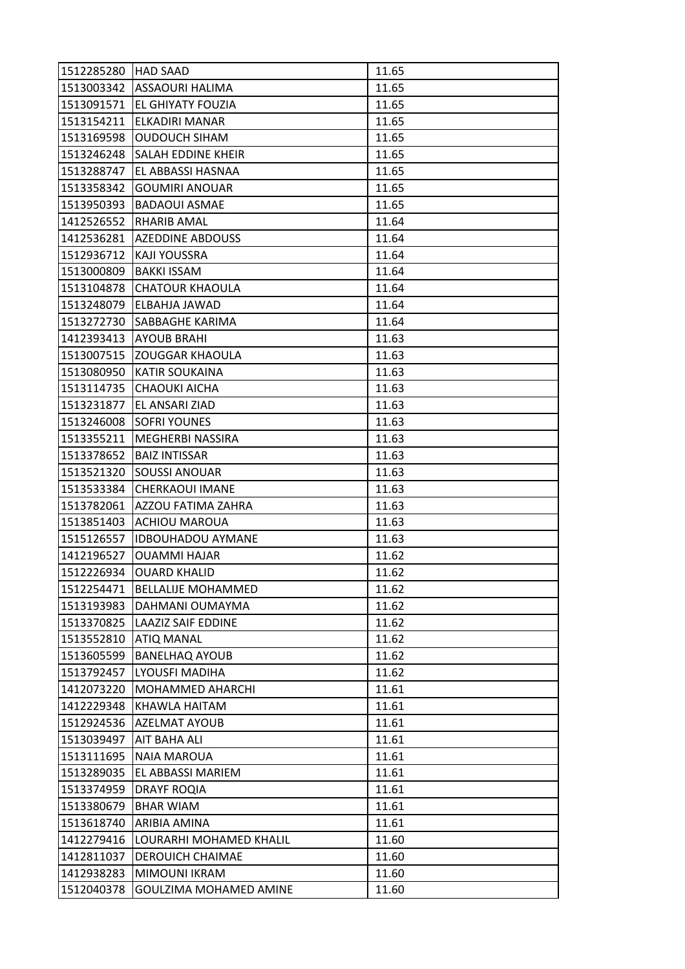| 1512285280 | <b>HAD SAAD</b>           | 11.65 |
|------------|---------------------------|-------|
| 1513003342 | <b>ASSAOURI HALIMA</b>    | 11.65 |
| 1513091571 | EL GHIYATY FOUZIA         | 11.65 |
| 1513154211 | ELKADIRI MANAR            | 11.65 |
| 1513169598 | <b>OUDOUCH SIHAM</b>      | 11.65 |
| 1513246248 | SALAH EDDINE KHEIR        | 11.65 |
| 1513288747 | EL ABBASSI HASNAA         | 11.65 |
| 1513358342 | <b>GOUMIRI ANOUAR</b>     | 11.65 |
| 1513950393 | <b>BADAOUI ASMAE</b>      | 11.65 |
| 1412526552 | RHARIB AMAL               | 11.64 |
| 1412536281 | <b>AZEDDINE ABDOUSS</b>   | 11.64 |
| 1512936712 | KAJI YOUSSRA              | 11.64 |
| 1513000809 | <b>BAKKI ISSAM</b>        | 11.64 |
| 1513104878 | <b>CHATOUR KHAOULA</b>    | 11.64 |
| 1513248079 | ELBAHJA JAWAD             | 11.64 |
| 1513272730 | SABBAGHE KARIMA           | 11.64 |
| 1412393413 | <b>AYOUB BRAHI</b>        | 11.63 |
| 1513007515 | <b>ZOUGGAR KHAOULA</b>    | 11.63 |
| 1513080950 | <b>KATIR SOUKAINA</b>     | 11.63 |
| 1513114735 | <b>CHAOUKI AICHA</b>      | 11.63 |
| 1513231877 | EL ANSARI ZIAD            | 11.63 |
| 1513246008 | <b>SOFRI YOUNES</b>       | 11.63 |
| 1513355211 | MEGHERBI NASSIRA          | 11.63 |
| 1513378652 | <b>BAIZ INTISSAR</b>      | 11.63 |
| 1513521320 | SOUSSI ANOUAR             | 11.63 |
| 1513533384 | <b>CHERKAOUI IMANE</b>    | 11.63 |
| 1513782061 | AZZOU FATIMA ZAHRA        | 11.63 |
| 1513851403 | <b>ACHIOU MAROUA</b>      | 11.63 |
| 1515126557 | <b>IDBOUHADOU AYMANE</b>  | 11.63 |
| 1412196527 | <b>OUAMMI HAJAR</b>       | 11.62 |
| 1512226934 | <b>OUARD KHALID</b>       | 11.62 |
| 1512254471 | <b>BELLALIJE MOHAMMED</b> | 11.62 |
| 1513193983 | DAHMANI OUMAYMA           | 11.62 |
| 1513370825 | <b>LAAZIZ SAIF EDDINE</b> | 11.62 |
| 1513552810 | <b>ATIQ MANAL</b>         | 11.62 |
| 1513605599 | <b>BANELHAQ AYOUB</b>     | 11.62 |
| 1513792457 | LYOUSFI MADIHA            | 11.62 |
| 1412073220 | MOHAMMED AHARCHI          | 11.61 |
| 1412229348 | KHAWLA HAITAM             | 11.61 |
| 1512924536 | AZELMAT AYOUB             | 11.61 |
| 1513039497 | AIT BAHA ALI              | 11.61 |
| 1513111695 | <b>NAIA MAROUA</b>        | 11.61 |
| 1513289035 | EL ABBASSI MARIEM         | 11.61 |
| 1513374959 | <b>DRAYF ROQIA</b>        | 11.61 |
| 1513380679 | <b>BHAR WIAM</b>          | 11.61 |
| 1513618740 | ARIBIA AMINA              | 11.61 |
| 1412279416 | LOURARHI MOHAMED KHALIL   | 11.60 |
| 1412811037 | <b>DEROUICH CHAIMAE</b>   | 11.60 |
| 1412938283 | MIMOUNI IKRAM             | 11.60 |
| 1512040378 | GOULZIMA MOHAMED AMINE    | 11.60 |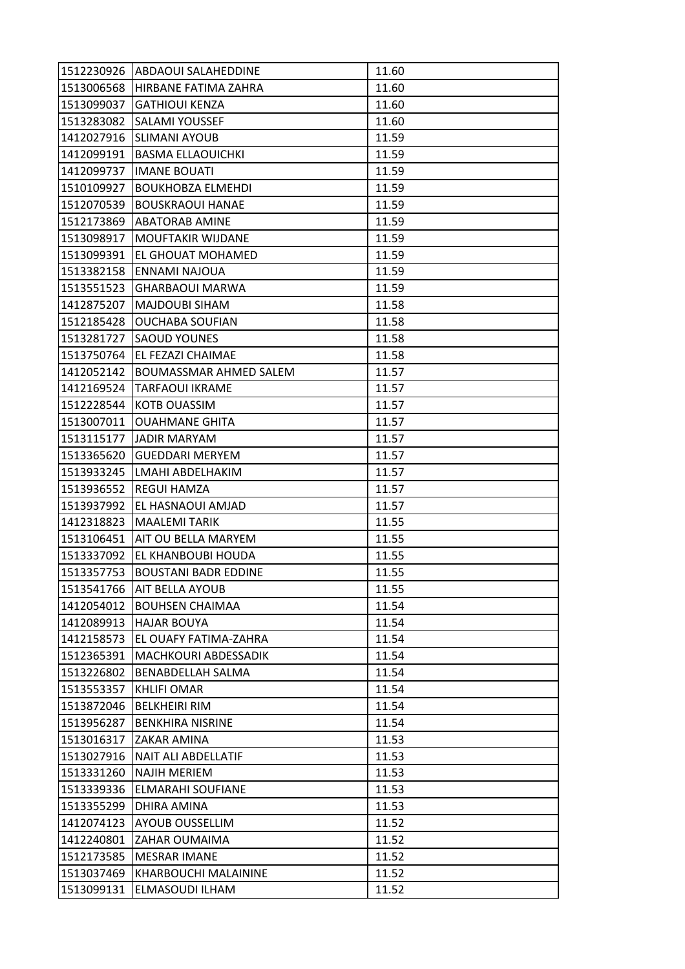|            | 1512230926 ABDAOUI SALAHEDDINE | 11.60 |
|------------|--------------------------------|-------|
| 1513006568 | HIRBANE FATIMA ZAHRA           | 11.60 |
| 1513099037 | <b>GATHIOUI KENZA</b>          | 11.60 |
| 1513283082 | SALAMI YOUSSEF                 | 11.60 |
| 1412027916 | <b>SLIMANI AYOUB</b>           | 11.59 |
| 1412099191 | <b>BASMA ELLAOUICHKI</b>       | 11.59 |
| 1412099737 | <b>IMANE BOUATI</b>            | 11.59 |
| 1510109927 | <b>BOUKHOBZA ELMEHDI</b>       | 11.59 |
| 1512070539 | <b>BOUSKRAOUI HANAE</b>        | 11.59 |
| 1512173869 | <b>ABATORAB AMINE</b>          | 11.59 |
| 1513098917 | MOUFTAKIR WIJDANE              | 11.59 |
| 1513099391 | <b>EL GHOUAT MOHAMED</b>       | 11.59 |
| 1513382158 | ENNAMI NAJOUA                  | 11.59 |
| 1513551523 | <b>GHARBAOUI MARWA</b>         | 11.59 |
| 1412875207 | <b>MAJDOUBI SIHAM</b>          | 11.58 |
| 1512185428 | <b>OUCHABA SOUFIAN</b>         | 11.58 |
| 1513281727 | <b>SAOUD YOUNES</b>            | 11.58 |
| 1513750764 | EL FEZAZI CHAIMAE              | 11.58 |
| 1412052142 | <b>BOUMASSMAR AHMED SALEM</b>  | 11.57 |
| 1412169524 | <b>TARFAOUI IKRAME</b>         | 11.57 |
| 1512228544 | <b>KOTB OUASSIM</b>            | 11.57 |
| 1513007011 | <b>OUAHMANE GHITA</b>          | 11.57 |
| 1513115177 | JADIR MARYAM                   | 11.57 |
| 1513365620 | <b>GUEDDARI MERYEM</b>         | 11.57 |
| 1513933245 | LMAHI ABDELHAKIM               | 11.57 |
| 1513936552 | REGUI HAMZA                    | 11.57 |
| 1513937992 | EL HASNAOUI AMJAD              | 11.57 |
| 1412318823 | <b>MAALEMI TARIK</b>           | 11.55 |
| 1513106451 | AIT OU BELLA MARYEM            | 11.55 |
| 1513337092 | EL KHANBOUBI HOUDA             | 11.55 |
| 1513357753 | <b>BOUSTANI BADR EDDINE</b>    | 11.55 |
| 1513541766 | <b>AIT BELLA AYOUB</b>         | 11.55 |
| 1412054012 | <b>BOUHSEN CHAIMAA</b>         | 11.54 |
| 1412089913 | <b>HAJAR BOUYA</b>             | 11.54 |
| 1412158573 | EL OUAFY FATIMA-ZAHRA          | 11.54 |
| 1512365391 | <b>MACHKOURI ABDESSADIK</b>    | 11.54 |
| 1513226802 | BENABDELLAH SALMA              | 11.54 |
| 1513553357 | <b>KHLIFI OMAR</b>             | 11.54 |
| 1513872046 | <b>BELKHEIRI RIM</b>           | 11.54 |
| 1513956287 | <b>BENKHIRA NISRINE</b>        | 11.54 |
| 1513016317 | ZAKAR AMINA                    | 11.53 |
| 1513027916 | NAIT ALI ABDELLATIF            | 11.53 |
| 1513331260 | <b>NAJIH MERIEM</b>            | 11.53 |
| 1513339336 | ELMARAHI SOUFIANE              | 11.53 |
| 1513355299 | DHIRA AMINA                    | 11.53 |
| 1412074123 | AYOUB OUSSELLIM                | 11.52 |
| 1412240801 | ZAHAR OUMAIMA                  | 11.52 |
| 1512173585 | <b>MESRAR IMANE</b>            | 11.52 |
| 1513037469 | KHARBOUCHI MALAININE           | 11.52 |
|            |                                |       |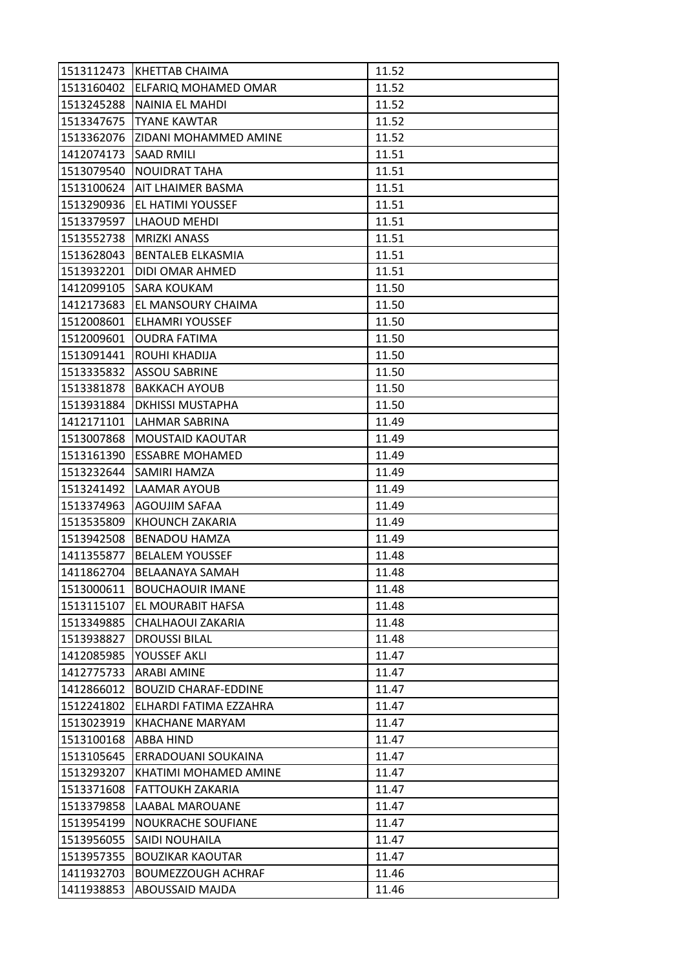|            | 1513112473 KHETTAB CHAIMA       | 11.52 |
|------------|---------------------------------|-------|
|            | 1513160402 ELFARIQ MOHAMED OMAR | 11.52 |
| 1513245288 | NAINIA EL MAHDI                 | 11.52 |
| 1513347675 | <b>TYANE KAWTAR</b>             | 11.52 |
| 1513362076 | ZIDANI MOHAMMED AMINE           | 11.52 |
| 1412074173 | <b>SAAD RMILI</b>               | 11.51 |
| 1513079540 | <b>NOUIDRAT TAHA</b>            | 11.51 |
| 1513100624 | <b>AIT LHAIMER BASMA</b>        | 11.51 |
|            | 1513290936 EL HATIMI YOUSSEF    | 11.51 |
| 1513379597 | LHAOUD MEHDI                    | 11.51 |
|            | 1513552738   MRIZKI ANASS       | 11.51 |
|            | 1513628043   BENTALEB ELKASMIA  | 11.51 |
| 1513932201 | DIDI OMAR AHMED                 | 11.51 |
| 1412099105 | <b>SARA KOUKAM</b>              | 11.50 |
| 1412173683 | EL MANSOURY CHAIMA              | 11.50 |
|            | 1512008601 ELHAMRI YOUSSEF      | 11.50 |
| 1512009601 | <b>OUDRA FATIMA</b>             | 11.50 |
| 1513091441 | ROUHI KHADIJA                   | 11.50 |
| 1513335832 | <b>ASSOU SABRINE</b>            | 11.50 |
| 1513381878 | <b>BAKKACH AYOUB</b>            | 11.50 |
| 1513931884 | <b>DKHISSI MUSTAPHA</b>         | 11.50 |
| 1412171101 | LAHMAR SABRINA                  | 11.49 |
| 1513007868 | <b>MOUSTAID KAOUTAR</b>         | 11.49 |
| 1513161390 | <b>ESSABRE MOHAMED</b>          | 11.49 |
| 1513232644 | <b>SAMIRI HAMZA</b>             | 11.49 |
|            | 1513241492   LAAMAR AYOUB       | 11.49 |
| 1513374963 | AGOUJIM SAFAA                   | 11.49 |
| 1513535809 | <b>KHOUNCH ZAKARIA</b>          | 11.49 |
| 1513942508 | <b>BENADOU HAMZA</b>            | 11.49 |
| 1411355877 | <b>BELALEM YOUSSEF</b>          | 11.48 |
| 1411862704 | IBELAANAYA SAMAH                | 11.48 |
| 1513000611 | <b>BOUCHAOUIR IMANE</b>         | 11.48 |
| 1513115107 | <b>EL MOURABIT HAFSA</b>        | 11.48 |
| 1513349885 | CHALHAOUI ZAKARIA               | 11.48 |
| 1513938827 | <b>DROUSSI BILAL</b>            | 11.48 |
| 1412085985 | YOUSSEF AKLI                    | 11.47 |
| 1412775733 | <b>ARABI AMINE</b>              | 11.47 |
| 1412866012 | <b>BOUZID CHARAF-EDDINE</b>     | 11.47 |
| 1512241802 | ELHARDI FATIMA EZZAHRA          | 11.47 |
| 1513023919 | <b>KHACHANE MARYAM</b>          | 11.47 |
| 1513100168 | <b>ABBA HIND</b>                | 11.47 |
| 1513105645 | ERRADOUANI SOUKAINA             | 11.47 |
| 1513293207 | KHATIMI MOHAMED AMINE           | 11.47 |
| 1513371608 | <b>FATTOUKH ZAKARIA</b>         | 11.47 |
| 1513379858 | <b>LAABAL MAROUANE</b>          | 11.47 |
| 1513954199 | NOUKRACHE SOUFIANE              | 11.47 |
| 1513956055 | SAIDI NOUHAILA                  | 11.47 |
| 1513957355 | <b>BOUZIKAR KAOUTAR</b>         | 11.47 |
| 1411932703 | <b>BOUMEZZOUGH ACHRAF</b>       | 11.46 |
| 1411938853 | ABOUSSAID MAJDA                 | 11.46 |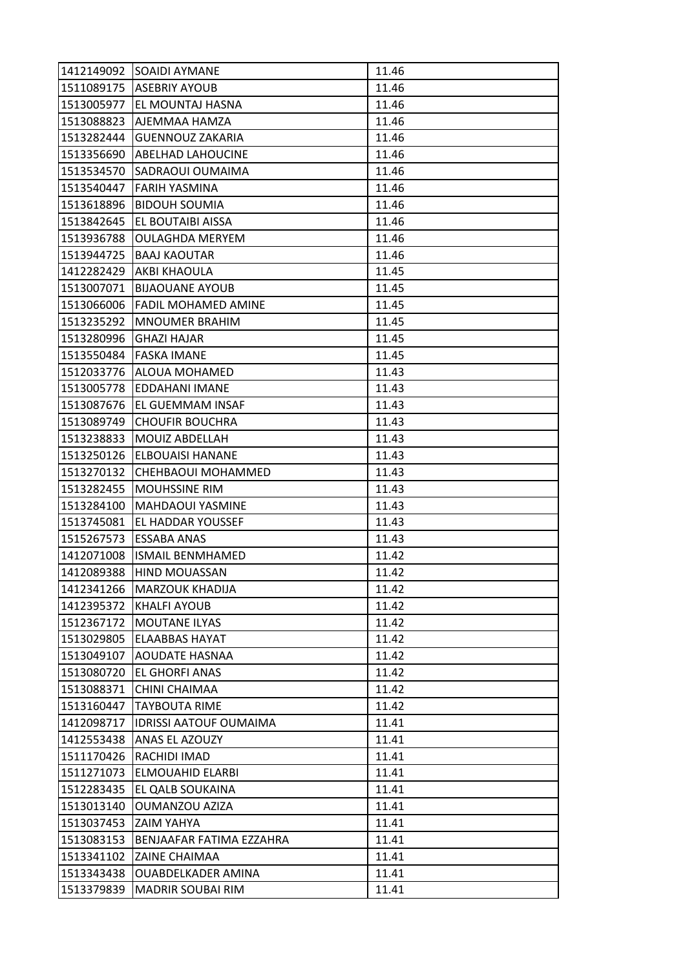| 1412149092 | <b>SOAIDI AYMANE</b>          | 11.46 |
|------------|-------------------------------|-------|
|            | 1511089175   ASEBRIY AYOUB    | 11.46 |
| 1513005977 | EL MOUNTAJ HASNA              | 11.46 |
| 1513088823 | AJEMMAA HAMZA                 | 11.46 |
| 1513282444 | <b>GUENNOUZ ZAKARIA</b>       | 11.46 |
| 1513356690 | <b>ABELHAD LAHOUCINE</b>      | 11.46 |
| 1513534570 | SADRAOUI OUMAIMA              | 11.46 |
| 1513540447 | FARIH YASMINA                 | 11.46 |
| 1513618896 | <b>BIDOUH SOUMIA</b>          | 11.46 |
| 1513842645 | EL BOUTAIBI AISSA             | 11.46 |
| 1513936788 | <b>OULAGHDA MERYEM</b>        | 11.46 |
| 1513944725 | <b>BAAJ KAOUTAR</b>           | 11.46 |
| 1412282429 | AKBI KHAOULA                  | 11.45 |
| 1513007071 | <b>BIJAOUANE AYOUB</b>        | 11.45 |
| 1513066006 | <b>FADIL MOHAMED AMINE</b>    | 11.45 |
| 1513235292 | <b>MNOUMER BRAHIM</b>         | 11.45 |
| 1513280996 | <b>GHAZI HAJAR</b>            | 11.45 |
| 1513550484 | <b>FASKA IMANE</b>            | 11.45 |
| 1512033776 | <b>ALOUA MOHAMED</b>          | 11.43 |
| 1513005778 | EDDAHANI IMANE                | 11.43 |
| 1513087676 | EL GUEMMAM INSAF              | 11.43 |
| 1513089749 | <b>CHOUFIR BOUCHRA</b>        | 11.43 |
| 1513238833 | MOUIZ ABDELLAH                | 11.43 |
| 1513250126 | <b>ELBOUAISI HANANE</b>       | 11.43 |
| 1513270132 | CHEHBAOUI MOHAMMED            | 11.43 |
| 1513282455 | <b>MOUHSSINE RIM</b>          | 11.43 |
| 1513284100 | <b>MAHDAOUI YASMINE</b>       | 11.43 |
| 1513745081 | EL HADDAR YOUSSEF             | 11.43 |
| 1515267573 | <b>ESSABA ANAS</b>            | 11.43 |
| 1412071008 | <b>ISMAIL BENMHAMED</b>       | 11.42 |
| 1412089388 | <b>HIND MOUASSAN</b>          | 11.42 |
| 1412341266 | <b>MARZOUK KHADIJA</b>        | 11.42 |
| 1412395372 | <b>KHALFI AYOUB</b>           | 11.42 |
| 1512367172 | MOUTANE ILYAS                 | 11.42 |
| 1513029805 | <b>ELAABBAS HAYAT</b>         | 11.42 |
| 1513049107 | <b>AOUDATE HASNAA</b>         | 11.42 |
| 1513080720 | EL GHORFI ANAS                | 11.42 |
| 1513088371 | CHINI CHAIMAA                 | 11.42 |
| 1513160447 | <b>TAYBOUTA RIME</b>          | 11.42 |
| 1412098717 | <b>IDRISSI AATOUF OUMAIMA</b> | 11.41 |
| 1412553438 | ANAS EL AZOUZY                | 11.41 |
| 1511170426 | RACHIDI IMAD                  | 11.41 |
| 1511271073 | ELMOUAHID ELARBI              | 11.41 |
| 1512283435 | EL QALB SOUKAINA              | 11.41 |
| 1513013140 | <b>OUMANZOU AZIZA</b>         | 11.41 |
| 1513037453 | ZAIM YAHYA                    | 11.41 |
| 1513083153 | BENJAAFAR FATIMA EZZAHRA      | 11.41 |
| 1513341102 | <b>ZAINE CHAIMAA</b>          | 11.41 |
| 1513343438 | <b>OUABDELKADER AMINA</b>     | 11.41 |
| 1513379839 | <b>MADRIR SOUBAI RIM</b>      | 11.41 |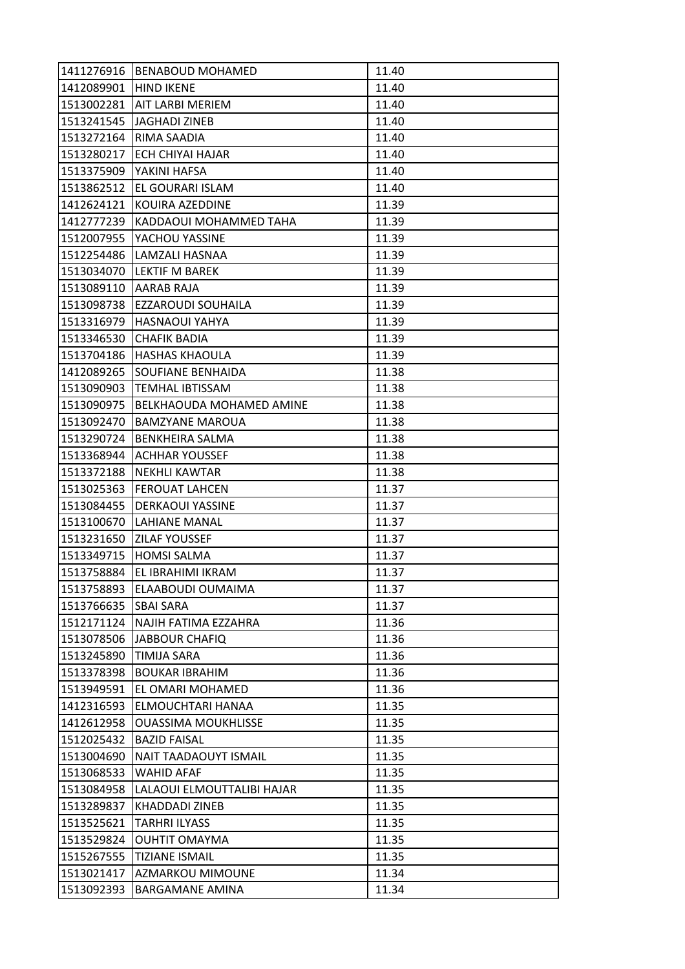|                       | 1411276916 BENABOUD MOHAMED         | 11.40 |
|-----------------------|-------------------------------------|-------|
| 1412089901 HIND IKENE |                                     | 11.40 |
| 1513002281            | <b>AIT LARBI MERIEM</b>             | 11.40 |
| 1513241545            | <b>JAGHADI ZINEB</b>                | 11.40 |
| 1513272164            | RIMA SAADIA                         | 11.40 |
|                       | 1513280217 ECH CHIYAI HAJAR         | 11.40 |
| 1513375909            | YAKINI HAFSA                        | 11.40 |
| 1513862512            | IEL GOURARI ISLAM                   | 11.40 |
| 1412624121            | KOUIRA AZEDDINE                     | 11.39 |
| 1412777239            | KADDAOUI MOHAMMED TAHA              | 11.39 |
| 1512007955            | YACHOU YASSINE                      | 11.39 |
| 1512254486            | LAMZALI HASNAA                      | 11.39 |
| 1513034070            | <b>LEKTIF M BAREK</b>               | 11.39 |
| 1513089110            | AARAB RAJA                          | 11.39 |
| 1513098738            | <b>EZZAROUDI SOUHAILA</b>           | 11.39 |
|                       | 1513316979 HASNAOUI YAHYA           | 11.39 |
| 1513346530            | <b>CHAFIK BADIA</b>                 | 11.39 |
| 1513704186            | <b>HASHAS KHAOULA</b>               | 11.39 |
| 1412089265            | SOUFIANE BENHAIDA                   | 11.38 |
| 1513090903            | <b>TEMHAL IBTISSAM</b>              | 11.38 |
|                       | 1513090975 BELKHAOUDA MOHAMED AMINE | 11.38 |
| 1513092470            | <b>BAMZYANE MAROUA</b>              | 11.38 |
| 1513290724            | <b>BENKHEIRA SALMA</b>              | 11.38 |
| 1513368944            | ACHHAR YOUSSEF                      | 11.38 |
|                       | 1513372188  NEKHLI KAWTAR           | 11.38 |
| 1513025363            | <b>FEROUAT LAHCEN</b>               | 11.37 |
| 1513084455            | <b>DERKAOUI YASSINE</b>             | 11.37 |
| 1513100670            | <b>LAHIANE MANAL</b>                | 11.37 |
| 1513231650            | <b>ZILAF YOUSSEF</b>                | 11.37 |
| 1513349715            | <b>HOMSI SALMA</b>                  | 11.37 |
| 1513758884            | EL IBRAHIMI IKRAM                   | 11.37 |
| 1513758893            | ELAABOUDI OUMAIMA                   | 11.37 |
| 1513766635            | <b>SBAI SARA</b>                    | 11.37 |
| 1512171124            | NAJIH FATIMA EZZAHRA                | 11.36 |
| 1513078506            | <b>JABBOUR CHAFIQ</b>               | 11.36 |
| 1513245890            | <b>TIMIJA SARA</b>                  | 11.36 |
| 1513378398            | <b>BOUKAR IBRAHIM</b>               | 11.36 |
| 1513949591            | EL OMARI MOHAMED                    | 11.36 |
| 1412316593            | ELMOUCHTARI HANAA                   | 11.35 |
| 1412612958            | <b>OUASSIMA MOUKHLISSE</b>          | 11.35 |
| 1512025432            | <b>BAZID FAISAL</b>                 | 11.35 |
| 1513004690            | NAIT TAADAOUYT ISMAIL               | 11.35 |
| 1513068533            | <b>WAHID AFAF</b>                   | 11.35 |
| 1513084958            | LALAOUI ELMOUTTALIBI HAJAR          | 11.35 |
| 1513289837            | <b>KHADDADI ZINEB</b>               | 11.35 |
| 1513525621            | TARHRI ILYASS                       | 11.35 |
| 1513529824            | <b>OUHTIT OMAYMA</b>                | 11.35 |
| 1515267555            | <b>TIZIANE ISMAIL</b>               | 11.35 |
| 1513021417            | AZMARKOU MIMOUNE                    | 11.34 |
| 1513092393            | <b>BARGAMANE AMINA</b>              | 11.34 |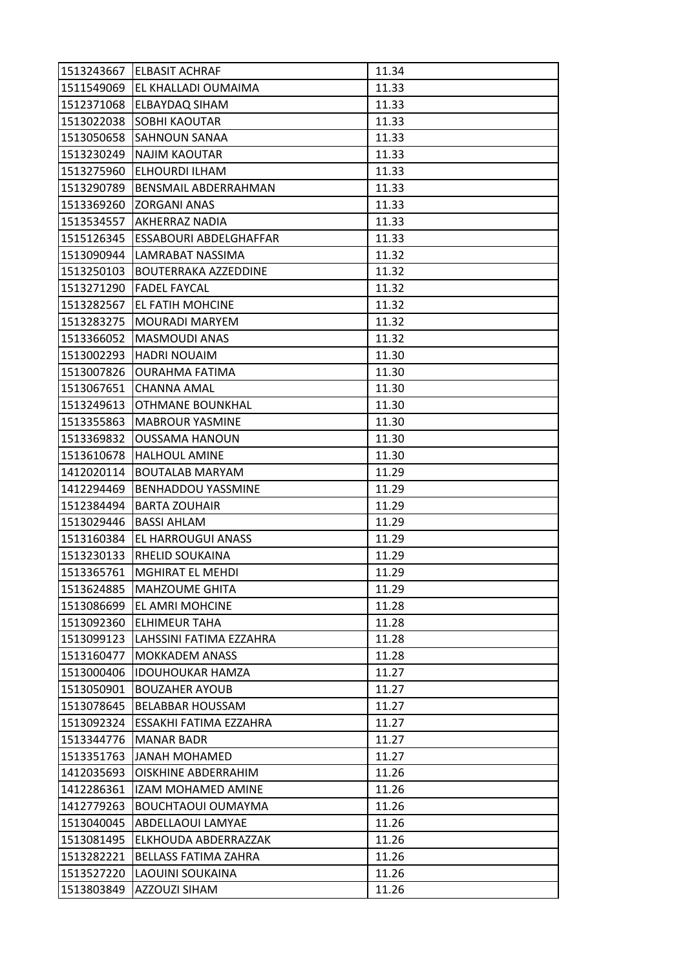| 1513243667 | <b>ELBASIT ACHRAF</b>       | 11.34 |
|------------|-----------------------------|-------|
| 1511549069 | EL KHALLADI OUMAIMA         | 11.33 |
| 1512371068 | ELBAYDAQ SIHAM              | 11.33 |
| 1513022038 | SOBHI KAOUTAR               | 11.33 |
| 1513050658 | <b>SAHNOUN SANAA</b>        | 11.33 |
| 1513230249 | NAJIM KAOUTAR               | 11.33 |
| 1513275960 | ELHOURDI ILHAM              | 11.33 |
| 1513290789 | BENSMAIL ABDERRAHMAN        | 11.33 |
| 1513369260 | <b>ZORGANI ANAS</b>         | 11.33 |
| 1513534557 | AKHERRAZ NADIA              | 11.33 |
| 1515126345 | ESSABOURI ABDELGHAFFAR      | 11.33 |
| 1513090944 | LAMRABAT NASSIMA            | 11.32 |
| 1513250103 | <b>BOUTERRAKA AZZEDDINE</b> | 11.32 |
| 1513271290 | <b>FADEL FAYCAL</b>         | 11.32 |
| 1513282567 | EL FATIH MOHCINE            | 11.32 |
| 1513283275 | <b>MOURADI MARYEM</b>       | 11.32 |
| 1513366052 | <b>MASMOUDI ANAS</b>        | 11.32 |
| 1513002293 | <b>HADRI NOUAIM</b>         | 11.30 |
| 1513007826 | <b>OURAHMA FATIMA</b>       | 11.30 |
| 1513067651 | CHANNA AMAL                 | 11.30 |
| 1513249613 | <b>OTHMANE BOUNKHAL</b>     | 11.30 |
| 1513355863 | <b>MABROUR YASMINE</b>      | 11.30 |
| 1513369832 | <b>OUSSAMA HANOUN</b>       | 11.30 |
| 1513610678 | HALHOUL AMINE               | 11.30 |
| 1412020114 | <b>BOUTALAB MARYAM</b>      | 11.29 |
| 1412294469 | BENHADDOU YASSMINE          | 11.29 |
| 1512384494 | <b>BARTA ZOUHAIR</b>        | 11.29 |
| 1513029446 | <b>BASSI AHLAM</b>          | 11.29 |
| 1513160384 | EL HARROUGUI ANASS          | 11.29 |
| 1513230133 | RHELID SOUKAINA             | 11.29 |
| 1513365761 | <b>MGHIRAT EL MEHDI</b>     | 11.29 |
| 1513624885 | <b>MAHZOUME GHITA</b>       | 11.29 |
| 1513086699 | EL AMRI MOHCINE             | 11.28 |
| 1513092360 | ELHIMEUR TAHA               | 11.28 |
| 1513099123 | LAHSSINI FATIMA EZZAHRA     | 11.28 |
| 1513160477 | <b>MOKKADEM ANASS</b>       | 11.28 |
| 1513000406 | <b>IDOUHOUKAR HAMZA</b>     | 11.27 |
| 1513050901 | <b>BOUZAHER AYOUB</b>       | 11.27 |
| 1513078645 | <b>BELABBAR HOUSSAM</b>     | 11.27 |
| 1513092324 | ESSAKHI FATIMA EZZAHRA      | 11.27 |
| 1513344776 | <b>MANAR BADR</b>           | 11.27 |
| 1513351763 | <b>JANAH MOHAMED</b>        | 11.27 |
| 1412035693 | OISKHINE ABDERRAHIM         | 11.26 |
| 1412286361 | IZAM MOHAMED AMINE          | 11.26 |
| 1412779263 | <b>BOUCHTAOUI OUMAYMA</b>   | 11.26 |
| 1513040045 | ABDELLAOUI LAMYAE           | 11.26 |
| 1513081495 | ELKHOUDA ABDERRAZZAK        | 11.26 |
| 1513282221 | <b>BELLASS FATIMA ZAHRA</b> | 11.26 |
| 1513527220 | LAOUINI SOUKAINA            | 11.26 |
| 1513803849 | <b>AZZOUZI SIHAM</b>        | 11.26 |
|            |                             |       |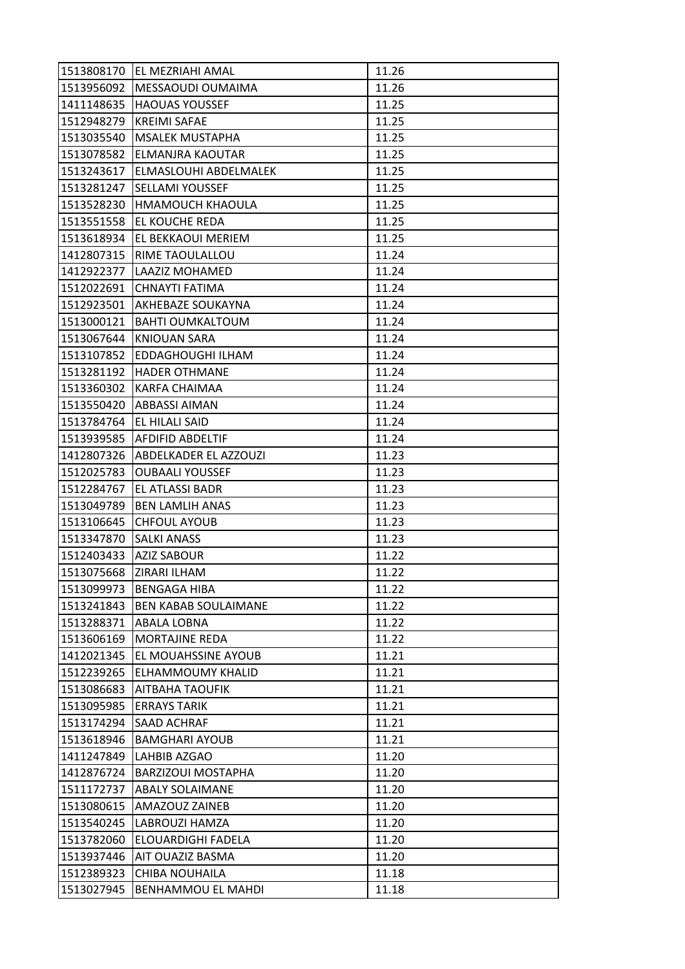| 1513808170 | <b>EL MEZRIAHI AMAL</b>     | 11.26 |
|------------|-----------------------------|-------|
| 1513956092 | MESSAOUDI OUMAIMA           | 11.26 |
| 1411148635 | <b>HAOUAS YOUSSEF</b>       | 11.25 |
| 1512948279 | <b>KREIMI SAFAE</b>         | 11.25 |
| 1513035540 | <b>MSALEK MUSTAPHA</b>      | 11.25 |
| 1513078582 | ELMANJRA KAOUTAR            | 11.25 |
| 1513243617 | ELMASLOUHI ABDELMALEK       | 11.25 |
| 1513281247 | SELLAMI YOUSSEF             | 11.25 |
| 1513528230 | HMAMOUCH KHAOULA            | 11.25 |
| 1513551558 | EL KOUCHE REDA              | 11.25 |
| 1513618934 | EL BEKKAOUI MERIEM          | 11.25 |
| 1412807315 | RIME TAOULALLOU             | 11.24 |
| 1412922377 | LAAZIZ MOHAMED              | 11.24 |
| 1512022691 | CHNAYTI FATIMA              | 11.24 |
| 1512923501 | AKHEBAZE SOUKAYNA           | 11.24 |
| 1513000121 | <b>BAHTI OUMKALTOUM</b>     | 11.24 |
| 1513067644 | <b>KNIOUAN SARA</b>         | 11.24 |
| 1513107852 | EDDAGHOUGHI ILHAM           | 11.24 |
| 1513281192 | <b>HADER OTHMANE</b>        | 11.24 |
| 1513360302 | KARFA CHAIMAA               | 11.24 |
| 1513550420 | <b>ABBASSI AIMAN</b>        | 11.24 |
| 1513784764 | EL HILALI SAID              | 11.24 |
| 1513939585 | <b>AFDIFID ABDELTIF</b>     | 11.24 |
| 1412807326 | ABDELKADER EL AZZOUZI       | 11.23 |
| 1512025783 | <b>OUBAALI YOUSSEF</b>      | 11.23 |
| 1512284767 | EL ATLASSI BADR             | 11.23 |
| 1513049789 | <b>BEN LAMLIH ANAS</b>      | 11.23 |
| 1513106645 | <b>CHFOUL AYOUB</b>         | 11.23 |
| 1513347870 | <b>SALKI ANASS</b>          | 11.23 |
| 1512403433 | <b>AZIZ SABOUR</b>          | 11.22 |
| 1513075668 | ZIRARI ILHAM                | 11.22 |
| 1513099973 | <b>BENGAGA HIBA</b>         | 11.22 |
| 1513241843 | <b>BEN KABAB SOULAIMANE</b> | 11.22 |
| 1513288371 | ABALA LOBNA                 | 11.22 |
| 1513606169 | MORTAJINE REDA              | 11.22 |
| 1412021345 | EL MOUAHSSINE AYOUB         | 11.21 |
| 1512239265 | ELHAMMOUMY KHALID           | 11.21 |
| 1513086683 | <b>AITBAHA TAOUFIK</b>      | 11.21 |
| 1513095985 | <b>ERRAYS TARIK</b>         | 11.21 |
| 1513174294 | SAAD ACHRAF                 | 11.21 |
| 1513618946 | <b>BAMGHARI AYOUB</b>       | 11.21 |
| 1411247849 | LAHBIB AZGAO                | 11.20 |
| 1412876724 | <b>BARZIZOUI MOSTAPHA</b>   | 11.20 |
| 1511172737 | <b>ABALY SOLAIMANE</b>      | 11.20 |
| 1513080615 | AMAZOUZ ZAINEB              | 11.20 |
| 1513540245 | LABROUZI HAMZA              | 11.20 |
| 1513782060 | ELOUARDIGHI FADELA          | 11.20 |
| 1513937446 | AIT OUAZIZ BASMA            | 11.20 |
| 1512389323 | <b>CHIBA NOUHAILA</b>       | 11.18 |
| 1513027945 | BENHAMMOU EL MAHDI          | 11.18 |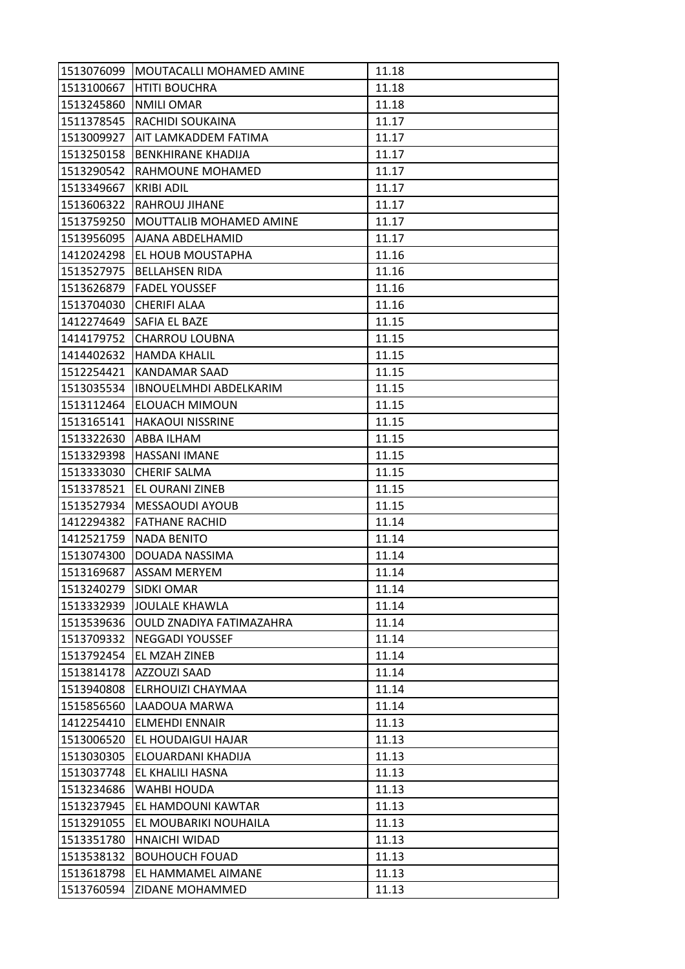| 1513076099 | MOUTACALLI MOHAMED AMINE      | 11.18 |
|------------|-------------------------------|-------|
| 1513100667 | <b>HTITI BOUCHRA</b>          | 11.18 |
| 1513245860 | <b>NMILI OMAR</b>             | 11.18 |
| 1511378545 | RACHIDI SOUKAINA              | 11.17 |
| 1513009927 | AIT LAMKADDEM FATIMA          | 11.17 |
| 1513250158 | <b>BENKHIRANE KHADIJA</b>     | 11.17 |
| 1513290542 | RAHMOUNE MOHAMED              | 11.17 |
| 1513349667 | <b>KRIBI ADIL</b>             | 11.17 |
| 1513606322 | <b>RAHROUJ JIHANE</b>         | 11.17 |
| 1513759250 | MOUTTALIB MOHAMED AMINE       | 11.17 |
| 1513956095 | AJANA ABDELHAMID              | 11.17 |
| 1412024298 | EL HOUB MOUSTAPHA             | 11.16 |
| 1513527975 | <b>BELLAHSEN RIDA</b>         | 11.16 |
| 1513626879 | <b>FADEL YOUSSEF</b>          | 11.16 |
| 1513704030 | <b>CHERIFI ALAA</b>           | 11.16 |
| 1412274649 | SAFIA EL BAZE                 | 11.15 |
| 1414179752 | <b>CHARROU LOUBNA</b>         | 11.15 |
| 1414402632 | <b>HAMDA KHALIL</b>           | 11.15 |
| 1512254421 | <b>KANDAMAR SAAD</b>          | 11.15 |
| 1513035534 | <b>IBNOUELMHDI ABDELKARIM</b> | 11.15 |
| 1513112464 | <b>ELOUACH MIMOUN</b>         | 11.15 |
| 1513165141 | <b>HAKAOUI NISSRINE</b>       | 11.15 |
| 1513322630 | ABBA ILHAM                    | 11.15 |
| 1513329398 | <b>HASSANI IMANE</b>          | 11.15 |
| 1513333030 | <b>CHERIF SALMA</b>           | 11.15 |
| 1513378521 | EL OURANI ZINEB               | 11.15 |
| 1513527934 | MESSAOUDI AYOUB               | 11.15 |
| 1412294382 | <b>FATHANE RACHID</b>         | 11.14 |
| 1412521759 | <b>NADA BENITO</b>            | 11.14 |
| 1513074300 | DOUADA NASSIMA                | 11.14 |
| 1513169687 | <b>ASSAM MERYEM</b>           | 11.14 |
| 1513240279 | <b>SIDKI OMAR</b>             | 11.14 |
| 1513332939 | <b>JOULALE KHAWLA</b>         | 11.14 |
| 1513539636 | OULD ZNADIYA FATIMAZAHRA      | 11.14 |
| 1513709332 | <b>NEGGADI YOUSSEF</b>        | 11.14 |
| 1513792454 | EL MZAH ZINEB                 | 11.14 |
| 1513814178 | AZZOUZI SAAD                  | 11.14 |
| 1513940808 | ELRHOUIZI CHAYMAA             | 11.14 |
| 1515856560 | LAADOUA MARWA                 | 11.14 |
| 1412254410 | <b>ELMEHDI ENNAIR</b>         | 11.13 |
| 1513006520 | EL HOUDAIGUI HAJAR            | 11.13 |
| 1513030305 | ELOUARDANI KHADIJA            | 11.13 |
| 1513037748 | EL KHALILI HASNA              | 11.13 |
| 1513234686 | <b>WAHBI HOUDA</b>            | 11.13 |
| 1513237945 | EL HAMDOUNI KAWTAR            | 11.13 |
| 1513291055 | EL MOUBARIKI NOUHAILA         | 11.13 |
| 1513351780 | HNAICHI WIDAD                 | 11.13 |
| 1513538132 | <b>BOUHOUCH FOUAD</b>         | 11.13 |
| 1513618798 | EL HAMMAMEL AIMANE            | 11.13 |
| 1513760594 | ZIDANE MOHAMMED               | 11.13 |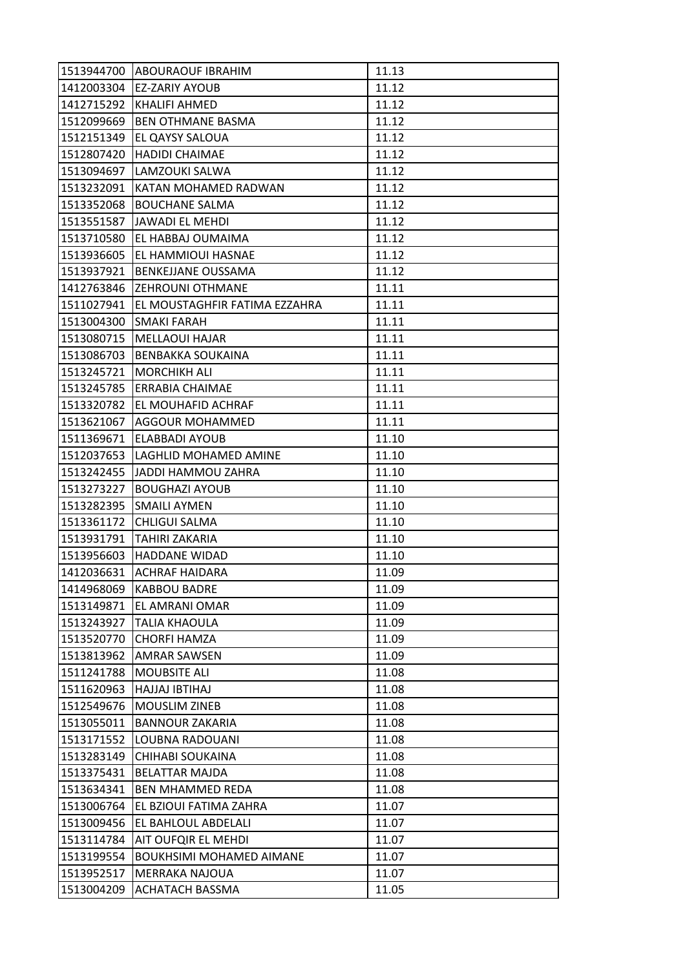| 1513944700 | <b>ABOURAOUF IBRAHIM</b>        | 11.13 |
|------------|---------------------------------|-------|
| 1412003304 | EZ-ZARIY AYOUB                  | 11.12 |
| 1412715292 | <b>KHALIFI AHMED</b>            | 11.12 |
| 1512099669 | <b>BEN OTHMANE BASMA</b>        | 11.12 |
| 1512151349 | EL QAYSY SALOUA                 | 11.12 |
| 1512807420 | <b>HADIDI CHAIMAE</b>           | 11.12 |
| 1513094697 | LAMZOUKI SALWA                  | 11.12 |
| 1513232091 | KATAN MOHAMED RADWAN            | 11.12 |
| 1513352068 | <b>BOUCHANE SALMA</b>           | 11.12 |
| 1513551587 | <b>JAWADI EL MEHDI</b>          | 11.12 |
| 1513710580 | EL HABBAJ OUMAIMA               | 11.12 |
| 1513936605 | EL HAMMIOUI HASNAE              | 11.12 |
| 1513937921 | BENKEJJANE OUSSAMA              | 11.12 |
| 1412763846 | <b>ZEHROUNI OTHMANE</b>         | 11.11 |
| 1511027941 | EL MOUSTAGHFIR FATIMA EZZAHRA   | 11.11 |
| 1513004300 | SMAKI FARAH                     | 11.11 |
| 1513080715 | <b>MELLAOUI HAJAR</b>           | 11.11 |
| 1513086703 | <b>BENBAKKA SOUKAINA</b>        | 11.11 |
| 1513245721 | <b>MORCHIKH ALI</b>             | 11.11 |
| 1513245785 | ERRABIA CHAIMAE                 | 11.11 |
| 1513320782 | EL MOUHAFID ACHRAF              | 11.11 |
| 1513621067 | AGGOUR MOHAMMED                 | 11.11 |
| 1511369671 | ELABBADI AYOUB                  | 11.10 |
| 1512037653 | LAGHLID MOHAMED AMINE           | 11.10 |
| 1513242455 | JADDI HAMMOU ZAHRA              | 11.10 |
| 1513273227 | <b>BOUGHAZI AYOUB</b>           | 11.10 |
| 1513282395 | <b>SMAILI AYMEN</b>             | 11.10 |
| 1513361172 | <b>CHLIGUI SALMA</b>            | 11.10 |
| 1513931791 | TAHIRI ZAKARIA                  | 11.10 |
| 1513956603 | <b>HADDANE WIDAD</b>            | 11.10 |
| 1412036631 | <b>ACHRAF HAIDARA</b>           | 11.09 |
| 1414968069 | <b>KABBOU BADRE</b>             | 11.09 |
| 1513149871 | EL AMRANI OMAR                  | 11.09 |
| 1513243927 | TALIA KHAOULA                   | 11.09 |
| 1513520770 | <b>CHORFI HAMZA</b>             | 11.09 |
| 1513813962 | AMRAR SAWSEN                    | 11.09 |
| 1511241788 | <b>MOUBSITE ALI</b>             | 11.08 |
| 1511620963 | HAJJAJ IBTIHAJ                  | 11.08 |
| 1512549676 | <b>MOUSLIM ZINEB</b>            | 11.08 |
| 1513055011 | <b>BANNOUR ZAKARIA</b>          | 11.08 |
| 1513171552 | LOUBNA RADOUANI                 | 11.08 |
| 1513283149 | CHIHABI SOUKAINA                | 11.08 |
| 1513375431 | <b>BELATTAR MAJDA</b>           | 11.08 |
| 1513634341 | <b>BEN MHAMMED REDA</b>         | 11.08 |
| 1513006764 | EL BZIOUI FATIMA ZAHRA          | 11.07 |
| 1513009456 | EL BAHLOUL ABDELALI             | 11.07 |
| 1513114784 | AIT OUFQIR EL MEHDI             | 11.07 |
| 1513199554 | <b>BOUKHSIMI MOHAMED AIMANE</b> | 11.07 |
| 1513952517 | MERRAKA NAJOUA                  | 11.07 |
| 1513004209 | ACHATACH BASSMA                 | 11.05 |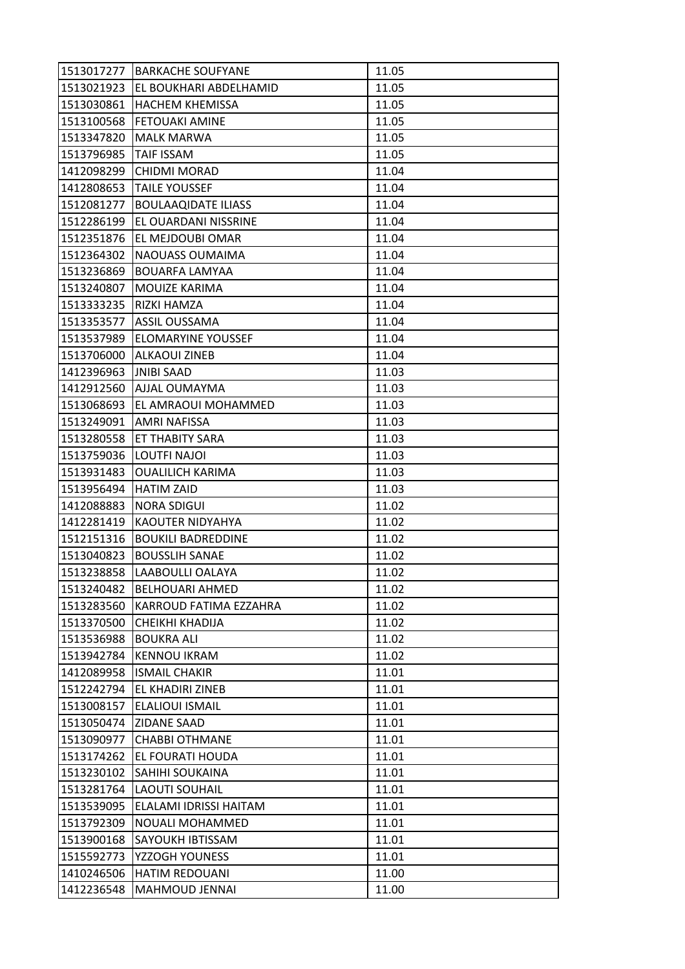| 1513017277 | <b>BARKACHE SOUFYANE</b>   | 11.05 |
|------------|----------------------------|-------|
| 1513021923 | EL BOUKHARI ABDELHAMID     | 11.05 |
| 1513030861 | <b>HACHEM KHEMISSA</b>     | 11.05 |
| 1513100568 | <b>FETOUAKI AMINE</b>      | 11.05 |
| 1513347820 | <b>MALK MARWA</b>          | 11.05 |
| 1513796985 | <b>TAIF ISSAM</b>          | 11.05 |
| 1412098299 | <b>CHIDMI MORAD</b>        | 11.04 |
| 1412808653 | <b>TAILE YOUSSEF</b>       | 11.04 |
| 1512081277 | <b>BOULAAQIDATE ILIASS</b> | 11.04 |
| 1512286199 | EL OUARDANI NISSRINE       | 11.04 |
| 1512351876 | EL MEJDOUBI OMAR           | 11.04 |
| 1512364302 | NAOUASS OUMAIMA            | 11.04 |
| 1513236869 | <b>BOUARFA LAMYAA</b>      | 11.04 |
| 1513240807 | MOUIZE KARIMA              | 11.04 |
| 1513333235 | RIZKI HAMZA                | 11.04 |
| 1513353577 | <b>ASSIL OUSSAMA</b>       | 11.04 |
| 1513537989 | <b>ELOMARYINE YOUSSEF</b>  | 11.04 |
| 1513706000 | <b>ALKAOUI ZINEB</b>       | 11.04 |
| 1412396963 | <b>JNIBI SAAD</b>          | 11.03 |
| 1412912560 | <b>AJJAL OUMAYMA</b>       | 11.03 |
| 1513068693 | EL AMRAOUI MOHAMMED        | 11.03 |
| 1513249091 | AMRI NAFISSA               | 11.03 |
| 1513280558 | ET THABITY SARA            | 11.03 |
| 1513759036 | LOUTFI NAJOI               | 11.03 |
| 1513931483 | <b>OUALILICH KARIMA</b>    | 11.03 |
| 1513956494 | <b>HATIM ZAID</b>          | 11.03 |
| 1412088883 | <b>NORA SDIGUI</b>         | 11.02 |
| 1412281419 | KAOUTER NIDYAHYA           | 11.02 |
| 1512151316 | <b>BOUKILI BADREDDINE</b>  | 11.02 |
| 1513040823 | <b>BOUSSLIH SANAE</b>      | 11.02 |
| 1513238858 | LAABOULLI OALAYA           | 11.02 |
| 1513240482 | <b>BELHOUARI AHMED</b>     | 11.02 |
| 1513283560 | KARROUD FATIMA EZZAHRA     | 11.02 |
| 1513370500 | CHEIKHI KHADIJA            | 11.02 |
| 1513536988 | <b>BOUKRA ALI</b>          | 11.02 |
| 1513942784 | <b>KENNOU IKRAM</b>        | 11.02 |
| 1412089958 | <b>ISMAIL CHAKIR</b>       | 11.01 |
| 1512242794 | EL KHADIRI ZINEB           | 11.01 |
| 1513008157 | ELALIOUI ISMAIL            | 11.01 |
| 1513050474 | <b>ZIDANE SAAD</b>         | 11.01 |
| 1513090977 | <b>CHABBI OTHMANE</b>      | 11.01 |
| 1513174262 | EL FOURATI HOUDA           | 11.01 |
| 1513230102 | SAHIHI SOUKAINA            | 11.01 |
| 1513281764 | <b>LAOUTI SOUHAIL</b>      | 11.01 |
| 1513539095 | ELALAMI IDRISSI HAITAM     | 11.01 |
| 1513792309 | NOUALI MOHAMMED            | 11.01 |
| 1513900168 | SAYOUKH IBTISSAM           | 11.01 |
| 1515592773 | YZZOGH YOUNESS             | 11.01 |
| 1410246506 | <b>HATIM REDOUANI</b>      | 11.00 |
| 1412236548 | MAHMOUD JENNAI             | 11.00 |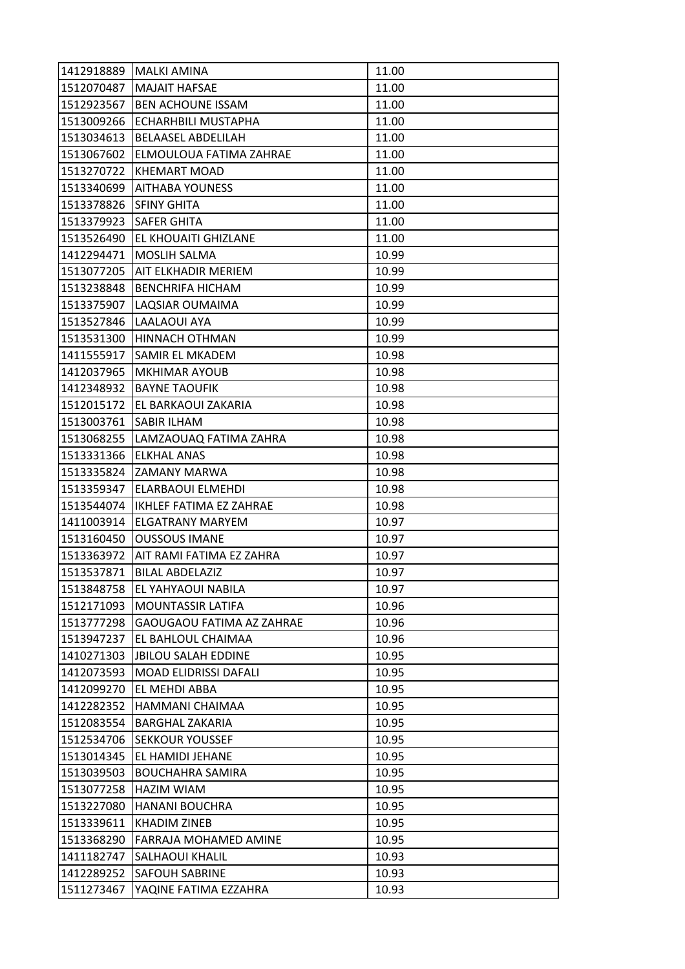| 1412918889 | MALKI AMINA                      | 11.00 |
|------------|----------------------------------|-------|
| 1512070487 | <b>MAJAIT HAFSAE</b>             | 11.00 |
| 1512923567 | <b>BEN ACHOUNE ISSAM</b>         | 11.00 |
| 1513009266 | <b>ECHARHBILI MUSTAPHA</b>       | 11.00 |
| 1513034613 | <b>BELAASEL ABDELILAH</b>        | 11.00 |
| 1513067602 | <b>ELMOULOUA FATIMA ZAHRAE</b>   | 11.00 |
| 1513270722 | <b>KHEMART MOAD</b>              | 11.00 |
| 1513340699 | <b>AITHABA YOUNESS</b>           | 11.00 |
| 1513378826 | <b>SFINY GHITA</b>               | 11.00 |
| 1513379923 | <b>SAFER GHITA</b>               | 11.00 |
| 1513526490 | <b>EL KHOUAITI GHIZLANE</b>      | 11.00 |
| 1412294471 | <b>MOSLIH SALMA</b>              | 10.99 |
| 1513077205 | AIT ELKHADIR MERIEM              | 10.99 |
| 1513238848 | <b>BENCHRIFA HICHAM</b>          | 10.99 |
| 1513375907 | LAQSIAR OUMAIMA                  | 10.99 |
| 1513527846 | LAALAOUI AYA                     | 10.99 |
| 1513531300 | <b>HINNACH OTHMAN</b>            | 10.99 |
| 1411555917 | <b>SAMIR EL MKADEM</b>           | 10.98 |
| 1412037965 | <b>MKHIMAR AYOUB</b>             | 10.98 |
| 1412348932 | <b>BAYNE TAOUFIK</b>             | 10.98 |
|            | 1512015172 EL BARKAOUI ZAKARIA   | 10.98 |
| 1513003761 | <b>SABIR ILHAM</b>               | 10.98 |
| 1513068255 | LAMZAOUAQ FATIMA ZAHRA           | 10.98 |
| 1513331366 | <b>ELKHAL ANAS</b>               | 10.98 |
| 1513335824 | ZAMANY MARWA                     | 10.98 |
| 1513359347 | <b>ELARBAOUI ELMEHDI</b>         | 10.98 |
| 1513544074 | IKHLEF FATIMA EZ ZAHRAE          | 10.98 |
| 1411003914 | <b>ELGATRANY MARYEM</b>          | 10.97 |
| 1513160450 | <b>OUSSOUS IMANE</b>             | 10.97 |
| 1513363972 | AIT RAMI FATIMA EZ ZAHRA         | 10.97 |
| 1513537871 | <b>BILAL ABDELAZIZ</b>           | 10.97 |
| 1513848758 | EL YAHYAOUI NABILA               | 10.97 |
| 1512171093 | <b>MOUNTASSIR LATIFA</b>         | 10.96 |
| 1513777298 | <b>GAOUGAOU FATIMA AZ ZAHRAE</b> | 10.96 |
| 1513947237 | EL BAHLOUL CHAIMAA               | 10.96 |
| 1410271303 | <b>JBILOU SALAH EDDINE</b>       | 10.95 |
| 1412073593 | <b>MOAD ELIDRISSI DAFALI</b>     | 10.95 |
| 1412099270 | EL MEHDI ABBA                    | 10.95 |
| 1412282352 | HAMMANI CHAIMAA                  | 10.95 |
| 1512083554 | <b>BARGHAL ZAKARIA</b>           | 10.95 |
| 1512534706 | <b>SEKKOUR YOUSSEF</b>           | 10.95 |
| 1513014345 | EL HAMIDI JEHANE                 | 10.95 |
| 1513039503 | <b>BOUCHAHRA SAMIRA</b>          | 10.95 |
| 1513077258 | HAZIM WIAM                       | 10.95 |
| 1513227080 | <b>HANANI BOUCHRA</b>            | 10.95 |
| 1513339611 | <b>KHADIM ZINEB</b>              | 10.95 |
| 1513368290 | <b>FARRAJA MOHAMED AMINE</b>     | 10.95 |
| 1411182747 | SALHAOUI KHALIL                  | 10.93 |
| 1412289252 | <b>SAFOUH SABRINE</b>            | 10.93 |
| 1511273467 | YAQINE FATIMA EZZAHRA            | 10.93 |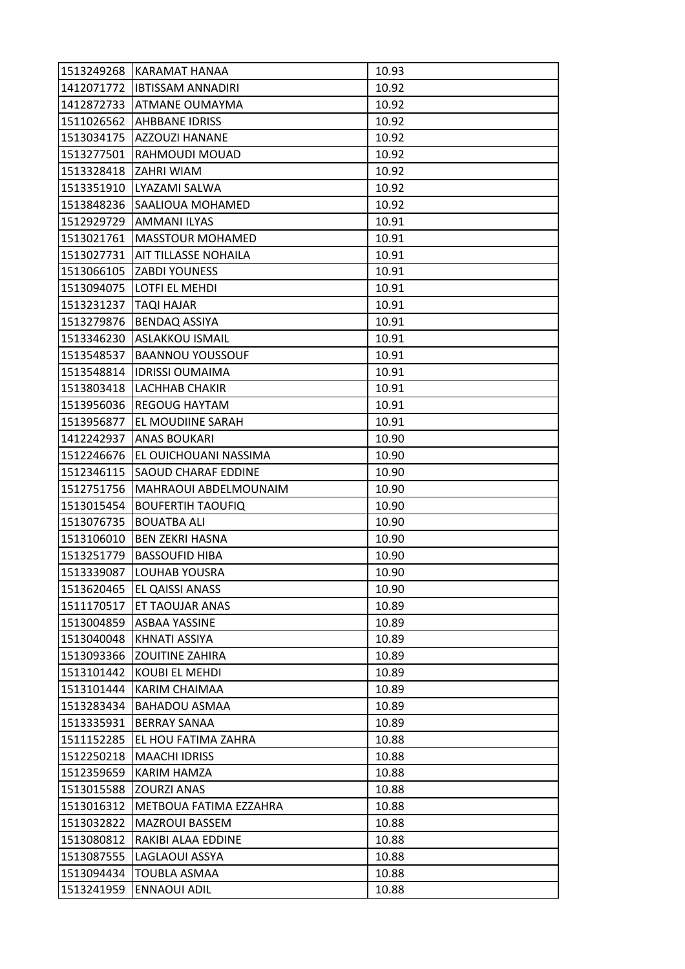| 1513249268 | KARAMAT HANAA               | 10.93 |
|------------|-----------------------------|-------|
| 1412071772 | <b>IBTISSAM ANNADIRI</b>    | 10.92 |
| 1412872733 | <b>ATMANE OUMAYMA</b>       | 10.92 |
| 1511026562 | AHBBANE IDRISS              | 10.92 |
| 1513034175 | <b>AZZOUZI HANANE</b>       | 10.92 |
| 1513277501 | RAHMOUDI MOUAD              | 10.92 |
| 1513328418 | <b>ZAHRI WIAM</b>           | 10.92 |
| 1513351910 | LYAZAMI SALWA               | 10.92 |
| 1513848236 | SAALIOUA MOHAMED            | 10.92 |
| 1512929729 | <b>AMMANI ILYAS</b>         | 10.91 |
| 1513021761 | <b>MASSTOUR MOHAMED</b>     | 10.91 |
| 1513027731 | <b>AIT TILLASSE NOHAILA</b> | 10.91 |
| 1513066105 | <b>ZABDI YOUNESS</b>        | 10.91 |
| 1513094075 | LOTFI EL MEHDI              | 10.91 |
| 1513231237 | TAQI HAJAR                  | 10.91 |
| 1513279876 | <b>BENDAQ ASSIYA</b>        | 10.91 |
| 1513346230 | <b>ASLAKKOU ISMAIL</b>      | 10.91 |
| 1513548537 | <b>BAANNOU YOUSSOUF</b>     | 10.91 |
| 1513548814 | <b>IDRISSI OUMAIMA</b>      | 10.91 |
| 1513803418 | LACHHAB CHAKIR              | 10.91 |
| 1513956036 | <b>REGOUG HAYTAM</b>        | 10.91 |
| 1513956877 | EL MOUDIINE SARAH           | 10.91 |
| 1412242937 | <b>ANAS BOUKARI</b>         | 10.90 |
| 1512246676 | EL OUICHOUANI NASSIMA       | 10.90 |
| 1512346115 | <b>SAOUD CHARAF EDDINE</b>  | 10.90 |
| 1512751756 | MAHRAOUI ABDELMOUNAIM       | 10.90 |
| 1513015454 | <b>BOUFERTIH TAOUFIQ</b>    | 10.90 |
| 1513076735 | <b>BOUATBA ALI</b>          | 10.90 |
| 1513106010 | <b>BEN ZEKRI HASNA</b>      | 10.90 |
| 1513251779 | <b>BASSOUFID HIBA</b>       | 10.90 |
| 1513339087 | LOUHAB YOUSRA               | 10.90 |
| 1513620465 | EL QAISSI ANASS             | 10.90 |
| 1511170517 | ET TAOUJAR ANAS             | 10.89 |
| 1513004859 | ASBAA YASSINE               | 10.89 |
| 1513040048 | KHNATI ASSIYA               | 10.89 |
| 1513093366 | <b>ZOUITINE ZAHIRA</b>      | 10.89 |
| 1513101442 | KOUBI EL MEHDI              | 10.89 |
| 1513101444 | KARIM CHAIMAA               | 10.89 |
| 1513283434 | BAHADOU ASMAA               | 10.89 |
| 1513335931 | <b>BERRAY SANAA</b>         | 10.89 |
| 1511152285 | EL HOU FATIMA ZAHRA         | 10.88 |
| 1512250218 | <b>MAACHI IDRISS</b>        | 10.88 |
| 1512359659 | KARIM HAMZA                 | 10.88 |
| 1513015588 | <b>ZOURZI ANAS</b>          | 10.88 |
| 1513016312 | METBOUA FATIMA EZZAHRA      | 10.88 |
| 1513032822 | <b>MAZROUI BASSEM</b>       | 10.88 |
| 1513080812 | RAKIBI ALAA EDDINE          | 10.88 |
| 1513087555 | LAGLAOUI ASSYA              | 10.88 |
| 1513094434 | <b>TOUBLA ASMAA</b>         | 10.88 |
| 1513241959 | <b>ENNAOUI ADIL</b>         | 10.88 |
|            |                             |       |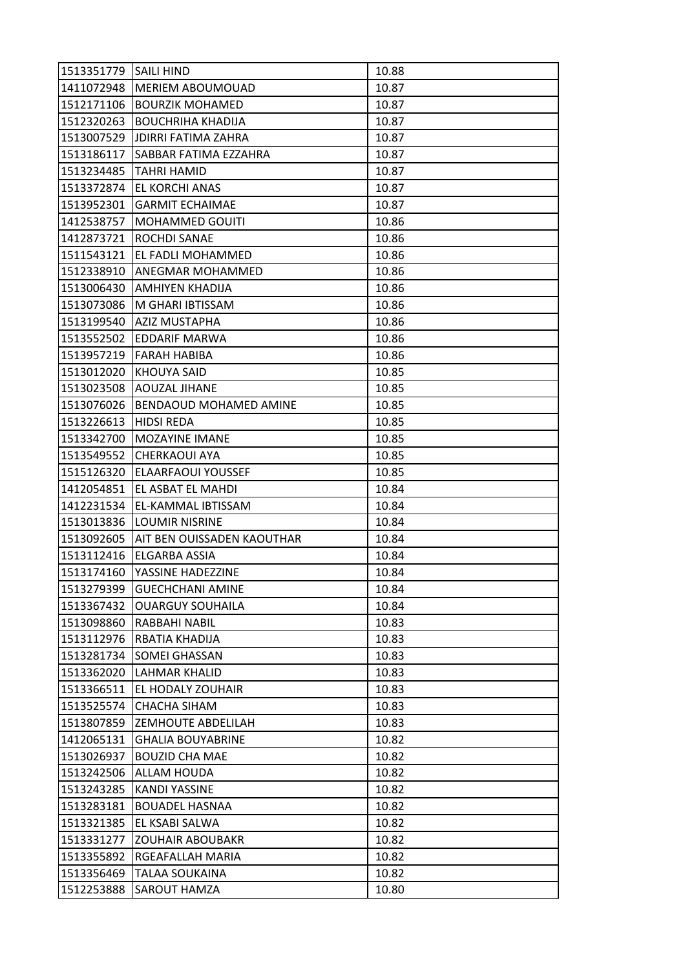| 1513351779 | SAILI HIND                 | 10.88 |
|------------|----------------------------|-------|
| 1411072948 | MERIEM ABOUMOUAD           | 10.87 |
| 1512171106 | <b>BOURZIK MOHAMED</b>     | 10.87 |
| 1512320263 | <b>BOUCHRIHA KHADIJA</b>   | 10.87 |
| 1513007529 | <b>JDIRRI FATIMA ZAHRA</b> | 10.87 |
| 1513186117 | SABBAR FATIMA EZZAHRA      | 10.87 |
| 1513234485 | TAHRI HAMID                | 10.87 |
| 1513372874 | EL KORCHI ANAS             | 10.87 |
| 1513952301 | <b>GARMIT ECHAIMAE</b>     | 10.87 |
| 1412538757 | <b>MOHAMMED GOUITI</b>     | 10.86 |
| 1412873721 | ROCHDI SANAE               | 10.86 |
| 1511543121 | EL FADLI MOHAMMED          | 10.86 |
| 1512338910 | ANEGMAR MOHAMMED           | 10.86 |
| 1513006430 | AMHIYEN KHADIJA            | 10.86 |
| 1513073086 | M GHARI IBTISSAM           | 10.86 |
| 1513199540 | <b>AZIZ MUSTAPHA</b>       | 10.86 |
| 1513552502 | EDDARIF MARWA              | 10.86 |
| 1513957219 | <b>FARAH HABIBA</b>        | 10.86 |
| 1513012020 | KHOUYA SAID                | 10.85 |
| 1513023508 | <b>AOUZAL JIHANE</b>       | 10.85 |
| 1513076026 | BENDAOUD MOHAMED AMINE     | 10.85 |
| 1513226613 | HIDSI REDA                 | 10.85 |
| 1513342700 | <b>MOZAYINE IMANE</b>      | 10.85 |
| 1513549552 | <b>CHERKAOUI AYA</b>       | 10.85 |
| 1515126320 | ELAARFAOUI YOUSSEF         | 10.85 |
| 1412054851 | EL ASBAT EL MAHDI          | 10.84 |
| 1412231534 | EL-KAMMAL IBTISSAM         | 10.84 |
| 1513013836 | <b>LOUMIR NISRINE</b>      | 10.84 |
| 1513092605 | AIT BEN OUISSADEN KAOUTHAR | 10.84 |
| 1513112416 | ELGARBA ASSIA              | 10.84 |
| 1513174160 | YASSINE HADEZZINE          | 10.84 |
| 1513279399 | <b>GUECHCHANI AMINE</b>    | 10.84 |
| 1513367432 | <b>OUARGUY SOUHAILA</b>    | 10.84 |
| 1513098860 | RABBAHI NABIL              | 10.83 |
| 1513112976 | RBATIA KHADIJA             | 10.83 |
| 1513281734 | SOMEI GHASSAN              | 10.83 |
| 1513362020 | LAHMAR KHALID              | 10.83 |
| 1513366511 | EL HODALY ZOUHAIR          | 10.83 |
| 1513525574 | CHACHA SIHAM               | 10.83 |
| 1513807859 | ZEMHOUTE ABDELILAH         | 10.83 |
| 1412065131 | <b>GHALIA BOUYABRINE</b>   | 10.82 |
| 1513026937 | <b>BOUZID CHA MAE</b>      | 10.82 |
| 1513242506 | ALLAM HOUDA                | 10.82 |
| 1513243285 | <b>KANDI YASSINE</b>       | 10.82 |
| 1513283181 | <b>BOUADEL HASNAA</b>      | 10.82 |
| 1513321385 | EL KSABI SALWA             | 10.82 |
| 1513331277 | <b>ZOUHAIR ABOUBAKR</b>    | 10.82 |
| 1513355892 | RGEAFALLAH MARIA           | 10.82 |
| 1513356469 | TALAA SOUKAINA             | 10.82 |
|            |                            |       |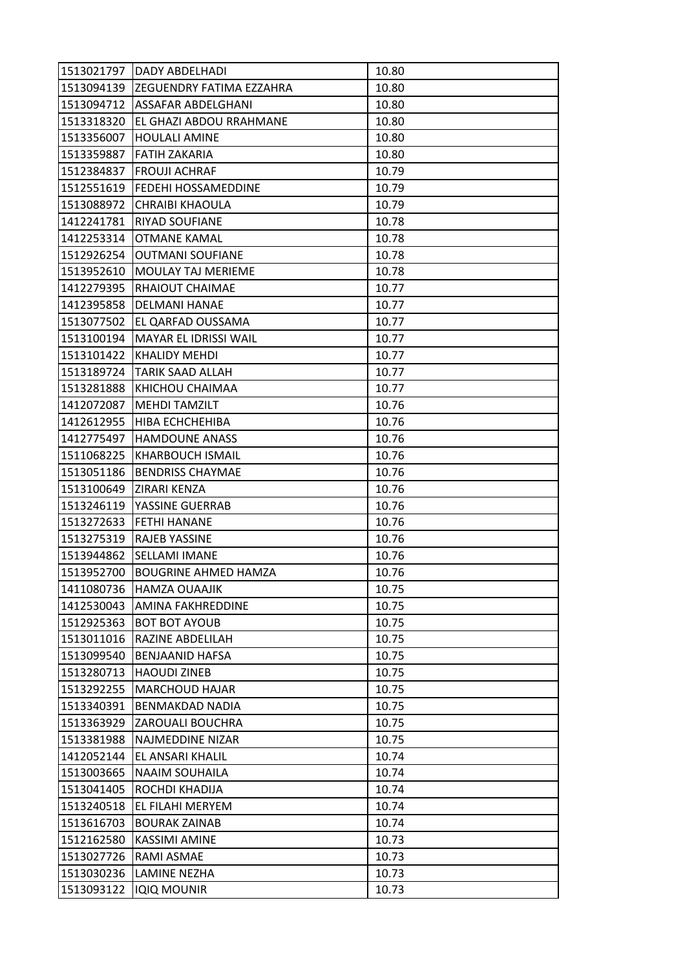| 1513021797 | DADY ABDELHADI              | 10.80 |
|------------|-----------------------------|-------|
| 1513094139 | ZEGUENDRY FATIMA EZZAHRA    | 10.80 |
| 1513094712 | ASSAFAR ABDELGHANI          | 10.80 |
| 1513318320 | EL GHAZI ABDOU RRAHMANE     | 10.80 |
| 1513356007 | <b>HOULALI AMINE</b>        | 10.80 |
| 1513359887 | FATIH ZAKARIA               | 10.80 |
| 1512384837 | <b>FROUJI ACHRAF</b>        | 10.79 |
| 1512551619 | FEDEHI HOSSAMEDDINE         | 10.79 |
| 1513088972 | <b>CHRAIBI KHAOULA</b>      | 10.79 |
| 1412241781 | RIYAD SOUFIANE              | 10.78 |
| 1412253314 | <b>OTMANE KAMAL</b>         | 10.78 |
| 1512926254 | <b>OUTMANI SOUFIANE</b>     | 10.78 |
| 1513952610 | <b>MOULAY TAJ MERIEME</b>   | 10.78 |
| 1412279395 | RHAIOUT CHAIMAE             | 10.77 |
| 1412395858 | <b>DELMANI HANAE</b>        | 10.77 |
| 1513077502 | EL QARFAD OUSSAMA           | 10.77 |
| 1513100194 | MAYAR EL IDRISSI WAIL       | 10.77 |
| 1513101422 | <b>KHALIDY MEHDI</b>        | 10.77 |
| 1513189724 | <b>TARIK SAAD ALLAH</b>     | 10.77 |
| 1513281888 | KHICHOU CHAIMAA             | 10.77 |
| 1412072087 | <b>MEHDI TAMZILT</b>        | 10.76 |
| 1412612955 | HIBA ECHCHEHIBA             | 10.76 |
| 1412775497 | <b>HAMDOUNE ANASS</b>       | 10.76 |
| 1511068225 | KHARBOUCH ISMAIL            | 10.76 |
| 1513051186 | <b>BENDRISS CHAYMAE</b>     | 10.76 |
| 1513100649 | ZIRARI KENZA                | 10.76 |
| 1513246119 | YASSINE GUERRAB             | 10.76 |
| 1513272633 | FETHI HANANE                | 10.76 |
| 1513275319 | RAJEB YASSINE               | 10.76 |
| 1513944862 | SELLAMI IMANE               | 10.76 |
| 1513952700 | <b>BOUGRINE AHMED HAMZA</b> | 10.76 |
| 1411080736 | <b>HAMZA OUAAJIK</b>        | 10.75 |
| 1412530043 | AMINA FAKHREDDINE           | 10.75 |
| 1512925363 | <b>BOT BOT AYOUB</b>        | 10.75 |
| 1513011016 | RAZINE ABDELILAH            | 10.75 |
| 1513099540 | BENJAANID HAFSA             | 10.75 |
| 1513280713 | <b>HAOUDI ZINEB</b>         | 10.75 |
| 1513292255 | <b>MARCHOUD HAJAR</b>       | 10.75 |
| 1513340391 | <b>BENMAKDAD NADIA</b>      | 10.75 |
| 1513363929 | ZAROUALI BOUCHRA            | 10.75 |
| 1513381988 | NAJMEDDINE NIZAR            | 10.75 |
| 1412052144 | EL ANSARI KHALIL            | 10.74 |
| 1513003665 | <b>NAAIM SOUHAILA</b>       | 10.74 |
| 1513041405 | ROCHDI KHADIJA              | 10.74 |
| 1513240518 | EL FILAHI MERYEM            | 10.74 |
| 1513616703 | <b>BOURAK ZAINAB</b>        | 10.74 |
| 1512162580 | <b>KASSIMI AMINE</b>        | 10.73 |
| 1513027726 | RAMI ASMAE                  | 10.73 |
| 1513030236 | <b>LAMINE NEZHA</b>         | 10.73 |
| 1513093122 | <b>IQIQ MOUNIR</b>          | 10.73 |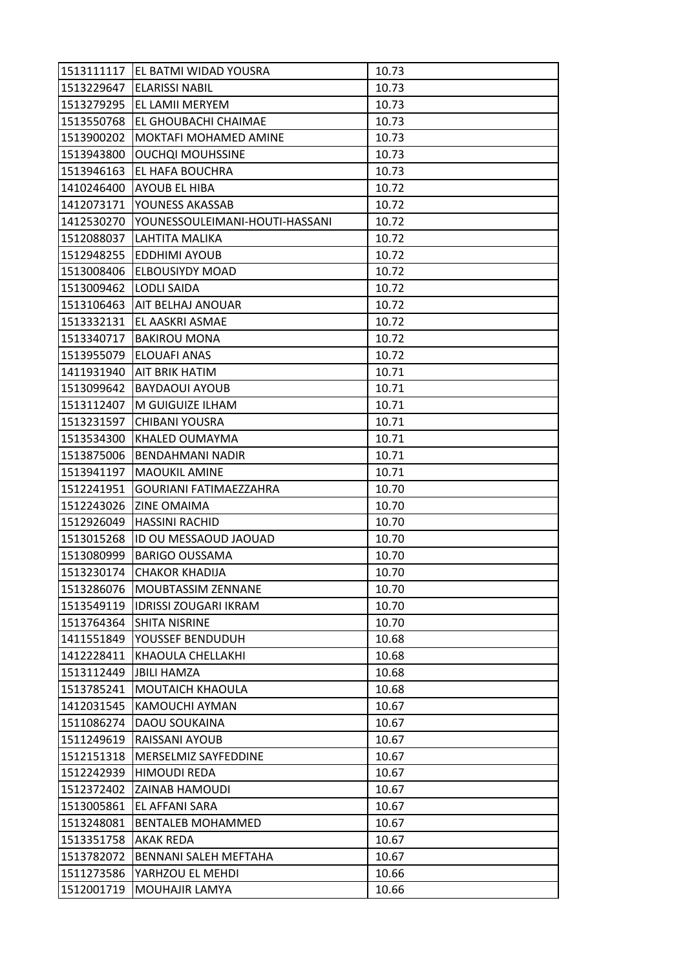|            | 1513111117   EL BATMI WIDAD YOUSRA | 10.73 |
|------------|------------------------------------|-------|
| 1513229647 | <b>ELARISSI NABIL</b>              | 10.73 |
| 1513279295 | EL LAMII MERYEM                    | 10.73 |
| 1513550768 | EL GHOUBACHI CHAIMAE               | 10.73 |
| 1513900202 | <b>MOKTAFI MOHAMED AMINE</b>       | 10.73 |
| 1513943800 | <b>OUCHQI MOUHSSINE</b>            | 10.73 |
| 1513946163 | <b>EL HAFA BOUCHRA</b>             | 10.73 |
| 1410246400 | <b>AYOUB EL HIBA</b>               | 10.72 |
| 1412073171 | YOUNESS AKASSAB                    | 10.72 |
| 1412530270 | YOUNESSOULEIMANI-HOUTI-HASSANI     | 10.72 |
| 1512088037 | LAHTITA MALIKA                     | 10.72 |
| 1512948255 | <b>EDDHIMI AYOUB</b>               | 10.72 |
| 1513008406 | <b>ELBOUSIYDY MOAD</b>             | 10.72 |
| 1513009462 | <b>LODLI SAIDA</b>                 | 10.72 |
| 1513106463 | AIT BELHAJ ANOUAR                  | 10.72 |
| 1513332131 | <b>EL AASKRI ASMAE</b>             | 10.72 |
| 1513340717 | <b>BAKIROU MONA</b>                | 10.72 |
| 1513955079 | <b>ELOUAFI ANAS</b>                | 10.72 |
| 1411931940 | <b>AIT BRIK HATIM</b>              | 10.71 |
| 1513099642 | <b>BAYDAOUI AYOUB</b>              | 10.71 |
| 1513112407 | M GUIGUIZE ILHAM                   | 10.71 |
| 1513231597 | <b>CHIBANI YOUSRA</b>              | 10.71 |
| 1513534300 | KHALED OUMAYMA                     | 10.71 |
| 1513875006 | <b>BENDAHMANI NADIR</b>            | 10.71 |
| 1513941197 | <b>MAOUKIL AMINE</b>               | 10.71 |
| 1512241951 | <b>GOURIANI FATIMAEZZAHRA</b>      | 10.70 |
| 1512243026 | <b>ZINE OMAIMA</b>                 | 10.70 |
| 1512926049 | <b>HASSINI RACHID</b>              | 10.70 |
| 1513015268 | ID OU MESSAOUD JAOUAD              | 10.70 |
| 1513080999 | <b>BARIGO OUSSAMA</b>              | 10.70 |
| 1513230174 | <b>CHAKOR KHADIJA</b>              | 10.70 |
| 1513286076 | <b>MOUBTASSIM ZENNANE</b>          | 10.70 |
| 1513549119 | <b>IDRISSI ZOUGARI IKRAM</b>       | 10.70 |
| 1513764364 | <b>SHITA NISRINE</b>               | 10.70 |
| 1411551849 | YOUSSEF BENDUDUH                   | 10.68 |
| 1412228411 | KHAOULA CHELLAKHI                  | 10.68 |
| 1513112449 | <b>JBILI HAMZA</b>                 | 10.68 |
| 1513785241 | <b>MOUTAICH KHAOULA</b>            | 10.68 |
| 1412031545 | KAMOUCHI AYMAN                     | 10.67 |
| 1511086274 | <b>DAOU SOUKAINA</b>               | 10.67 |
| 1511249619 | RAISSANI AYOUB                     | 10.67 |
| 1512151318 | MERSELMIZ SAYFEDDINE               | 10.67 |
| 1512242939 | <b>HIMOUDI REDA</b>                | 10.67 |
| 1512372402 | <b>ZAINAB HAMOUDI</b>              | 10.67 |
| 1513005861 | EL AFFANI SARA                     | 10.67 |
| 1513248081 | <b>BENTALEB MOHAMMED</b>           | 10.67 |
| 1513351758 | <b>AKAK REDA</b>                   | 10.67 |
| 1513782072 | BENNANI SALEH MEFTAHA              | 10.67 |
| 1511273586 | YARHZOU EL MEHDI                   | 10.66 |
| 1512001719 | MOUHAJIR LAMYA                     | 10.66 |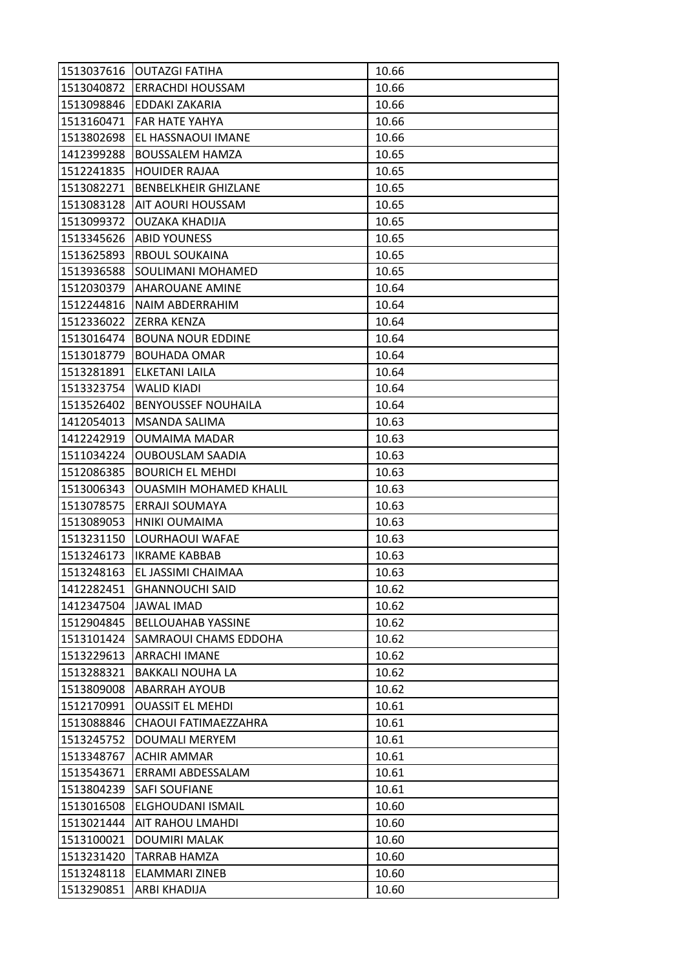| 1513040872 | 1513037616   OUTAZGI FATIHA<br><b>ERRACHDI HOUSSAM</b> | 10.66<br>10.66 |
|------------|--------------------------------------------------------|----------------|
| 1513098846 | EDDAKI ZAKARIA                                         | 10.66          |
| 1513160471 | <b>FAR HATE YAHYA</b>                                  | 10.66          |
| 1513802698 | EL HASSNAOUI IMANE                                     | 10.66          |
|            |                                                        | 10.65          |
| 1412399288 | <b>BOUSSALEM HAMZA</b>                                 |                |
| 1512241835 | <b>HOUIDER RAJAA</b>                                   | 10.65          |
| 1513082271 | <b>BENBELKHEIR GHIZLANE</b>                            | 10.65<br>10.65 |
| 1513083128 | AIT AOURI HOUSSAM                                      |                |
| 1513099372 | <b>OUZAKA KHADIJA</b>                                  | 10.65          |
| 1513345626 | <b>ABID YOUNESS</b><br><b>RBOUL SOUKAINA</b>           | 10.65          |
| 1513625893 |                                                        | 10.65          |
| 1513936588 | SOULIMANI MOHAMED<br><b>AHAROUANE AMINE</b>            | 10.65<br>10.64 |
| 1512030379 |                                                        |                |
| 1512244816 | NAIM ABDERRAHIM<br><b>ZERRA KENZA</b>                  | 10.64          |
| 1512336022 |                                                        | 10.64          |
| 1513016474 | <b>BOUNA NOUR EDDINE</b>                               | 10.64          |
| 1513018779 | <b>BOUHADA OMAR</b>                                    | 10.64          |
| 1513281891 | <b>ELKETANI LAILA</b>                                  | 10.64          |
| 1513323754 | <b>WALID KIADI</b>                                     | 10.64          |
| 1513526402 | <b>BENYOUSSEF NOUHAILA</b>                             | 10.64          |
| 1412054013 | MSANDA SALIMA                                          | 10.63          |
| 1412242919 | <b>OUMAIMA MADAR</b>                                   | 10.63          |
| 1511034224 | <b>OUBOUSLAM SAADIA</b>                                | 10.63          |
| 1512086385 | <b>BOURICH EL MEHDI</b>                                | 10.63          |
| 1513006343 | <b>OUASMIH MOHAMED KHALIL</b>                          | 10.63          |
| 1513078575 | ERRAJI SOUMAYA                                         | 10.63          |
| 1513089053 | <b>HNIKI OUMAIMA</b>                                   | 10.63          |
| 1513231150 | LOURHAOUI WAFAE                                        | 10.63          |
| 1513246173 | <b>IKRAME KABBAB</b>                                   | 10.63          |
| 1513248163 | EL JASSIMI CHAIMAA                                     | 10.63          |
| 1412282451 | <b>GHANNOUCHI SAID</b>                                 | 10.62          |
| 1412347504 | <b>JAWAL IMAD</b>                                      | 10.62          |
| 1512904845 | <b>BELLOUAHAB YASSINE</b>                              | 10.62          |
| 1513101424 | SAMRAOUI CHAMS EDDOHA                                  | 10.62          |
| 1513229613 | <b>ARRACHI IMANE</b>                                   | 10.62          |
| 1513288321 | <b>BAKKALI NOUHA LA</b>                                | 10.62          |
| 1513809008 | <b>ABARRAH AYOUB</b>                                   | 10.62          |
| 1512170991 | <b>OUASSIT EL MEHDI</b>                                | 10.61          |
| 1513088846 | CHAOUI FATIMAEZZAHRA                                   | 10.61          |
| 1513245752 | DOUMALI MERYEM                                         | 10.61          |
| 1513348767 | <b>ACHIR AMMAR</b>                                     | 10.61          |
| 1513543671 | ERRAMI ABDESSALAM                                      | 10.61          |
| 1513804239 | <b>SAFI SOUFIANE</b>                                   | 10.61          |
| 1513016508 | ELGHOUDANI ISMAIL                                      | 10.60          |
| 1513021444 | AIT RAHOU LMAHDI                                       | 10.60          |
| 1513100021 | DOUMIRI MALAK                                          | 10.60          |
| 1513231420 | TARRAB HAMZA                                           | 10.60          |
| 1513248118 | ELAMMARI ZINEB                                         | 10.60          |
| 1513290851 | ARBI KHADIJA                                           | 10.60          |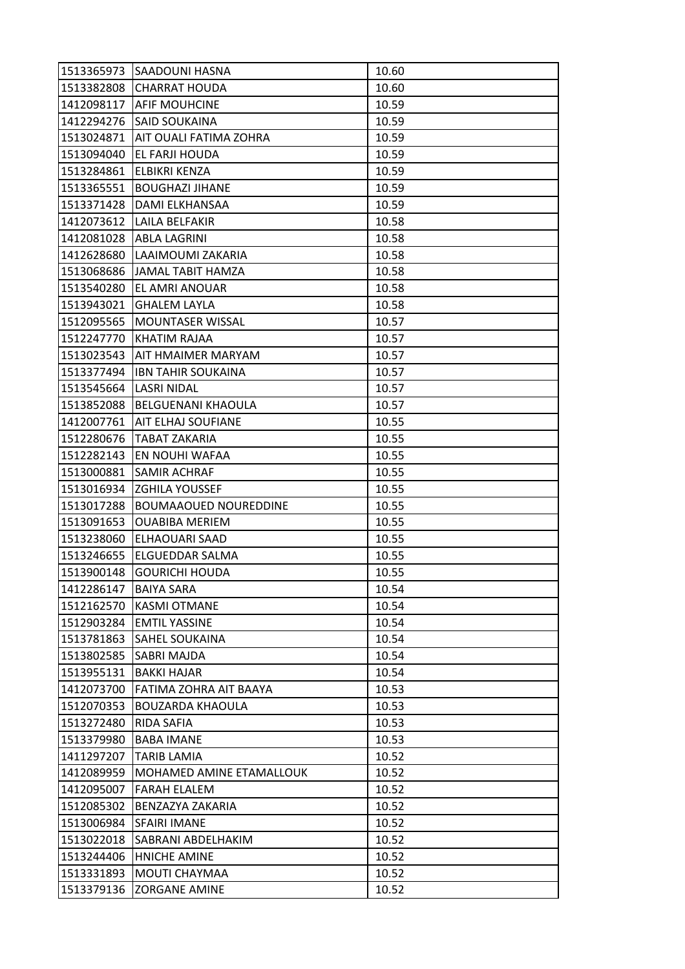| 1513365973 | SAADOUNI HASNA               | 10.60 |
|------------|------------------------------|-------|
| 1513382808 | <b>CHARRAT HOUDA</b>         | 10.60 |
| 1412098117 | <b>AFIF MOUHCINE</b>         | 10.59 |
| 1412294276 | <b>SAID SOUKAINA</b>         | 10.59 |
| 1513024871 | AIT OUALI FATIMA ZOHRA       | 10.59 |
| 1513094040 | EL FARJI HOUDA               | 10.59 |
| 1513284861 | ELBIKRI KENZA                | 10.59 |
| 1513365551 | <b>BOUGHAZI JIHANE</b>       | 10.59 |
| 1513371428 | DAMI ELKHANSAA               | 10.59 |
| 1412073612 | LAILA BELFAKIR               | 10.58 |
| 1412081028 | <b>ABLA LAGRINI</b>          | 10.58 |
| 1412628680 | LAAIMOUMI ZAKARIA            | 10.58 |
| 1513068686 | <b>JAMAL TABIT HAMZA</b>     | 10.58 |
| 1513540280 | EL AMRI ANOUAR               | 10.58 |
| 1513943021 | <b>GHALEM LAYLA</b>          | 10.58 |
| 1512095565 | MOUNTASER WISSAL             | 10.57 |
| 1512247770 | KHATIM RAJAA                 | 10.57 |
| 1513023543 | AIT HMAIMER MARYAM           | 10.57 |
| 1513377494 | <b>IBN TAHIR SOUKAINA</b>    | 10.57 |
| 1513545664 | <b>LASRI NIDAL</b>           | 10.57 |
| 1513852088 | BELGUENANI KHAOULA           | 10.57 |
| 1412007761 | AIT ELHAJ SOUFIANE           | 10.55 |
| 1512280676 | <b>TABAT ZAKARIA</b>         | 10.55 |
| 1512282143 | EN NOUHI WAFAA               | 10.55 |
| 1513000881 | SAMIR ACHRAF                 | 10.55 |
| 1513016934 | <b>ZGHILA YOUSSEF</b>        | 10.55 |
| 1513017288 | <b>BOUMAAOUED NOUREDDINE</b> | 10.55 |
| 1513091653 | <b>OUABIBA MERIEM</b>        | 10.55 |
| 1513238060 | ELHAOUARI SAAD               | 10.55 |
| 1513246655 | ELGUEDDAR SALMA              | 10.55 |
| 1513900148 | <b>GOURICHI HOUDA</b>        | 10.55 |
| 1412286147 | <b>BAIYA SARA</b>            | 10.54 |
| 1512162570 | <b>KASMI OTMANE</b>          | 10.54 |
| 1512903284 | <b>EMTIL YASSINE</b>         | 10.54 |
| 1513781863 | SAHEL SOUKAINA               | 10.54 |
| 1513802585 | SABRI MAJDA                  | 10.54 |
| 1513955131 | <b>BAKKI HAJAR</b>           | 10.54 |
| 1412073700 | FATIMA ZOHRA AIT BAAYA       | 10.53 |
| 1512070353 | <b>BOUZARDA KHAOULA</b>      | 10.53 |
| 1513272480 | RIDA SAFIA                   | 10.53 |
| 1513379980 | <b>BABA IMANE</b>            | 10.53 |
| 1411297207 | <b>TARIB LAMIA</b>           | 10.52 |
| 1412089959 | MOHAMED AMINE ETAMALLOUK     | 10.52 |
| 1412095007 | <b>FARAH ELALEM</b>          | 10.52 |
| 1512085302 | BENZAZYA ZAKARIA             | 10.52 |
| 1513006984 | SFAIRI IMANE                 | 10.52 |
| 1513022018 | SABRANI ABDELHAKIM           | 10.52 |
| 1513244406 | <b>HNICHE AMINE</b>          | 10.52 |
| 1513331893 | MOUTI CHAYMAA                | 10.52 |
| 1513379136 | <b>ZORGANE AMINE</b>         | 10.52 |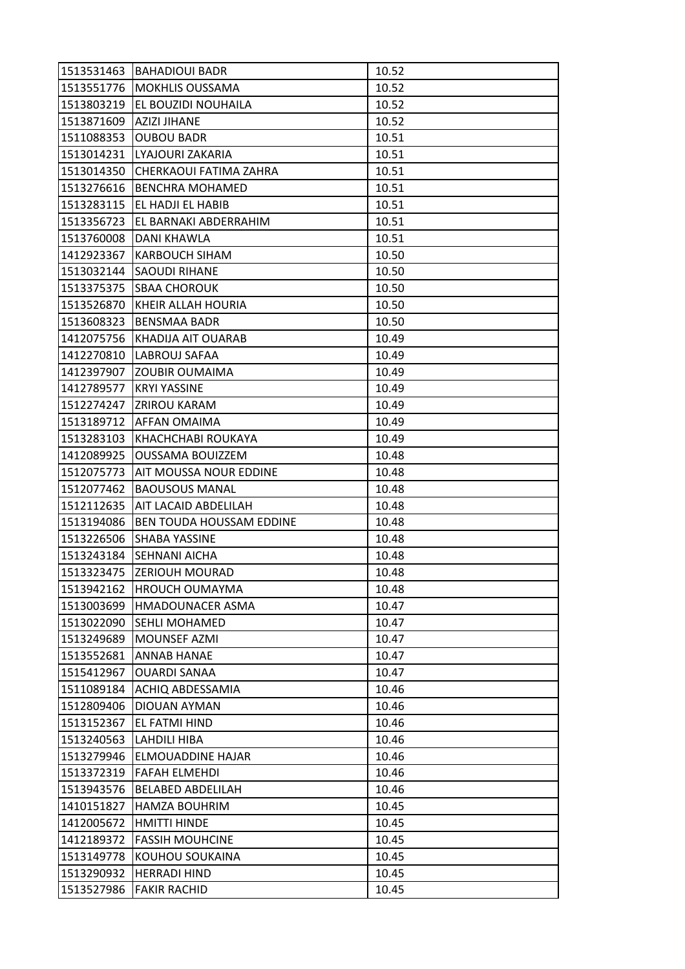| 1513531463 | <b>BAHADIOUI BADR</b>    | 10.52 |
|------------|--------------------------|-------|
| 1513551776 | <b>MOKHLIS OUSSAMA</b>   | 10.52 |
| 1513803219 | EL BOUZIDI NOUHAILA      | 10.52 |
| 1513871609 | <b>AZIZI JIHANE</b>      | 10.52 |
| 1511088353 | <b>OUBOU BADR</b>        | 10.51 |
| 1513014231 | LYAJOURI ZAKARIA         | 10.51 |
| 1513014350 | CHERKAOUI FATIMA ZAHRA   | 10.51 |
| 1513276616 | <b>BENCHRA MOHAMED</b>   | 10.51 |
| 1513283115 | EL HADJI EL HABIB        | 10.51 |
| 1513356723 | EL BARNAKI ABDERRAHIM    | 10.51 |
| 1513760008 | DANI KHAWLA              | 10.51 |
| 1412923367 | <b>KARBOUCH SIHAM</b>    | 10.50 |
| 1513032144 | <b>SAOUDI RIHANE</b>     | 10.50 |
| 1513375375 | <b>SBAA CHOROUK</b>      | 10.50 |
| 1513526870 | KHEIR ALLAH HOURIA       | 10.50 |
| 1513608323 | <b>BENSMAA BADR</b>      | 10.50 |
| 1412075756 | KHADIJA AIT OUARAB       | 10.49 |
| 1412270810 | LABROUJ SAFAA            | 10.49 |
| 1412397907 | <b>ZOUBIR OUMAIMA</b>    | 10.49 |
| 1412789577 | <b>KRYI YASSINE</b>      | 10.49 |
| 1512274247 | <b>ZRIROU KARAM</b>      | 10.49 |
| 1513189712 | AFFAN OMAIMA             | 10.49 |
| 1513283103 | KHACHCHABI ROUKAYA       | 10.49 |
| 1412089925 | <b>OUSSAMA BOUIZZEM</b>  | 10.48 |
| 1512075773 | AIT MOUSSA NOUR EDDINE   | 10.48 |
| 1512077462 | <b>BAOUSOUS MANAL</b>    | 10.48 |
| 1512112635 | AIT LACAID ABDELILAH     | 10.48 |
| 1513194086 | BEN TOUDA HOUSSAM EDDINE | 10.48 |
| 1513226506 | SHABA YASSINE            | 10.48 |
| 1513243184 | <b>SEHNANI AICHA</b>     | 10.48 |
| 1513323475 | <b>ZERIOUH MOURAD</b>    | 10.48 |
| 1513942162 | <b>HROUCH OUMAYMA</b>    | 10.48 |
| 1513003699 | HMADOUNACER ASMA         | 10.47 |
| 1513022090 | <b>SEHLI MOHAMED</b>     | 10.47 |
| 1513249689 | MOUNSEF AZMI             | 10.47 |
| 1513552681 | ANNAB HANAE              | 10.47 |
| 1515412967 | OUARDI SANAA             | 10.47 |
| 1511089184 | ACHIQ ABDESSAMIA         | 10.46 |
| 1512809406 | <b>DIOUAN AYMAN</b>      | 10.46 |
| 1513152367 | EL FATMI HIND            | 10.46 |
| 1513240563 | LAHDILI HIBA             | 10.46 |
| 1513279946 | ELMOUADDINE HAJAR        | 10.46 |
| 1513372319 | <b>FAFAH ELMEHDI</b>     | 10.46 |
| 1513943576 | <b>BELABED ABDELILAH</b> | 10.46 |
| 1410151827 | <b>HAMZA BOUHRIM</b>     | 10.45 |
| 1412005672 | HMITTI HINDE             | 10.45 |
| 1412189372 | <b>FASSIH MOUHCINE</b>   | 10.45 |
| 1513149778 | KOUHOU SOUKAINA          | 10.45 |
| 1513290932 | <b>HERRADI HIND</b>      | 10.45 |
| 1513527986 | <b>FAKIR RACHID</b>      | 10.45 |
|            |                          |       |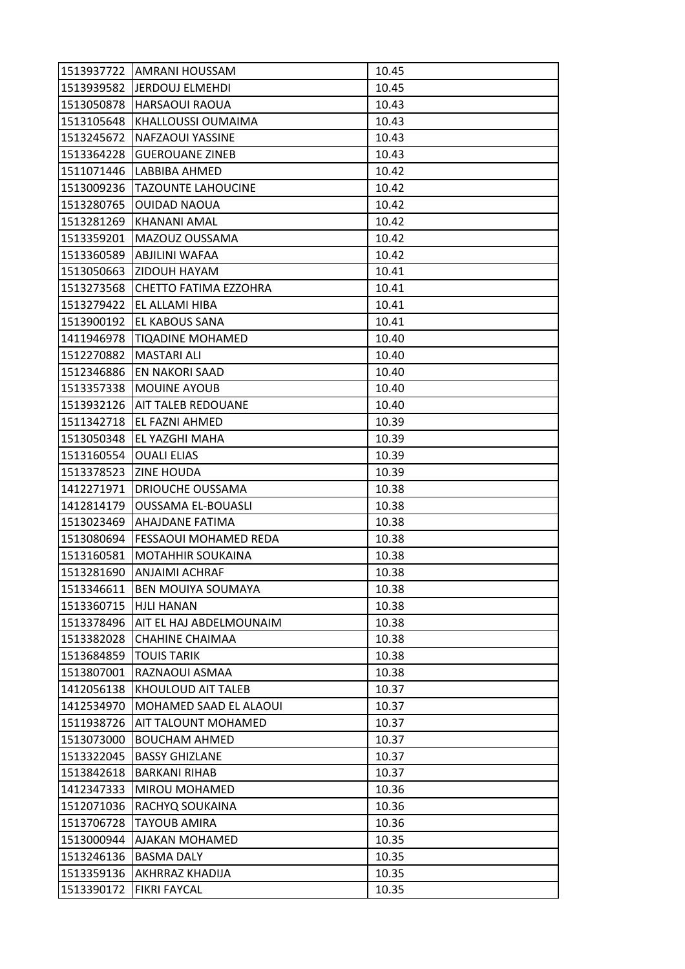| 1513937722 | <b>JAMRANI HOUSSAM</b>       | 10.45 |
|------------|------------------------------|-------|
| 1513939582 | <b>JERDOUJ ELMEHDI</b>       | 10.45 |
| 1513050878 | HARSAOUI RAOUA               | 10.43 |
| 1513105648 | KHALLOUSSI OUMAIMA           | 10.43 |
| 1513245672 | NAFZAOUI YASSINE             | 10.43 |
| 1513364228 | <b>GUEROUANE ZINEB</b>       | 10.43 |
| 1511071446 | LABBIBA AHMED                | 10.42 |
| 1513009236 | <b>TAZOUNTE LAHOUCINE</b>    | 10.42 |
| 1513280765 | <b>OUIDAD NAOUA</b>          | 10.42 |
| 1513281269 | KHANANI AMAL                 | 10.42 |
| 1513359201 | MAZOUZ OUSSAMA               | 10.42 |
| 1513360589 | ABJILINI WAFAA               | 10.42 |
| 1513050663 | <b>ZIDOUH HAYAM</b>          | 10.41 |
| 1513273568 | <b>CHETTO FATIMA EZZOHRA</b> | 10.41 |
| 1513279422 | EL ALLAMI HIBA               | 10.41 |
| 1513900192 | EL KABOUS SANA               | 10.41 |
| 1411946978 | <b>TIQADINE MOHAMED</b>      | 10.40 |
| 1512270882 | <b>MASTARI ALI</b>           | 10.40 |
| 1512346886 | EN NAKORI SAAD               | 10.40 |
| 1513357338 | <b>MOUINE AYOUB</b>          | 10.40 |
| 1513932126 | <b>AIT TALEB REDOUANE</b>    | 10.40 |
| 1511342718 | EL FAZNI AHMED               | 10.39 |
| 1513050348 | EL YAZGHI MAHA               | 10.39 |
| 1513160554 | <b>OUALI ELIAS</b>           | 10.39 |
| 1513378523 | <b>ZINE HOUDA</b>            | 10.39 |
| 1412271971 | DRIOUCHE OUSSAMA             | 10.38 |
| 1412814179 | <b>OUSSAMA EL-BOUASLI</b>    | 10.38 |
| 1513023469 | AHAJDANE FATIMA              | 10.38 |
| 1513080694 | FESSAOUI MOHAMED REDA        | 10.38 |
| 1513160581 | <b>MOTAHHIR SOUKAINA</b>     | 10.38 |
| 1513281690 | <b>ANJAIMI ACHRAF</b>        | 10.38 |
| 1513346611 | BEN MOUIYA SOUMAYA           | 10.38 |
| 1513360715 | <b>HJLI HANAN</b>            | 10.38 |
| 1513378496 | AIT EL HAJ ABDELMOUNAIM      | 10.38 |
| 1513382028 | <b>CHAHINE CHAIMAA</b>       | 10.38 |
| 1513684859 | <b>TOUIS TARIK</b>           | 10.38 |
| 1513807001 | RAZNAOUI ASMAA               | 10.38 |
| 1412056138 | KHOULOUD AIT TALEB           | 10.37 |
| 1412534970 | MOHAMED SAAD EL ALAOUI       | 10.37 |
| 1511938726 | AIT TALOUNT MOHAMED          | 10.37 |
| 1513073000 | <b>BOUCHAM AHMED</b>         | 10.37 |
| 1513322045 | <b>BASSY GHIZLANE</b>        | 10.37 |
| 1513842618 | <b>BARKANI RIHAB</b>         | 10.37 |
| 1412347333 | MIROU MOHAMED                | 10.36 |
| 1512071036 | RACHYQ SOUKAINA              | 10.36 |
| 1513706728 | TAYOUB AMIRA                 | 10.36 |
| 1513000944 | AJAKAN MOHAMED               | 10.35 |
| 1513246136 | <b>BASMA DALY</b>            | 10.35 |
| 1513359136 | AKHRRAZ KHADIJA              | 10.35 |
| 1513390172 | <b>FIKRI FAYCAL</b>          | 10.35 |
|            |                              |       |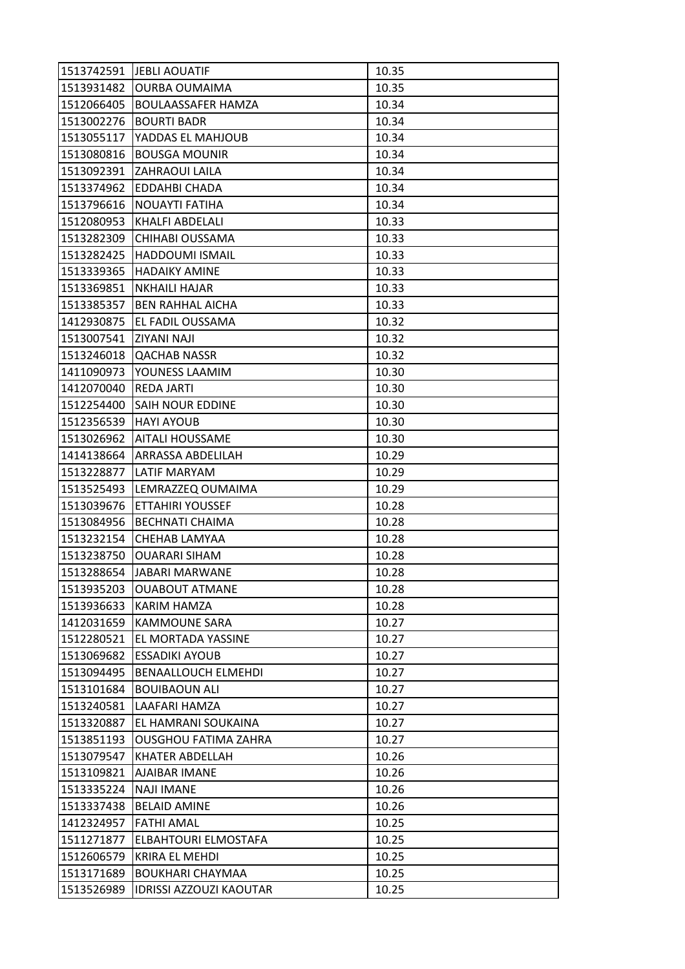| 1513742591 | <b>JEBLI AOUATIF</b>           | 10.35 |
|------------|--------------------------------|-------|
| 1513931482 | <b>OURBA OUMAIMA</b>           | 10.35 |
| 1512066405 | <b>BOULAASSAFER HAMZA</b>      | 10.34 |
| 1513002276 | <b>BOURTI BADR</b>             | 10.34 |
| 1513055117 | YADDAS EL MAHJOUB              | 10.34 |
| 1513080816 | <b>BOUSGA MOUNIR</b>           | 10.34 |
| 1513092391 | <b>ZAHRAOUI LAILA</b>          | 10.34 |
| 1513374962 | EDDAHBI CHADA                  | 10.34 |
| 1513796616 | <b>NOUAYTI FATIHA</b>          | 10.34 |
| 1512080953 | KHALFI ABDELALI                | 10.33 |
| 1513282309 | CHIHABI OUSSAMA                | 10.33 |
| 1513282425 | HADDOUMI ISMAIL                | 10.33 |
| 1513339365 | <b>HADAIKY AMINE</b>           | 10.33 |
| 1513369851 | <b>NKHAILI HAJAR</b>           | 10.33 |
| 1513385357 | <b>BEN RAHHAL AICHA</b>        | 10.33 |
| 1412930875 | EL FADIL OUSSAMA               | 10.32 |
| 1513007541 | <b>ZIYANI NAJI</b>             | 10.32 |
| 1513246018 | <b>QACHAB NASSR</b>            | 10.32 |
| 1411090973 | YOUNESS LAAMIM                 | 10.30 |
| 1412070040 | <b>REDA JARTI</b>              | 10.30 |
| 1512254400 | <b>SAIH NOUR EDDINE</b>        | 10.30 |
| 1512356539 | <b>HAYI AYOUB</b>              | 10.30 |
| 1513026962 | <b>AITALI HOUSSAME</b>         | 10.30 |
| 1414138664 | ARRASSA ABDELILAH              | 10.29 |
| 1513228877 | LATIF MARYAM                   | 10.29 |
| 1513525493 | LEMRAZZEQ OUMAIMA              | 10.29 |
| 1513039676 | <b>ETTAHIRI YOUSSEF</b>        | 10.28 |
| 1513084956 | <b>BECHNATI CHAIMA</b>         | 10.28 |
| 1513232154 | CHEHAB LAMYAA                  | 10.28 |
| 1513238750 | <b>OUARARI SIHAM</b>           | 10.28 |
| 1513288654 | JABARI MARWANE                 | 10.28 |
| 1513935203 | <b>OUABOUT ATMANE</b>          | 10.28 |
| 1513936633 | <b>KARIM HAMZA</b>             | 10.28 |
| 1412031659 | <b>KAMMOUNE SARA</b>           | 10.27 |
| 1512280521 | EL MORTADA YASSINE             | 10.27 |
| 1513069682 | <b>ESSADIKI AYOUB</b>          | 10.27 |
| 1513094495 | <b>BENAALLOUCH ELMEHDI</b>     | 10.27 |
| 1513101684 | <b>BOUIBAOUN ALI</b>           | 10.27 |
| 1513240581 | LAAFARI HAMZA                  | 10.27 |
| 1513320887 | EL HAMRANI SOUKAINA            | 10.27 |
| 1513851193 | <b>OUSGHOU FATIMA ZAHRA</b>    | 10.27 |
| 1513079547 | KHATER ABDELLAH                | 10.26 |
| 1513109821 | AJAIBAR IMANE                  | 10.26 |
| 1513335224 | <b>NAJI IMANE</b>              | 10.26 |
| 1513337438 | <b>BELAID AMINE</b>            | 10.26 |
| 1412324957 | <b>FATHI AMAL</b>              | 10.25 |
| 1511271877 | ELBAHTOURI ELMOSTAFA           | 10.25 |
| 1512606579 | <b>KRIRA EL MEHDI</b>          | 10.25 |
| 1513171689 | <b>BOUKHARI CHAYMAA</b>        | 10.25 |
| 1513526989 | <b>IDRISSI AZZOUZI KAOUTAR</b> | 10.25 |
|            |                                |       |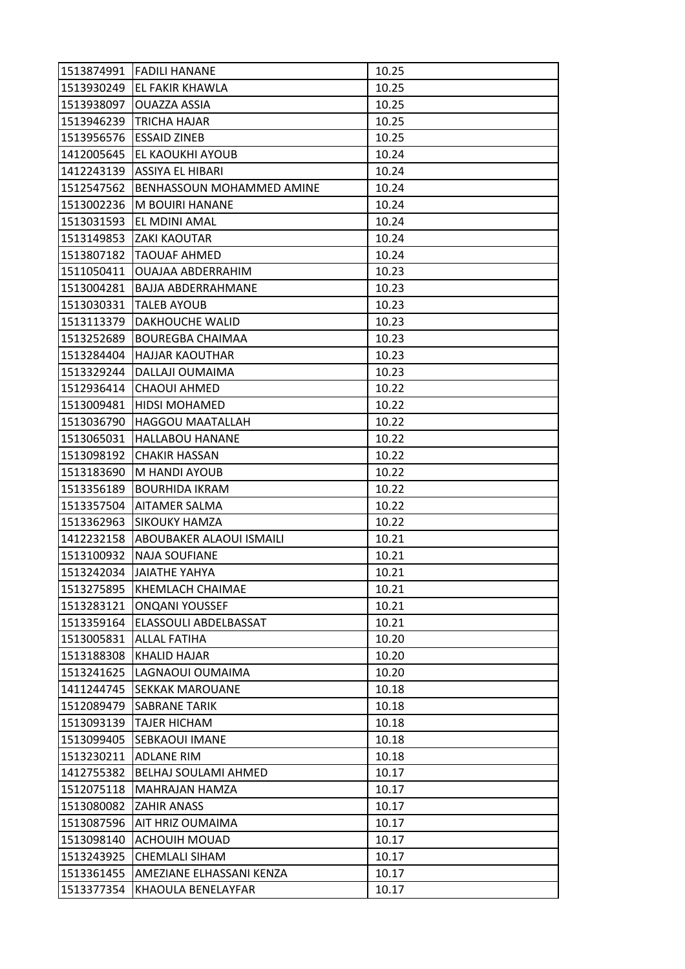| 1513874991 | <b>FADILI HANANE</b>             | 10.25 |
|------------|----------------------------------|-------|
| 1513930249 | EL FAKIR KHAWLA                  | 10.25 |
| 1513938097 | OUAZZA ASSIA                     | 10.25 |
| 1513946239 | <b>TRICHA HAJAR</b>              | 10.25 |
| 1513956576 | <b>ESSAID ZINEB</b>              | 10.25 |
| 1412005645 | EL KAOUKHI AYOUB                 | 10.24 |
| 1412243139 | ASSIYA EL HIBARI                 | 10.24 |
| 1512547562 | <b>BENHASSOUN MOHAMMED AMINE</b> | 10.24 |
| 1513002236 | M BOUIRI HANANE                  | 10.24 |
| 1513031593 | EL MDINI AMAL                    | 10.24 |
| 1513149853 | <b>ZAKI KAOUTAR</b>              | 10.24 |
| 1513807182 | <b>TAOUAF AHMED</b>              | 10.24 |
| 1511050411 | <b>OUAJAA ABDERRAHIM</b>         | 10.23 |
| 1513004281 | <b>BAJJA ABDERRAHMANE</b>        | 10.23 |
| 1513030331 | <b>TALEB AYOUB</b>               | 10.23 |
| 1513113379 | DAKHOUCHE WALID                  | 10.23 |
| 1513252689 | <b>BOUREGBA CHAIMAA</b>          | 10.23 |
| 1513284404 | <b>HAJJAR KAOUTHAR</b>           | 10.23 |
| 1513329244 | DALLAJI OUMAIMA                  | 10.23 |
| 1512936414 | <b>CHAOUI AHMED</b>              | 10.22 |
| 1513009481 | <b>HIDSI MOHAMED</b>             | 10.22 |
| 1513036790 | <b>HAGGOU MAATALLAH</b>          | 10.22 |
| 1513065031 | <b>HALLABOU HANANE</b>           | 10.22 |
| 1513098192 | <b>CHAKIR HASSAN</b>             | 10.22 |
| 1513183690 | M HANDI AYOUB                    | 10.22 |
| 1513356189 | <b>BOURHIDA IKRAM</b>            | 10.22 |
| 1513357504 | AITAMER SALMA                    | 10.22 |
| 1513362963 | SIKOUKY HAMZA                    | 10.22 |
| 1412232158 | ABOUBAKER ALAOUI ISMAILI         | 10.21 |
| 1513100932 | <b>NAJA SOUFIANE</b>             | 10.21 |
| 1513242034 | <b>JAIATHE YAHYA</b>             | 10.21 |
| 1513275895 | KHEMLACH CHAIMAE                 | 10.21 |
| 1513283121 | <b>ONQANI YOUSSEF</b>            | 10.21 |
| 1513359164 | ELASSOULI ABDELBASSAT            | 10.21 |
| 1513005831 | <b>ALLAL FATIHA</b>              | 10.20 |
| 1513188308 | KHALID HAJAR                     | 10.20 |
| 1513241625 | LAGNAOUI OUMAIMA                 | 10.20 |
| 1411244745 | <b>SEKKAK MAROUANE</b>           | 10.18 |
| 1512089479 | <b>SABRANE TARIK</b>             | 10.18 |
| 1513093139 | <b>TAJER HICHAM</b>              | 10.18 |
| 1513099405 | SEBKAOUI IMANE                   | 10.18 |
| 1513230211 | <b>ADLANE RIM</b>                | 10.18 |
| 1412755382 | BELHAJ SOULAMI AHMED             | 10.17 |
| 1512075118 | MAHRAJAN HAMZA                   | 10.17 |
| 1513080082 | <b>ZAHIR ANASS</b>               | 10.17 |
| 1513087596 | AIT HRIZ OUMAIMA                 | 10.17 |
| 1513098140 | <b>ACHOUIH MOUAD</b>             | 10.17 |
| 1513243925 | <b>CHEMLALI SIHAM</b>            | 10.17 |
| 1513361455 | AMEZIANE ELHASSANI KENZA         | 10.17 |
| 1513377354 | KHAOULA BENELAYFAR               | 10.17 |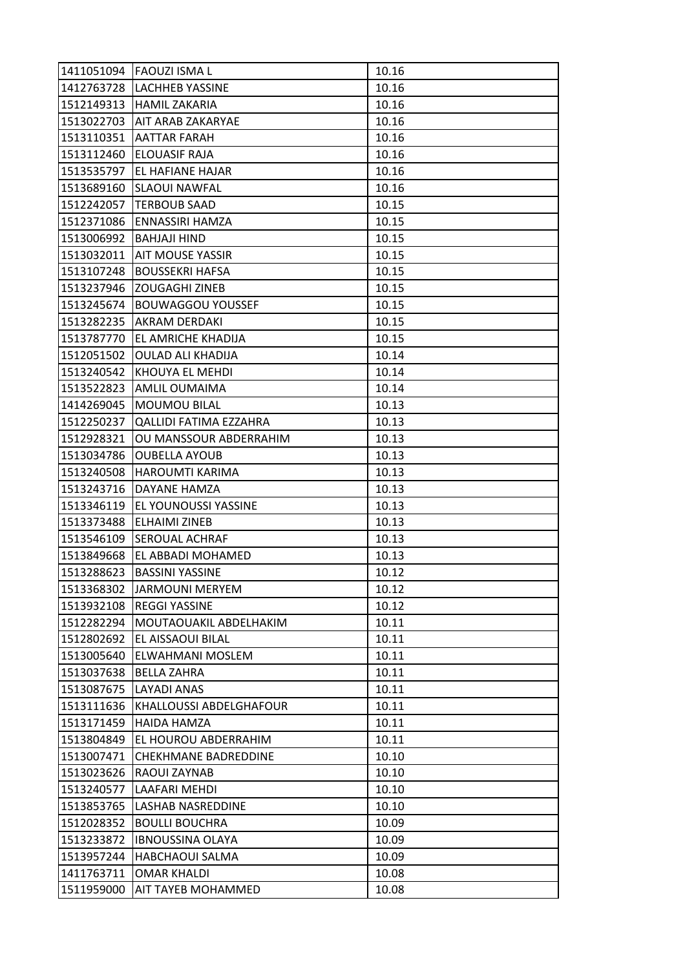|            | 1411051094 FAOUZI ISMA L      | 10.16 |
|------------|-------------------------------|-------|
|            | 1412763728  LACHHEB YASSINE   | 10.16 |
| 1512149313 | <b>HAMIL ZAKARIA</b>          | 10.16 |
| 1513022703 | <b>AIT ARAB ZAKARYAE</b>      | 10.16 |
| 1513110351 | <b>AATTAR FARAH</b>           | 10.16 |
| 1513112460 | <b>ELOUASIF RAJA</b>          | 10.16 |
| 1513535797 | EL HAFIANE HAJAR              | 10.16 |
| 1513689160 | <b>SLAOUI NAWFAL</b>          | 10.16 |
| 1512242057 | <b>TERBOUB SAAD</b>           | 10.15 |
| 1512371086 | ENNASSIRI HAMZA               | 10.15 |
| 1513006992 | <b>BAHJAJI HIND</b>           | 10.15 |
| 1513032011 | <b>AIT MOUSE YASSIR</b>       | 10.15 |
| 1513107248 | <b>BOUSSEKRI HAFSA</b>        | 10.15 |
| 1513237946 | <b>ZOUGAGHI ZINEB</b>         | 10.15 |
| 1513245674 | <b>BOUWAGGOU YOUSSEF</b>      | 10.15 |
| 1513282235 | <b>AKRAM DERDAKI</b>          | 10.15 |
| 1513787770 | <b>EL AMRICHE KHADIJA</b>     | 10.15 |
| 1512051502 | <b>OULAD ALI KHADIJA</b>      | 10.14 |
| 1513240542 | KHOUYA EL MEHDI               | 10.14 |
| 1513522823 | AMLIL OUMAIMA                 | 10.14 |
| 1414269045 | <b>MOUMOU BILAL</b>           | 10.13 |
| 1512250237 | <b>QALLIDI FATIMA EZZAHRA</b> | 10.13 |
| 1512928321 | OU MANSSOUR ABDERRAHIM        | 10.13 |
| 1513034786 | <b>OUBELLA AYOUB</b>          | 10.13 |
| 1513240508 | <b>HAROUMTI KARIMA</b>        | 10.13 |
| 1513243716 | DAYANE HAMZA                  | 10.13 |
| 1513346119 | EL YOUNOUSSI YASSINE          | 10.13 |
| 1513373488 | <b>ELHAIMI ZINEB</b>          | 10.13 |
| 1513546109 | <b>SEROUAL ACHRAF</b>         | 10.13 |
| 1513849668 | EL ABBADI MOHAMED             | 10.13 |
| 1513288623 | <b>BASSINI YASSINE</b>        | 10.12 |
| 1513368302 | JARMOUNI MERYEM               | 10.12 |
| 1513932108 | <b>REGGI YASSINE</b>          | 10.12 |
| 1512282294 | MOUTAOUAKIL ABDELHAKIM        | 10.11 |
| 1512802692 | EL AISSAOUI BILAL             | 10.11 |
| 1513005640 | ELWAHMANI MOSLEM              | 10.11 |
| 1513037638 |                               |       |
|            | <b>BELLA ZAHRA</b>            | 10.11 |
| 1513087675 | <b>LAYADI ANAS</b>            | 10.11 |
| 1513111636 | KHALLOUSSI ABDELGHAFOUR       | 10.11 |
| 1513171459 | <b>HAIDA HAMZA</b>            | 10.11 |
| 1513804849 | EL HOUROU ABDERRAHIM          | 10.11 |
| 1513007471 | <b>CHEKHMANE BADREDDINE</b>   | 10.10 |
| 1513023626 | RAOUI ZAYNAB                  | 10.10 |
| 1513240577 | LAAFARI MEHDI                 | 10.10 |
| 1513853765 | <b>LASHAB NASREDDINE</b>      | 10.10 |
| 1512028352 | <b>BOULLI BOUCHRA</b>         | 10.09 |
| 1513233872 | <b>IBNOUSSINA OLAYA</b>       | 10.09 |
| 1513957244 | <b>HABCHAOUI SALMA</b>        | 10.09 |
| 1411763711 | <b>OMAR KHALDI</b>            | 10.08 |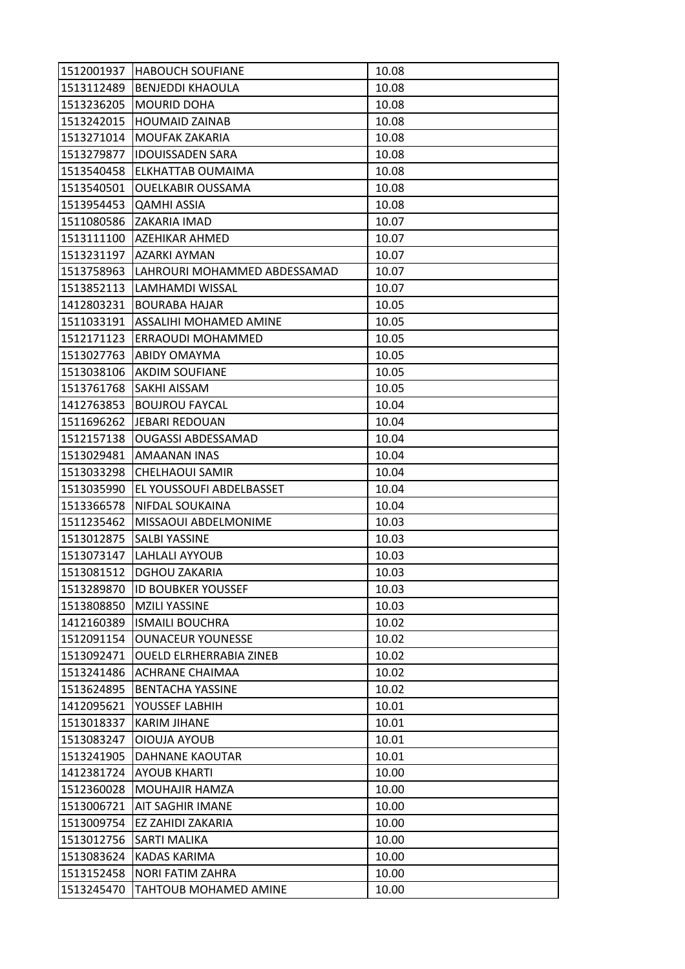| 1512001937 | <b>HABOUCH SOUFIANE</b>        | 10.08 |
|------------|--------------------------------|-------|
| 1513112489 | <b>BENJEDDI KHAOULA</b>        | 10.08 |
| 1513236205 | <b>MOURID DOHA</b>             | 10.08 |
| 1513242015 | <b>HOUMAID ZAINAB</b>          | 10.08 |
| 1513271014 | MOUFAK ZAKARIA                 | 10.08 |
| 1513279877 | <b>IDOUISSADEN SARA</b>        | 10.08 |
| 1513540458 | ELKHATTAB OUMAIMA              | 10.08 |
| 1513540501 | OUELKABIR OUSSAMA              | 10.08 |
| 1513954453 | <b>QAMHI ASSIA</b>             | 10.08 |
| 1511080586 | ZAKARIA IMAD                   | 10.07 |
| 1513111100 | <b>AZEHIKAR AHMED</b>          | 10.07 |
| 1513231197 | AZARKI AYMAN                   | 10.07 |
| 1513758963 | LAHROURI MOHAMMED ABDESSAMAD   | 10.07 |
| 1513852113 | LAMHAMDI WISSAL                | 10.07 |
| 1412803231 | <b>BOURABA HAJAR</b>           | 10.05 |
| 1511033191 | ASSALIHI MOHAMED AMINE         | 10.05 |
| 1512171123 | ERRAOUDI MOHAMMED              | 10.05 |
| 1513027763 | <b>ABIDY OMAYMA</b>            | 10.05 |
| 1513038106 | <b>AKDIM SOUFIANE</b>          | 10.05 |
| 1513761768 | SAKHI AISSAM                   | 10.05 |
| 1412763853 | <b>BOUJROU FAYCAL</b>          | 10.04 |
| 1511696262 | JEBARI REDOUAN                 | 10.04 |
| 1512157138 | <b>OUGASSI ABDESSAMAD</b>      | 10.04 |
| 1513029481 | AMAANAN INAS                   | 10.04 |
| 1513033298 | CHELHAOUI SAMIR                | 10.04 |
| 1513035990 | EL YOUSSOUFI ABDELBASSET       | 10.04 |
| 1513366578 | NIFDAL SOUKAINA                | 10.04 |
| 1511235462 | MISSAOUI ABDELMONIME           | 10.03 |
| 1513012875 | SALBI YASSINE                  | 10.03 |
| 1513073147 | LAHLALI AYYOUB                 | 10.03 |
| 1513081512 | <b>DGHOU ZAKARIA</b>           | 10.03 |
| 1513289870 | <b>ID BOUBKER YOUSSEF</b>      | 10.03 |
| 1513808850 | <b>MZILI YASSINE</b>           | 10.03 |
| 1412160389 | <b>ISMAILI BOUCHRA</b>         | 10.02 |
| 1512091154 | <b>OUNACEUR YOUNESSE</b>       | 10.02 |
| 1513092471 | <b>OUELD ELRHERRABIA ZINEB</b> | 10.02 |
| 1513241486 | <b>ACHRANE CHAIMAA</b>         | 10.02 |
| 1513624895 | <b>BENTACHA YASSINE</b>        | 10.02 |
| 1412095621 | YOUSSEF LABHIH                 | 10.01 |
| 1513018337 | <b>KARIM JIHANE</b>            | 10.01 |
| 1513083247 | OIOUJA AYOUB                   | 10.01 |
| 1513241905 | DAHNANE KAOUTAR                | 10.01 |
| 1412381724 | <b>AYOUB KHARTI</b>            | 10.00 |
| 1512360028 | MOUHAJIR HAMZA                 | 10.00 |
| 1513006721 | AIT SAGHIR IMANE               | 10.00 |
| 1513009754 | EZ ZAHIDI ZAKARIA              | 10.00 |
| 1513012756 | SARTI MALIKA                   | 10.00 |
| 1513083624 | KADAS KARIMA                   | 10.00 |
| 1513152458 | <b>NORI FATIM ZAHRA</b>        | 10.00 |
| 1513245470 | TAHTOUB MOHAMED AMINE          | 10.00 |
|            |                                |       |